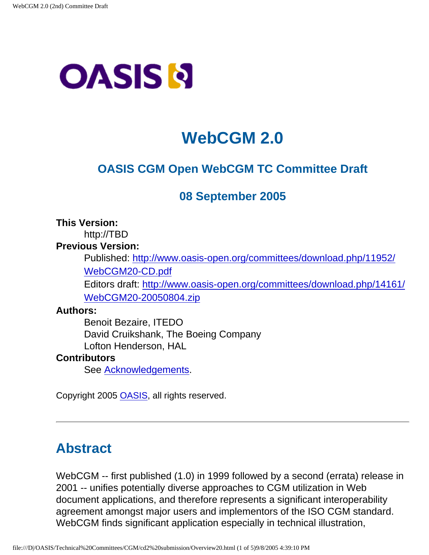# <span id="page-0-0"></span>**OASIS N**

# **WebCGM 2.0**

# **OASIS CGM Open WebCGM TC Committee Draft**

# **08 September 2005**

**This Version:**

http://TBD

#### **Previous Version:**

Published: [http://www.oasis-open.org/committees/download.php/11952/](http://www.oasis-open.org/committees/download.php/11952/WebCGM20-CD.pdf) [WebCGM20-CD.pdf](http://www.oasis-open.org/committees/download.php/11952/WebCGM20-CD.pdf)

Editors draft: [http://www.oasis-open.org/committees/download.php/14161/](http://www.oasis-open.org/committees/download.php/14161/WebCGM20-20050804.zip) [WebCGM20-20050804.zip](http://www.oasis-open.org/committees/download.php/14161/WebCGM20-20050804.zip)

#### **Authors:**

Benoit Bezaire, ITEDO David Cruikshank, The Boeing Company Lofton Henderson, HAL

#### <span id="page-0-2"></span>**Contributors**

See [Acknowledgements](#page-3-0).

Copyright 2005 [OASIS,](http://www.oasis-open.org/) all rights reserved.

# <span id="page-0-1"></span>**Abstract**

WebCGM -- first published (1.0) in 1999 followed by a second (errata) release in 2001 -- unifies potentially diverse approaches to CGM utilization in Web document applications, and therefore represents a significant interoperability agreement amongst major users and implementors of the ISO CGM standard. WebCGM finds significant application especially in technical illustration,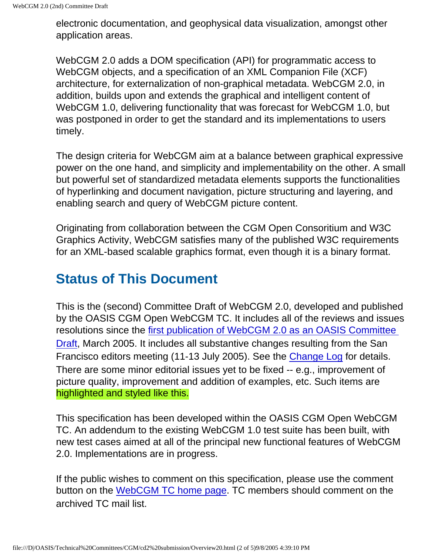electronic documentation, and geophysical data visualization, amongst other application areas.

WebCGM 2.0 adds a DOM specification (API) for programmatic access to WebCGM objects, and a specification of an XML Companion File (XCF) architecture, for externalization of non-graphical metadata. WebCGM 2.0, in addition, builds upon and extends the graphical and intelligent content of WebCGM 1.0, delivering functionality that was forecast for WebCGM 1.0, but was postponed in order to get the standard and its implementations to users timely.

The design criteria for WebCGM aim at a balance between graphical expressive power on the one hand, and simplicity and implementability on the other. A small but powerful set of standardized metadata elements supports the functionalities of hyperlinking and document navigation, picture structuring and layering, and enabling search and query of WebCGM picture content.

Originating from collaboration between the CGM Open Consoritium and W3C Graphics Activity, WebCGM satisfies many of the published W3C requirements for an XML-based scalable graphics format, even though it is a binary format.

# **Status of This Document**

This is the (second) Committee Draft of WebCGM 2.0, developed and published by the OASIS CGM Open WebCGM TC. It includes all of the reviews and issues resolutions since the [first publication of WebCGM 2.0 as an OASIS Committee](http://www.oasis-open.org/committees/download.php/11952/WebCGM20-CD.pdf)  [Draft](http://www.oasis-open.org/committees/download.php/11952/WebCGM20-CD.pdf), March 2005. It includes all substantive changes resulting from the San Francisco editors meeting (11-13 July 2005). See the [Change Log](file:///D|/OASIS/Technical%20Committees/CGM/cd2%20submission/WebCGM20-appendix.html#webcgm_changelog) for details. There are some minor editorial issues yet to be fixed -- e.g., improvement of picture quality, improvement and addition of examples, etc. Such items are highlighted and styled like this.

This specification has been developed within the OASIS CGM Open WebCGM TC. An addendum to the existing WebCGM 1.0 test suite has been built, with new test cases aimed at all of the principal new functional features of WebCGM 2.0. Implementations are in progress.

If the public wishes to comment on this specification, please use the comment button on the [WebCGM TC home page.](http://www.oasis-open.org/committees/tc_home.php?wg_abbrev=cgmo-webcgm) TC members should comment on the archived TC mail list.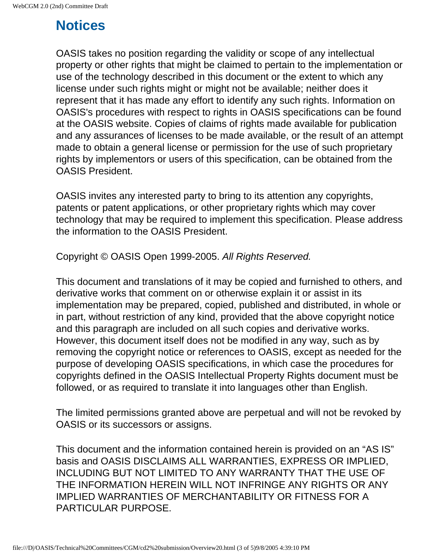# **Notices**

OASIS takes no position regarding the validity or scope of any intellectual property or other rights that might be claimed to pertain to the implementation or use of the technology described in this document or the extent to which any license under such rights might or might not be available; neither does it represent that it has made any effort to identify any such rights. Information on OASIS's procedures with respect to rights in OASIS specifications can be found at the OASIS website. Copies of claims of rights made available for publication and any assurances of licenses to be made available, or the result of an attempt made to obtain a general license or permission for the use of such proprietary rights by implementors or users of this specification, can be obtained from the OASIS President.

OASIS invites any interested party to bring to its attention any copyrights, patents or patent applications, or other proprietary rights which may cover technology that may be required to implement this specification. Please address the information to the OASIS President.

Copyright © OASIS Open 1999-2005. All Rights Reserved.

This document and translations of it may be copied and furnished to others, and derivative works that comment on or otherwise explain it or assist in its implementation may be prepared, copied, published and distributed, in whole or in part, without restriction of any kind, provided that the above copyright notice and this paragraph are included on all such copies and derivative works. However, this document itself does not be modified in any way, such as by removing the copyright notice or references to OASIS, except as needed for the purpose of developing OASIS specifications, in which case the procedures for copyrights defined in the OASIS Intellectual Property Rights document must be followed, or as required to translate it into languages other than English.

The limited permissions granted above are perpetual and will not be revoked by OASIS or its successors or assigns.

This document and the information contained herein is provided on an "AS IS" basis and OASIS DISCLAIMS ALL WARRANTIES, EXPRESS OR IMPLIED, INCLUDING BUT NOT LIMITED TO ANY WARRANTY THAT THE USE OF THE INFORMATION HEREIN WILL NOT INFRINGE ANY RIGHTS OR ANY IMPLIED WARRANTIES OF MERCHANTABILITY OR FITNESS FOR A PARTICULAR PURPOSE.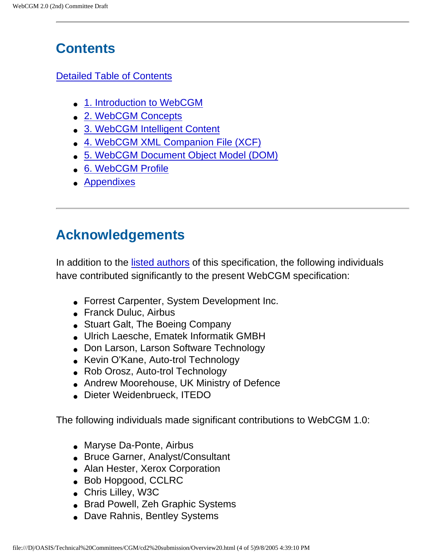# **Contents**

#### [Detailed Table of Contents](#page-5-0)

- [1. Introduction to WebCGM](#page-8-0)
- [2. WebCGM Concepts](#page-12-0)
- [3. WebCGM Intelligent Content](#page-26-0)
- [4. WebCGM XML Companion File \(XCF\)](#page-57-0)
- [5. WebCGM Document Object Model \(DOM\)](#page-72-0)
- [6. WebCGM Profile](#page-105-0)
- [Appendixes](#page-214-0)

# <span id="page-3-0"></span>**Acknowledgements**

In addition to the [listed authors](#page-0-0) of this specification, the following individuals have contributed significantly to the present WebCGM specification:

- Forrest Carpenter, System Development Inc.
- Franck Duluc, Airbus
- Stuart Galt, The Boeing Company
- Ulrich Laesche, Ematek Informatik GMBH
- Don Larson, Larson Software Technology
- Kevin O'Kane, Auto-trol Technology
- Rob Orosz, Auto-trol Technology
- Andrew Moorehouse, UK Ministry of Defence
- Dieter Weidenbrueck, ITEDO

The following individuals made significant contributions to WebCGM 1.0:

- Maryse Da-Ponte, Airbus
- Bruce Garner, Analyst/Consultant
- Alan Hester, Xerox Corporation
- Bob Hopgood, CCLRC
- Chris Lilley, W3C
- Brad Powell, Zeh Graphic Systems
- Dave Rahnis, Bentley Systems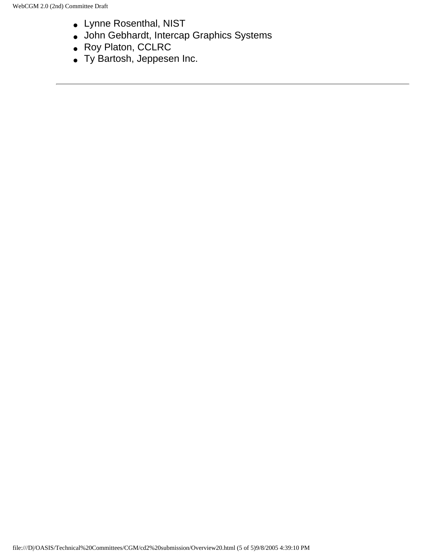- Lynne Rosenthal, NIST
- John Gebhardt, Intercap Graphics Systems
- Roy Platon, CCLRC
- Ty Bartosh, Jeppesen Inc.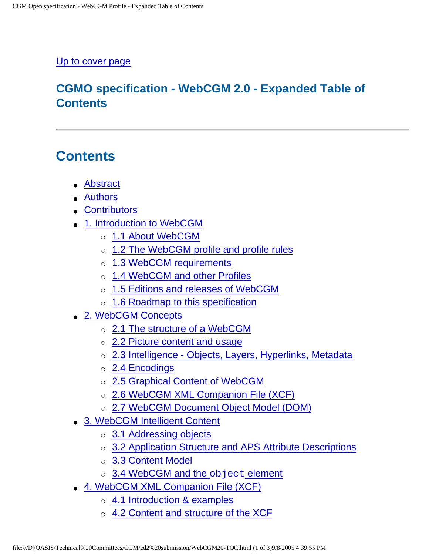#### <span id="page-5-0"></span>[Up to cover page](#page-0-0)

### **CGMO specification - WebCGM 2.0 - Expanded Table of Contents**

# **Contents**

- [Abstract](#page-0-1)
- [Authors](#page-0-0)
- [Contributors](#page-0-2)
- [1. Introduction to WebCGM](#page-8-0)
	- o [1.1 About WebCGM](#page-8-1)
	- o [1.2 The WebCGM profile and profile rules](#page-9-0)
	- o [1.3 WebCGM requirements](#page-9-1)
	- o [1.4 WebCGM and other Profiles](#page-10-0)
	- o [1.5 Editions and releases of WebCGM](#page-10-1)
	- ❍ [1.6 Roadmap to this specification](#page-11-0)
- [2. WebCGM Concepts](#page-12-0)
	- ❍ [2.1 The structure of a WebCGM](#page-12-1)
	- ❍ [2.2 Picture content and usage](#page-14-0)
	- ❍ [2.3 Intelligence Objects, Layers, Hyperlinks, Metadata](#page-14-1)
	- ❍ [2.4 Encodings](#page-21-0)
	- ❍ [2.5 Graphical Content of WebCGM](#page-21-1)
	- o [2.6 WebCGM XML Companion File \(XCF\)](#page-24-0)
	- ❍ [2.7 WebCGM Document Object Model \(DOM\)](#page-25-0)
- [3. WebCGM Intelligent Content](#page-26-0)
	- ❍ [3.1 Addressing objects](#page-26-1)
	- ❍ [3.2 Application Structure and APS Attribute Descriptions](#page-42-0)
	- ❍ [3.3 Content Model](#page-51-0)
	- o [3.4 WebCGM and the](#page-53-0) object element
- [4. WebCGM XML Companion File \(XCF\)](#page-57-0)
	- ❍ [4.1 Introduction & examples](#page-57-1)
	- ❍ [4.2 Content and structure of the XCF](#page-58-0)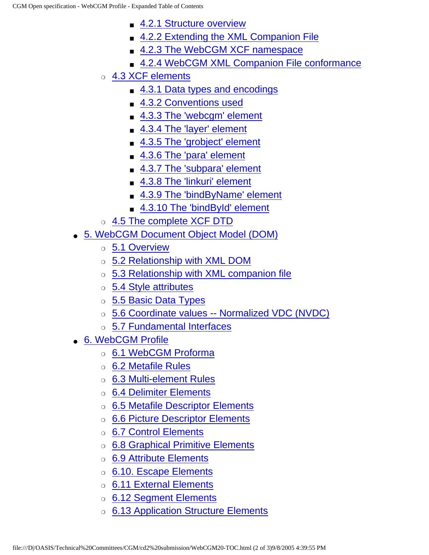- [4.2.1 Structure overview](#page-58-1)
- [4.2.2 Extending the XML Companion File](#page-59-0)
- [4.2.3 The WebCGM XCF namespace](#page-60-0)
- [4.2.4 WebCGM XML Companion File conformance](#page-60-1)
- ❍ [4.3 XCF elements](#page-60-2)
	- [4.3.1 Data types and encodings](#page-61-0)
	- [4.3.2 Conventions used](#page-61-1)
	- [4.3.3 The 'webcgm' element](#page-62-0)
	- [4.3.4 The 'layer' element](#page-63-0)
	- [4.3.5 The 'grobject' element](#page-64-0)
	- [4.3.6 The 'para' element](#page-65-0)
	- [4.3.7 The 'subpara' element](#page-65-1)
	- [4.3.8 The 'linkuri' element](#page-66-0)
	- [4.3.9 The 'bindByName' element](#page-67-0)
	- [4.3.10 The 'bindById' element](#page-67-1)
- ❍ [4.5 The complete XCF DTD](#page-5-0)
- [5. WebCGM Document Object Model \(DOM\)](#page-72-0)
	- ❍ [5.1 Overview](#page-72-1)
	- ❍ [5.2 Relationship with XML DOM](#page-72-2)
	- ❍ [5.3 Relationship with XML companion file](#page-73-0)
	- ❍ [5.4 Style attributes](#page-76-0)
	- ❍ [5.5 Basic Data Types](#page-78-0)
	- ❍ [5.6 Coordinate values -- Normalized VDC \(NVDC\)](#page-80-0)
	- ❍ [5.7 Fundamental Interfaces](#page-81-0)
- [6. WebCGM Profile](#page-105-0)
	- ❍ [6.1 WebCGM Proforma](#page-106-0)
	- ❍ [6.2 Metafile Rules](#page-106-1)
	- o [6.3 Multi-element Rules](#page-107-0)
	- o [6.4 Delimiter Elements](#page-112-0)
	- ❍ [6.5 Metafile Descriptor Elements](#page-118-0)
	- ❍ [6.6 Picture Descriptor Elements](#page-131-0)
	- ❍ [6.7 Control Elements](#page-140-0)
	- ❍ [6.8 Graphical Primitive Elements](#page-148-0)
	- ❍ [6.9 Attribute Elements](#page-162-0)
	- ❍ [6.10. Escape Elements](#page-188-0)
	- ❍ [6.11 External Elements](#page-189-0)
	- ❍ [6.12 Segment Elements](#page-190-0)
	- ❍ [6.13 Application Structure Elements](#page-193-0)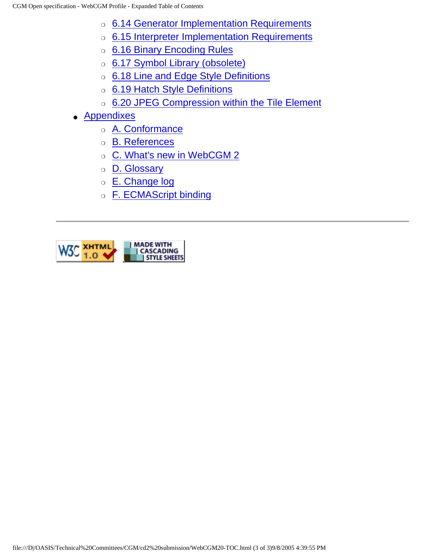- o [6.14 Generator Implementation Requirements](#page-194-0)
- o [6.15 Interpreter Implementation Requirements](#page-199-0)
- ❍ [6.16 Binary Encoding Rules](#page-208-0)
- o [6.17 Symbol Library \(obsolete\)](#page-212-0)
- o [6.18 Line and Edge Style Definitions](#page-212-1)
- o [6.19 Hatch Style Definitions](#page-212-2)
- ❍ [6.20 JPEG Compression within the Tile Element](#page-212-3)
- [Appendixes](file:///D|/OASIS/Technical%20Committees/CGM/cd2%20submission/WebCGM20-appendix.html)
	- ❍ [A. Conformance](file:///D|/OASIS/Technical%20Committees/CGM/cd2%20submission/WebCGM20-appendix.html#webcgm_conformance)
	- ❍ [B. References](file:///D|/OASIS/Technical%20Committees/CGM/cd2%20submission/WebCGM20-appendix.html#webcgm_references)
	- ❍ [C. What's new in WebCGM 2](file:///D|/OASIS/Technical%20Committees/CGM/cd2%20submission/WebCGM20-appendix.html#webcgm_whatsnew)
	- ❍ [D. Glossary](file:///D|/OASIS/Technical%20Committees/CGM/cd2%20submission/WebCGM20-appendix.html#webcgm_glossary)
	- ❍ [E. Change log](file:///D|/OASIS/Technical%20Committees/CGM/cd2%20submission/WebCGM20-appendix.html#webcgm_changelog)
	- o [F. ECMAScript binding](file:///D|/OASIS/Technical%20Committees/CGM/cd2%20submission/WebCGM20-appendix.html#webcgm_ecmascript)

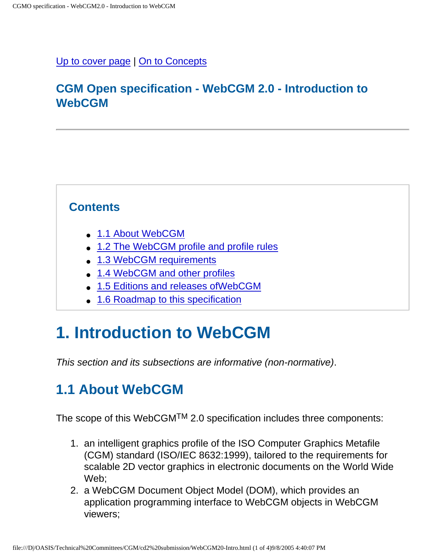#### <span id="page-8-0"></span>[Up to cover page](#page-0-0) | [On to Concepts](#page-12-0)

### **CGM Open specification - WebCGM 2.0 - Introduction to WebCGM**

### **Contents**

- [1.1 About WebCGM](#page-8-1)
- [1.2 The WebCGM profile and profile rules](#page-9-0)
- [1.3 WebCGM requirements](#page-9-1)
- [1.4 WebCGM and other profiles](#page-10-0)
- [1.5 Editions and releases ofWebCGM](#page-10-1)
- [1.6 Roadmap to this specification](#page-11-0)

# **1. Introduction to WebCGM**

This section and its subsections are informative (non-normative).

# <span id="page-8-1"></span>**1.1 About WebCGM**

The scope of this WebCGMTM 2.0 specification includes three components:

- 1. an intelligent graphics profile of the ISO Computer Graphics Metafile (CGM) standard (ISO/IEC 8632:1999), tailored to the requirements for scalable 2D vector graphics in electronic documents on the World Wide Web;
- 2. a WebCGM Document Object Model (DOM), which provides an application programming interface to WebCGM objects in WebCGM viewers;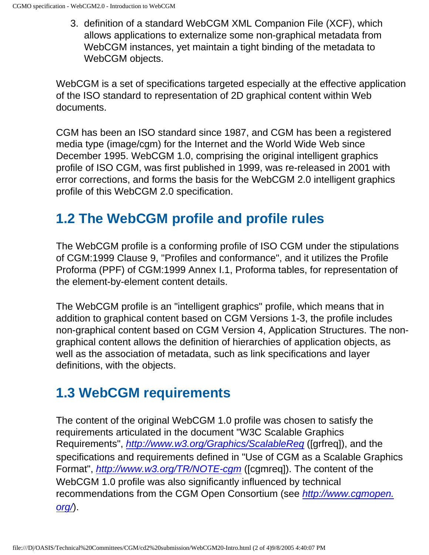3. definition of a standard WebCGM XML Companion File (XCF), which allows applications to externalize some non-graphical metadata from WebCGM instances, yet maintain a tight binding of the metadata to WebCGM objects.

WebCGM is a set of specifications targeted especially at the effective application of the ISO standard to representation of 2D graphical content within Web documents.

CGM has been an ISO standard since 1987, and CGM has been a registered media type (image/cgm) for the Internet and the World Wide Web since December 1995. WebCGM 1.0, comprising the original intelligent graphics profile of ISO CGM, was first published in 1999, was re-released in 2001 with error corrections, and forms the basis for the WebCGM 2.0 intelligent graphics profile of this WebCGM 2.0 specification.

# <span id="page-9-0"></span>**1.2 The WebCGM profile and profile rules**

The WebCGM profile is a conforming profile of ISO CGM under the stipulations of CGM:1999 Clause 9, "Profiles and conformance", and it utilizes the Profile Proforma (PPF) of CGM:1999 Annex I.1, Proforma tables, for representation of the element-by-element content details.

The WebCGM profile is an "intelligent graphics" profile, which means that in addition to graphical content based on CGM Versions 1-3, the profile includes non-graphical content based on CGM Version 4, Application Structures. The nongraphical content allows the definition of hierarchies of application objects, as well as the association of metadata, such as link specifications and layer definitions, with the objects.

# <span id="page-9-1"></span>**1.3 WebCGM requirements**

The content of the original WebCGM 1.0 profile was chosen to satisfy the requirements articulated in the document "W3C Scalable Graphics Requirements", <http://www.w3.org/Graphics/ScalableReq> ([grfreq]), and the specifications and requirements defined in "Use of CGM as a Scalable Graphics Format", <http://www.w3.org/TR/NOTE-cgm> ([cgmreq]). The content of the WebCGM 1.0 profile was also significantly influenced by technical recommendations from the CGM Open Consortium (see [http://www.cgmopen.](http://www.cgmopen.org/) [org/](http://www.cgmopen.org/)).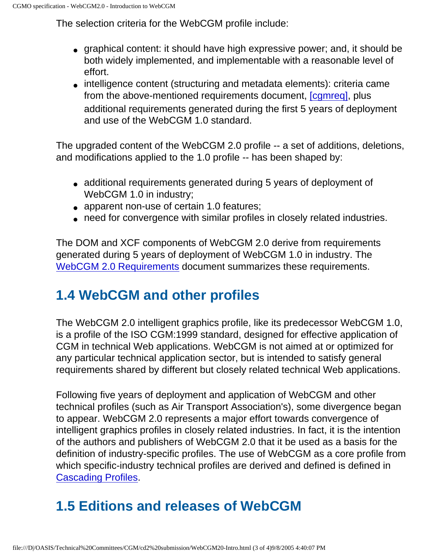The selection criteria for the WebCGM profile include:

- graphical content: it should have high expressive power; and, it should be both widely implemented, and implementable with a reasonable level of effort.
- intelligence content (structuring and metadata elements): criteria came from the above-mentioned requirements document, [\[cgmreq\],](http://www.w3.org/TR/NOTE-cgm) plus additional requirements generated during the first 5 years of deployment and use of the WebCGM 1.0 standard.

The upgraded content of the WebCGM 2.0 profile -- a set of additions, deletions, and modifications applied to the 1.0 profile -- has been shaped by:

- additional requirements generated during 5 years of deployment of WebCGM 1.0 in industry;
- apparent non-use of certain 1.0 features;
- need for convergence with similar profiles in closely related industries.

The DOM and XCF components of WebCGM 2.0 derive from requirements generated during 5 years of deployment of WebCGM 1.0 in industry. The [WebCGM 2.0 Requirements](http://www.oasis-open.org/committees/download.php/14243/WebCGM_20_Requirements.html) document summarizes these requirements.

# <span id="page-10-0"></span>**1.4 WebCGM and other profiles**

The WebCGM 2.0 intelligent graphics profile, like its predecessor WebCGM 1.0, is a profile of the ISO CGM:1999 standard, designed for effective application of CGM in technical Web applications. WebCGM is not aimed at or optimized for any particular technical application sector, but is intended to satisfy general requirements shared by different but closely related technical Web applications.

Following five years of deployment and application of WebCGM and other technical profiles (such as Air Transport Association's), some divergence began to appear. WebCGM 2.0 represents a major effort towards convergence of intelligent graphics profiles in closely related industries. In fact, it is the intention of the authors and publishers of WebCGM 2.0 that it be used as a basis for the definition of industry-specific profiles. The use of WebCGM as a core profile from which specific-industry technical profiles are derived and defined is defined in [Cascading Profiles.](http://www.cgmopen.org/technical/cascading-profiles.html)

# <span id="page-10-1"></span>**1.5 Editions and releases of WebCGM**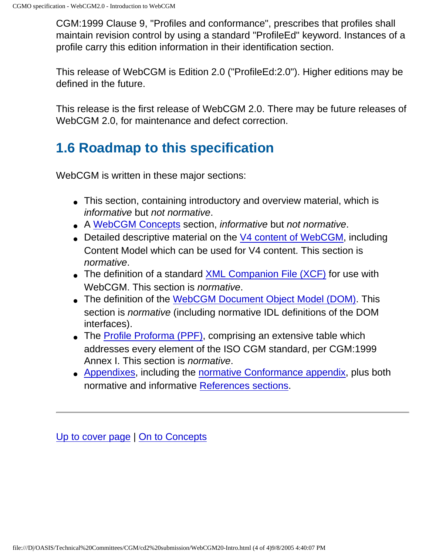CGM:1999 Clause 9, "Profiles and conformance", prescribes that profiles shall maintain revision control by using a standard "ProfileEd" keyword. Instances of a profile carry this edition information in their identification section.

This release of WebCGM is Edition 2.0 ("ProfileEd:2.0"). Higher editions may be defined in the future.

This release is the first release of WebCGM 2.0. There may be future releases of WebCGM 2.0, for maintenance and defect correction.

# <span id="page-11-0"></span>**1.6 Roadmap to this specification**

WebCGM is written in these major sections:

- This section, containing introductory and overview material, which is informative but not normative.
- A [WebCGM Concepts](#page-12-0) section, informative but not normative.
- Detailed descriptive material on the [V4 content of WebCGM](#page-26-0), including Content Model which can be used for V4 content. This section is normative.
- The definition of a standard [XML Companion File \(XCF\)](#page-57-0) for use with WebCGM. This section is *normative*.
- The definition of the [WebCGM Document Object Model \(DOM\)](#page-72-0). This section is normative (including normative IDL definitions of the DOM interfaces).
- The [Profile Proforma \(PPF\),](#page-105-0) comprising an extensive table which addresses every element of the ISO CGM standard, per CGM:1999 Annex I. This section is normative.
- [Appendixes](#page-214-0), including the [normative Conformance appendix,](#page-214-1) plus both normative and informative [References sections.](#page-219-0)

[Up to cover page](#page-0-0) | [On to Concepts](#page-12-0)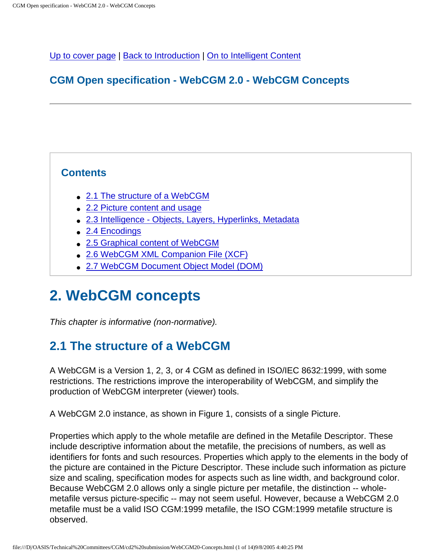<span id="page-12-2"></span><span id="page-12-0"></span>[Up to cover page](#page-0-0) | [Back to Introduction](#page-8-0) | [On to Intelligent Content](#page-26-0)

### **CGM Open specification - WebCGM 2.0 - WebCGM Concepts**

#### **Contents**

- [2.1 The structure of a WebCGM](#page-12-1)
- [2.2 Picture content and usage](#page-14-0)
- [2.3 Intelligence Objects, Layers, Hyperlinks, Metadata](#page-14-1)
- [2.4 Encodings](#page-21-0)
- [2.5 Graphical content of WebCGM](#page-21-1)
- [2.6 WebCGM XML Companion File \(XCF\)](#page-24-0)
- [2.7 WebCGM Document Object Model \(DOM\)](#page-25-0)

# **2. WebCGM concepts**

This chapter is informative (non-normative).

## <span id="page-12-1"></span>**2.1 The structure of a WebCGM**

A WebCGM is a Version 1, 2, 3, or 4 CGM as defined in ISO/IEC 8632:1999, with some restrictions. The restrictions improve the interoperability of WebCGM, and simplify the production of WebCGM interpreter (viewer) tools.

A WebCGM 2.0 instance, as shown in Figure 1, consists of a single Picture.

Properties which apply to the whole metafile are defined in the Metafile Descriptor. These include descriptive information about the metafile, the precisions of numbers, as well as identifiers for fonts and such resources. Properties which apply to the elements in the body of the picture are contained in the Picture Descriptor. These include such information as picture size and scaling, specification modes for aspects such as line width, and background color. Because WebCGM 2.0 allows only a single picture per metafile, the distinction -- wholemetafile versus picture-specific -- may not seem useful. However, because a WebCGM 2.0 metafile must be a valid ISO CGM:1999 metafile, the ISO CGM:1999 metafile structure is observed.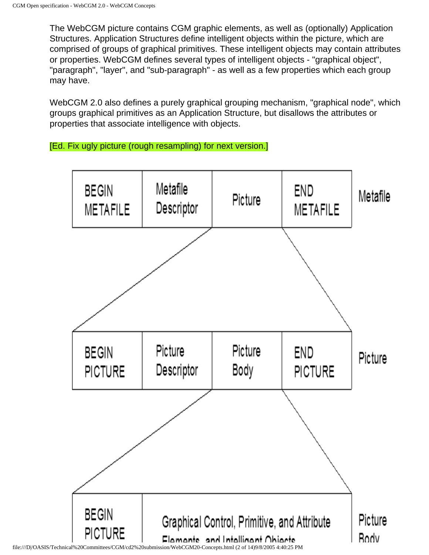The WebCGM picture contains CGM graphic elements, as well as (optionally) Application Structures. Application Structures define intelligent objects within the picture, which are comprised of groups of graphical primitives. These intelligent objects may contain attributes or properties. WebCGM defines several types of intelligent objects - "graphical object", "paragraph", "layer", and "sub-paragraph" - as well as a few properties which each group may have.

WebCGM 2.0 also defines a purely graphical grouping mechanism, "graphical node", which groups graphical primitives as an Application Structure, but disallows the attributes or properties that associate intelligence with objects.

[Ed. Fix ugly picture (rough resampling) for next version.]

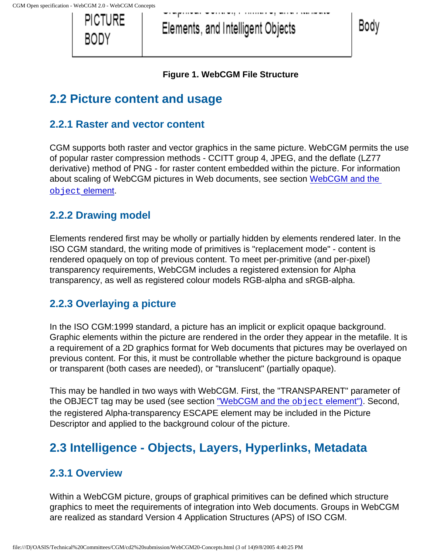

Elements, and Intelligent Objects

Body

#### **Figure 1. WebCGM File Structure**

# <span id="page-14-0"></span>**2.2 Picture content and usage**

### **2.2.1 Raster and vector content**

CGM supports both raster and vector graphics in the same picture. WebCGM permits the use of popular raster compression methods - CCITT group 4, JPEG, and the deflate (LZ77 derivative) method of PNG - for raster content embedded within the picture. For information about scaling of WebCGM pictures in Web documents, see section [WebCGM and the](#page-53-0)  object [element](#page-53-0).

### **2.2.2 Drawing model**

Elements rendered first may be wholly or partially hidden by elements rendered later. In the ISO CGM standard, the writing mode of primitives is "replacement mode" - content is rendered opaquely on top of previous content. To meet per-primitive (and per-pixel) transparency requirements, WebCGM includes a registered extension for Alpha transparency, as well as registered colour models RGB-alpha and sRGB-alpha.

### **2.2.3 Overlaying a picture**

In the ISO CGM:1999 standard, a picture has an implicit or explicit opaque background. Graphic elements within the picture are rendered in the order they appear in the metafile. It is a requirement of a 2D graphics format for Web documents that pictures may be overlayed on previous content. For this, it must be controllable whether the picture background is opaque or transparent (both cases are needed), or "translucent" (partially opaque).

This may be handled in two ways with WebCGM. First, the "TRANSPARENT" parameter of the OBJECT tag may be used (see section ["WebCGM and the](#page-53-0) **object element")**. Second, the registered Alpha-transparency ESCAPE element may be included in the Picture Descriptor and applied to the background colour of the picture.

# <span id="page-14-1"></span>**2.3 Intelligence - Objects, Layers, Hyperlinks, Metadata**

### **2.3.1 Overview**

Within a WebCGM picture, groups of graphical primitives can be defined which structure graphics to meet the requirements of integration into Web documents. Groups in WebCGM are realized as standard Version 4 Application Structures (APS) of ISO CGM.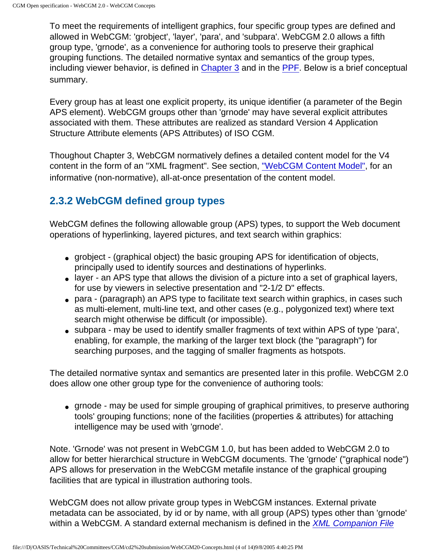To meet the requirements of intelligent graphics, four specific group types are defined and allowed in WebCGM: 'grobject', 'layer', 'para', and 'subpara'. WebCGM 2.0 allows a fifth group type, 'grnode', as a convenience for authoring tools to preserve their graphical grouping functions. The detailed normative syntax and semantics of the group types, including viewer behavior, is defined in [Chapter 3](#page-26-0) and in the [PPF](#page-105-0). Below is a brief conceptual summary.

Every group has at least one explicit property, its unique identifier (a parameter of the Begin APS element). WebCGM groups other than 'grnode' may have several explicit attributes associated with them. These attributes are realized as standard Version 4 Application Structure Attribute elements (APS Attributes) of ISO CGM.

Thoughout Chapter 3, WebCGM normatively defines a detailed content model for the V4 content in the form of an "XML fragment". See section, ["WebCGM Content Model"](#page-51-0), for an informative (non-normative), all-at-once presentation of the content model.

### **2.3.2 WebCGM defined group types**

WebCGM defines the following allowable group (APS) types, to support the Web document operations of hyperlinking, layered pictures, and text search within graphics:

- grobject (graphical object) the basic grouping APS for identification of objects, principally used to identify sources and destinations of hyperlinks.
- layer an APS type that allows the division of a picture into a set of graphical layers, for use by viewers in selective presentation and "2-1/2 D" effects.
- para (paragraph) an APS type to facilitate text search within graphics, in cases such as multi-element, multi-line text, and other cases (e.g., polygonized text) where text search might otherwise be difficult (or impossible).
- subpara may be used to identify smaller fragments of text within APS of type 'para', enabling, for example, the marking of the larger text block (the "paragraph") for searching purposes, and the tagging of smaller fragments as hotspots.

The detailed normative syntax and semantics are presented later in this profile. WebCGM 2.0 does allow one other group type for the convenience of authoring tools:

• grnode - may be used for simple grouping of graphical primitives, to preserve authoring tools' grouping functions; none of the facilities (properties & attributes) for attaching intelligence may be used with 'grnode'.

Note. 'Grnode' was not present in WebCGM 1.0, but has been added to WebCGM 2.0 to allow for better hierarchical structure in WebCGM documents. The 'grnode' ("graphical node") APS allows for preservation in the WebCGM metafile instance of the graphical grouping facilities that are typical in illustration authoring tools.

WebCGM does not allow private group types in WebCGM instances. External private metadata can be associated, by id or by name, with all group (APS) types other than 'grnode' within a WebCGM. A standard external mechanism is defined in the *[XML Companion File](#page-57-0)*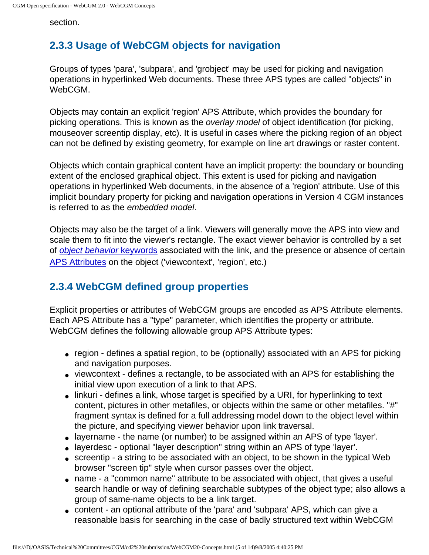section.

### **2.3.3 Usage of WebCGM objects for navigation**

Groups of types 'para', 'subpara', and 'grobject' may be used for picking and navigation operations in hyperlinked Web documents. These three APS types are called "objects" in WebCGM.

Objects may contain an explicit 'region' APS Attribute, which provides the boundary for picking operations. This is known as the overlay model of object identification (for picking, mouseover screentip display, etc). It is useful in cases where the picking region of an object can not be defined by existing geometry, for example on line art drawings or raster content.

Objects which contain graphical content have an implicit property: the boundary or bounding extent of the enclosed graphical object. This extent is used for picking and navigation operations in hyperlinked Web documents, in the absence of a 'region' attribute. Use of this implicit boundary property for picking and navigation operations in Version 4 CGM instances is referred to as the embedded model.

Objects may also be the target of a link. Viewers will generally move the APS into view and scale them to fit into the viewer's rectangle. The exact viewer behavior is controlled by a set of *[object behavior](#page-35-0)* keywords associated with the link, and the presence or absence of certain [APS Attributes](#page-45-0) on the object ('viewcontext', 'region', etc.)

### **2.3.4 WebCGM defined group properties**

Explicit properties or attributes of WebCGM groups are encoded as APS Attribute elements. Each APS Attribute has a "type" parameter, which identifies the property or attribute. WebCGM defines the following allowable group APS Attribute types:

- region defines a spatial region, to be (optionally) associated with an APS for picking and navigation purposes.
- viewcontext defines a rectangle, to be associated with an APS for establishing the initial view upon execution of a link to that APS.
- linkuri defines a link, whose target is specified by a URI, for hyperlinking to text content, pictures in other metafiles, or objects within the same or other metafiles. "#" fragment syntax is defined for a full addressing model down to the object level within the picture, and specifying viewer behavior upon link traversal.
- layername the name (or number) to be assigned within an APS of type 'layer'.
- layerdesc optional "layer description" string within an APS of type 'layer'.
- screentip a string to be associated with an object, to be shown in the typical Web browser "screen tip" style when cursor passes over the object.
- name a "common name" attribute to be associated with object, that gives a useful search handle or way of defining searchable subtypes of the object type; also allows a group of same-name objects to be a link target.
- content an optional attribute of the 'para' and 'subpara' APS, which can give a reasonable basis for searching in the case of badly structured text within WebCGM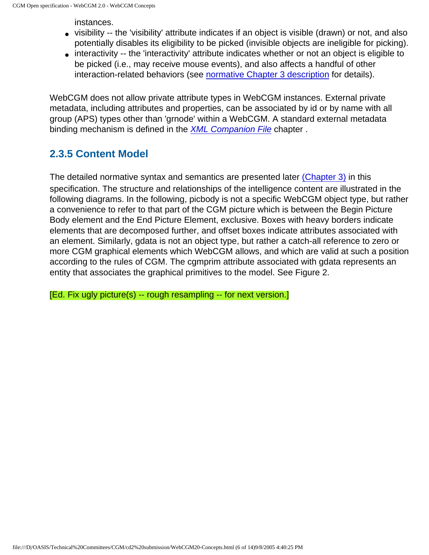instances.

- visibility -- the 'visibility' attribute indicates if an object is visible (drawn) or not, and also potentially disables its eligibility to be picked (invisible objects are ineligible for picking).
- interactivity -- the 'interactivity' attribute indicates whether or not an object is eligible to be picked (i.e., may receive mouse events), and also affects a handful of other interaction-related behaviors (see [normative Chapter 3 description](#page-50-0) for details).

WebCGM does not allow private attribute types in WebCGM instances. External private metadata, including attributes and properties, can be associated by id or by name with all group (APS) types other than 'grnode' within a WebCGM. A standard external metadata binding mechanism is defined in the **[XML Companion File](#page-57-0) chapter**.

### **2.3.5 Content Model**

The detailed normative syntax and semantics are presented later [\(Chapter 3\)](#page-42-0) in this specification. The structure and relationships of the intelligence content are illustrated in the following diagrams. In the following, picbody is not a specific WebCGM object type, but rather a convenience to refer to that part of the CGM picture which is between the Begin Picture Body element and the End Picture Element, exclusive. Boxes with heavy borders indicate elements that are decomposed further, and offset boxes indicate attributes associated with an element. Similarly, gdata is not an object type, but rather a catch-all reference to zero or more CGM graphical elements which WebCGM allows, and which are valid at such a position according to the rules of CGM. The cgmprim attribute associated with gdata represents an entity that associates the graphical primitives to the model. See Figure 2.

[Ed. Fix ugly picture(s) -- rough resampling -- for next version.]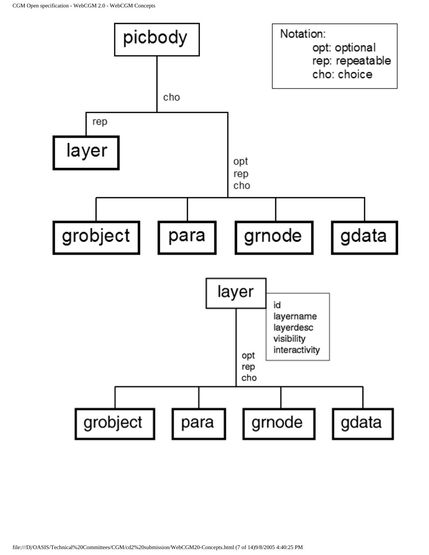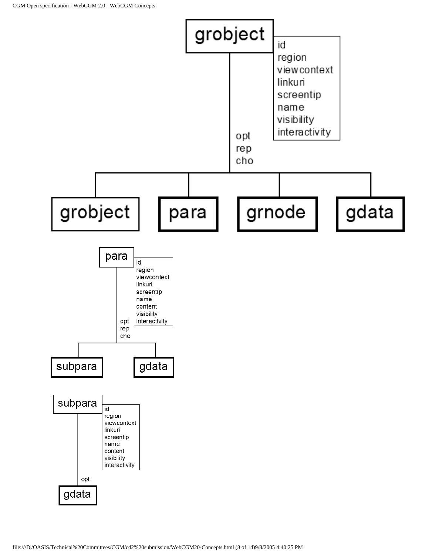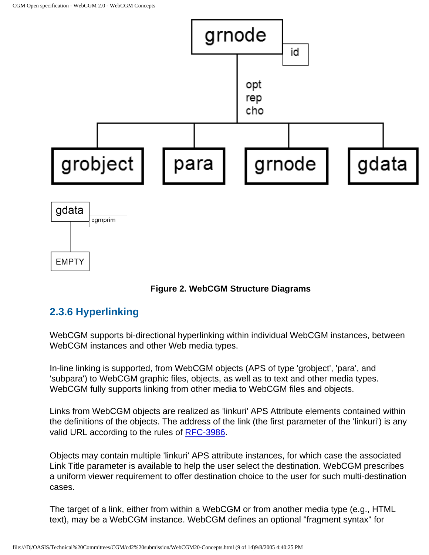

#### **Figure 2. WebCGM Structure Diagrams**

#### **2.3.6 Hyperlinking**

WebCGM supports bi-directional hyperlinking within individual WebCGM instances, between WebCGM instances and other Web media types.

In-line linking is supported, from WebCGM objects (APS of type 'grobject', 'para', and 'subpara') to WebCGM graphic files, objects, as well as to text and other media types. WebCGM fully supports linking from other media to WebCGM files and objects.

Links from WebCGM objects are realized as 'linkuri' APS Attribute elements contained within the definitions of the objects. The address of the link (the first parameter of the 'linkuri') is any valid URL according to the rules of [RFC-3986](http://www.ietf.org/rfc/rfc3986.txt).

Objects may contain multiple 'linkuri' APS attribute instances, for which case the associated Link Title parameter is available to help the user select the destination. WebCGM prescribes a uniform viewer requirement to offer destination choice to the user for such multi-destination cases.

The target of a link, either from within a WebCGM or from another media type (e.g., HTML text), may be a WebCGM instance. WebCGM defines an optional "fragment syntax" for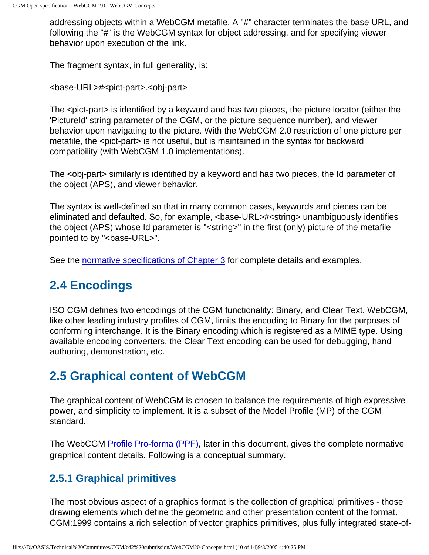addressing objects within a WebCGM metafile. A "#" character terminates the base URL, and following the "#" is the WebCGM syntax for object addressing, and for specifying viewer behavior upon execution of the link.

The fragment syntax, in full generality, is:

<base-URL>#<pict-part>.<obj-part>

The <pict-part> is identified by a keyword and has two pieces, the picture locator (either the 'PictureId' string parameter of the CGM, or the picture sequence number), and viewer behavior upon navigating to the picture. With the WebCGM 2.0 restriction of one picture per metafile, the <pict-part> is not useful, but is maintained in the syntax for backward compatibility (with WebCGM 1.0 implementations).

The <obj-part> similarly is identified by a keyword and has two pieces, the Id parameter of the object (APS), and viewer behavior.

The syntax is well-defined so that in many common cases, keywords and pieces can be eliminated and defaulted. So, for example, <base-URL>#<string> unambiguously identifies the object (APS) whose Id parameter is "<string>" in the first (only) picture of the metafile pointed to by "<br/>base-URL>".

See the [normative specifications of Chapter 3](#page-26-1) for complete details and examples.

## <span id="page-21-0"></span>**2.4 Encodings**

ISO CGM defines two encodings of the CGM functionality: Binary, and Clear Text. WebCGM, like other leading industry profiles of CGM, limits the encoding to Binary for the purposes of conforming interchange. It is the Binary encoding which is registered as a MIME type. Using available encoding converters, the Clear Text encoding can be used for debugging, hand authoring, demonstration, etc.

## <span id="page-21-1"></span>**2.5 Graphical content of WebCGM**

The graphical content of WebCGM is chosen to balance the requirements of high expressive power, and simplicity to implement. It is a subset of the Model Profile (MP) of the CGM standard.

The WebCGM [Profile Pro-forma \(PPF\)](#page-105-0), later in this document, gives the complete normative graphical content details. Following is a conceptual summary.

### **2.5.1 Graphical primitives**

The most obvious aspect of a graphics format is the collection of graphical primitives - those drawing elements which define the geometric and other presentation content of the format. CGM:1999 contains a rich selection of vector graphics primitives, plus fully integrated state-of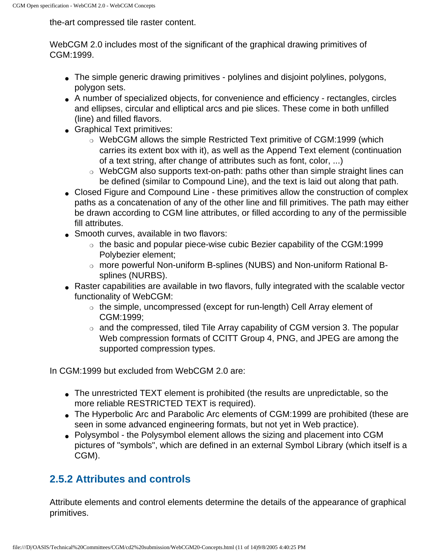the-art compressed tile raster content.

WebCGM 2.0 includes most of the significant of the graphical drawing primitives of CGM:1999.

- The simple generic drawing primitives polylines and disjoint polylines, polygons, polygon sets.
- A number of specialized objects, for convenience and efficiency rectangles, circles and ellipses, circular and elliptical arcs and pie slices. These come in both unfilled (line) and filled flavors.
- Graphical Text primitives:
	- ❍ WebCGM allows the simple Restricted Text primitive of CGM:1999 (which carries its extent box with it), as well as the Append Text element (continuation of a text string, after change of attributes such as font, color, ...)
	- ❍ WebCGM also supports text-on-path: paths other than simple straight lines can be defined (similar to Compound Line), and the text is laid out along that path.
- Closed Figure and Compound Line these primitives allow the construction of complex paths as a concatenation of any of the other line and fill primitives. The path may either be drawn according to CGM line attributes, or filled according to any of the permissible fill attributes.
- Smooth curves, available in two flavors:
	- $\circ$  the basic and popular piece-wise cubic Bezier capability of the CGM:1999 Polybezier element;
	- ❍ more powerful Non-uniform B-splines (NUBS) and Non-uniform Rational Bsplines (NURBS).
- Raster capabilities are available in two flavors, fully integrated with the scalable vector functionality of WebCGM:
	- $\circ$  the simple, uncompressed (except for run-length) Cell Array element of CGM:1999;
	- $\circ$  and the compressed, tiled Tile Array capability of CGM version 3. The popular Web compression formats of CCITT Group 4, PNG, and JPEG are among the supported compression types.

In CGM:1999 but excluded from WebCGM 2.0 are:

- The unrestricted TEXT element is prohibited (the results are unpredictable, so the more reliable RESTRICTED TEXT is required).
- The Hyperbolic Arc and Parabolic Arc elements of CGM:1999 are prohibited (these are seen in some advanced engineering formats, but not yet in Web practice).
- Polysymbol the Polysymbol element allows the sizing and placement into CGM pictures of "symbols", which are defined in an external Symbol Library (which itself is a CGM).

### **2.5.2 Attributes and controls**

Attribute elements and control elements determine the details of the appearance of graphical primitives.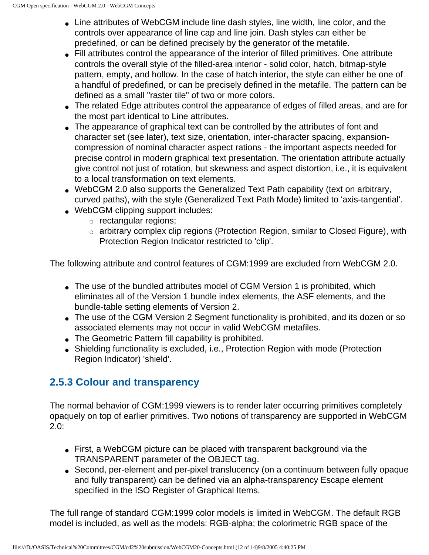- Line attributes of WebCGM include line dash styles, line width, line color, and the controls over appearance of line cap and line join. Dash styles can either be predefined, or can be defined precisely by the generator of the metafile.
- Fill attributes control the appearance of the interior of filled primitives. One attribute controls the overall style of the filled-area interior - solid color, hatch, bitmap-style pattern, empty, and hollow. In the case of hatch interior, the style can either be one of a handful of predefined, or can be precisely defined in the metafile. The pattern can be defined as a small "raster tile" of two or more colors.
- The related Edge attributes control the appearance of edges of filled areas, and are for the most part identical to Line attributes.
- The appearance of graphical text can be controlled by the attributes of font and character set (see later), text size, orientation, inter-character spacing, expansioncompression of nominal character aspect rations - the important aspects needed for precise control in modern graphical text presentation. The orientation attribute actually give control not just of rotation, but skewness and aspect distortion, i.e., it is equivalent to a local transformation on text elements.
- WebCGM 2.0 also supports the Generalized Text Path capability (text on arbitrary, curved paths), with the style (Generalized Text Path Mode) limited to 'axis-tangential'.
- WebCGM clipping support includes:
	- ❍ rectangular regions;
	- ❍ arbitrary complex clip regions (Protection Region, similar to Closed Figure), with Protection Region Indicator restricted to 'clip'.

The following attribute and control features of CGM:1999 are excluded from WebCGM 2.0.

- The use of the bundled attributes model of CGM Version 1 is prohibited, which eliminates all of the Version 1 bundle index elements, the ASF elements, and the bundle-table setting elements of Version 2.
- The use of the CGM Version 2 Segment functionality is prohibited, and its dozen or so associated elements may not occur in valid WebCGM metafiles.
- The Geometric Pattern fill capability is prohibited.
- Shielding functionality is excluded, i.e., Protection Region with mode (Protection Region Indicator) 'shield'.

### **2.5.3 Colour and transparency**

The normal behavior of CGM:1999 viewers is to render later occurring primitives completely opaquely on top of earlier primitives. Two notions of transparency are supported in WebCGM 2.0:

- First, a WebCGM picture can be placed with transparent background via the TRANSPARENT parameter of the OBJECT tag.
- Second, per-element and per-pixel translucency (on a continuum between fully opaque and fully transparent) can be defined via an alpha-transparency Escape element specified in the ISO Register of Graphical Items.

The full range of standard CGM:1999 color models is limited in WebCGM. The default RGB model is included, as well as the models: RGB-alpha; the colorimetric RGB space of the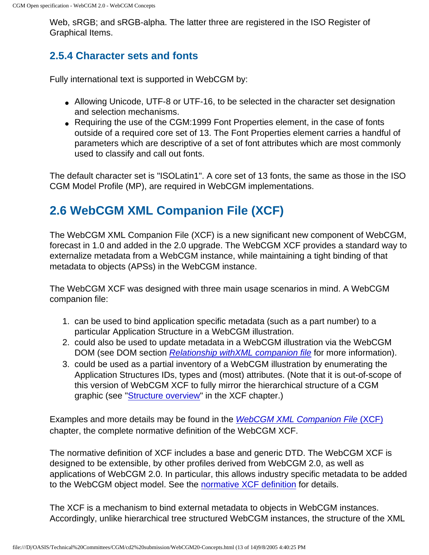Web, sRGB; and sRGB-alpha. The latter three are registered in the ISO Register of Graphical Items.

#### **2.5.4 Character sets and fonts**

Fully international text is supported in WebCGM by:

- Allowing Unicode, UTF-8 or UTF-16, to be selected in the character set designation and selection mechanisms.
- Requiring the use of the CGM:1999 Font Properties element, in the case of fonts outside of a required core set of 13. The Font Properties element carries a handful of parameters which are descriptive of a set of font attributes which are most commonly used to classify and call out fonts.

The default character set is "ISOLatin1". A core set of 13 fonts, the same as those in the ISO CGM Model Profile (MP), are required in WebCGM implementations.

# <span id="page-24-0"></span>**2.6 WebCGM XML Companion File (XCF)**

The WebCGM XML Companion File (XCF) is a new significant new component of WebCGM, forecast in 1.0 and added in the 2.0 upgrade. The WebCGM XCF provides a standard way to externalize metadata from a WebCGM instance, while maintaining a tight binding of that metadata to objects (APSs) in the WebCGM instance.

The WebCGM XCF was designed with three main usage scenarios in mind. A WebCGM companion file:

- 1. can be used to bind application specific metadata (such as a part number) to a particular Application Structure in a WebCGM illustration.
- 2. could also be used to update metadata in a WebCGM illustration via the WebCGM DOM (see DOM section Relationship with XML companion file for more information).
- 3. could be used as a partial inventory of a WebCGM illustration by enumerating the Application Structures IDs, types and (most) attributes. (Note that it is out-of-scope of this version of WebCGM XCF to fully mirror the hierarchical structure of a CGM graphic (see "[Structure overview](#page-58-1)" in the XCF chapter.)

Examples and more details may be found in the [WebCGM XML Companion File](#page-57-0) (XCF) chapter, the complete normative definition of the WebCGM XCF.

The normative definition of XCF includes a base and generic DTD. The WebCGM XCF is designed to be extensible, by other profiles derived from WebCGM 2.0, as well as applications of WebCGM 2.0. In particular, this allows industry specific metadata to be added to the WebCGM object model. See the [normative XCF definition](#page-57-0) for details.

The XCF is a mechanism to bind external metadata to objects in WebCGM instances. Accordingly, unlike hierarchical tree structured WebCGM instances, the structure of the XML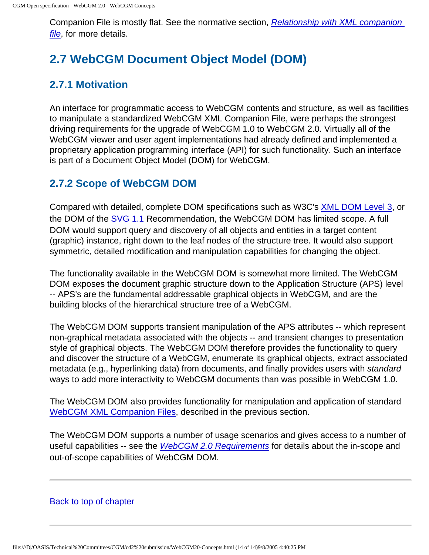Companion File is mostly flat. See the normative section, [Relationship with XML companion](#page-73-0) [file](#page-73-0), for more details.

# <span id="page-25-0"></span>**2.7 WebCGM Document Object Model (DOM)**

### **2.7.1 Motivation**

An interface for programmatic access to WebCGM contents and structure, as well as facilities to manipulate a standardized WebCGM XML Companion File, were perhaps the strongest driving requirements for the upgrade of WebCGM 1.0 to WebCGM 2.0. Virtually all of the WebCGM viewer and user agent implementations had already defined and implemented a proprietary application programming interface (API) for such functionality. Such an interface is part of a Document Object Model (DOM) for WebCGM.

#### **2.7.2 Scope of WebCGM DOM**

Compared with detailed, complete DOM specifications such as W3C's [XML DOM Level 3,](http://www.w3.org/TR/2004/REC-DOM-Level-3-Core-20040407/) or the DOM of the [SVG 1.1](http://www.w3.org/TR/SVG11/) Recommendation, the WebCGM DOM has limited scope. A full DOM would support query and discovery of all objects and entities in a target content (graphic) instance, right down to the leaf nodes of the structure tree. It would also support symmetric, detailed modification and manipulation capabilities for changing the object.

The functionality available in the WebCGM DOM is somewhat more limited. The WebCGM DOM exposes the document graphic structure down to the Application Structure (APS) level -- APS's are the fundamental addressable graphical objects in WebCGM, and are the building blocks of the hierarchical structure tree of a WebCGM.

The WebCGM DOM supports transient manipulation of the APS attributes -- which represent non-graphical metadata associated with the objects -- and transient changes to presentation style of graphical objects. The WebCGM DOM therefore provides the functionality to query and discover the structure of a WebCGM, enumerate its graphical objects, extract associated metadata (e.g., hyperlinking data) from documents, and finally provides users with standard ways to add more interactivity to WebCGM documents than was possible in WebCGM 1.0.

The WebCGM DOM also provides functionality for manipulation and application of standard [WebCGM XML Companion Files](#page-57-0), described in the previous section.

The WebCGM DOM supports a number of usage scenarios and gives access to a number of useful capabilities -- see the *[WebCGM 2.0 Requirements](http://www.cgmopen.org/technical/WebCGM_20_Requirements.html)* for details about the in-scope and out-of-scope capabilities of WebCGM DOM.

[Back to top of chapter](#page-12-2)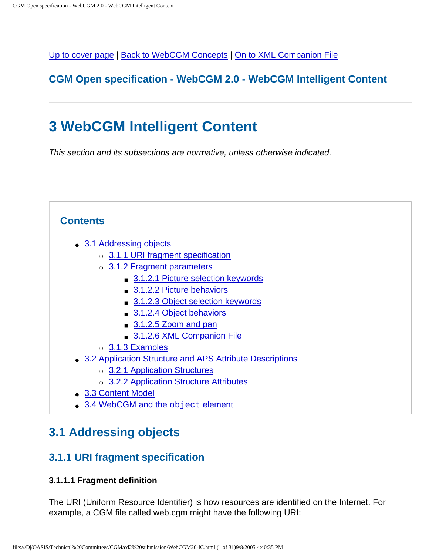<span id="page-26-0"></span>[Up to cover page](#page-0-0) | [Back to WebCGM Concepts](#page-12-0) | [On to XML Companion File](#page-57-0)

#### **CGM Open specification - WebCGM 2.0 - WebCGM Intelligent Content**

# **3 WebCGM Intelligent Content**

This section and its subsections are normative, unless otherwise indicated.



## <span id="page-26-1"></span>**3.1 Addressing objects**

#### <span id="page-26-2"></span>**3.1.1 URI fragment specification**

#### **3.1.1.1 Fragment definition**

The URI (Uniform Resource Identifier) is how resources are identified on the Internet. For example, a CGM file called web.cgm might have the following URI: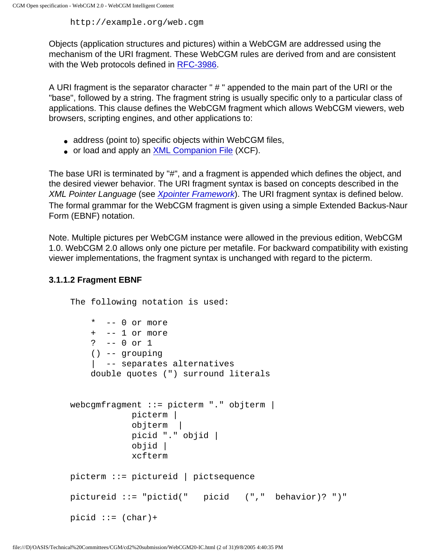http://example.org/web.cgm

Objects (application structures and pictures) within a WebCGM are addressed using the mechanism of the URI fragment. These WebCGM rules are derived from and are consistent with the Web protocols defined in [RFC-3986](http://www.ietf.org/rfc/rfc3986.txt).

A URI fragment is the separator character " # " appended to the main part of the URI or the "base", followed by a string. The fragment string is usually specific only to a particular class of applications. This clause defines the WebCGM fragment which allows WebCGM viewers, web browsers, scripting engines, and other applications to:

- address (point to) specific objects within WebCGM files,
- or load and apply an [XML Companion File](#page-57-0) (XCF).

The base URI is terminated by "#", and a fragment is appended which defines the object, and the desired viewer behavior. The URI fragment syntax is based on concepts described in the XML Pointer Language (see [Xpointer Framework](http://www.w3.org/TR/2003/REC-xptr-framework-20030325/)). The URI fragment syntax is defined below. The formal grammar for the WebCGM fragment is given using a simple Extended Backus-Naur Form (EBNF) notation.

Note. Multiple pictures per WebCGM instance were allowed in the previous edition, WebCGM 1.0. WebCGM 2.0 allows only one picture per metafile. For backward compatibility with existing viewer implementations, the fragment syntax is unchanged with regard to the picterm.

#### <span id="page-27-0"></span>**3.1.1.2 Fragment EBNF**

```
The following notation is used:
     * -- 0 or more
     + -- 1 or more
     ? -- 0 or 1
     () -- grouping
     | -- separates alternatives
     double quotes (") surround literals
webcgmfragment ::= picterm "." objterm | 
             picterm |
             objterm |
             picid "." objid |
             objid | 
             xcfterm
picterm ::= pictureid | pictsequence
pictureid ::= "pictid(" picid ("," behavior)? ")"
picid :: = (char) +
```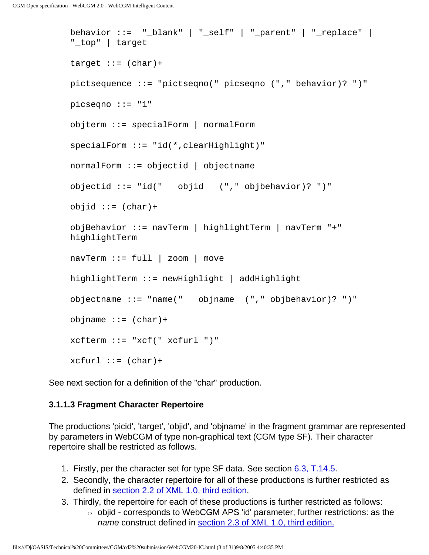```
behavior ::= "_blank" | "_self" | "_parent" | "_replace" | 
"_top" | target
target := (char)+
pictsequence ::= "pictseqno(" picseqno ("," behavior)? ")"
picseqno ::= "1"
objterm ::= specialForm | normalForm
specialForm ::= "id(*,clearHighlight)"
normalForm ::= objectid | objectnameobjectid ::= "id(" objid ("," objbehavior)? ")"
objid :: = (char) +objBehavior ::= navTerm | highlightTerm | navTerm "+" 
highlightTerm
navTerm := full | zoom | movehighlightTerm ::= newHighlight | addHighlight
objectname ::= "name(" objname ("," objbehavior)? ")"
objname ::= (char) +
xcfterm ::= "xcf(" xcfurl ")"
xcfurl ::= (char)+
```
See next section for a definition of the "char" production.

#### <span id="page-28-0"></span>**3.1.1.3 Fragment Character Repertoire**

The productions 'picid', 'target', 'objid', and 'objname' in the fragment grammar are represented by parameters in WebCGM of type non-graphical text (CGM type SF). Their character repertoire shall be restricted as follows.

- 1. Firstly, per the character set for type SF data. See section [6.3, T.14.5](#page-110-0).
- 2. Secondly, the character repertoire for all of these productions is further restricted as defined in [section 2.2 of XML 1.0, third edition](http://www.w3.org/TR/2004/REC-xml-20040204/#charsets).
- 3. Thirdly, the repertoire for each of these productions is further restricted as follows:
	- ❍ objid corresponds to WebCGM APS 'id' parameter; further restrictions: as the name construct defined in [section 2.3 of XML 1.0, third edition.](http://www.w3.org/TR/2004/REC-xml-20040204/#sec-common-syn)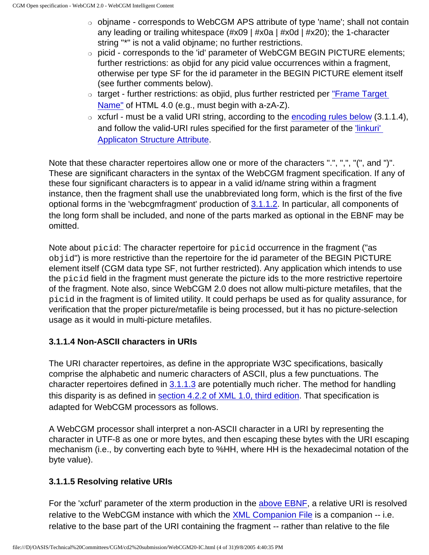- $\circ$  objname corresponds to WebCGM APS attribute of type 'name'; shall not contain any leading or trailing whitespace (#x09 | #x0a | #x0d | #x20); the 1-character string "\*" is not a valid objname; no further restrictions.
- ❍ picid corresponds to the 'id' parameter of WebCGM BEGIN PICTURE elements; further restrictions: as objid for any picid value occurrences within a fragment, otherwise per type SF for the id parameter in the BEGIN PICTURE element itself (see further comments below).
- ❍ target further restrictions: as objid, plus further restricted per ["Frame Target](http://www.w3.org/TR/REC-html40/types.html#type-frame-target) [Name"](http://www.w3.org/TR/REC-html40/types.html#type-frame-target) of HTML 4.0 (e.g., must begin with a-zA-Z).
- $\circ$  xcfurl must be a valid URI string, according to the [encoding rules below](#page-29-0) (3.1.1.4), and follow the valid-URI rules specified for the first parameter of the ['linkuri'](#page-47-0)  [Applicaton Structure Attribute](#page-47-0).

Note that these character repertoires allow one or more of the characters ".", ",", "(", and ")". These are significant characters in the syntax of the WebCGM fragment specification. If any of these four significant characters is to appear in a valid id/name string within a fragment instance, then the fragment shall use the unabbreviated long form, which is the first of the five optional forms in the 'webcgmfragment' production of [3.1.1.2.](#page-27-0) In particular, all components of the long form shall be included, and none of the parts marked as optional in the EBNF may be omitted.

Note about picid: The character repertoire for picid occurrence in the fragment ("as objid") is more restrictive than the repertoire for the id parameter of the BEGIN PICTURE element itself (CGM data type SF, not further restricted). Any application which intends to use the picid field in the fragment must generate the picture ids to the more restrictive repertoire of the fragment. Note also, since WebCGM 2.0 does not allow multi-picture metafiles, that the picid in the fragment is of limited utility. It could perhaps be used as for quality assurance, for verification that the proper picture/metafile is being processed, but it has no picture-selection usage as it would in multi-picture metafiles.

#### <span id="page-29-0"></span>**3.1.1.4 Non-ASCII characters in URIs**

The URI character repertoires, as define in the appropriate W3C specifications, basically comprise the alphabetic and numeric characters of ASCII, plus a few punctuations. The character repertoires defined in  $3.1.1.3$  are potentially much richer. The method for handling this disparity is as defined in [section 4.2.2 of XML 1.0, third edition](http://www.w3.org/TR/2004/REC-xml-20040204/#sec-external-ent). That specification is adapted for WebCGM processors as follows.

A WebCGM processor shall interpret a non-ASCII character in a URI by representing the character in UTF-8 as one or more bytes, and then escaping these bytes with the URI escaping mechanism (i.e., by converting each byte to %HH, where HH is the hexadecimal notation of the byte value).

#### **3.1.1.5 Resolving relative URIs**

For the 'xcfurl' parameter of the xterm production in the [above EBNF,](#page-27-0) a relative URI is resolved relative to the WebCGM instance with which the [XML Companion File](#page-57-0) is a companion -- i.e. relative to the base part of the URI containing the fragment -- rather than relative to the file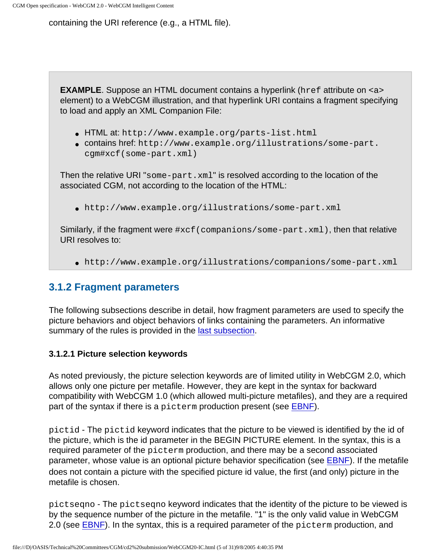containing the URI reference (e.g., a HTML file).

**EXAMPLE**. Suppose an HTML document contains a hyperlink (href attribute on  $\langle a \rangle$ element) to a WebCGM illustration, and that hyperlink URI contains a fragment specifying to load and apply an XML Companion File:

- HTML at: http://www.example.org/parts-list.html
- contains href: http://www.example.org/illustrations/some-part. cgm#xcf(some-part.xml)

Then the relative URI "some-part.xml" is resolved according to the location of the associated CGM, not according to the location of the HTML:

● http://www.example.org/illustrations/some-part.xml

Similarly, if the fragment were #xcf(companions/some-part.xml), then that relative URI resolves to:

● http://www.example.org/illustrations/companions/some-part.xml

#### <span id="page-30-0"></span>**3.1.2 Fragment parameters**

The following subsections describe in detail, how fragment parameters are used to specify the picture behaviors and object behaviors of links containing the parameters. An informative summary of the rules is provided in the [last subsection](#page-38-1).

#### <span id="page-30-1"></span>**3.1.2.1 Picture selection keywords**

As noted previously, the picture selection keywords are of limited utility in WebCGM 2.0, which allows only one picture per metafile. However, they are kept in the syntax for backward compatibility with WebCGM 1.0 (which allowed multi-picture metafiles), and they are a required part of the syntax if there is a picterm production present (see [EBNF\)](#page-27-0).

pictid - The pictid keyword indicates that the picture to be viewed is identified by the id of the picture, which is the id parameter in the BEGIN PICTURE element. In the syntax, this is a required parameter of the picterm production, and there may be a second associated parameter, whose value is an optional picture behavior specification (see [EBNF](#page-27-0)). If the metafile does not contain a picture with the specified picture id value, the first (and only) picture in the metafile is chosen.

pictseqno - The pictseqno keyword indicates that the identity of the picture to be viewed is by the sequence number of the picture in the metafile. "1" is the only valid value in WebCGM 2.0 (see [EBNF\)](#page-27-0). In the syntax, this is a required parameter of the picterm production, and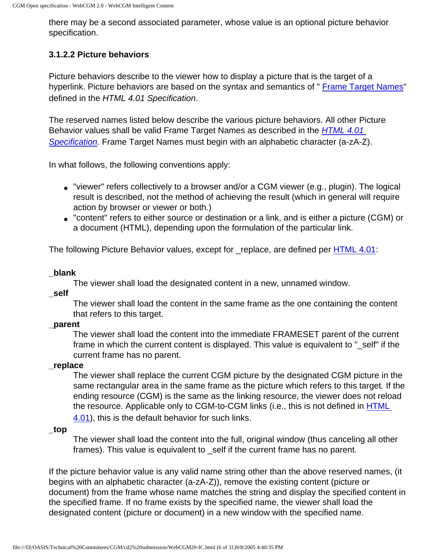there may be a second associated parameter, whose value is an optional picture behavior specification.

#### <span id="page-31-0"></span>**3.1.2.2 Picture behaviors**

Picture behaviors describe to the viewer how to display a picture that is the target of a hyperlink. Picture behaviors are based on the syntax and semantics of " [Frame Target Names](http://www.w3.org/TR/html401/types.html#type-frame-target)" defined in the HTML 4.01 Specification.

The reserved names listed below describe the various picture behaviors. All other Picture Behavior values shall be valid Frame Target Names as described in the *[HTML 4.01](http://www.w3.org/TR/html401/)* [Specification](http://www.w3.org/TR/html401/). Frame Target Names must begin with an alphabetic character (a-zA-Z).

In what follows, the following conventions apply:

- "viewer" refers collectively to a browser and/or a CGM viewer (e.g., plugin). The logical result is described, not the method of achieving the result (which in general will require action by browser or viewer or both.)
- "content" refers to either source or destination or a link, and is either a picture (CGM) or a document (HTML), depending upon the formulation of the particular link.

The following Picture Behavior values, except for \_replace, are defined per [HTML 4.01](http://www.w3.org/TR/html401/):

#### **\_blank**

The viewer shall load the designated content in a new, unnamed window.

**\_self**

The viewer shall load the content in the same frame as the one containing the content that refers to this target.

#### **\_parent**

The viewer shall load the content into the immediate FRAMESET parent of the current frame in which the current content is displayed. This value is equivalent to "\_self" if the current frame has no parent.

#### **\_replace**

The viewer shall replace the current CGM picture by the designated CGM picture in the same rectangular area in the same frame as the picture which refers to this target. If the ending resource (CGM) is the same as the linking resource, the viewer does not reload the resource. Applicable only to CGM-to-CGM links (i.e., this is not defined in [HTML](http://www.w3.org/TR/html4/) [4.01](http://www.w3.org/TR/html4/)), this is the default behavior for such links.

#### **\_top**

The viewer shall load the content into the full, original window (thus canceling all other frames). This value is equivalent to \_self if the current frame has no parent.

If the picture behavior value is any valid name string other than the above reserved names, (it begins with an alphabetic character (a-zA-Z)), remove the existing content (picture or document) from the frame whose name matches the string and display the specified content in the specified frame. If no frame exists by the specified name, the viewer shall load the designated content (picture or document) in a new window with the specified name.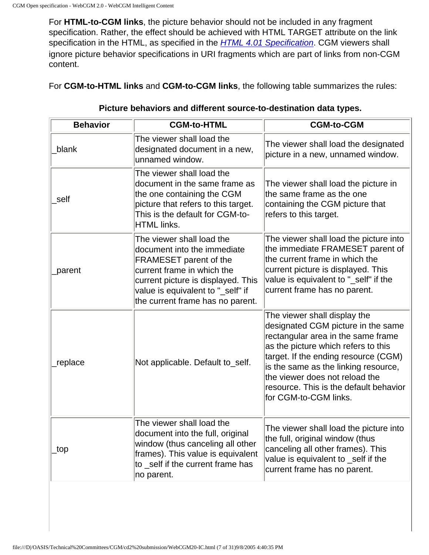For **HTML-to-CGM links**, the picture behavior should not be included in any fragment specification. Rather, the effect should be achieved with HTML TARGET attribute on the link specification in the HTML, as specified in the **[HTML 4.01 Specification](http://www.w3.org/TR/html401/)**. CGM viewers shall ignore picture behavior specifications in URI fragments which are part of links from non-CGM content.

For **CGM-to-HTML links** and **CGM-to-CGM links**, the following table summarizes the rules:

| <b>Behavior</b> | <b>CGM-to-HTML</b>                                                                                                                                                                                                              | <b>CGM-to-CGM</b>                                                                                                                                                                                                                                                                                                                    |
|-----------------|---------------------------------------------------------------------------------------------------------------------------------------------------------------------------------------------------------------------------------|--------------------------------------------------------------------------------------------------------------------------------------------------------------------------------------------------------------------------------------------------------------------------------------------------------------------------------------|
| blank           | The viewer shall load the<br>designated document in a new,<br>unnamed window.                                                                                                                                                   | The viewer shall load the designated<br>picture in a new, unnamed window.                                                                                                                                                                                                                                                            |
| self            | The viewer shall load the<br>document in the same frame as<br>the one containing the CGM<br>picture that refers to this target.<br>This is the default for CGM-to-<br>HTML links.                                               | The viewer shall load the picture in<br>the same frame as the one<br>containing the CGM picture that<br>refers to this target.                                                                                                                                                                                                       |
| parent          | The viewer shall load the<br>document into the immediate<br>FRAMESET parent of the<br>current frame in which the<br>current picture is displayed. This<br>value is equivalent to "_self" if<br>the current frame has no parent. | The viewer shall load the picture into<br>the immediate FRAMESET parent of<br>the current frame in which the<br>current picture is displayed. This<br>value is equivalent to "_self" if the<br>current frame has no parent.                                                                                                          |
| replace         | Not applicable. Default to_self.                                                                                                                                                                                                | The viewer shall display the<br>designated CGM picture in the same<br>rectangular area in the same frame<br>as the picture which refers to this<br>target. If the ending resource (CGM)<br>is the same as the linking resource,<br>the viewer does not reload the<br>resource. This is the default behavior<br>for CGM-to-CGM links. |
| top             | The viewer shall load the<br>document into the full, original<br>window (thus canceling all other<br>frames). This value is equivalent<br>to self if the current frame has<br>no parent.                                        | The viewer shall load the picture into<br>the full, original window (thus<br>canceling all other frames). This<br>value is equivalent to _self if the<br>current frame has no parent.                                                                                                                                                |

#### **Picture behaviors and different source-to-destination data types.**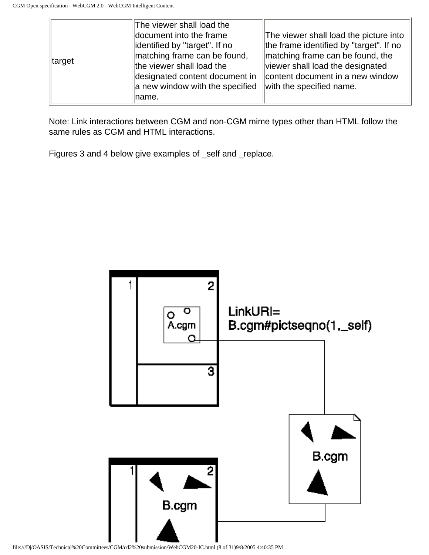|        | The viewer shall load the       |                                         |
|--------|---------------------------------|-----------------------------------------|
| target | document into the frame         | The viewer shall load the picture into  |
|        | identified by "target". If no   | the frame identified by "target". If no |
|        | matching frame can be found,    | matching frame can be found, the        |
|        | the viewer shall load the       | viewer shall load the designated        |
|        | designated content document in  | content document in a new window        |
|        | a new window with the specified | with the specified name.                |
|        | ∣name.                          |                                         |

Note: Link interactions between CGM and non-CGM mime types other than HTML follow the same rules as CGM and HTML interactions.

Figures 3 and 4 below give examples of \_self and \_replace.



file:///D|/OASIS/Technical%20Committees/CGM/cd2%20submission/WebCGM20-IC.html (8 of 31)9/8/2005 4:40:35 PM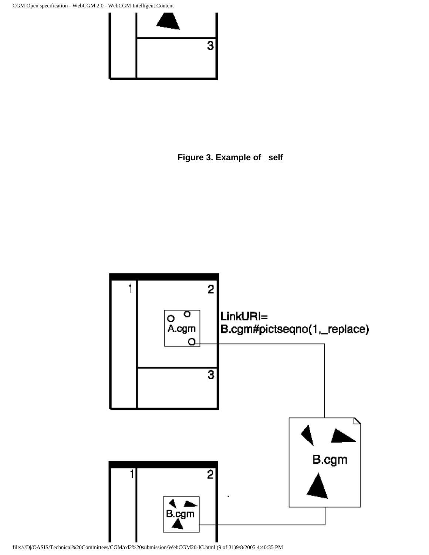CGM Open specification - WebCGM 2.0 - WebCGM Intelligent Content



**Figure 3. Example of \_self**

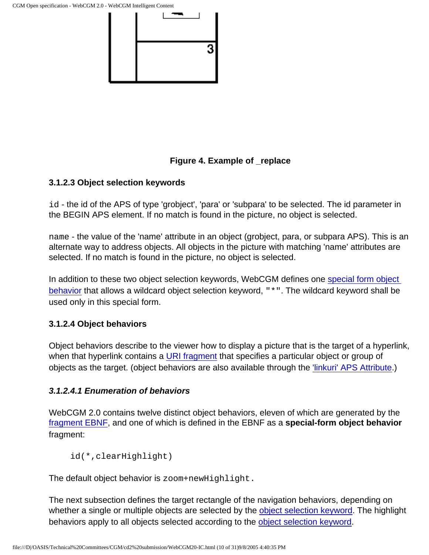

#### **Figure 4. Example of \_replace**

#### <span id="page-35-1"></span>**3.1.2.3 Object selection keywords**

id - the id of the APS of type 'grobject', 'para' or 'subpara' to be selected. The id parameter in the BEGIN APS element. If no match is found in the picture, no object is selected.

name - the value of the 'name' attribute in an object (grobject, para, or subpara APS). This is an alternate way to address objects. All objects in the picture with matching 'name' attributes are selected. If no match is found in the picture, no object is selected.

In addition to these two object selection keywords, WebCGM defines one [special form object](#page-35-2)  [behavior](#page-35-2) that allows a wildcard object selection keyword, "\*". The wildcard keyword shall be used only in this special form.

#### <span id="page-35-0"></span>**3.1.2.4 Object behaviors**

Object behaviors describe to the viewer how to display a picture that is the target of a hyperlink, when that hyperlink contains a [URI fragment](#page-26-2) that specifies a particular object or group of objects as the target. (object behaviors are also available through the ['linkuri' APS Attribute](#page-47-0).)

#### <span id="page-35-2"></span>**3.1.2.4.1 Enumeration of behaviors**

WebCGM 2.0 contains twelve distinct object behaviors, eleven of which are generated by the [fragment EBNF,](#page-27-0) and one of which is defined in the EBNF as a **special-form object behavior** fragment:

```
id(*,clearHighlight)
```
The default object behavior is zoom+newHighlight.

The next subsection defines the target rectangle of the navigation behaviors, depending on whether a single or multiple objects are selected by the [object selection keyword](#page-35-1). The highlight behaviors apply to all objects selected according to the [object selection keyword.](#page-35-1)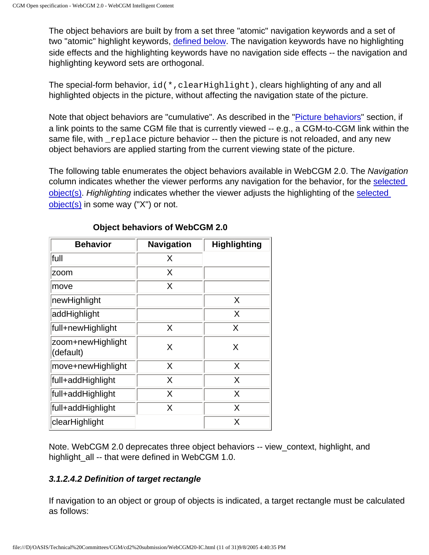The object behaviors are built by from a set three "atomic" navigation keywords and a set of two "atomic" highlight keywords, [defined below.](#page-37-0) The navigation keywords have no highlighting side effects and the highlighting keywords have no navigation side effects -- the navigation and highlighting keyword sets are orthogonal.

The special-form behavior, id(\*,clearHighlight), clears highlighting of any and all highlighted objects in the picture, without affecting the navigation state of the picture.

Note that object behaviors are "cumulative". As described in the "*Picture behaviors*" section, if a link points to the same CGM file that is currently viewed -- e.g., a CGM-to-CGM link within the same file, with replace picture behavior -- then the picture is not reloaded, and any new object behaviors are applied starting from the current viewing state of the picture.

The following table enumerates the object behaviors available in WebCGM 2.0. The Navigation column indicates whether the viewer performs any navigation for the behavior, for the [selected](#page-35-0)  [object\(s\).](#page-35-0) Highlighting indicates whether the viewer adjusts the highlighting of the [selected](#page-35-0)  [object\(s\)](#page-35-0) in some way ("X") or not.

| <b>Behavior</b>                | <b>Navigation</b> | <b>Highlighting</b> |
|--------------------------------|-------------------|---------------------|
| full                           | X                 |                     |
| zoom                           | X                 |                     |
| move                           | Χ                 |                     |
| newHighlight                   |                   | X                   |
| addHighlight                   |                   | X                   |
| full+newHighlight              | X                 | X                   |
| zoom+newHighlight<br>(default) | X                 | X                   |
| move+newHighlight              | X                 | X                   |
| full+addHighlight              | X                 | X                   |
| full+addHighlight              | X                 | X                   |
| full+addHighlight              | X                 | X                   |
| clearHighlight                 |                   | Χ                   |

# **Object behaviors of WebCGM 2.0**

Note. WebCGM 2.0 deprecates three object behaviors -- view\_context, highlight, and highlight\_all -- that were defined in WebCGM 1.0.

# <span id="page-36-0"></span>**3.1.2.4.2 Definition of target rectangle**

If navigation to an object or group of objects is indicated, a target rectangle must be calculated as follows: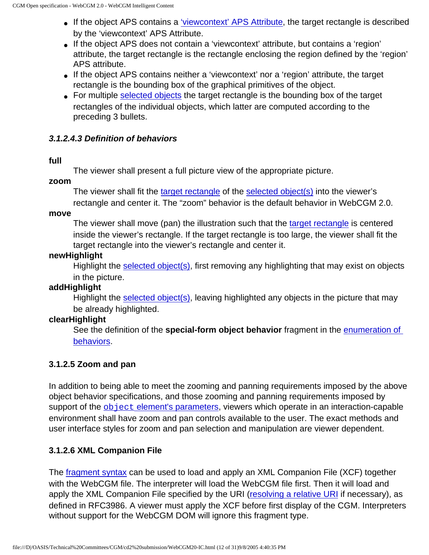- If the object APS contains a ['viewcontext' APS Attribute,](#page-46-0) the target rectangle is described by the 'viewcontext' APS Attribute.
- If the object APS does not contain a 'viewcontext' attribute, but contains a 'region' attribute, the target rectangle is the rectangle enclosing the region defined by the 'region' APS attribute.
- If the object APS contains neither a 'viewcontext' nor a 'region' attribute, the target rectangle is the bounding box of the graphical primitives of the object.
- For multiple [selected objects](#page-35-0) the target rectangle is the bounding box of the target rectangles of the individual objects, which latter are computed according to the preceding 3 bullets.

# <span id="page-37-0"></span>**3.1.2.4.3 Definition of behaviors**

## **full**

The viewer shall present a full picture view of the appropriate picture.

**zoom**

The viewer shall fit the [target rectangle](#page-36-0) of the [selected object\(s\)](#page-35-0) into the viewer's rectangle and center it. The "zoom" behavior is the default behavior in WebCGM 2.0.

**move**

The viewer shall move (pan) the illustration such that the [target rectangle](#page-36-0) is centered inside the viewer's rectangle. If the target rectangle is too large, the viewer shall fit the target rectangle into the viewer's rectangle and center it.

# **newHighlight**

Highlight the [selected object\(s\)](#page-35-0), first removing any highlighting that may exist on objects in the picture.

# **addHighlight**

Highlight the [selected object\(s\)](#page-35-0), leaving highlighted any objects in the picture that may be already highlighted.

# **clearHighlight**

See the definition of the **special-form object behavior** fragment in the [enumeration of](#page-35-1) [behaviors.](#page-35-1)

# <span id="page-37-1"></span>**3.1.2.5 Zoom and pan**

In addition to being able to meet the zooming and panning requirements imposed by the above object behavior specifications, and those zooming and panning requirements imposed by support of the object [element's parameters](#page-53-0), viewers which operate in an interaction-capable environment shall have zoom and pan controls available to the user. The exact methods and user interface styles for zoom and pan selection and manipulation are viewer dependent.

# **3.1.2.6 XML Companion File**

The [fragment syntax](#page-26-0) can be used to load and apply an XML Companion File (XCF) together with the WebCGM file. The interpreter will load the WebCGM file first. Then it will load and apply the XML Companion File specified by the URI ([resolving a relative URI](#page-29-0) if necessary), as defined in RFC3986. A viewer must apply the XCF before first display of the CGM. Interpreters without support for the WebCGM DOM will ignore this fragment type.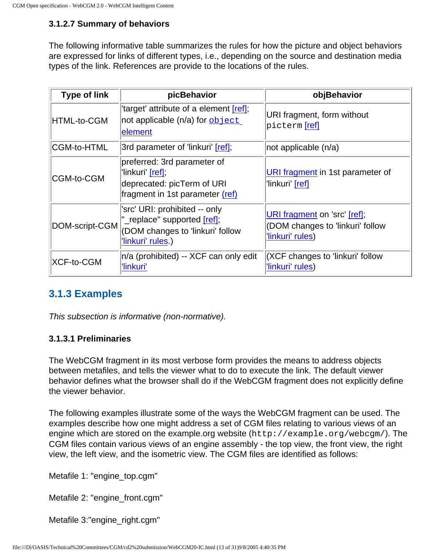# **3.1.2.7 Summary of behaviors**

The following informative table summarizes the rules for how the picture and object behaviors are expressed for links of different types, i.e., depending on the source and destination media types of the link. References are provide to the locations of the rules.

| <b>Type of link</b> | picBehavior                                                                                                           | objBehavior                                                                          |
|---------------------|-----------------------------------------------------------------------------------------------------------------------|--------------------------------------------------------------------------------------|
| HTML-to-CGM         | 'target' attribute of a element [ref];<br>not applicable (n/a) for $\frac{\text{object}}{\text{object}}$<br>element   | URI fragment, form without<br> picterm <b>[ref]</b>                                  |
| CGM-to-HTML         | 3rd parameter of 'linkuri' [ref];                                                                                     | $ not$ applicable $(n/a)$                                                            |
| CGM-to-CGM          | preferred: 3rd parameter of<br>'linkuri' [ref];<br>deprecated: picTerm of URI<br>fragment in 1st parameter (ref)      | URI fragment in 1st parameter of<br>'linkuri' [ref]                                  |
| DOM-script-CGM      | 'src' URI: prohibited -- only<br>"_replace" supported [ref];<br>(DOM changes to 'linkuri' follow<br>'linkuri' rules.) | URI fragment on 'src' [ref];<br>(DOM changes to 'linkuri' follow<br>'linkuri' rules) |
| XCF-to-CGM          | n/a (prohibited) -- XCF can only edit<br>'linkuri'                                                                    | <b>XCF</b> changes to 'linkuri' follow<br>'linkuri' rules)                           |

# **3.1.3 Examples**

This subsection is informative (non-normative).

# **3.1.3.1 Preliminaries**

The WebCGM fragment in its most verbose form provides the means to address objects between metafiles, and tells the viewer what to do to execute the link. The default viewer behavior defines what the browser shall do if the WebCGM fragment does not explicitly define the viewer behavior.

The following examples illustrate some of the ways the WebCGM fragment can be used. The examples describe how one might address a set of CGM files relating to various views of an engine which are stored on the example.org website (http://example.org/webcgm/). The CGM files contain various views of an engine assembly - the top view, the front view, the right view, the left view, and the isometric view. The CGM files are identified as follows:

Metafile 1: "engine\_top.cgm"

Metafile 2: "engine\_front.cgm"

Metafile 3:"engine\_right.cgm"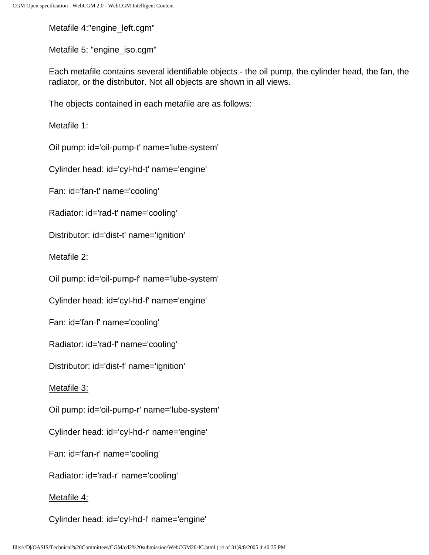Metafile 4:"engine\_left.cgm"

Metafile 5: "engine\_iso.cgm"

Each metafile contains several identifiable objects - the oil pump, the cylinder head, the fan, the radiator, or the distributor. Not all objects are shown in all views.

The objects contained in each metafile are as follows:

Metafile 1:

Oil pump: id='oil-pump-t' name='lube-system'

Cylinder head: id='cyl-hd-t' name='engine'

Fan: id='fan-t' name='cooling'

Radiator: id='rad-t' name='cooling'

Distributor: id='dist-t' name='ignition'

Metafile 2:

Oil pump: id='oil-pump-f' name='lube-system'

Cylinder head: id='cyl-hd-f' name='engine'

Fan: id='fan-f' name='cooling'

Radiator: id='rad-f' name='cooling'

Distributor: id='dist-f' name='ignition'

Metafile 3:

Oil pump: id='oil-pump-r' name='lube-system'

Cylinder head: id='cyl-hd-r' name='engine'

Fan: id='fan-r' name='cooling'

Radiator: id='rad-r' name='cooling'

# Metafile 4:

Cylinder head: id='cyl-hd-l' name='engine'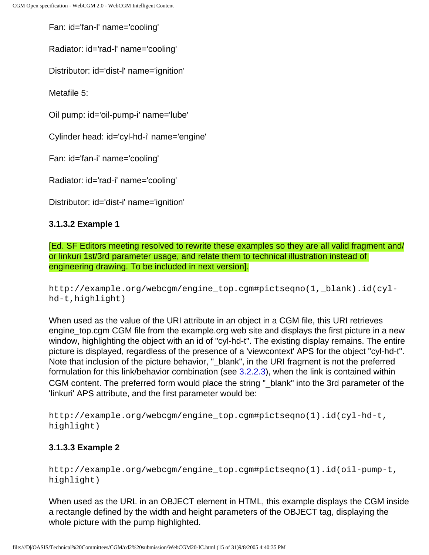Fan: id='fan-l' name='cooling'

Radiator: id='rad-l' name='cooling'

Distributor: id='dist-l' name='ignition'

Metafile 5:

Oil pump: id='oil-pump-i' name='lube'

Cylinder head: id='cyl-hd-i' name='engine'

Fan: id='fan-i' name='cooling'

Radiator: id='rad-i' name='cooling'

Distributor: id='dist-i' name='ignition'

# **3.1.3.2 Example 1**

[Ed. SF Editors meeting resolved to rewrite these examples so they are all valid fragment and/ or linkuri 1st/3rd parameter usage, and relate them to technical illustration instead of engineering drawing. To be included in next version].

http://example.org/webcgm/engine\_top.cgm#pictseqno(1,\_blank).id(cylhd-t,highlight)

When used as the value of the URI attribute in an object in a CGM file, this URI retrieves engine\_top.cgm CGM file from the example.org web site and displays the first picture in a new window, highlighting the object with an id of "cyl-hd-t". The existing display remains. The entire picture is displayed, regardless of the presence of a 'viewcontext' APS for the object "cyl-hd-t". Note that inclusion of the picture behavior, "\_blank", in the URI fragment is not the preferred formulation for this link/behavior combination (see [3.2.2.3](#page-47-0)), when the link is contained within CGM content. The preferred form would place the string " blank" into the 3rd parameter of the 'linkuri' APS attribute, and the first parameter would be:

http://example.org/webcgm/engine\_top.cgm#pictseqno(1).id(cyl-hd-t, highlight)

# **3.1.3.3 Example 2**

http://example.org/webcgm/engine\_top.cgm#pictseqno(1).id(oil-pump-t, highlight)

When used as the URL in an OBJECT element in HTML, this example displays the CGM inside a rectangle defined by the width and height parameters of the OBJECT tag, displaying the whole picture with the pump highlighted.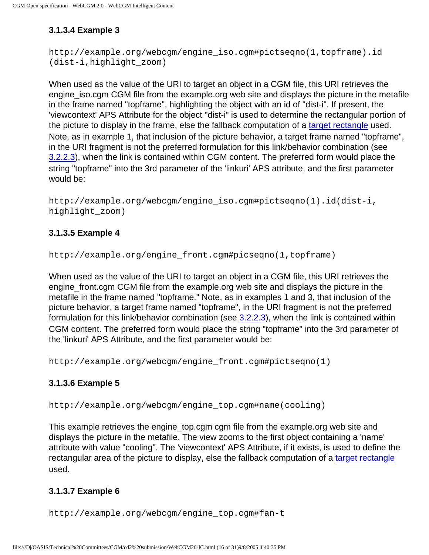# **3.1.3.4 Example 3**

```
http://example.org/webcgm/engine_iso.cgm#pictseqno(1,topframe).id
(dist-i,highlight_zoom)
```
When used as the value of the URI to target an object in a CGM file, this URI retrieves the engine iso.cgm CGM file from the example.org web site and displays the picture in the metafile in the frame named "topframe", highlighting the object with an id of "dist-i". If present, the 'viewcontext' APS Attribute for the object "dist-i" is used to determine the rectangular portion of the picture to display in the frame, else the fallback computation of a [target rectangle](#page-36-0) used. Note, as in example 1, that inclusion of the picture behavior, a target frame named "topframe", in the URI fragment is not the preferred formulation for this link/behavior combination (see [3.2.2.3](#page-47-0)), when the link is contained within CGM content. The preferred form would place the string "topframe" into the 3rd parameter of the 'linkuri' APS attribute, and the first parameter would be:

```
http://example.org/webcgm/engine_iso.cgm#pictseqno(1).id(dist-i,
highlight_zoom)
```
# **3.1.3.5 Example 4**

```
http://example.org/engine_front.cgm#picseqno(1,topframe)
```
When used as the value of the URI to target an object in a CGM file, this URI retrieves the engine\_front.cgm CGM file from the example.org web site and displays the picture in the metafile in the frame named "topframe." Note, as in examples 1 and 3, that inclusion of the picture behavior, a target frame named "topframe", in the URI fragment is not the preferred formulation for this link/behavior combination (see [3.2.2.3](#page-47-0)), when the link is contained within CGM content. The preferred form would place the string "topframe" into the 3rd parameter of the 'linkuri' APS Attribute, and the first parameter would be:

http://example.org/webcgm/engine\_front.cgm#pictseqno(1)

# **3.1.3.6 Example 5**

http://example.org/webcgm/engine\_top.cgm#name(cooling)

This example retrieves the engine top.cgm cgm file from the example.org web site and displays the picture in the metafile. The view zooms to the first object containing a 'name' attribute with value "cooling". The 'viewcontext' APS Attribute, if it exists, is used to define the rectangular area of the picture to display, else the fallback computation of a [target rectangle](#page-36-0) used.

# **3.1.3.7 Example 6**

http://example.org/webcgm/engine\_top.cgm#fan-t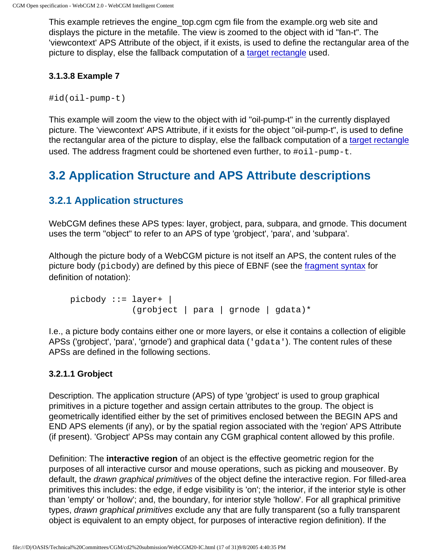This example retrieves the engine\_top.cgm cgm file from the example.org web site and displays the picture in the metafile. The view is zoomed to the object with id "fan-t". The 'viewcontext' APS Attribute of the object, if it exists, is used to define the rectangular area of the picture to display, else the fallback computation of a [target rectangle](#page-36-0) used.

# **3.1.3.8 Example 7**

#id(oil-pump-t)

This example will zoom the view to the object with id "oil-pump-t" in the currently displayed picture. The 'viewcontext' APS Attribute, if it exists for the object "oil-pump-t", is used to define the rectangular area of the picture to display, else the fallback computation of a [target rectangle](#page-36-0) used. The address fragment could be shortened even further, to #oil-pump-t.

# **3.2 Application Structure and APS Attribute descriptions**

# **3.2.1 Application structures**

WebCGM defines these APS types: layer, grobject, para, subpara, and grnode. This document uses the term "object" to refer to an APS of type 'grobject', 'para', and 'subpara'.

Although the picture body of a WebCGM picture is not itself an APS, the content rules of the picture body (picbody) are defined by this piece of EBNF (see the [fragment syntax](#page-27-0) for definition of notation):

```
picbody ::= layer+ (grobject | para | grnode | gdata)*
```
I.e., a picture body contains either one or more layers, or else it contains a collection of eligible APSs ('grobject', 'para', 'grnode') and graphical data ('gdata'). The content rules of these APSs are defined in the following sections.

# <span id="page-42-0"></span>**3.2.1.1 Grobject**

Description. The application structure (APS) of type 'grobject' is used to group graphical primitives in a picture together and assign certain attributes to the group. The object is geometrically identified either by the set of primitives enclosed between the BEGIN APS and END APS elements (if any), or by the spatial region associated with the 'region' APS Attribute (if present). 'Grobject' APSs may contain any CGM graphical content allowed by this profile.

Definition: The **interactive region** of an object is the effective geometric region for the purposes of all interactive cursor and mouse operations, such as picking and mouseover. By default, the *drawn graphical primitives* of the object define the interactive region. For filled-area primitives this includes: the edge, if edge visibility is 'on'; the interior, if the interior style is other than 'empty' or 'hollow'; and, the boundary, for interior style 'hollow'. For all graphical primitive types, drawn graphical primitives exclude any that are fully transparent (so a fully transparent object is equivalent to an empty object, for purposes of interactive region definition). If the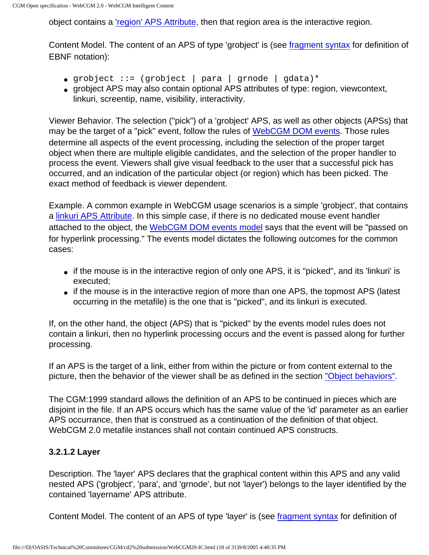object contains a ['region' APS Attribute,](#page-45-0) then that region area is the interactive region.

Content Model. The content of an APS of type 'grobject' is (see [fragment syntax](#page-27-0) for definition of EBNF notation):

- grobject ::= (grobject | para | grnode | gdata)\*
- grobject APS may also contain optional APS attributes of type: region, viewcontext, linkuri, screentip, name, visibility, interactivity.

Viewer Behavior. The selection ("pick") of a 'grobject' APS, as well as other objects (APSs) that may be the target of a "pick" event, follow the rules of [WebCGM DOM events](#page-101-0). Those rules determine all aspects of the event processing, including the selection of the proper target object when there are multiple eligible candidates, and the selection of the proper handler to process the event. Viewers shall give visual feedback to the user that a successful pick has occurred, and an indication of the particular object (or region) which has been picked. The exact method of feedback is viewer dependent.

Example. A common example in WebCGM usage scenarios is a simple 'grobject', that contains a [linkuri APS Attribute](#page-47-0). In this simple case, if there is no dedicated mouse event handler attached to the object, the [WebCGM DOM events model](#page-101-0) says that the event will be "passed on for hyperlink processing." The events model dictates the following outcomes for the common cases:

- if the mouse is in the interactive region of only one APS, it is "picked", and its 'linkuri' is executed;
- if the mouse is in the interactive region of more than one APS, the topmost APS (latest occurring in the metafile) is the one that is "picked", and its linkuri is executed.

If, on the other hand, the object (APS) that is "picked" by the events model rules does not contain a linkuri, then no hyperlink processing occurs and the event is passed along for further processing.

If an APS is the target of a link, either from within the picture or from content external to the picture, then the behavior of the viewer shall be as defined in the section ["Object behaviors"](#page-35-2).

The CGM:1999 standard allows the definition of an APS to be continued in pieces which are disjoint in the file. If an APS occurs which has the same value of the 'id' parameter as an earlier APS occurrance, then that is construed as a continuation of the definition of that object. WebCGM 2.0 metafile instances shall not contain continued APS constructs.

# <span id="page-43-0"></span>**3.2.1.2 Layer**

Description. The 'layer' APS declares that the graphical content within this APS and any valid nested APS ('grobject', 'para', and 'grnode', but not 'layer') belongs to the layer identified by the contained 'layername' APS attribute.

Content Model. The content of an APS of type 'layer' is (see [fragment syntax](#page-27-0) for definition of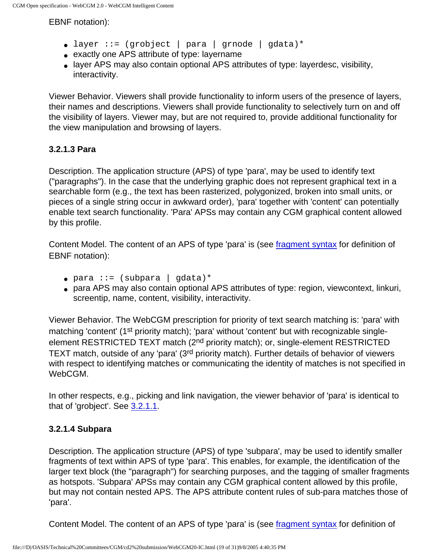EBNF notation):

- layer ::= (grobject | para | grnode | gdata)\*
- exactly one APS attribute of type: layername
- layer APS may also contain optional APS attributes of type: layerdesc, visibility, interactivity.

Viewer Behavior. Viewers shall provide functionality to inform users of the presence of layers, their names and descriptions. Viewers shall provide functionality to selectively turn on and off the visibility of layers. Viewer may, but are not required to, provide additional functionality for the view manipulation and browsing of layers.

# <span id="page-44-0"></span>**3.2.1.3 Para**

Description. The application structure (APS) of type 'para', may be used to identify text ("paragraphs"). In the case that the underlying graphic does not represent graphical text in a searchable form (e.g., the text has been rasterized, polygonized, broken into small units, or pieces of a single string occur in awkward order), 'para' together with 'content' can potentially enable text search functionality. 'Para' APSs may contain any CGM graphical content allowed by this profile.

Content Model. The content of an APS of type 'para' is (see [fragment syntax](#page-27-0) for definition of EBNF notation):

- $\bullet$  para ::= (subpara | gdata)\*
- para APS may also contain optional APS attributes of type: region, viewcontext, linkuri, screentip, name, content, visibility, interactivity.

Viewer Behavior. The WebCGM prescription for priority of text search matching is: 'para' with matching 'content' (1<sup>st</sup> priority match); 'para' without 'content' but with recognizable singleelement RESTRICTED TEXT match (2<sup>nd</sup> priority match); or, single-element RESTRICTED TEXT match, outside of any 'para' (3<sup>rd</sup> priority match). Further details of behavior of viewers with respect to identifying matches or communicating the identity of matches is not specified in WebCGM.

In other respects, e.g., picking and link navigation, the viewer behavior of 'para' is identical to that of 'grobject'. See [3.2.1.1](#page-42-0).

# <span id="page-44-1"></span>**3.2.1.4 Subpara**

Description. The application structure (APS) of type 'subpara', may be used to identify smaller fragments of text within APS of type 'para'. This enables, for example, the identification of the larger text block (the "paragraph") for searching purposes, and the tagging of smaller fragments as hotspots. 'Subpara' APSs may contain any CGM graphical content allowed by this profile, but may not contain nested APS. The APS attribute content rules of sub-para matches those of 'para'.

Content Model. The content of an APS of type 'para' is (see [fragment syntax](#page-27-0) for definition of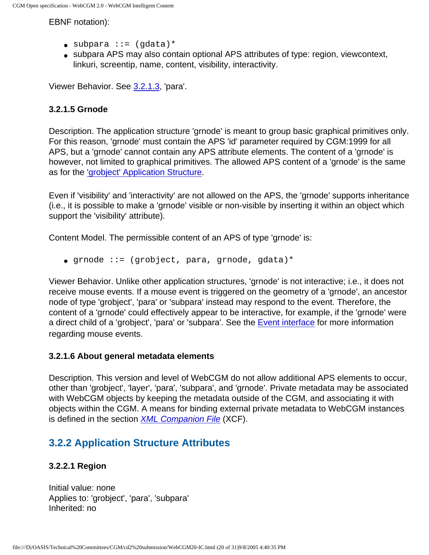EBNF notation):

- $\bullet$  subpara ::= (qdata)\*
- subpara APS may also contain optional APS attributes of type: region, viewcontext, linkuri, screentip, name, content, visibility, interactivity.

Viewer Behavior. See [3.2.1.3,](#page-44-0) 'para'.

# **3.2.1.5 Grnode**

Description. The application structure 'grnode' is meant to group basic graphical primitives only. For this reason, 'grnode' must contain the APS 'id' parameter required by CGM:1999 for all APS, but a 'grnode' cannot contain any APS attribute elements. The content of a 'grnode' is however, not limited to graphical primitives. The allowed APS content of a 'grnode' is the same as for the ['grobject' Application Structure](#page-42-0).

Even if 'visibility' and 'interactivity' are not allowed on the APS, the 'grnode' supports inheritance (i.e., it is possible to make a 'grnode' visible or non-visible by inserting it within an object which support the 'visibility' attribute).

Content Model. The permissible content of an APS of type 'grnode' is:

● grnode ::= (grobject, para, grnode, gdata)\*

Viewer Behavior. Unlike other application structures, 'grnode' is not interactive; i.e., it does not receive mouse events. If a mouse event is triggered on the geometry of a 'grnode', an ancestor node of type 'grobject', 'para' or 'subpara' instead may respond to the event. Therefore, the content of a 'grnode' could effectively appear to be interactive, for example, if the 'grnode' were a direct child of a 'grobject', 'para' or 'subpara'. See the [Event interface](#page-101-0) for more information regarding mouse events.

# **3.2.1.6 About general metadata elements**

Description. This version and level of WebCGM do not allow additional APS elements to occur, other than 'grobject', 'layer', 'para', 'subpara', and 'grnode'. Private metadata may be associated with WebCGM objects by keeping the metadata outside of the CGM, and associating it with objects within the CGM. A means for binding external private metadata to WebCGM instances is defined in the section **[XML Companion File](#page-57-0) (XCF)**.

# **3.2.2 Application Structure Attributes**

# <span id="page-45-0"></span>**3.2.2.1 Region**

Initial value: none Applies to: 'grobject', 'para', 'subpara' Inherited: no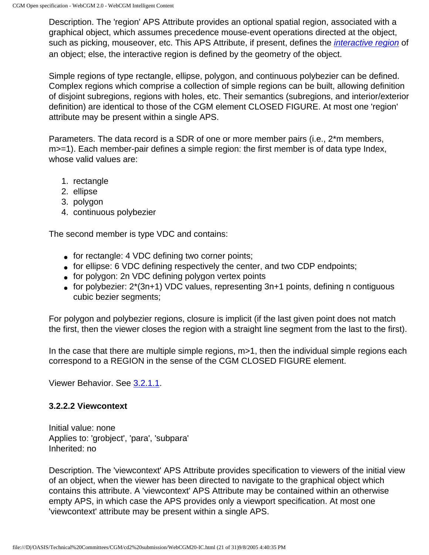Description. The 'region' APS Attribute provides an optional spatial region, associated with a graphical object, which assumes precedence mouse-event operations directed at the object, such as picking, mouseover, etc. This APS Attribute, if present, defines the *[interactive region](#page-223-0)* of an object; else, the interactive region is defined by the geometry of the object.

Simple regions of type rectangle, ellipse, polygon, and continuous polybezier can be defined. Complex regions which comprise a collection of simple regions can be built, allowing definition of disjoint subregions, regions with holes, etc. Their semantics (subregions, and interior/exterior definition) are identical to those of the CGM element CLOSED FIGURE. At most one 'region' attribute may be present within a single APS.

Parameters. The data record is a SDR of one or more member pairs (i.e., 2\*m members, m > = 1). Each member-pair defines a simple region: the first member is of data type Index, whose valid values are:

- 1. rectangle
- 2. ellipse
- 3. polygon
- 4. continuous polybezier

The second member is type VDC and contains:

- for rectangle: 4 VDC defining two corner points;
- for ellipse: 6 VDC defining respectively the center, and two CDP endpoints;
- for polygon: 2n VDC defining polygon vertex points
- for polybezier:  $2*(3n+1)$  VDC values, representing  $3n+1$  points, defining n contiguous cubic bezier segments;

For polygon and polybezier regions, closure is implicit (if the last given point does not match the first, then the viewer closes the region with a straight line segment from the last to the first).

In the case that there are multiple simple regions, m>1, then the individual simple regions each correspond to a REGION in the sense of the CGM CLOSED FIGURE element.

Viewer Behavior. See [3.2.1.1.](#page-42-0)

## <span id="page-46-0"></span>**3.2.2.2 Viewcontext**

Initial value: none Applies to: 'grobject', 'para', 'subpara' Inherited: no

Description. The 'viewcontext' APS Attribute provides specification to viewers of the initial view of an object, when the viewer has been directed to navigate to the graphical object which contains this attribute. A 'viewcontext' APS Attribute may be contained within an otherwise empty APS, in which case the APS provides only a viewport specification. At most one 'viewcontext' attribute may be present within a single APS.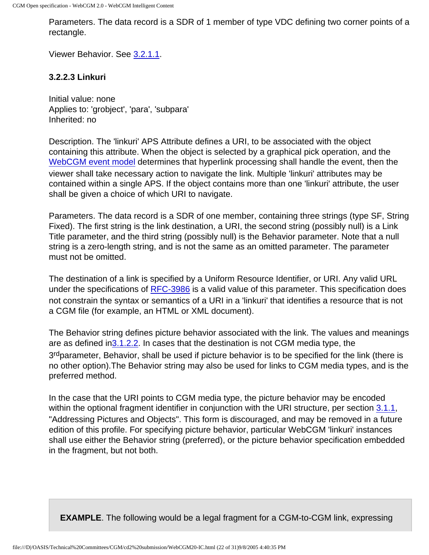Parameters. The data record is a SDR of 1 member of type VDC defining two corner points of a rectangle.

Viewer Behavior. See [3.2.1.1.](#page-42-0)

## <span id="page-47-0"></span>**3.2.2.3 Linkuri**

Initial value: none Applies to: 'grobject', 'para', 'subpara' Inherited: no

Description. The 'linkuri' APS Attribute defines a URI, to be associated with the object containing this attribute. When the object is selected by a graphical pick operation, and the [WebCGM event model](#page-101-0) determines that hyperlink processing shall handle the event, then the viewer shall take necessary action to navigate the link. Multiple 'linkuri' attributes may be contained within a single APS. If the object contains more than one 'linkuri' attribute, the user shall be given a choice of which URI to navigate.

Parameters. The data record is a SDR of one member, containing three strings (type SF, String Fixed). The first string is the link destination, a URI, the second string (possibly null) is a Link Title parameter, and the third string (possibly null) is the Behavior parameter. Note that a null string is a zero-length string, and is not the same as an omitted parameter. The parameter must not be omitted.

The destination of a link is specified by a Uniform Resource Identifier, or URI. Any valid URL under the specifications of [RFC-3986](http://www.ietf.org/rfc/rfc3986.txt) is a valid value of this parameter. This specification does not constrain the syntax or semantics of a URI in a 'linkuri' that identifies a resource that is not a CGM file (for example, an HTML or XML document).

The Behavior string defines picture behavior associated with the link. The values and meanings are as defined in[3.1.2.2](#page-31-0). In cases that the destination is not CGM media type, the 3<sup>rd</sup>parameter, Behavior, shall be used if picture behavior is to be specified for the link (there is no other option).The Behavior string may also be used for links to CGM media types, and is the preferred method.

In the case that the URI points to CGM media type, the picture behavior may be encoded within the optional fragment identifier in conjunction with the URI structure, per section [3.1.1](#page-26-0), "Addressing Pictures and Objects". This form is discouraged, and may be removed in a future edition of this profile. For specifying picture behavior, particular WebCGM 'linkuri' instances shall use either the Behavior string (preferred), or the picture behavior specification embedded in the fragment, but not both.

**EXAMPLE**. The following would be a legal fragment for a CGM-to-CGM link, expressing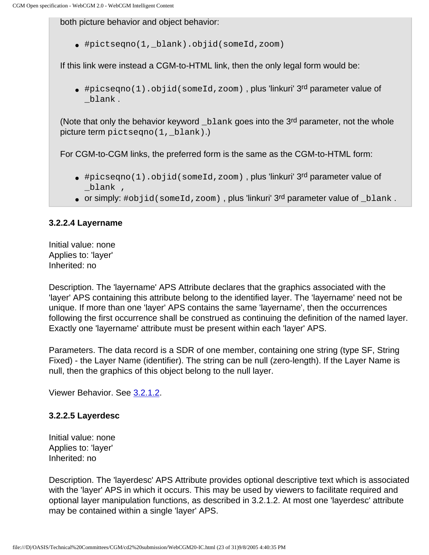both picture behavior and object behavior:

● #pictseqno(1,\_blank).objid(someId,zoom)

If this link were instead a CGM-to-HTML link, then the only legal form would be:

● #picseqno(1).objid(someId,zoom) , plus 'linkuri' 3rd parameter value of \_blank .

(Note that only the behavior keyword \_blank goes into the 3rd parameter, not the whole picture term pictseqno(1, blank).)

For CGM-to-CGM links, the preferred form is the same as the CGM-to-HTML form:

- #picseqno(1).objid(someId,zoom), plus 'linkuri' 3rd parameter value of \_blank ,
- or simply:  $\#$ objid(someId,zoom), plus 'linkuri' 3rd parameter value of \_blank.

# **3.2.2.4 Layername**

Initial value: none Applies to: 'layer' Inherited: no

Description. The 'layername' APS Attribute declares that the graphics associated with the 'layer' APS containing this attribute belong to the identified layer. The 'layername' need not be unique. If more than one 'layer' APS contains the same 'layername', then the occurrences following the first occurrence shall be construed as continuing the definition of the named layer. Exactly one 'layername' attribute must be present within each 'layer' APS.

Parameters. The data record is a SDR of one member, containing one string (type SF, String Fixed) - the Layer Name (identifier). The string can be null (zero-length). If the Layer Name is null, then the graphics of this object belong to the null layer.

Viewer Behavior. See [3.2.1.2.](#page-43-0)

# **3.2.2.5 Layerdesc**

Initial value: none Applies to: 'layer' Inherited: no

Description. The 'layerdesc' APS Attribute provides optional descriptive text which is associated with the 'layer' APS in which it occurs. This may be used by viewers to facilitate required and optional layer manipulation functions, as described in 3.2.1.2. At most one 'layerdesc' attribute may be contained within a single 'layer' APS.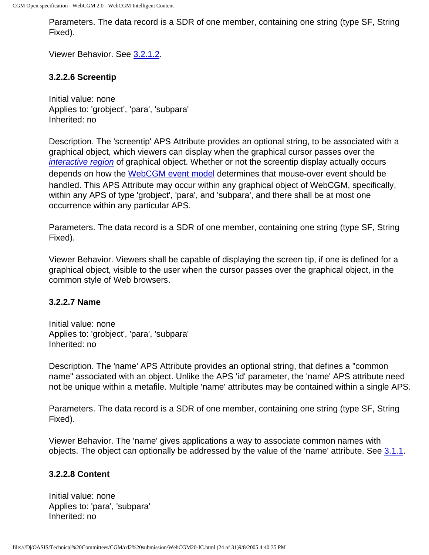Parameters. The data record is a SDR of one member, containing one string (type SF, String Fixed).

Viewer Behavior. See [3.2.1.2.](#page-43-0)

## **3.2.2.6 Screentip**

Initial value: none Applies to: 'grobject', 'para', 'subpara' Inherited: no

Description. The 'screentip' APS Attribute provides an optional string, to be associated with a graphical object, which viewers can display when the graphical cursor passes over the [interactive region](#page-223-0) of graphical object. Whether or not the screentip display actually occurs depends on how the [WebCGM event model](#page-101-0) determines that mouse-over event should be handled. This APS Attribute may occur within any graphical object of WebCGM, specifically, within any APS of type 'grobject', 'para', and 'subpara', and there shall be at most one occurrence within any particular APS.

Parameters. The data record is a SDR of one member, containing one string (type SF, String Fixed).

Viewer Behavior. Viewers shall be capable of displaying the screen tip, if one is defined for a graphical object, visible to the user when the cursor passes over the graphical object, in the common style of Web browsers.

### **3.2.2.7 Name**

Initial value: none Applies to: 'grobject', 'para', 'subpara' Inherited: no

Description. The 'name' APS Attribute provides an optional string, that defines a "common name" associated with an object. Unlike the APS 'id' parameter, the 'name' APS attribute need not be unique within a metafile. Multiple 'name' attributes may be contained within a single APS.

Parameters. The data record is a SDR of one member, containing one string (type SF, String Fixed).

Viewer Behavior. The 'name' gives applications a way to associate common names with objects. The object can optionally be addressed by the value of the 'name' attribute. See [3.1.1.](#page-26-0)

## **3.2.2.8 Content**

Initial value: none Applies to: 'para', 'subpara' Inherited: no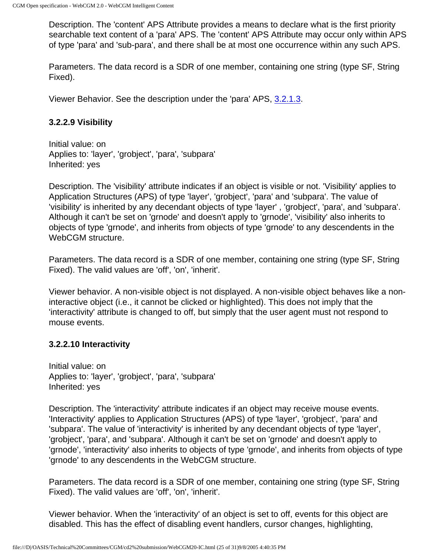Description. The 'content' APS Attribute provides a means to declare what is the first priority searchable text content of a 'para' APS. The 'content' APS Attribute may occur only within APS of type 'para' and 'sub-para', and there shall be at most one occurrence within any such APS.

Parameters. The data record is a SDR of one member, containing one string (type SF, String Fixed).

Viewer Behavior. See the description under the 'para' APS, [3.2.1.3](#page-44-0).

# **3.2.2.9 Visibility**

Initial value: on Applies to: 'layer', 'grobject', 'para', 'subpara' Inherited: yes

Description. The 'visibility' attribute indicates if an object is visible or not. 'Visibility' applies to Application Structures (APS) of type 'layer', 'grobject', 'para' and 'subpara'. The value of 'visibility' is inherited by any decendant objects of type 'layer' , 'grobject', 'para', and 'subpara'. Although it can't be set on 'grnode' and doesn't apply to 'grnode', 'visibility' also inherits to objects of type 'grnode', and inherits from objects of type 'grnode' to any descendents in the WebCGM structure.

Parameters. The data record is a SDR of one member, containing one string (type SF, String Fixed). The valid values are 'off', 'on', 'inherit'.

Viewer behavior. A non-visible object is not displayed. A non-visible object behaves like a noninteractive object (i.e., it cannot be clicked or highlighted). This does not imply that the 'interactivity' attribute is changed to off, but simply that the user agent must not respond to mouse events.

# **3.2.2.10 Interactivity**

Initial value: on Applies to: 'layer', 'grobject', 'para', 'subpara' Inherited: yes

Description. The 'interactivity' attribute indicates if an object may receive mouse events. 'Interactivity' applies to Application Structures (APS) of type 'layer', 'grobject', 'para' and 'subpara'. The value of 'interactivity' is inherited by any decendant objects of type 'layer', 'grobject', 'para', and 'subpara'. Although it can't be set on 'grnode' and doesn't apply to 'grnode', 'interactivity' also inherits to objects of type 'grnode', and inherits from objects of type 'grnode' to any descendents in the WebCGM structure.

Parameters. The data record is a SDR of one member, containing one string (type SF, String Fixed). The valid values are 'off', 'on', 'inherit'.

Viewer behavior. When the 'interactivity' of an object is set to off, events for this object are disabled. This has the effect of disabling event handlers, cursor changes, highlighting,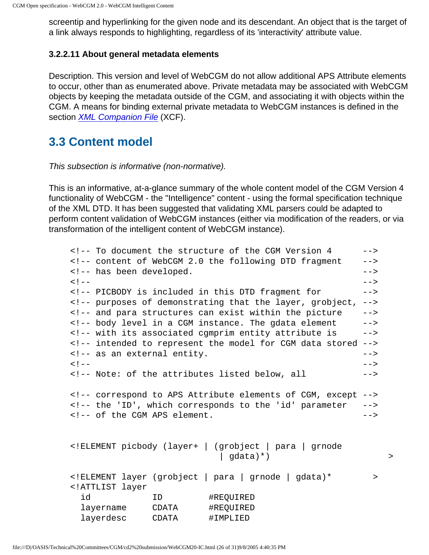screentip and hyperlinking for the given node and its descendant. An object that is the target of a link always responds to highlighting, regardless of its 'interactivity' attribute value.

## **3.2.2.11 About general metadata elements**

Description. This version and level of WebCGM do not allow additional APS Attribute elements to occur, other than as enumerated above. Private metadata may be associated with WebCGM objects by keeping the metadata outside of the CGM, and associating it with objects within the CGM. A means for binding external private metadata to WebCGM instances is defined in the section *XML* Companion File (XCF).

# **3.3 Content model**

This subsection is informative (non-normative).

This is an informative, at-a-glance summary of the whole content model of the CGM Version 4 functionality of WebCGM - the "Intelligence" content - using the formal specification technique of the XML DTD. It has been suggested that validating XML parsers could be adapted to perform content validation of WebCGM instances (either via modification of the readers, or via transformation of the intelligent content of WebCGM instance).

```
<!-- To document the structure of the CGM Version 4 -->
<!-- content of WebCGM 2.0 the following DTD fragment -->
<!-- has been developed.
\langle | -- |<!-- PICBODY is included in this DTD fragment for -->
<!-- purposes of demonstrating that the layer, grobject, -->
<!-- and para structures can exist within the picture -->
<!-- body level in a CGM instance. The gdata element -->
<!-- with its associated cgmprim entity attribute is -->
<!-- intended to represent the model for CGM data stored -->
<!-- as an external entity. The same state of \sim -->
\langle!--\rangle<!-- Note: of the attributes listed below, all -->
<!-- correspond to APS Attribute elements of CGM, except -->
<!-- the 'ID', which corresponds to the 'id' parameter -->
<!-- of the CGM APS element. -->
<!ELEMENT picbody (layer+ | (grobject | para | grnode 
                        | gdata)*) >
<!ELEMENT layer (grobject | para | grnode | gdata)* >
<!ATTLIST layer
  id ID #REQUIRED
  layername CDATA #REQUIRED
  layerdesc CDATA #IMPLIED
```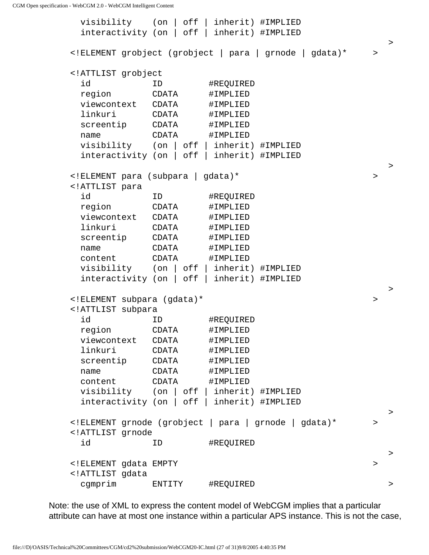visibility (on | off | inherit) #IMPLIED interactivity (on | off | inherit) #IMPLIED  $\rightarrow$ <!ELEMENT grobject (grobject | para | grnode | gdata)\* > <!ATTLIST grobject id ID #REQUIRED region CDATA #IMPLIED viewcontext CDATA #IMPLIED linkuri CDATA #IMPLIED screentip CDATA #IMPLIED name CDATA #IMPLIED visibility (on | off | inherit) #IMPLIED interactivity (on | off | inherit) #IMPLIED the contract of the contract of the contract of the contract of the contract of the contract of the contract of <!ELEMENT para (subpara | gdata)\* > <!ATTLIST para id ID #REQUIRED region CDATA #IMPLIED viewcontext CDATA #IMPLIED linkuri CDATA #IMPLIED screentip CDATA #IMPLIED name CDATA #IMPLIED content CDATA #IMPLIED visibility (on | off | inherit) #IMPLIED interactivity (on | off | inherit) #IMPLIED the contract of the contract of the contract of the contract of the contract of the contract of the contract of <!ELEMENT subpara (gdata)\* > <!ATTLIST subpara id ID #REQUIRED region CDATA #IMPLIED viewcontext CDATA #IMPLIED linkuri CDATA #IMPLIED screentip CDATA #IMPLIED name CDATA #IMPLIED content CDATA #IMPLIED visibility (on | off | inherit) #IMPLIED interactivity (on | off | inherit) #IMPLIED  $\rightarrow$ <!ELEMENT grnode (grobject | para | grnode | gdata)\* > <!ATTLIST grnode id ID #REQUIRED the contract of the contract of the contract of the contract of the contract of the contract of the contract of <!ELEMENT gdata EMPTY > <!ATTLIST gdata cgmprim ENTITY #REQUIRED >

Note: the use of XML to express the content model of WebCGM implies that a particular attribute can have at most one instance within a particular APS instance. This is not the case,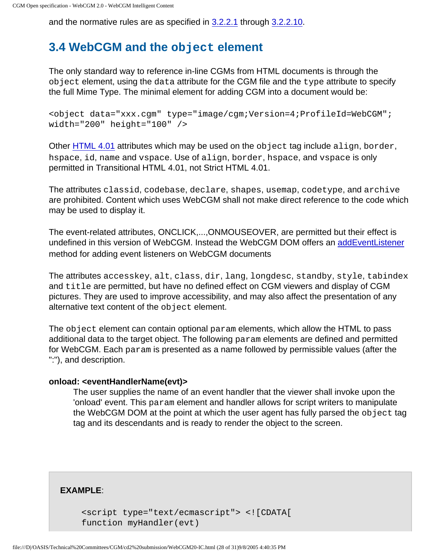and the normative rules are as specified in [3.2.2.1](#page-45-0) through [3.2.2.10](#page-26-1).

# <span id="page-53-0"></span>**3.4 WebCGM and the object element**

The only standard way to reference in-line CGMs from HTML documents is through the object element, using the data attribute for the CGM file and the type attribute to specify the full Mime Type. The minimal element for adding CGM into a document would be:

<object data="xxx.cgm" type="image/cgm;Version=4;ProfileId=WebCGM"; width="200" height="100" />

Other [HTML 4.01](http://www.w3.org/TR/html401/) attributes which may be used on the object tag include align, border, hspace, id, name and vspace. Use of align, border, hspace, and vspace is only permitted in Transitional HTML 4.01, not Strict HTML 4.01.

The attributes classid, codebase, declare, shapes, usemap, codetype, and archive are prohibited. Content which uses WebCGM shall not make direct reference to the code which may be used to display it.

The event-related attributes, ONCLICK,...,ONMOUSEOVER, are permitted but their effect is undefined in this version of WebCGM. Instead the WebCGM DOM offers an [addEventListener](#page-84-0) method for adding event listeners on WebCGM documents

The attributes accesskey, alt, class, dir, lang, longdesc, standby, style, tabindex and title are permitted, but have no defined effect on CGM viewers and display of CGM pictures. They are used to improve accessibility, and may also affect the presentation of any alternative text content of the object element.

The object element can contain optional param elements, which allow the HTML to pass additional data to the target object. The following param elements are defined and permitted for WebCGM. Each param is presented as a name followed by permissible values (after the ":"), and description.

## **onload: <eventHandlerName(evt)>**

The user supplies the name of an event handler that the viewer shall invoke upon the 'onload' event. This param element and handler allows for script writers to manipulate the WebCGM DOM at the point at which the user agent has fully parsed the object tag tag and its descendants and is ready to render the object to the screen.

**EXAMPLE**:

```
<script type="text/ecmascript"> <![CDATA[
function myHandler(evt)
```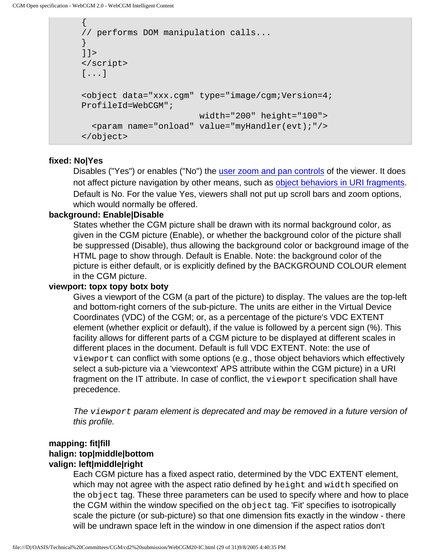{

```
// performs DOM manipulation calls...
}
]] >
</script>
[...]
<object data="xxx.cgm" type="image/cgm;Version=4;
ProfileId=WebCGM"; 
                        width="200" height="100">
   <param name="onload" value="myHandler(evt);"/>
</object>
```
### **fixed: No|Yes**

Disables ("Yes") or enables ("No") the [user zoom and pan controls](#page-37-1) of the viewer. It does not affect picture navigation by other means, such as [object behaviors in URI fragments](#page-35-2). Default is No. For the value Yes, viewers shall not put up scroll bars and zoom options, which would normally be offered.

### **background: Enable|Disable**

States whether the CGM picture shall be drawn with its normal background color, as given in the CGM picture (Enable), or whether the background color of the picture shall be suppressed (Disable), thus allowing the background color or background image of the HTML page to show through. Default is Enable. Note: the background color of the picture is either default, or is explicitly defined by the BACKGROUND COLOUR element in the CGM picture.

## **viewport: topx topy botx boty**

Gives a viewport of the CGM (a part of the picture) to display. The values are the top-left and bottom-right corners of the sub-picture. The units are either in the Virtual Device Coordinates (VDC) of the CGM; or, as a percentage of the picture's VDC EXTENT element (whether explicit or default), if the value is followed by a percent sign (%). This facility allows for different parts of a CGM picture to be displayed at different scales in different places in the document. Default is full VDC EXTENT. Note: the use of viewport can conflict with some options (e.g., those object behaviors which effectively select a sub-picture via a 'viewcontext' APS attribute within the CGM picture) in a URI fragment on the IT attribute. In case of conflict, the viewport specification shall have precedence.

The viewport param element is deprecated and may be removed in a future version of this profile.

# **mapping: fit|fill halign: top|middle|bottom valign: left|middle|right**

Each CGM picture has a fixed aspect ratio, determined by the VDC EXTENT element, which may not agree with the aspect ratio defined by height and width specified on the object tag. These three parameters can be used to specify where and how to place the CGM within the window specified on the object tag. 'Fit' specifies to isotropically scale the picture (or sub-picture) so that one dimension fits exactly in the window - there will be undrawn space left in the window in one dimension if the aspect ratios don't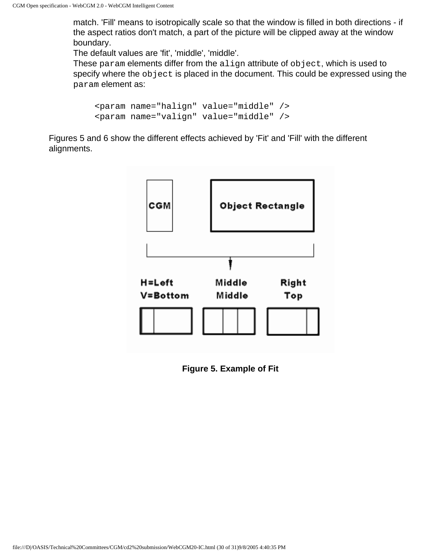match. 'Fill' means to isotropically scale so that the window is filled in both directions - if the aspect ratios don't match, a part of the picture will be clipped away at the window boundary.

The default values are 'fit', 'middle', 'middle'.

These param elements differ from the align attribute of object, which is used to specify where the object is placed in the document. This could be expressed using the param element as:

```
<param name="halign" value="middle" />
<param name="valign" value="middle" />
```
Figures 5 and 6 show the different effects achieved by 'Fit' and 'Fill' with the different alignments.



**Figure 5. Example of Fit**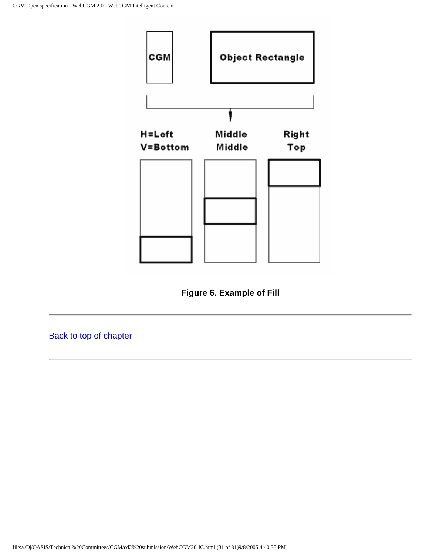

**Figure 6. Example of Fill**

[Back to top of chapter](#page-26-2)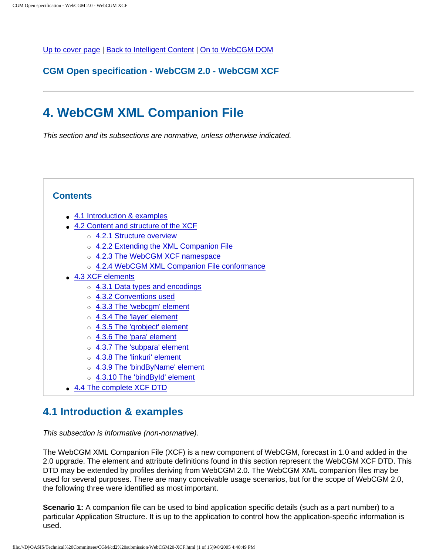<span id="page-57-0"></span>[Up to cover page](#page-0-0) | [Back to Intelligent Content](#page-26-1) | [On to WebCGM DOM](#page-72-0)

**CGM Open specification - WebCGM 2.0 - WebCGM XCF**

# **4. WebCGM XML Companion File**

This section and its subsections are normative, unless otherwise indicated.

# **Contents**

- [4.1 Introduction & examples](#page-57-1)
- [4.2 Content and structure of the XCF](#page-58-0)
	- o [4.2.1 Structure overview](#page-58-1)
	- ❍ [4.2.2 Extending the XML Companion File](#page-59-0)
	- o [4.2.3 The WebCGM XCF namespace](#page-60-0)
	- o [4.2.4 WebCGM XML Companion File conformance](#page-60-1)
- [4.3 XCF elements](#page-60-2)
	- ❍ [4.3.1 Data types and encodings](#page-61-0)
	- ❍ [4.3.2 Conventions used](#page-61-1)
	- ❍ [4.3.3 The 'webcgm' element](#page-62-0)
	- ❍ [4.3.4 The 'layer' element](#page-63-0)
	- ❍ [4.3.5 The 'grobject' element](#page-64-0)
	- ❍ [4.3.6 The 'para' element](#page-65-0)
	- ❍ [4.3.7 The 'subpara' element](#page-65-1)
	- ❍ [4.3.8 The 'linkuri' element](#page-66-0)
	- o [4.3.9 The 'bindByName' element](#page-67-0)
	- ❍ [4.3.10 The 'bindById' element](#page-67-1)
- [4.4 The complete XCF DTD](#page-68-0)

# <span id="page-57-1"></span>**4.1 Introduction & examples**

This subsection is informative (non-normative).

The WebCGM XML Companion File (XCF) is a new component of WebCGM, forecast in 1.0 and added in the 2.0 upgrade. The element and attribute definitions found in this section represent the WebCGM XCF DTD. This DTD may be extended by profiles deriving from WebCGM 2.0. The WebCGM XML companion files may be used for several purposes. There are many conceivable usage scenarios, but for the scope of WebCGM 2.0, the following three were identified as most important.

**Scenario 1:** A companion file can be used to bind application specific details (such as a part number) to a particular Application Structure. It is up to the application to control how the application-specific information is used.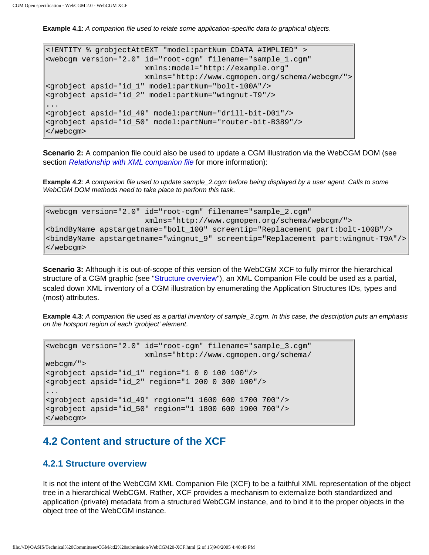**Example 4.1**: A companion file used to relate some application-specific data to graphical objects.

```
<!ENTITY % grobjectAttEXT "model:partNum CDATA #IMPLIED" >
<webcgm version="2.0" id="root-cgm" filename="sample_1.cgm"
                       xmlns:model="http://example.org"
                       xmlns="http://www.cgmopen.org/schema/webcgm/">
<grobject apsid="id_1" model:partNum="bolt-100A"/>
<grobject apsid="id_2" model:partNum="wingnut-T9"/>
...
<grobject apsid="id_49" model:partNum="drill-bit-D01"/>
<grobject apsid="id_50" model:partNum="router-bit-B389"/>
</webcgm>
```
**Scenario 2:** A companion file could also be used to update a CGM illustration via the WebCGM DOM (see section [Relationship with XML companion file](#page-73-0) for more information):

**Example 4.2**: A companion file used to update sample\_2.cgm before being displayed by a user agent. Calls to some WebCGM DOM methods need to take place to perform this task.

```
<webcgm version="2.0" id="root-cgm" filename="sample_2.cgm"
                       xmlns="http://www.cgmopen.org/schema/webcgm/">
<bindByName apstargetname="bolt_100" screentip="Replacement part:bolt-100B"/>
<bindByName apstargetname="wingnut_9" screentip="Replacement part:wingnut-T9A"/>
</webcgm>
```
**Scenario 3:** Although it is out-of-scope of this version of the WebCGM XCF to fully mirror the hierarchical structure of a CGM graphic (see "[Structure overview"](#page-58-1)), an XML Companion File could be used as a partial, scaled down XML inventory of a CGM illustration by enumerating the Application Structures IDs, types and (most) attributes.

**Example 4.3**: A companion file used as a partial inventory of sample\_3.cgm. In this case, the description puts an emphasis on the hotsport region of each 'grobject' element.

```
<webcgm version="2.0" id="root-cgm" filename="sample_3.cgm"
                       xmlns="http://www.cgmopen.org/schema/
webcgm/"> 
<grobject apsid="id_1" region="1 0 0 100 100"/>
<grobject apsid="id_2" region="1 200 0 300 100"/>
...
<grobject apsid="id_49" region="1 1600 600 1700 700"/>
<grobject apsid="id_50" region="1 1800 600 1900 700"/>
</webcgm>
```
# <span id="page-58-0"></span>**4.2 Content and structure of the XCF**

## <span id="page-58-1"></span>**4.2.1 Structure overview**

It is not the intent of the WebCGM XML Companion File (XCF) to be a faithful XML representation of the object tree in a hierarchical WebCGM. Rather, XCF provides a mechanism to externalize both standardized and application (private) metadata from a structured WebCGM instance, and to bind it to the proper objects in the object tree of the WebCGM instance.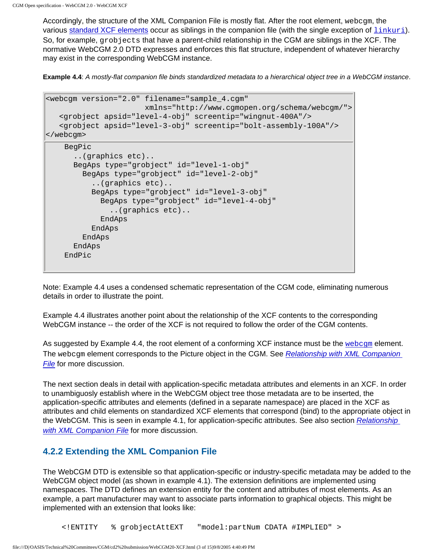Accordingly, the structure of the XML Companion File is mostly flat. After the root element, webcgm, the various [standard XCF elements](#page-60-2) occur as siblings in the companion file (with the single exception of  $\frac{\text{linkuri}}{\text{linkuri}}}$  $\frac{\text{linkuri}}{\text{linkuri}}}$  $\frac{\text{linkuri}}{\text{linkuri}}}$ ). So, for example, grobjects that have a parent-child relationship in the CGM are siblings in the XCF. The normative WebCGM 2.0 DTD expresses and enforces this flat structure, independent of whatever hierarchy may exist in the corresponding WebCGM instance.

**Example 4.4**: A mostly-flat companion file binds standardized metadata to a hierarchical object tree in a WebCGM instance.

```
<webcgm version="2.0" filename="sample_4.cgm"
                        xmlns="http://www.cgmopen.org/schema/webcgm/">
    <grobject apsid="level-4-obj" screentip="wingnut-400A"/>
    <grobject apsid="level-3-obj" screentip="bolt-assembly-100A"/>
</webcgm>
    BegPic
       ..(graphics etc)..
       BegAps type="grobject" id="level-1-obj"
         BegAps type="grobject" id="level-2-obj"
           ..(graphics etc)..
           BegAps type="grobject" id="level-3-obj"
             BegAps type="grobject" id="level-4-obj"
               ..(graphics etc)..
             EndAps
           EndAps
         EndAps
       EndAps
    EndPic
```
Note: Example 4.4 uses a condensed schematic representation of the CGM code, eliminating numerous details in order to illustrate the point.

Example 4.4 illustrates another point about the relationship of the XCF contents to the corresponding WebCGM instance -- the order of the XCF is not required to follow the order of the CGM contents.

As suggested by Example 4.4, the root element of a conforming XCF instance must be the webcqm element. The webcgm element corresponds to the Picture object in the CGM. See Relationship with XML Companion [File](#page-73-0) for more discussion.

The next section deals in detail with application-specific metadata attributes and elements in an XCF. In order to unambiguosly establish where in the WebCGM object tree those metadata are to be inserted, the application-specific attributes and elements (defined in a separate namespace) are placed in the XCF as attributes and child elements on standardized XCF elements that correspond (bind) to the appropriate object in the WebCGM. This is seen in example 4.1, for application-specific attributes. See also section [Relationship](#page-73-0) [with XML Companion File](#page-73-0) for more discussion.

# <span id="page-59-0"></span>**4.2.2 Extending the XML Companion File**

The WebCGM DTD is extensible so that application-specific or industry-specific metadata may be added to the WebCGM object model (as shown in example 4.1). The extension definitions are implemented using namespaces. The DTD defines an extension entity for the content and attributes of most elements. As an example, a part manufacturer may want to associate parts information to graphical objects. This might be implemented with an extension that looks like: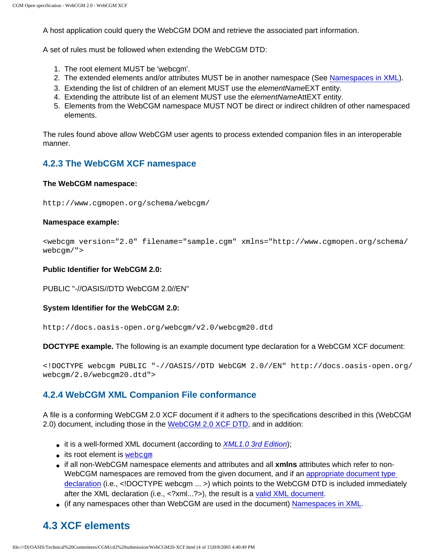A host application could query the WebCGM DOM and retrieve the associated part information.

A set of rules must be followed when extending the WebCGM DTD:

- 1. The root element MUST be 'webcgm'.
- 2. The extended elements and/or attributes MUST be in another namespace (See [Namespaces in XML\)](http://www.w3.org/TR/REC-xml-names).
- 3. Extending the list of children of an element MUST use the elementNameEXT entity.
- 4. Extending the attribute list of an element MUST use the *elementNameAttEXT* entity.
- 5. Elements from the WebCGM namespace MUST NOT be direct or indirect children of other namespaced elements.

The rules found above allow WebCGM user agents to process extended companion files in an interoperable manner.

## <span id="page-60-0"></span>**4.2.3 The WebCGM XCF namespace**

#### **The WebCGM namespace:**

http://www.cgmopen.org/schema/webcgm/

#### **Namespace example:**

<webcgm version="2.0" filename="sample.cgm" xmlns="http://www.cgmopen.org/schema/ webcgm/">

#### **Public Identifier for WebCGM 2.0:**

PUBLIC "-//OASIS//DTD WebCGM 2.0//EN"

#### **System Identifier for the WebCGM 2.0:**

http://docs.oasis-open.org/webcgm/v2.0/webcgm20.dtd

**DOCTYPE example.** The following is an example document type declaration for a WebCGM XCF document:

<!DOCTYPE webcgm PUBLIC "-//OASIS//DTD WebCGM 2.0//EN" http://docs.oasis-open.org/ webcgm/2.0/webcgm20.dtd">

### <span id="page-60-1"></span>**4.2.4 WebCGM XML Companion File conformance**

A file is a conforming WebCGM 2.0 XCF document if it adhers to the specifications described in this (WebCGM 2.0) document, including those in the [WebCGM 2.0 XCF DTD](#page-68-0), and in addition:

- it is a well-formed XML document (according to [XML1.0 3rd Edition](http://www.w3.org/TR/2004/REC-xml-20040204/));
- $\bullet$  its root element is webcqm
- if all non-WebCGM namespace elements and attributes and all **xmlns** attributes which refer to non-WebCGM namespaces are removed from the given document, and if an [appropriate document type](#page-60-0)  [declaration](#page-60-0) (i.e., <!DOCTYPE webcgm ... >) which points to the WebCGM DTD is included immediately after the XML declaration (i.e., <?xml...?>), the result is a [valid XML document](http://www.w3.org/TR/2004/REC-xml-20040204/#sec-prolog-dtd).
- (if any namespaces other than WebCGM are used in the document) [Namespaces in XML.](http://www.w3.org/TR/REC-xml-names/)

# <span id="page-60-2"></span>**4.3 XCF elements**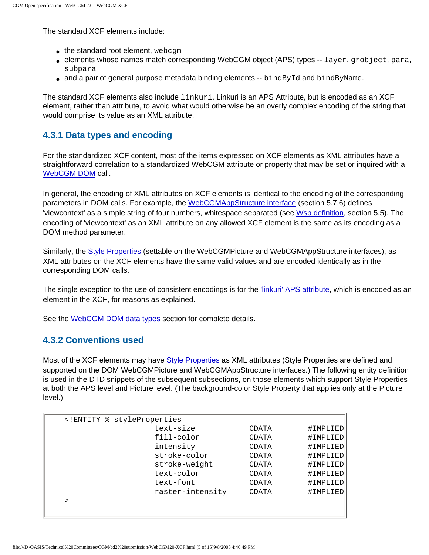The standard XCF elements include:

- $\bullet$  the standard root element, webcqm
- elements whose names match corresponding WebCGM object (APS) types -- layer, grobject, para, subpara
- $\bullet$  and a pair of general purpose metadata binding elements -- bindById and bindByName.

The standard XCF elements also include linkuri. Linkuri is an APS Attribute, but is encoded as an XCF element, rather than attribute, to avoid what would otherwise be an overly complex encoding of the string that would comprise its value as an XML attribute.

## <span id="page-61-0"></span>**4.3.1 Data types and encoding**

For the standardized XCF content, most of the items expressed on XCF elements as XML attributes have a straightforward correlation to a standardized WebCGM attribute or property that may be set or inquired with a [WebCGM DOM](#page-72-0) call.

In general, the encoding of XML attributes on XCF elements is identical to the encoding of the corresponding parameters in DOM calls. For example, the [WebCGMAppStructure interface](#page-96-0) (section 5.7.6) defines 'viewcontext' as a simple string of four numbers, whitespace separated (see [Wsp definition,](#page-78-0) section 5.5). The encoding of 'viewcontext' as an XML attribute on any allowed XCF element is the same as its encoding as a DOM method parameter.

Similarly, the [Style Properties](#page-94-0) (settable on the WebCGMPicture and WebCGMAppStructure interfaces), as XML attributes on the XCF elements have the same valid values and are encoded identically as in the corresponding DOM calls.

The single exception to the use of consistent encodings is for the ['linkuri' APS attribute](#page-66-0), which is encoded as an element in the XCF, for reasons as explained.

See the [WebCGM DOM data types](#page-78-0) section for complete details.

## <span id="page-61-1"></span>**4.3.2 Conventions used**

Most of the XCF elements may have [Style Properties](#page-94-0) as XML attributes (Style Properties are defined and supported on the DOM WebCGMPicture and WebCGMAppStructure interfaces.) The following entity definition is used in the DTD snippets of the subsequent subsections, on those elements which support Style Properties at both the APS level and Picture level. (The background-color Style Property that applies only at the Picture level.)

|   | ENTITY % styleProperties</td <td></td> <td></td> |       |          |
|---|--------------------------------------------------|-------|----------|
|   | text-size                                        | CDATA | #IMPLIED |
|   | fill-color                                       | CDATA | #IMPLIED |
|   | intensity                                        | CDATA | #IMPLIED |
|   | stroke-color                                     | CDATA | #IMPLIED |
|   | stroke-weight                                    | CDATA | #IMPLIED |
|   | text-color                                       | CDATA | #IMPLIED |
|   | text-font                                        | CDATA | #IMPLIED |
|   | raster-intensity                                 | CDATA | #IMPLIED |
| ↘ |                                                  |       |          |
|   |                                                  |       |          |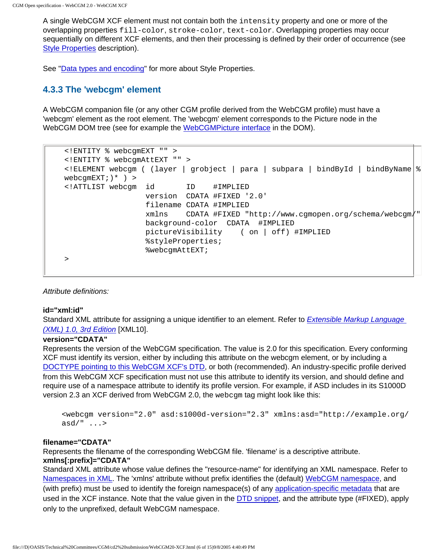A single WebCGM XCF element must not contain both the intensity property and one or more of the overlapping properties fill-color, stroke-color, text-color. Overlapping properties may occur sequentially on different XCF elements, and then their processing is defined by their order of occurrence (see [Style Properties](#page-94-0) description).

See ["Data types and encoding"](#page-61-0) for more about Style Properties.

# <span id="page-62-0"></span>**4.3.3 The 'webcgm' element**

A WebCGM companion file (or any other CGM profile derived from the WebCGM profile) must have a 'webcgm' element as the root element. The 'webcgm' element corresponds to the Picture node in the WebCGM DOM tree (see for example the [WebCGMPicture interface](#page-91-0) in the DOM).

```
<!ENTITY % webcgmEXT "" >
<!ENTITY % webcgmAttEXT "" >
<!ELEMENT webcgm ( (layer | grobject | para | subpara | bindById | bindByName %
webcqmEXT; \rightarrow \rightarrow<!ATTLIST webcgm id ID #IMPLIED
                   version CDATA #FIXED '2.0'
                   filename CDATA #IMPLIED
                   xmlns CDATA #FIXED "http://www.cgmopen.org/schema/webcgm/"
                   background-color CDATA #IMPLIED
                   pictureVisibility ( on | off) #IMPLIED
                   %styleProperties;
                   %webcgmAttEXT;
>
```
Attribute definitions:

### **id="xml:id"**

Standard XML attribute for assigning a unique identifier to an element. Refer to **[Extensible Markup Language](http://www.w3.org/TR/2004/REC-xml-20040204/)** [\(XML\) 1.0, 3rd Edition](http://www.w3.org/TR/2004/REC-xml-20040204/) [XML10].

#### **version="CDATA"**

Represents the version of the WebCGM specification. The value is 2.0 for this specification. Every conforming XCF must identify its version, either by including this attribute on the webcgm element, or by including a [DOCTYPE pointing to this WebCGM XCF's DTD](#page-60-0), or both (recommended). An industry-specific profile derived from this WebCGM XCF specification must not use this attribute to identify its version, and should define and require use of a namespace attribute to identify its profile version. For example, if ASD includes in its S1000D version 2.3 an XCF derived from WebCGM 2.0, the webcgm tag might look like this:

```
<webcgm version="2.0" asd:s1000d-version="2.3" xmlns:asd="http://example.org/
asd/" \dots
```
#### **filename="CDATA"**

Represents the filename of the corresponding WebCGM file. 'filename' is a descriptive attribute. **xmlns[:prefix]="CDATA"**

Standard XML attribute whose value defines the "resource-name" for identifying an XML namespace. Refer to [Namespaces in XML](http://www.w3.org/TR/REC-xml-names). The 'xmlns' attribute without prefix identifies the (default) [WebCGM namespace,](#page-60-0) and (with prefix) must be used to identify the foreign namespace(s) of any [application-specific metadata](#page-59-0) that are used in the XCF instance. Note that the value given in the [DTD snippet,](#page-62-1) and the attribute type (#FIXED), apply only to the unprefixed, default WebCGM namespace.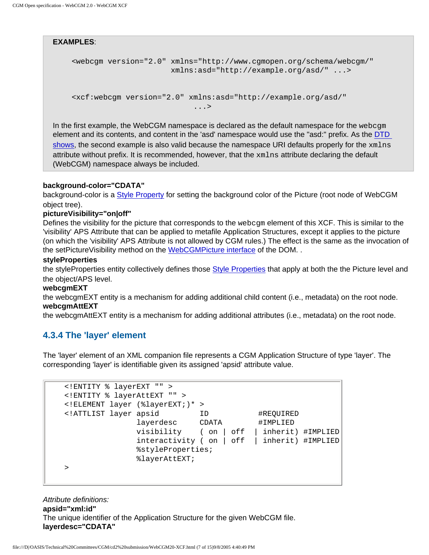#### **EXAMPLES**:

```
<webcgm version="2.0" xmlns="http://www.cgmopen.org/schema/webcgm/"
                       xmlns:asd="http://example.org/asd/" ...>
```

```
<xcf:webcgm version="2.0" xmlns:asd="http://example.org/asd/"
 ...>
```
In the first example, the WebCGM namespace is declared as the default namespace for the webcgm element and its contents, and content in the 'asd' namespace would use the "asd:" prefix. As the [DTD](#page-62-1)  [shows,](#page-62-1) the second example is also valid because the namespace URI defaults properly for the  $xmlns$ attribute without prefix. It is recommended, however, that the xmlns attribute declaring the default (WebCGM) namespace always be included.

#### **background-color="CDATA"**

background-color is a [Style Property](#page-94-0) for setting the background color of the Picture (root node of WebCGM object tree).

#### **pictureVisibility="on|off"**

Defines the visibility for the picture that corresponds to the webcgm element of this XCF. This is similar to the 'visibility' APS Attribute that can be applied to metafile Application Structures, except it applies to the picture (on which the 'visibility' APS Attribute is not allowed by CGM rules.) The effect is the same as the invocation of the setPictureVisibility method on the [WebCGMPicture interface](#page-91-0) of the DOM. .

#### **styleProperties**

the styleProperties entity collectively defines those [Style Properties](#page-94-0) that apply at both the the Picture level and the object/APS level.

#### **webcgmEXT**

the webcgmEXT entity is a mechanism for adding additional child content (i.e., metadata) on the root node. **webcgmAttEXT**

the webcgmAttEXT entity is a mechanism for adding additional attributes (i.e., metadata) on the root node.

## <span id="page-63-0"></span>**4.3.4 The 'layer' element**

The 'layer' element of an XML companion file represents a CGM Application Structure of type 'layer'. The corresponding 'layer' is identifiable given its assigned 'apsid' attribute value.

```
<!ENTITY % layerEXT "" >
<!ENTITY % layerAttEXT "" >
<!ELEMENT layer (%layerEXT;)* >
<!ATTLIST layer apsid ID #REQUIRED
               layerdesc CDATA #IMPLIED
               visibility ( on | off | inherit) #IMPLIED
               interactivity ( on | off | inherit) #IMPLIED
               %styleProperties;
               %layerAttEXT;
>
```
Attribute definitions: **apsid="xml:id"** The unique identifier of the Application Structure for the given WebCGM file. **layerdesc="CDATA"**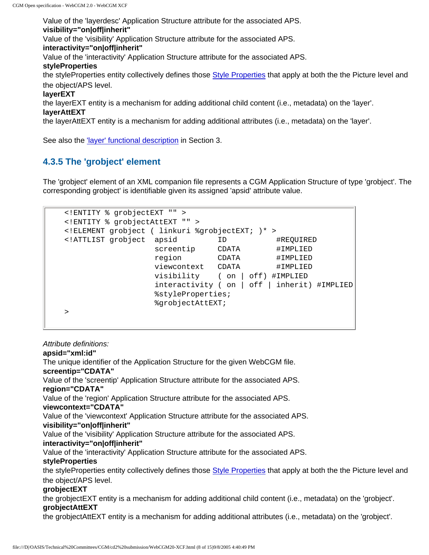Value of the 'layerdesc' Application Structure attribute for the associated APS. **visibility="on|off|inherit"** Value of the 'visibility' Application Structure attribute for the associated APS. **interactivity="on|off|inherit"** Value of the 'interactivity' Application Structure attribute for the associated APS. **styleProperties** the styleProperties entity collectively defines those [Style Properties](#page-94-0) that apply at both the the Picture level and the object/APS level. **layerEXT** the layerEXT entity is a mechanism for adding additional child content (i.e., metadata) on the 'layer'. **layerAttEXT** the layerAttEXT entity is a mechanism for adding additional attributes (i.e., metadata) on the 'layer'.

See also the ['layer' functional description](#page-43-0) in Section 3.

# <span id="page-64-0"></span>**4.3.5 The 'grobject' element**

The 'grobject' element of an XML companion file represents a CGM Application Structure of type 'grobject'. The corresponding grobject' is identifiable given its assigned 'apsid' attribute value.

```
<!ENTITY % grobjectEXT "" >
<!ENTITY % grobjectAttEXT "" >
<!ELEMENT grobject ( linkuri %grobjectEXT; )* >
<!ATTLIST grobject apsid ID #REQUIRED
 screentip CDATA #IMPLIED
                 region CDATA #IMPLIED
                 viewcontext CDATA #IMPLIED
                 visibility ( on | off) #IMPLIED
                 interactivity ( on | off | inherit) #IMPLIED
                 %styleProperties;
                 %grobjectAttEXT;
>
```
Attribute definitions:

#### **apsid="xml:id"**

The unique identifier of the Application Structure for the given WebCGM file. **screentip="CDATA"** Value of the 'screentip' Application Structure attribute for the associated APS. **region="CDATA"** Value of the 'region' Application Structure attribute for the associated APS. **viewcontext="CDATA"** Value of the 'viewcontext' Application Structure attribute for the associated APS. **visibility="on|off|inherit"** Value of the 'visibility' Application Structure attribute for the associated APS. **interactivity="on|off|inherit"** Value of the 'interactivity' Application Structure attribute for the associated APS. **styleProperties** the styleProperties entity collectively defines those [Style Properties](#page-94-0) that apply at both the the Picture level and the object/APS level. **grobjectEXT** the grobjectEXT entity is a mechanism for adding additional child content (i.e., metadata) on the 'grobject'. **grobjectAttEXT**

the grobjectAttEXT entity is a mechanism for adding additional attributes (i.e., metadata) on the 'grobject'.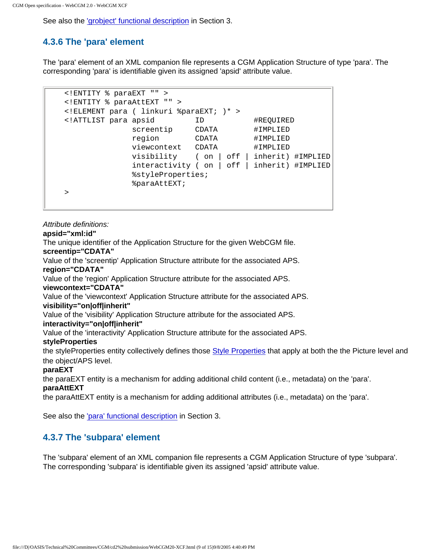CGM Open specification - WebCGM 2.0 - WebCGM XCF

See also the ['grobject' functional description](#page-42-0) in Section 3.

# <span id="page-65-0"></span>**4.3.6 The 'para' element**

The 'para' element of an XML companion file represents a CGM Application Structure of type 'para'. The corresponding 'para' is identifiable given its assigned 'apsid' attribute value.

```
<!ENTITY % paraEXT "" >
<!ENTITY % paraAttEXT "" >
<!ELEMENT para ( linkuri %paraEXT; )* >
<!ATTLIST para apsid ID #REQUIRED
             screentip CDATA #IMPLIED
              region CDATA #IMPLIED
              viewcontext CDATA #IMPLIED
              visibility ( on | off | inherit) #IMPLIED
              interactivity ( on | off | inherit) #IMPLIED
              %styleProperties;
              %paraAttEXT;
>
```
Attribute definitions:

**apsid="xml:id"**

The unique identifier of the Application Structure for the given WebCGM file.

**screentip="CDATA"**

Value of the 'screentip' Application Structure attribute for the associated APS.

**region="CDATA"**

Value of the 'region' Application Structure attribute for the associated APS.

#### **viewcontext="CDATA"**

Value of the 'viewcontext' Application Structure attribute for the associated APS.

### **visibility="on|off|inherit"**

Value of the 'visibility' Application Structure attribute for the associated APS.

## **interactivity="on|off|inherit"**

Value of the 'interactivity' Application Structure attribute for the associated APS.

### **styleProperties**

the styleProperties entity collectively defines those [Style Properties](#page-94-0) that apply at both the the Picture level and the object/APS level.

### **paraEXT**

the paraEXT entity is a mechanism for adding additional child content (i.e., metadata) on the 'para'.

### **paraAttEXT**

the paraAttEXT entity is a mechanism for adding additional attributes (i.e., metadata) on the 'para'.

See also the ['para' functional description](#page-44-0) in Section 3.

# <span id="page-65-1"></span>**4.3.7 The 'subpara' element**

The 'subpara' element of an XML companion file represents a CGM Application Structure of type 'subpara'. The corresponding 'subpara' is identifiable given its assigned 'apsid' attribute value.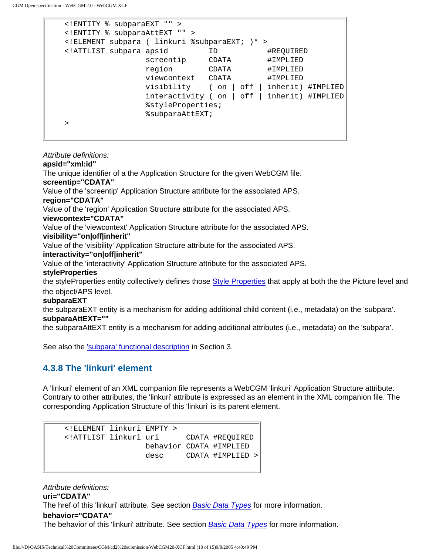```
<!ENTITY % subparaEXT "" >
<!ENTITY % subparaAttEXT "" >
<!ELEMENT subpara ( linkuri %subparaEXT; )* >
<!ATTLIST subpara apsid ID #REQUIRED
screentip CDATA #IMPLIED
 region CDATA #IMPLIED
              viewcontext CDATA #IMPLIED
               visibility ( on | off | inherit) #IMPLIED
               interactivity ( on | off | inherit) #IMPLIED
               %styleProperties;
               %subparaAttEXT;
>
```
Attribute definitions: **apsid="xml:id"** The unique identifier of a the Application Structure for the given WebCGM file. **screentip="CDATA"** Value of the 'screentip' Application Structure attribute for the associated APS. **region="CDATA"** Value of the 'region' Application Structure attribute for the associated APS. **viewcontext="CDATA"** Value of the 'viewcontext' Application Structure attribute for the associated APS. **visibility="on|off|inherit"** Value of the 'visibility' Application Structure attribute for the associated APS. **interactivity="on|off|inherit"** Value of the 'interactivity' Application Structure attribute for the associated APS. **styleProperties** the styleProperties entity collectively defines those [Style Properties](#page-94-0) that apply at both the the Picture level and the object/APS level. **subparaEXT** the subparaEXT entity is a mechanism for adding additional child content (i.e., metadata) on the 'subpara'. **subparaAttEXT=""**

the subparaAttEXT entity is a mechanism for adding additional attributes (i.e., metadata) on the 'subpara'.

See also the ['subpara' functional description](#page-44-1) in Section 3.

# <span id="page-66-0"></span>**4.3.8 The 'linkuri' element**

A 'linkuri' element of an XML companion file represents a WebCGM 'linkuri' Application Structure attribute. Contrary to other attributes, the 'linkuri' attribute is expressed as an element in the XML companion file. The corresponding Application Structure of this 'linkuri' is its parent element.

```
<!ELEMENT linkuri EMPTY >
<!ATTLIST linkuri uri CDATA #REQUIRED
                behavior CDATA #IMPLIED
                 desc CDATA #IMPLIED >
```
Attribute definitions: **uri="CDATA"** The href of this 'linkuri' attribute. See section *[Basic Data Types](#page-78-0)* for more information. **behavior="CDATA"** The behavior of this 'linkuri' attribute. See section *[Basic Data Types](#page-78-0)* for more information.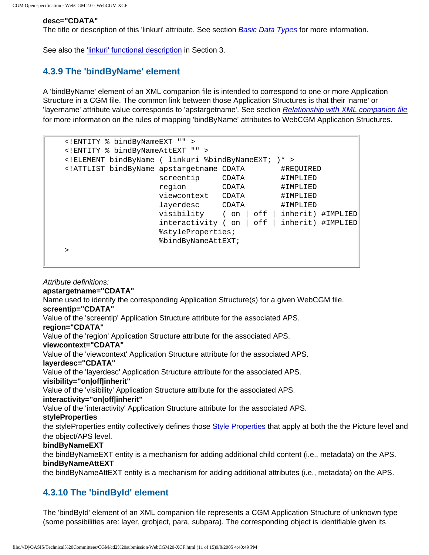#### **desc="CDATA"**

The title or description of this 'linkuri' attribute. See section **[Basic Data Types](#page-78-0)** for more information.

See also the ['linkuri' functional description](#page-47-0) in Section 3.

## <span id="page-67-0"></span>**4.3.9 The 'bindByName' element**

A 'bindByName' element of an XML companion file is intended to correspond to one or more Application Structure in a CGM file. The common link between those Application Structures is that their 'name' or 'layername' attribute value corresponds to 'apstargetname'. See section [Relationship with XML companion file](#page-73-0) for more information on the rules of mapping 'bindByName' attributes to WebCGM Application Structures.

```
<!ENTITY % bindByNameEXT "" >
<!ENTITY % bindByNameAttEXT "" >
<!ELEMENT bindByName ( linkuri %bindByNameEXT; )* >
<!ATTLIST bindByName apstargetname CDATA #REQUIRED
                 screentip CDATA #IMPLIED
                 region CDATA #IMPLIED
 viewcontext CDATA #IMPLIED
 layerdesc CDATA #IMPLIED
                  visibility ( on | off | inherit) #IMPLIED
                  interactivity ( on | off | inherit) #IMPLIED
                  %styleProperties;
                  %bindByNameAttEXT;
>
```
Attribute definitions:

#### **apstargetname="CDATA"**

Name used to identify the corresponding Application Structure(s) for a given WebCGM file.

## **screentip="CDATA"**

Value of the 'screentip' Application Structure attribute for the associated APS.

#### **region="CDATA"**

Value of the 'region' Application Structure attribute for the associated APS.

#### **viewcontext="CDATA"**

Value of the 'viewcontext' Application Structure attribute for the associated APS.

### **layerdesc="CDATA"**

Value of the 'layerdesc' Application Structure attribute for the associated APS.

#### **visibility="on|off|inherit"**

Value of the 'visibility' Application Structure attribute for the associated APS.

#### **interactivity="on|off|inherit"**

Value of the 'interactivity' Application Structure attribute for the associated APS.

#### **styleProperties**

the styleProperties entity collectively defines those [Style Properties](#page-94-0) that apply at both the the Picture level and the object/APS level.

#### **bindByNameEXT**

the bindByNameEXT entity is a mechanism for adding additional child content (i.e., metadata) on the APS. **bindByNameAttEXT**

the bindByNameAttEXT entity is a mechanism for adding additional attributes (i.e., metadata) on the APS.

## <span id="page-67-1"></span>**4.3.10 The 'bindById' element**

The 'bindById' element of an XML companion file represents a CGM Application Structure of unknown type (some possibilities are: layer, grobject, para, subpara). The corresponding object is identifiable given its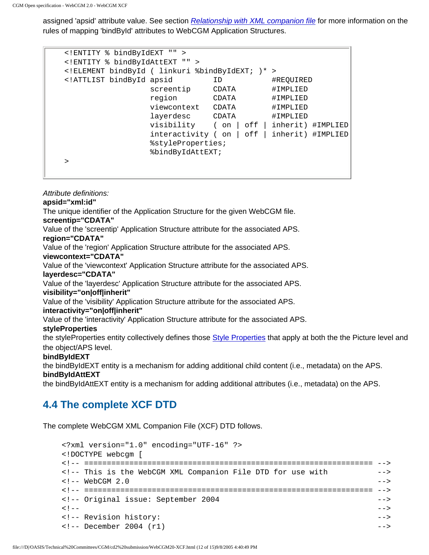Attribute definitions:

assigned 'apsid' attribute value. See section [Relationship with XML companion file](#page-73-0) for more information on the rules of mapping 'bindById' attributes to WebCGM Application Structures.

```
<!ENTITY % bindByIdEXT "" >
<!ENTITY % bindByIdAttEXT "" >
<!ELEMENT bindById ( linkuri %bindByIdEXT; )* >
<!ATTLIST bindById apsid ID #REQUIRED
                screentip CDATA #IMPLIED
                 region CDATA #IMPLIED
                 viewcontext CDATA #IMPLIED
                 layerdesc CDATA #IMPLIED
                 visibility ( on | off | inherit) #IMPLIED
                 interactivity ( on | off | inherit) #IMPLIED
                 %styleProperties;
                 %bindByIdAttEXT;
>
```
**apsid="xml:id"** The unique identifier of the Application Structure for the given WebCGM file. **screentip="CDATA"** Value of the 'screentip' Application Structure attribute for the associated APS. **region="CDATA"** Value of the 'region' Application Structure attribute for the associated APS. **viewcontext="CDATA"** Value of the 'viewcontext' Application Structure attribute for the associated APS. **layerdesc="CDATA"** Value of the 'layerdesc' Application Structure attribute for the associated APS. **visibility="on|off|inherit"** Value of the 'visibility' Application Structure attribute for the associated APS. **interactivity="on|off|inherit"** Value of the 'interactivity' Application Structure attribute for the associated APS. **styleProperties** the styleProperties entity collectively defines those [Style Properties](#page-94-0) that apply at both the the Picture level and the object/APS level. **bindByIdEXT** the bindByIdEXT entity is a mechanism for adding additional child content (i.e., metadata) on the APS. **bindByIdAttEXT**

the bindByIdAttEXT entity is a mechanism for adding additional attributes (i.e., metadata) on the APS.

# <span id="page-68-0"></span>**4.4 The complete XCF DTD**

The complete WebCGM XML Companion File (XCF) DTD follows.

```
<?xml version="1.0" encoding="UTF-16" ?>
<!DOCTYPE webcgm [
<!-- ================================================================ -->
<!-- This is the WebCGM XML Companion File DTD for use with -->
\leq ! -- WebCGM 2.0
<!-- ================================================================ -->
<!-- Original issue: September 2004 -->
\langle | - - | - - |<!-- Revision history: -->
<!-- December 2004 (r1) -->
```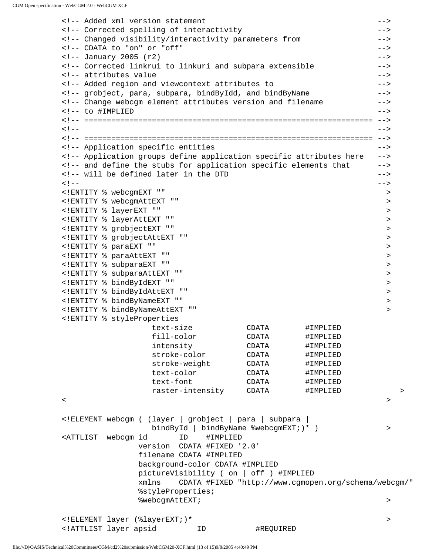<!-- Added xml version statement --> <!-- Corrected spelling of interactivity --> <!-- Changed visibility/interactivity parameters from --> <!-- CDATA to "on" or "off" --> <!-- January 2005 (r2) --> <!-- Corrected linkrui to linkuri and subpara extensible --> <!-- attributes value --> <!-- Added region and viewcontext attributes to --> <!-- grobject, para, subpara, bindByIdd, and bindByName --> <!-- Change webcgm element attributes version and filename --> <!-- to #IMPLIED ---<!-- ================================================================ --> <!-- --> <!-- ================================================================ --> <!-- Application specific entities --> <!-- Application groups define application specific attributes here --> <!-- and define the stubs for application specific elements that --> <!-- will be defined later in the DTD  $-$ <!-- --> <!ENTITY % webcgmEXT "" > <!ENTITY % webcgmAttEXT "" > <!ENTITY % layerEXT "" > <!ENTITY % layerAttEXT "" > <!ENTITY % grobjectEXT "" > <!ENTITY % grobjectAttEXT "" > <!ENTITY % paraEXT "" > <!ENTITY % paraAttEXT "" > <!ENTITY % subparaEXT "" > <!ENTITY % subparaAttEXT "" > <!ENTITY % bindByIdEXT "" > <!ENTITY % bindByIdAttEXT "" > <!ENTITY % bindByNameEXT "" > <!ENTITY % bindByNameAttEXT "" > <!ENTITY % styleProperties text-size CDATA #IMPLIED fill-color CDATA #IMPLIED intensity CDATA #IMPLIED stroke-color CDATA #IMPLIED stroke-weight CDATA #IMPLIED text-color CDATA #IMPLIED text-font CDATA #IMPLIED raster-intensity CDATA #IMPLIED > < > <!ELEMENT webcgm ( (layer | grobject | para | subpara | bindById | bindByName %webcgmEXT; )\* ) > > <ATTLIST webcgm id ID #IMPLIED version CDATA #FIXED '2.0' filename CDATA #IMPLIED background-color CDATA #IMPLIED pictureVisibility ( on | off ) #IMPLIED xmlns CDATA #FIXED "http://www.cgmopen.org/schema/webcgm/" %styleProperties; %webcgmAttEXT; > <!ELEMENT layer (%layerEXT;)\* > <!ATTLIST layer apsid ID #REQUIRED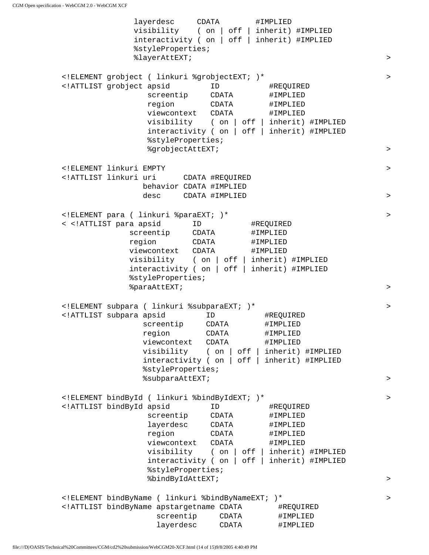layerdesc CDATA #IMPLIED visibility ( on | off | inherit) #IMPLIED interactivity ( on | off | inherit) #IMPLIED %styleProperties; %layerAttEXT; > <!ELEMENT grobject ( linkuri %grobjectEXT; )\* > <!ATTLIST grobject apsid ID #REQUIRED screentip CDATA #IMPLIED region CDATA #IMPLIED viewcontext CDATA #IMPLIED visibility ( on | off | inherit) #IMPLIED interactivity ( on | off | inherit) #IMPLIED %styleProperties; %grobjectAttEXT; > <!ELEMENT linkuri EMPTY > <!ATTLIST linkuri uri CDATA #REQUIRED behavior CDATA #IMPLIED desc CDATA #IMPLIED > <!ELEMENT para ( linkuri %paraEXT; )\* > < <!ATTLIST para apsid ID #REQUIRED screentip CDATA #IMPLIED region CDATA #IMPLIED viewcontext CDATA #IMPLIED visibility ( on | off | inherit) #IMPLIED interactivity ( on | off | inherit) #IMPLIED %styleProperties; %paraAttEXT;  $\rightarrow$ <!ELEMENT subpara ( linkuri %subparaEXT; )\* > <!ATTLIST subpara apsid ID #REQUIRED screentip CDATA #IMPLIED region CDATA #IMPLIED viewcontext CDATA #IMPLIED visibility ( on | off | inherit) #IMPLIED interactivity ( on | off | inherit) #IMPLIED %styleProperties; %subparaAttEXT; > <!ELEMENT bindById ( linkuri %bindByIdEXT; )\* > <!ATTLIST bindById apsid ID #REQUIRED screentip CDATA #IMPLIED layerdesc CDATA #IMPLIED region CDATA #IMPLIED viewcontext CDATA #IMPLIED visibility ( on | off | inherit) #IMPLIED interactivity ( on | off | inherit) #IMPLIED %styleProperties; %bindByIdAttEXT; > <!ELEMENT bindByName ( linkuri %bindByNameEXT; )\* > <!ATTLIST bindByName apstargetname CDATA #REQUIRED screentip CDATA #IMPLIED layerdesc CDATA #IMPLIED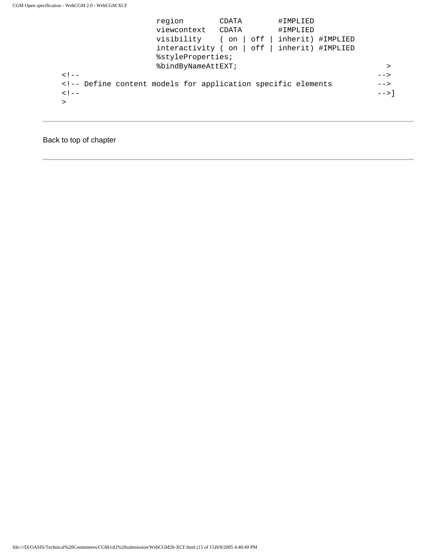| region                                                                                     | CDATA       | #IMPLIED          |                |
|--------------------------------------------------------------------------------------------|-------------|-------------------|----------------|
| viewcontext CDATA                                                                          |             | #IMPLIED          |                |
| visibility                                                                                 | off<br>( on | inherit) #IMPLIED |                |
| interactivity (on $ $ off $ $                                                              |             | inherit) #IMPLIED |                |
| %styleProperties;                                                                          |             |                   |                |
| %bindByNameAttEXT;                                                                         |             |                   | ⋗              |
| $<$ ! $-$                                                                                  |             |                   | $--$           |
| <!-- Define content models for application specific elements</td> <td><math>--</math></td> |             |                   | $--$           |
| $<$ ! $-$                                                                                  |             |                   | $--$ > $\vert$ |
|                                                                                            |             |                   |                |
|                                                                                            |             |                   |                |

# Back to top of chapter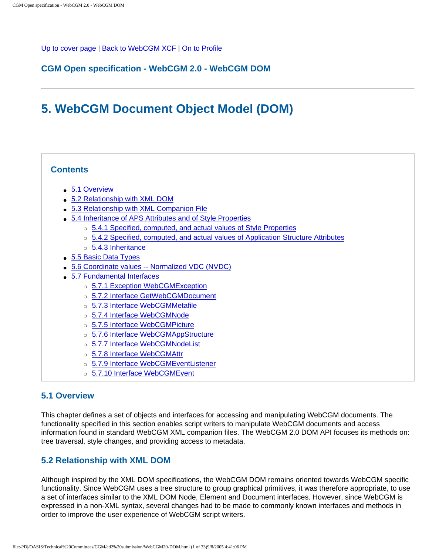<span id="page-72-4"></span><span id="page-72-3"></span><span id="page-72-2"></span>[Up to cover page](#page-0-0) | [Back to WebCGM XCF](#page-57-0) | [On to Profile](#page-105-0)

## **CGM Open specification - WebCGM 2.0 - WebCGM DOM**

# **5. WebCGM Document Object Model (DOM)**

## **Contents**

- [5.1 Overview](#page-72-0)
- [5.2 Relationship with XML DOM](#page-72-1)
- [5.3 Relationship with XML Companion File](#page-73-0)
- [5.4 Inheritance of APS Attributes and of Style Properties](#page-76-0)
	- ❍ [5.4.1 Specified, computed, and actual values of Style Properties](#page-76-1)
	- ❍ [5.4.2 Specified, computed, and actual values of Application Structure Attributes](#page-77-0)
	- ❍ [5.4.3 Inheritance](#page-78-0)
- [5.5 Basic Data Types](#page-78-1)
- [5.6 Coordinate values -- Normalized VDC \(NVDC\)](#page-80-0)
- [5.7 Fundamental Interfaces](#page-81-0)
	- ❍ [5.7.1 Exception WebCGMException](#page-82-0)
	- ❍ [5.7.2 Interface GetWebCGMDocument](#page-83-0)
	- ❍ [5.7.3 Interface WebCGMMetafile](#page-84-0)
	- o [5.7.4 Interface WebCGMNode](#page-86-0)
	- o [5.7.5 Interface WebCGMPicture](#page-91-0)
	- o [5.7.6 Interface WebCGMAppStructure](#page-96-0)
	- o [5.7.7 Interface WebCGMNodeList](#page-99-0)
	- o [5.7.8 Interface WebCGMAttr](#page-100-0)
	- ❍ [5.7.9 Interface WebCGMEventListener](#page-101-0)
	- o [5.7.10 Interface WebCGMEvent](#page-101-1)

## <span id="page-72-0"></span>**5.1 Overview**

This chapter defines a set of objects and interfaces for accessing and manipulating WebCGM documents. The functionality specified in this section enables script writers to manipulate WebCGM documents and access information found in standard WebCGM XML companion files. The WebCGM 2.0 DOM API focuses its methods on: tree traversal, style changes, and providing access to metadata.

## <span id="page-72-1"></span>**5.2 Relationship with XML DOM**

Although inspired by the XML DOM specifications, the WebCGM DOM remains oriented towards WebCGM specific functionality. Since WebCGM uses a tree structure to group graphical primitives, it was therefore appropriate, to use a set of interfaces similar to the XML DOM Node, Element and Document interfaces. However, since WebCGM is expressed in a non-XML syntax, several changes had to be made to commonly known interfaces and methods in order to improve the user experience of WebCGM script writers.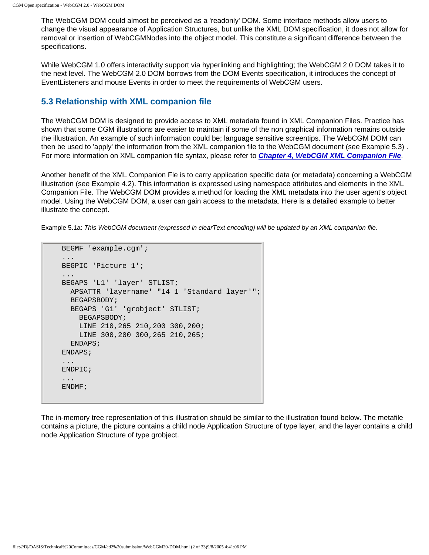The WebCGM DOM could almost be perceived as a 'readonly' DOM. Some interface methods allow users to change the visual appearance of Application Structures, but unlike the XML DOM specification, it does not allow for removal or insertion of WebCGMNodes into the object model. This constitute a significant difference between the specifications.

While WebCGM 1.0 offers interactivity support via hyperlinking and highlighting; the WebCGM 2.0 DOM takes it to the next level. The WebCGM 2.0 DOM borrows from the DOM Events specification, it introduces the concept of EventListeners and mouse Events in order to meet the requirements of WebCGM users.

## <span id="page-73-0"></span>**5.3 Relationship with XML companion file**

The WebCGM DOM is designed to provide access to XML metadata found in XML Companion Files. Practice has shown that some CGM illustrations are easier to maintain if some of the non graphical information remains outside the illustration. An example of such information could be; language sensitive screentips. The WebCGM DOM can then be used to 'apply' the information from the XML companion file to the WebCGM document (see Example 5.3) . For more information on XML companion file syntax, please refer to **[Chapter 4, WebCGM XML Companion File](#page-57-0)**.

Another benefit of the XML Companion Fle is to carry application specific data (or metadata) concerning a WebCGM illustration (see Example 4.2). This information is expressed using namespace attributes and elements in the XML Companion File. The WebCGM DOM provides a method for loading the XML metadata into the user agent's object model. Using the WebCGM DOM, a user can gain access to the metadata. Here is a detailed example to better illustrate the concept.

Example 5.1a: This WebCGM document (expressed in clearText encoding) will be updated by an XML companion file.

```
BEGMF 'example.cgm';
...
BEGPIC 'Picture 1';
...
BEGAPS 'L1' 'layer' STLIST;
  APSATTR 'layername' "14 1 'Standard layer'";
  BEGAPSBODY;
  BEGAPS 'G1' 'grobject' STLIST;
    BEGAPSBODY;
    LINE 210,265 210,200 300,200;
    LINE 300,200 300,265 210,265;
   ENDAPS;
ENDAPS;
...
ENDPIC;
...
ENDMF;
```
The in-memory tree representation of this illustration should be similar to the illustration found below. The metafile contains a picture, the picture contains a child node Application Structure of type layer, and the layer contains a child node Application Structure of type grobject.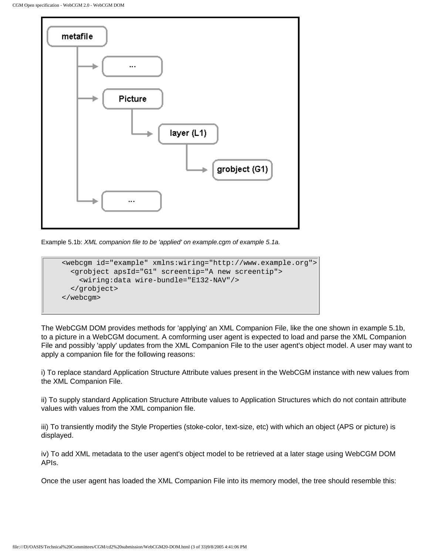

Example 5.1b: XML companion file to be 'applied' on example.cgm of example 5.1a.

```
<webcgm id="example" xmlns:wiring="http://www.example.org">
   <grobject apsId="G1" screentip="A new screentip">
     <wiring:data wire-bundle="E132-NAV"/>
   </grobject>
</webcgm>
```
The WebCGM DOM provides methods for 'applying' an XML Companion File, like the one shown in example 5.1b, to a picture in a WebCGM document. A comforming user agent is expected to load and parse the XML Companion File and possibly 'apply' updates from the XML Companion File to the user agent's object model. A user may want to apply a companion file for the following reasons:

i) To replace standard Application Structure Attribute values present in the WebCGM instance with new values from the XML Companion File.

ii) To supply standard Application Structure Attribute values to Application Structures which do not contain attribute values with values from the XML companion file.

iii) To transiently modify the Style Properties (stoke-color, text-size, etc) with which an object (APS or picture) is displayed.

iv) To add XML metadata to the user agent's object model to be retrieved at a later stage using WebCGM DOM APIs.

Once the user agent has loaded the XML Companion File into its memory model, the tree should resemble this: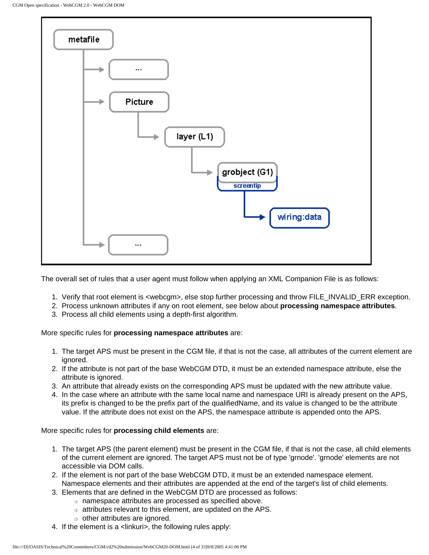

The overall set of rules that a user agent must follow when applying an XML Companion File is as follows:

- 1. Verify that root element is <webcgm>, else stop further processing and throw FILE\_INVALID\_ERR exception.
- 2. Process unknown attributes if any on root element, see below about **processing namespace attributes**.
- 3. Process all child elements using a depth-first algorithm.

More specific rules for **processing namespace attributes** are:

- 1. The target APS must be present in the CGM file, if that is not the case, all attributes of the current element are ignored.
- 2. If the attribute is not part of the base WebCGM DTD, it must be an extended namespace attribute, else the attribute is ignored.
- 3. An attribute that already exists on the corresponding APS must be updated with the new attribute value.
- 4. In the case where an attribute with the same local name and namespace URI is already present on the APS, its prefix is changed to be the prefix part of the qualifiedName, and its value is changed to be the attribute value. If the attribute does not exist on the APS, the namespace attribute is appended onto the APS.

More specific rules for **processing child elements** are:

- 1. The target APS (the parent element) must be present in the CGM file, if that is not the case, all child elements of the current element are ignored. The target APS must not be of type 'grnode'. 'grnode' elements are not accessible via DOM calls.
- 2. If the element is not part of the base WebCGM DTD, it must be an extended namespace element. Namespace elements and their attributes are appended at the end of the target's list of child elements.
- 3. Elements that are defined in the WebCGM DTD are processed as follows:
	- ❍ namespace attributes are processed as specified above.
	- ❍ attributes relevant to this element, are updated on the APS.
	- ❍ other attributes are ignored.
- 4. If the element is a <linkuri>, the following rules apply: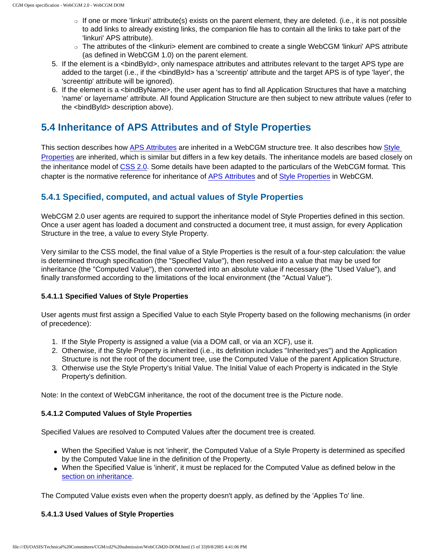- $\circ$  If one or more 'linkuri' attribute(s) exists on the parent element, they are deleted. (i.e., it is not possible to add links to already existing links, the companion file has to contain all the links to take part of the 'linkuri' APS attribute).
- ❍ The attributes of the <linkuri> element are combined to create a single WebCGM 'linkuri' APS attribute (as defined in WebCGM 1.0) on the parent element.
- 5. If the element is a <bindById>, only namespace attributes and attributes relevant to the target APS type are added to the target (i.e., if the <bindById> has a 'screentip' attribute and the target APS is of type 'layer', the 'screentip' attribute will be ignored).
- 6. If the element is a <bindByName>, the user agent has to find all Application Structures that have a matching 'name' or layername' attribute. All found Application Structure are then subject to new attribute values (refer to the <bindById> description above).

## <span id="page-76-0"></span>**5.4 Inheritance of APS Attributes and of Style Properties**

This section describes how [APS Attributes](#page-96-1) are inherited in a WebCGM structure tree. It also describes how [Style](#page-94-0)  [Properties](#page-94-0) are inherited, which is similar but differs in a few key details. The inheritance models are based closely on the inheritance model of [CSS 2.0.](http://www.w3.org/TR/CSS2/) Some details have been adapted to the particulars of the WebCGM format. This chapter is the normative reference for inheritance of [APS Attributes](#page-96-1) and of [Style Properties](#page-94-0) in WebCGM.

## <span id="page-76-1"></span>**5.4.1 Specified, computed, and actual values of Style Properties**

WebCGM 2.0 user agents are required to support the inheritance model of Style Properties defined in this section. Once a user agent has loaded a document and constructed a document tree, it must assign, for every Application Structure in the tree, a value to every Style Property.

Very similar to the CSS model, the final value of a Style Properties is the result of a four-step calculation: the value is determined through specification (the "Specified Value"), then resolved into a value that may be used for inheritance (the "Computed Value"), then converted into an absolute value if necessary (the "Used Value"), and finally transformed according to the limitations of the local environment (the "Actual Value").

#### **5.4.1.1 Specified Values of Style Properties**

User agents must first assign a Specified Value to each Style Property based on the following mechanisms (in order of precedence):

- 1. If the Style Property is assigned a value (via a DOM call, or via an XCF), use it.
- 2. Otherwise, if the Style Property is inherited (i.e., its definition includes "Inherited:yes") and the Application Structure is not the root of the document tree, use the Computed Value of the parent Application Structure.
- 3. Otherwise use the Style Property's Initial Value. The Initial Value of each Property is indicated in the Style Property's definition.

Note: In the context of WebCGM inheritance, the root of the document tree is the Picture node.

#### **5.4.1.2 Computed Values of Style Properties**

Specified Values are resolved to Computed Values after the document tree is created.

- When the Specified Value is not 'inherit', the Computed Value of a Style Property is determined as specified by the Computed Value line in the definition of the Property.
- When the Specified Value is 'inherit', it must be replaced for the Computed Value as defined below in the [section on inheritance](#page-78-0).

The Computed Value exists even when the property doesn't apply, as defined by the 'Applies To' line.

#### **5.4.1.3 Used Values of Style Properties**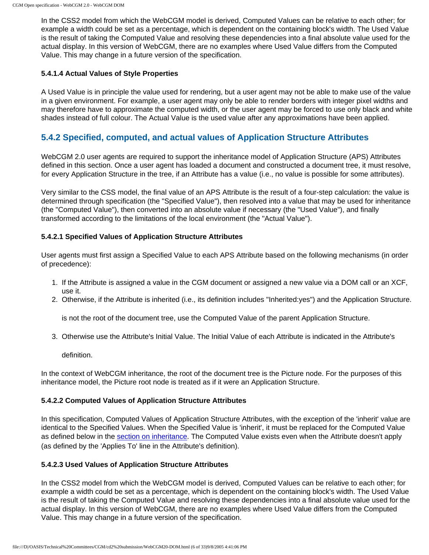In the CSS2 model from which the WebCGM model is derived, Computed Values can be relative to each other; for example a width could be set as a percentage, which is dependent on the containing block's width. The Used Value is the result of taking the Computed Value and resolving these dependencies into a final absolute value used for the actual display. In this version of WebCGM, there are no examples where Used Value differs from the Computed Value. This may change in a future version of the specification.

#### **5.4.1.4 Actual Values of Style Properties**

A Used Value is in principle the value used for rendering, but a user agent may not be able to make use of the value in a given environment. For example, a user agent may only be able to render borders with integer pixel widths and may therefore have to approximate the computed width, or the user agent may be forced to use only black and white shades instead of full colour. The Actual Value is the used value after any approximations have been applied.

## <span id="page-77-0"></span>**5.4.2 Specified, computed, and actual values of Application Structure Attributes**

WebCGM 2.0 user agents are required to support the inheritance model of Application Structure (APS) Attributes defined in this section. Once a user agent has loaded a document and constructed a document tree, it must resolve, for every Application Structure in the tree, if an Attribute has a value (i.e., no value is possible for some attributes).

Very similar to the CSS model, the final value of an APS Attribute is the result of a four-step calculation: the value is determined through specification (the "Specified Value"), then resolved into a value that may be used for inheritance (the "Computed Value"), then converted into an absolute value if necessary (the "Used Value"), and finally transformed according to the limitations of the local environment (the "Actual Value").

#### **5.4.2.1 Specified Values of Application Structure Attributes**

User agents must first assign a Specified Value to each APS Attribute based on the following mechanisms (in order of precedence):

- 1. If the Attribute is assigned a value in the CGM document or assigned a new value via a DOM call or an XCF, use it.
- 2. Otherwise, if the Attribute is inherited (i.e., its definition includes "Inherited:yes") and the Application Structure.

is not the root of the document tree, use the Computed Value of the parent Application Structure.

3. Otherwise use the Attribute's Initial Value. The Initial Value of each Attribute is indicated in the Attribute's

definition.

In the context of WebCGM inheritance, the root of the document tree is the Picture node. For the purposes of this inheritance model, the Picture root node is treated as if it were an Application Structure.

#### **5.4.2.2 Computed Values of Application Structure Attributes**

In this specification, Computed Values of Application Structure Attributes, with the exception of the 'inherit' value are identical to the Specified Values. When the Specified Value is 'inherit', it must be replaced for the Computed Value as defined below in the [section on inheritance](#page-78-0). The Computed Value exists even when the Attribute doesn't apply (as defined by the 'Applies To' line in the Attribute's definition).

#### **5.4.2.3 Used Values of Application Structure Attributes**

In the CSS2 model from which the WebCGM model is derived, Computed Values can be relative to each other; for example a width could be set as a percentage, which is dependent on the containing block's width. The Used Value is the result of taking the Computed Value and resolving these dependencies into a final absolute value used for the actual display. In this version of WebCGM, there are no examples where Used Value differs from the Computed Value. This may change in a future version of the specification.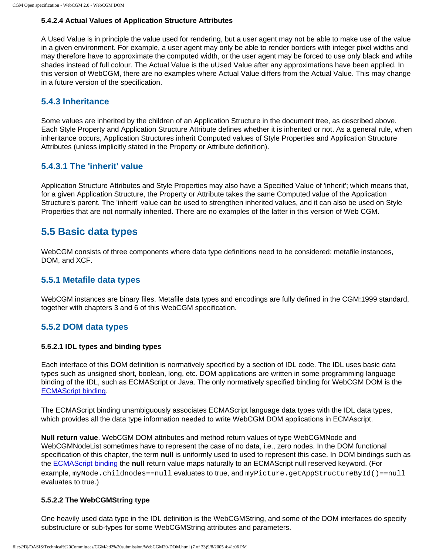#### **5.4.2.4 Actual Values of Application Structure Attributes**

A Used Value is in principle the value used for rendering, but a user agent may not be able to make use of the value in a given environment. For example, a user agent may only be able to render borders with integer pixel widths and may therefore have to approximate the computed width, or the user agent may be forced to use only black and white shades instead of full colour. The Actual Value is the uUsed Value after any approximations have been applied. In this version of WebCGM, there are no examples where Actual Value differs from the Actual Value. This may change in a future version of the specification.

## <span id="page-78-0"></span>**5.4.3 Inheritance**

Some values are inherited by the children of an Application Structure in the document tree, as described above. Each Style Property and Application Structure Attribute defines whether it is inherited or not. As a general rule, when inheritance occurs, Application Structures inherit Computed values of Style Properties and Application Structure Attributes (unless implicitly stated in the Property or Attribute definition).

## **5.4.3.1 The 'inherit' value**

Application Structure Attributes and Style Properties may also have a Specified Value of 'inherit'; which means that, for a given Application Structure, the Property or Attribute takes the same Computed value of the Application Structure's parent. The 'inherit' value can be used to strengthen inherited values, and it can also be used on Style Properties that are not normally inherited. There are no examples of the latter in this version of Web CGM.

## <span id="page-78-1"></span>**5.5 Basic data types**

WebCGM consists of three components where data type definitions need to be considered: metafile instances, DOM, and XCF.

## **5.5.1 Metafile data types**

WebCGM instances are binary files. Metafile data types and encodings are fully defined in the CGM:1999 standard, together with chapters 3 and 6 of this WebCGM specification.

## **5.5.2 DOM data types**

#### **5.5.2.1 IDL types and binding types**

Each interface of this DOM definition is normatively specified by a section of IDL code. The IDL uses basic data types such as unsigned short, boolean, long, etc. DOM applications are written in some programming language binding of the IDL, such as ECMAScript or Java. The only normatively specified binding for WebCGM DOM is the [ECMAScript binding.](#page-232-0)

The ECMAScript binding unambiguously associates ECMAScript language data types with the IDL data types, which provides all the data type information needed to write WebCGM DOM applications in ECMAscript.

<span id="page-78-3"></span>**Null return value**. WebCGM DOM attributes and method return values of type WebCGMNode and WebCGMNodeList sometimes have to represent the case of no data, i.e., zero nodes. In the DOM functional specification of this chapter, the term **null** is uniformly used to used to represent this case. In DOM bindings such as the [ECMAScript binding](#page-232-0) the **null** return value maps naturally to an ECMAScript null reserved keyword. (For example, myNode.childnodes==null evaluates to true, and myPicture.getAppStructureById()==null evaluates to true.)

#### <span id="page-78-2"></span>**5.5.2.2 The WebCGMString type**

One heavily used data type in the IDL definition is the WebCGMString, and some of the DOM interfaces do specify substructure or sub-types for some WebCGMString attributes and parameters.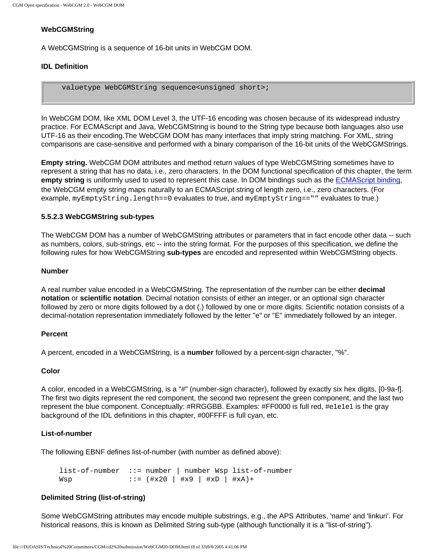### **WebCGMString**

A WebCGMString is a sequence of 16-bit units in WebCGM DOM.

#### **IDL Definition**

valuetype WebCGMString sequence<unsigned short>;

In WebCGM DOM, like XML DOM Level 3, the UTF-16 encoding was chosen because of its widespread industry practice. For ECMAScript and Java, WebCGMString is bound to the String type because both languages also use UTF-16 as their encoding.The WebCGM DOM has many interfaces that imply string matching. For XML, string comparisons are case-sensitive and performed with a binary comparison of the 16-bit units of the WebCGMStrings.

<span id="page-79-1"></span>**Empty string.** WebCGM DOM attributes and method return values of type WebCGMString sometimes have to represent a string that has no data, i.e., zero characters. In the DOM functional specification of this chapter, the term empty string is uniformly used to used to represent this case. In DOM bindings such as the **ECMAScript binding**, the WebCGM empty string maps naturally to an ECMAScript string of length zero, i.e., zero characters. (For example, myEmptyString.length==0 evaluates to true, and myEmptyString=="" evaluates to true.)

#### <span id="page-79-0"></span>**5.5.2.3 WebCGMString sub-types**

The WebCGM DOM has a number of WebCGMString attributes or parameters that in fact encode other data -- such as numbers, colors, sub-strings, etc -- into the string format. For the purposes of this specification, we define the following rules for how WebCGMString **sub-types** are encoded and represented within WebCGMString objects.

#### **Number**

A real number value encoded in a WebCGMString. The representation of the number can be either **decimal notation** or **scientific notation**. Decimal notation consists of either an integer, or an optional sign character followed by zero or more digits followed by a dot (.) followed by one or more digits. Scientific notation consists of a decimal-notation representation immediately followed by the letter "e" or "E" immediately followed by an integer.

#### **Percent**

A percent, encoded in a WebCGMString, is a **number** followed by a percent-sign character, "%".

#### **Color**

A color, encoded in a WebCGMString, is a "#" (number-sign character), followed by exactly six hex digits, [0-9a-f]. The first two digits represent the red component, the second two represent the green component, and the last two represent the blue component. Conceptually: #RRGGBB. Examples: #FF0000 is full red, #e1e1e1 is the gray background of the IDL definitions in this chapter, #00FFFF is full cyan, etc.

#### **List-of-number**

The following EBNF defines list-of-number (with number as defined above):

list-of-number ::= number | number Wsp list-of-number  $Wsp$  ::= (#x20 | #x9 | #xD | #xA)+

#### **Delimited String (list-of-string)**

Some WebCGMString attributes may encode multiple substrings, e.g., the APS Attributes, 'name' and 'linkuri'. For historical reasons, this is known as Delimited String sub-type (although functionally it is a "list-of-string").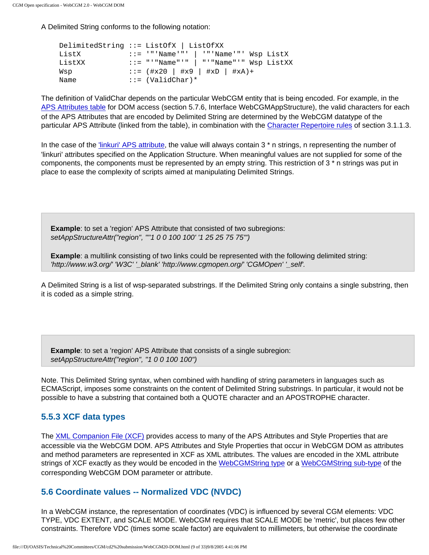A Delimited String conforms to the following notation:

| DelimitedString ::= ListOfX   ListOfXX |                                           |  |  |
|----------------------------------------|-------------------------------------------|--|--|
| ListX                                  | $::=$ '"'Name'"'   '"'Name'"' Wsp ListX   |  |  |
| ListXX                                 | ::= "'"Name"'"   "'"Name"'" Wsp ListXX    |  |  |
| Wsp                                    | $\therefore$ = (#x20   #x9   #xD   #xA) + |  |  |
| Name                                   | $::=$ (ValidChar)*                        |  |  |

The definition of ValidChar depends on the particular WebCGM entity that is being encoded. For example, in the [APS Attributes table](#page-96-1) for DOM access (section 5.7.6, Interface WebCGMAppStructure), the valid characters for each of the APS Attributes that are encoded by Delimited String are determined by the WebCGM datatype of the particular APS Attribute (linked from the table), in combination with the [Character Repertoire rules](#page-28-0) of section 3.1.1.3.

In the case of the ['linkuri' APS attribute](#page-47-0), the value will always contain 3 \* n strings, n representing the number of 'linkuri' attributes specified on the Application Structure. When meaningful values are not supplied for some of the components, the components must be represented by an empty string. This restriction of 3 \* n strings was put in place to ease the complexity of scripts aimed at manipulating Delimited Strings.

**Example:** to set a 'region' APS Attribute that consisted of two subregions: setAppStructureAttr("region", "''1 0 0 100 100' '1 25 25 75 75'")

**Example**: a multilink consisting of two links could be represented with the following delimited string: 'http://www.w3.org/' 'W3C' '\_blank' 'http://www.cgmopen.org/' 'CGMOpen' '\_self'.

A Delimited String is a list of wsp-separated substrings. If the Delimited String only contains a single substring, then it is coded as a simple string.

**Example**: to set a 'region' APS Attribute that consists of a single subregion: setAppStructureAttr("region", "1 0 0 100 100")

Note. This Delimited String syntax, when combined with handling of string parameters in languages such as ECMAScript, imposes some constraints on the content of Delimited String substrings. In particular, it would not be possible to have a substring that contained both a QUOTE character and an APOSTROPHE character.

## **5.5.3 XCF data types**

The [XML Companion File \(XCF\)](#page-57-0) provides access to many of the APS Attributes and Style Properties that are accessible via the WebCGM DOM. APS Attributes and Style Properties that occur in WebCGM DOM as attributes and method parameters are represented in XCF as XML attributes. The values are encoded in the XML attribute strings of XCF exactly as they would be encoded in the [WebCGMString type](#page-78-2) or a [WebCGMString sub-type](#page-79-0) of the corresponding WebCGM DOM parameter or attribute.

## <span id="page-80-0"></span>**5.6 Coordinate values -- Normalized VDC (NVDC)**

In a WebCGM instance, the representation of coordinates (VDC) is influenced by several CGM elements: VDC TYPE, VDC EXTENT, and SCALE MODE. WebCGM requires that SCALE MODE be 'metric', but places few other constraints. Therefore VDC (times some scale factor) are equivalent to millimeters, but otherwise the coordinate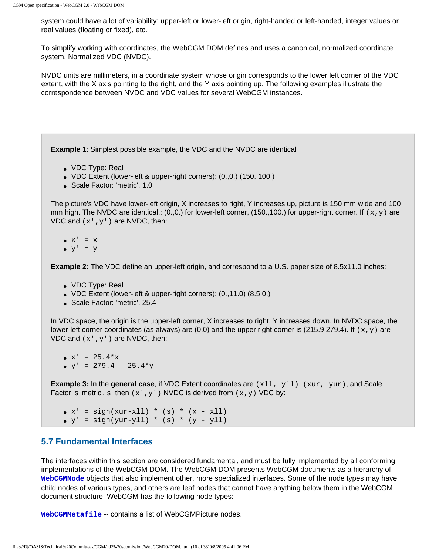system could have a lot of variability: upper-left or lower-left origin, right-handed or left-handed, integer values or real values (floating or fixed), etc.

To simplify working with coordinates, the WebCGM DOM defines and uses a canonical, normalized coordinate system, Normalized VDC (NVDC).

NVDC units are millimeters, in a coordinate system whose origin corresponds to the lower left corner of the VDC extent, with the X axis pointing to the right, and the Y axis pointing up. The following examples illustrate the correspondence between NVDC and VDC values for several WebCGM instances.

**Example 1**: Simplest possible example, the VDC and the NVDC are identical

- VDC Type: Real
- VDC Extent (lower-left & upper-right corners): (0.,0.) (150.,100.)
- Scale Factor: 'metric', 1.0

The picture's VDC have lower-left origin, X increases to right, Y increases up, picture is 150 mm wide and 100 mm high. The NVDC are identical,: (0.,0.) for lower-left corner, (150.,100.) for upper-right corner. If  $(x,y)$  are VDC and  $(x',y')$  are NVDC, then:

- $\bullet$   $X' = X$
- $\bullet$   $y' = y$

**Example 2:** The VDC define an upper-left origin, and correspond to a U.S. paper size of 8.5x11.0 inches:

- VDC Type: Real
- VDC Extent (lower-left & upper-right corners):  $(0.,11.0)$   $(8.5,0.)$
- Scale Factor: 'metric', 25.4

In VDC space, the origin is the upper-left corner, X increases to right, Y increases down. In NVDC space, the lower-left corner coordinates (as always) are (0,0) and the upper right corner is (215.9,279.4). If  $(x,y)$  are VDC and  $(x',y')$  are NVDC, then:

 $\bullet$  x' = 25.4\*x  $\bullet$  y' = 279.4 - 25.4\*y

**Example 3:** In the **general case**, if VDC Extent coordinates are (x11, y11), (xur, yur), and Scale Factor is 'metric', s, then  $(x',y')$  NVDC is derived from  $(x,y)$  VDC by:

•  $x' = sign(xur-xll) * (s) * (x - xll)$ 

•  $y' = sign(yur-yll) * (s) * (y - yll)$ 

## <span id="page-81-0"></span>**5.7 Fundamental Interfaces**

The interfaces within this section are considered fundamental, and must be fully implemented by all conforming implementations of the WebCGM DOM. The WebCGM DOM presents WebCGM documents as a hierarchy of **[WebCGMNode](#page-72-2)** objects that also implement other, more specialized interfaces. Some of the node types may have child nodes of various types, and others are leaf nodes that cannot have anything below them in the WebCGM document structure. WebCGM has the following node types:

**[WebCGMMetafile](#page-72-2)** -- contains a list of WebCGMPicture nodes.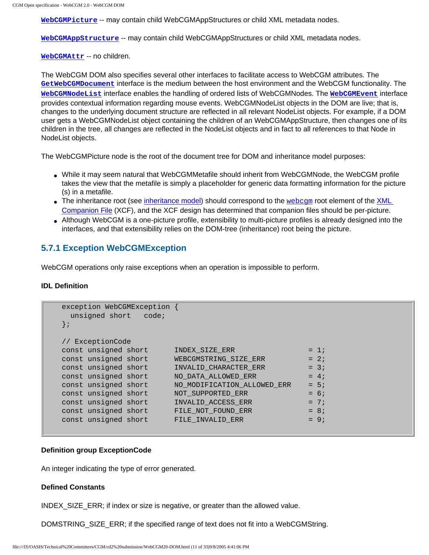**[WebCGMPicture](#page-72-2)** -- may contain child WebCGMAppStructures or child XML metadata nodes.

**[WebCGMAppStructure](#page-72-2)** -- may contain child WebCGMAppStructures or child XML metadata nodes.

**[WebCGMAttr](#page-72-2)** -- no children.

The WebCGM DOM also specifies several other interfaces to facilitate access to WebCGM attributes. The **[GetWebCGMDocument](#page-72-2)** interface is the medium between the host environment and the WebCGM functionality. The **[WebCGMNodeList](#page-72-2)** interface enables the handling of ordered lists of WebCGMNodes. The **[WebCGMEvent](#page-101-1)** interface provides contextual information regarding mouse events. WebCGMNodeList objects in the DOM are live; that is, changes to the underlying document structure are reflected in all relevant NodeList objects. For example, if a DOM user gets a WebCGMNodeList object containing the children of an WebCGMAppStructure, then changes one of its children in the tree, all changes are reflected in the NodeList objects and in fact to all references to that Node in NodeList objects.

The WebCGMPicture node is the root of the document tree for DOM and inheritance model purposes:

- While it may seem natural that WebCGMMetafile should inherit from WebCGMNode, the WebCGM profile takes the view that the metafile is simply a placeholder for generic data formatting information for the picture (s) in a metafile.
- The inheritance root (see [inheritance model\)](#page-76-0) should correspond to the  $webcgm$  root element of the [XML](#page-57-0) [Companion File](#page-57-0) (XCF), and the XCF design has determined that companion files should be per-picture.
- Although WebCGM is a one-picture profile, extensibility to multi-picture profiles is already designed into the interfaces, and that extensibility relies on the DOM-tree (inheritance) root being the picture.

#### <span id="page-82-0"></span>**5.7.1 Exception WebCGMException**

WebCGM operations only raise exceptions when an operation is impossible to perform.

#### **IDL Definition**

```
exception WebCGMException {
  unsigned short code;
};
// ExceptionCode
const unsigned short INDEX_SIZE_ERR = 1;const unsigned short WEBCGMSTRING_SIZE\_ERR = 2;
const unsigned short INVALID_CHARACTER_ERR = 3;
const unsigned short NO_DATA_ALLOWED_RRR = 4;
const unsigned short NO_MODIFICATION_ALLOWED_ERR = 5;
const unsigned short NOT_SUPPORTED_ERR = 6;
const unsigned short INVALID_ACCESS_ERR = 7;
const unsigned short FILE_NOT_FOUND_ERR = 8;
const unsigned short FILE_{{\text{INVALID}}\_ERR} = 9;
```
#### **Definition group ExceptionCode**

An integer indicating the type of error generated.

#### **Defined Constants**

INDEX\_SIZE\_ERR; if index or size is negative, or greater than the allowed value.

DOMSTRING\_SIZE\_ERR; if the specified range of text does not fit into a WebCGMString.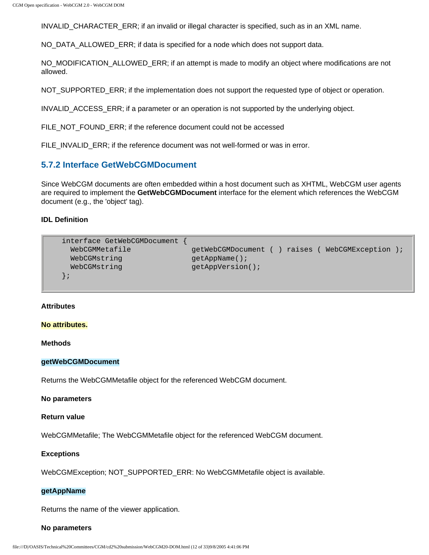INVALID\_CHARACTER\_ERR; if an invalid or illegal character is specified, such as in an XML name.

NO\_DATA\_ALLOWED\_ERR; if data is specified for a node which does not support data.

NO\_MODIFICATION\_ALLOWED\_ERR; if an attempt is made to modify an object where modifications are not allowed.

NOT SUPPORTED ERR; if the implementation does not support the requested type of object or operation.

INVALID\_ACCESS\_ERR; if a parameter or an operation is not supported by the underlying object.

FILE\_NOT\_FOUND\_ERR; if the reference document could not be accessed

FILE\_INVALID\_ERR; if the reference document was not well-formed or was in error.

#### <span id="page-83-0"></span>**5.7.2 Interface GetWebCGMDocument**

Since WebCGM documents are often embedded within a host document such as XHTML, WebCGM user agents are required to implement the **GetWebCGMDocument** interface for the element which references the WebCGM document (e.g., the 'object' tag).

#### **IDL Definition**

```
interface GetWebCGMDocument { 
  WebCGMMetafile getWebCGMDocument ( ) raises ( WebCGMException ); 
 WebCGMstring getAppName();
 WebCGMstring getAppVersion();
};
```
#### **Attributes**

#### **No attributes.**

**Methods**

#### **getWebCGMDocument**

Returns the WebCGMMetafile object for the referenced WebCGM document.

#### **No parameters**

#### **Return value**

WebCGMMetafile; The WebCGMMetafile object for the referenced WebCGM document.

#### **Exceptions**

WebCGMException; NOT\_SUPPORTED\_ERR: No WebCGMMetafile object is available.

#### **getAppName**

Returns the name of the viewer application.

#### **No parameters**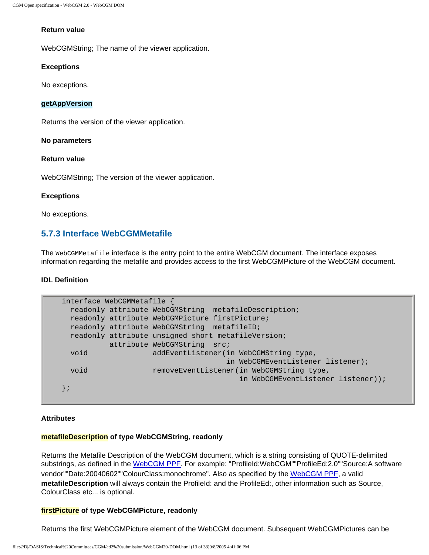#### **Return value**

WebCGMString; The name of the viewer application.

#### **Exceptions**

No exceptions.

#### **getAppVersion**

Returns the version of the viewer application.

#### **No parameters**

#### **Return value**

WebCGMString; The version of the viewer application.

#### **Exceptions**

No exceptions.

## <span id="page-84-0"></span>**5.7.3 Interface WebCGMMetafile**

The WebCGMMetafile interface is the entry point to the entire WebCGM document. The interface exposes information regarding the metafile and provides access to the first WebCGMPicture of the WebCGM document.

#### **IDL Definition**

```
interface WebCGMMetafile { 
  readonly attribute WebCGMString metafileDescription;
  readonly attribute WebCGMPicture firstPicture;
  readonly attribute WebCGMString metafileID;
  readonly attribute unsigned short metafileVersion;
           attribute WebCGMString src;
  void addEventListener(in WebCGMString type, 
                                     in WebCGMEventListener listener);
  void removeEventListener(in WebCGMString type, 
                                        in WebCGMEventListener listener));
};
```
#### **Attributes**

#### **metafileDescription of type WebCGMString, readonly**

Returns the Metafile Description of the WebCGM document, which is a string consisting of QUOTE-delimited substrings, as defined in the [WebCGM PPF.](#page-118-0) For example: "ProfileId:WebCGM""ProfileEd:2.0""Source:A software vendor""Date:20040602""ColourClass:monochrome". Also as specified by the [WebCGM PPF,](#page-105-0) a valid **metafileDescription** will always contain the ProfileId: and the ProfileEd:, other information such as Source, ColourClass etc... is optional.

#### **firstPicture of type WebCGMPicture, readonly**

Returns the first WebCGMPicture element of the WebCGM document. Subsequent WebCGMPictures can be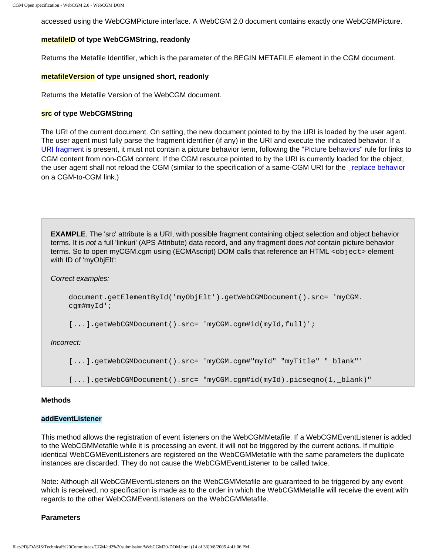accessed using the WebCGMPicture interface. A WebCGM 2.0 document contains exactly one WebCGMPicture.

#### **metafileID of type WebCGMString, readonly**

Returns the Metafile Identifier, which is the parameter of the BEGIN METAFILE element in the CGM document.

#### **metafileVersion of type unsigned short, readonly**

Returns the Metafile Version of the WebCGM document.

#### **src of type WebCGMString**

The URI of the current document. On setting, the new document pointed to by the URI is loaded by the user agent. The user agent must fully parse the fragment identifier (if any) in the URI and execute the indicated behavior. If a [URI fragment](#page-26-0) is present, it must not contain a picture behavior term, following the ["Picture behaviors"](#page-31-0) rule for links to CGM content from non-CGM content. If the CGM resource pointed to by the URI is currently loaded for the object, the user agent shall not reload the CGM (similar to the specification of a same-CGM URI for the [\\_replace behavior](#page-31-0) on a CGM-to-CGM link.)

**EXAMPLE**. The 'src' attribute is a URI, with possible fragment containing object selection and object behavior terms. It is not a full 'linkuri' (APS Attribute) data record, and any fragment does not contain picture behavior terms. So to open myCGM.cgm using (ECMAscript) DOM calls that reference an HTML <object> element with ID of 'myObjElt':

Correct examples:

```
document.getElementById('myObjElt').getWebCGMDocument().src= 'myCGM.
cgm#myId';
```
[...].getWebCGMDocument().src= 'myCGM.cgm#id(myId,full)';

Incorrect:

[...].getWebCGMDocument().src= 'myCGM.cgm#"myId" "myTitle" "\_blank"'

[...].getWebCGMDocument().src= "myCGM.cgm#id(myId).picseqno(1,\_blank)"

#### **Methods**

#### **addEventListener**

This method allows the registration of event listeners on the WebCGMMetafile. If a WebCGMEventListener is added to the WebCGMMetafile while it is processing an event, it will not be triggered by the current actions. If multiple identical WebCGMEventListeners are registered on the WebCGMMetafile with the same parameters the duplicate instances are discarded. They do not cause the WebCGMEventListener to be called twice.

Note: Although all WebCGMEventListeners on the WebCGMMetafile are guaranteed to be triggered by any event which is received, no specification is made as to the order in which the WebCGMMetafile will receive the event with regards to the other WebCGMEventListeners on the WebCGMMetafile.

#### **Parameters**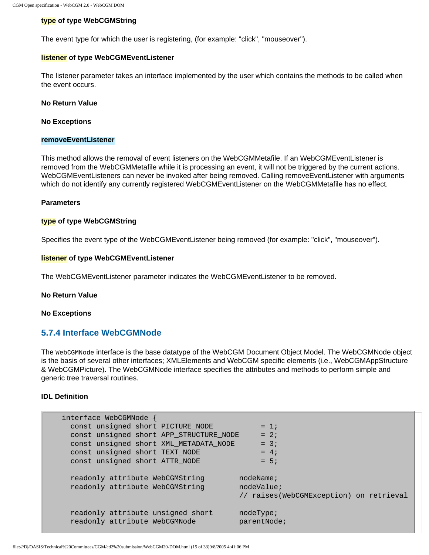#### **type of type WebCGMString**

The event type for which the user is registering, (for example: "click", "mouseover").

#### **listener of type WebCGMEventListener**

The listener parameter takes an interface implemented by the user which contains the methods to be called when the event occurs.

**No Return Value**

**No Exceptions**

#### **removeEventListener**

This method allows the removal of event listeners on the WebCGMMetafile. If an WebCGMEventListener is removed from the WebCGMMetafile while it is processing an event, it will not be triggered by the current actions. WebCGMEventListeners can never be invoked after being removed. Calling removeEventListener with arguments which do not identify any currently registered WebCGMEventListener on the WebCGMMetafile has no effect.

#### **Parameters**

#### **type of type WebCGMString**

Specifies the event type of the WebCGMEventListener being removed (for example: "click", "mouseover").

#### **listener of type WebCGMEventListener**

The WebCGMEventListener parameter indicates the WebCGMEventListener to be removed.

**No Return Value**

**No Exceptions**

## <span id="page-86-0"></span>**5.7.4 Interface WebCGMNode**

The WebCGMNode interface is the base datatype of the WebCGM Document Object Model. The WebCGMNode object is the basis of several other interfaces; XMLElements and WebCGM specific elements (i.e., WebCGMAppStructure & WebCGMPicture). The WebCGMNode interface specifies the attributes and methods to perform simple and generic tree traversal routines.

#### **IDL Definition**

| interface WebCGMNode                                               |                                                                    |
|--------------------------------------------------------------------|--------------------------------------------------------------------|
| const unsigned short PICTURE NODE                                  | $= 1$                                                              |
| const unsigned short APP_STRUCTURE NODE                            | $= 2i$                                                             |
| const unsigned short XML METADATA NODE                             | $= 3i$                                                             |
| const unsigned short TEXT NODE                                     | $= 4:$                                                             |
| const unsigned short ATTR NODE                                     | $= 5:$                                                             |
| readonly attribute WebCGMString<br>readonly attribute WebCGMString | nodeName;<br>nodeValue;<br>// raises(WebCGMException) on retrieval |
| readonly attribute unsigned short<br>readonly attribute WebCGMNode | nodeType;<br>parentNode;                                           |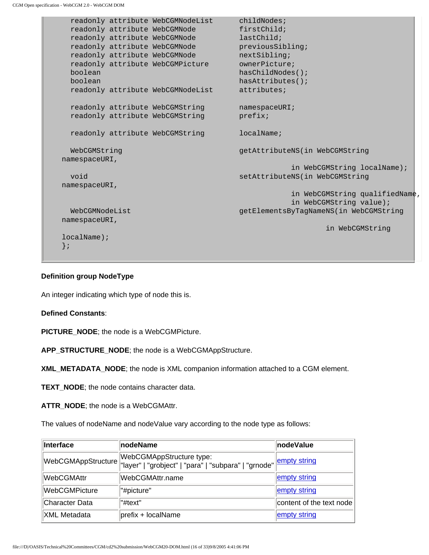```
readonly attribute WebCGMNodeList childNodes;
 readonly attribute WebCGMNode firstChild;
 readonly attribute WebCGMNode lastChild;
 readonly attribute WebCGMNode previousSibling;
 readonly attribute WebCGMNode nextSibling;
 readonly attribute WebCGMPicture ownerPicture;
  boolean hasChildNodes();
  boolean hasAttributes();
  readonly attribute WebCGMNodeList attributes;
  readonly attribute WebCGMString namespaceURI;
 readonly attribute WebCGMString prefix;
 readonly attribute WebCGMString localName;
  WebCGMString getAttributeNS(in WebCGMString 
namespaceURI, 
                                            in WebCGMString localName);
 void setAttributeNS(in WebCGMString
namespaceURI, 
                                            in WebCGMString qualifiedName,
                                            in WebCGMString value);
  WebCGMNodeList getElementsByTagNameNS(in WebCGMString 
namespaceURI, 
                                                  in WebCGMString 
localName);
};
```
#### **Definition group NodeType**

An integer indicating which type of node this is.

#### **Defined Constants**:

**PICTURE\_NODE**; the node is a WebCGMPicture.

**APP\_STRUCTURE\_NODE**; the node is a WebCGMAppStructure.

**XML\_METADATA\_NODE**; the node is XML companion information attached to a CGM element.

**TEXT\_NODE**; the node contains character data.

**ATTR\_NODE**; the node is a WebCGMAttr.

The values of nodeName and nodeValue vary according to the node type as follows:

| <b>Interface</b>      | <b>nodeName</b>                                                                   | <b>nodeValue</b>         |
|-----------------------|-----------------------------------------------------------------------------------|--------------------------|
| WebCGMAppStructure    | WebCGMAppStructure type:<br> "layer"   "grobject"   "para"   "subpara"   "grnode" | empty string             |
| <b>WebCGMAttr</b>     | lWebCGMAttr.name                                                                  | empty string             |
| <b>WebCGMPicture</b>  | "#picture"                                                                        | empty string             |
| <b>Character Data</b> | "#text"                                                                           | content of the text node |
| <b>XML Metadata</b>   | $ prefix + localName$                                                             | empty string             |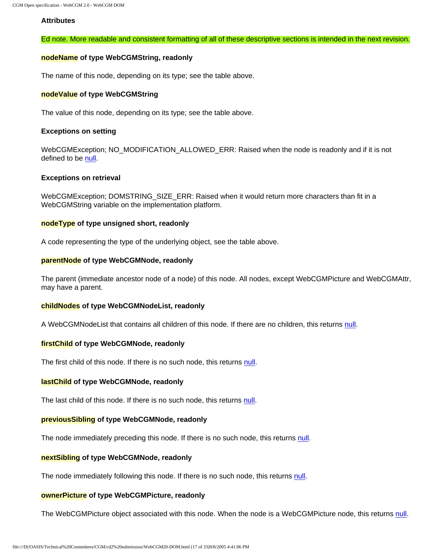#### **Attributes**

#### Ed note. More readable and consistent formatting of all of these descriptive sections is intended in the next revision.

#### **nodeName of type WebCGMString, readonly**

The name of this node, depending on its type; see the table above.

#### **nodeValue of type WebCGMString**

The value of this node, depending on its type; see the table above.

#### **Exceptions on setting**

WebCGMException; NO\_MODIFICATION\_ALLOWED\_ERR: Raised when the node is readonly and if it is not defined to be [null](#page-78-3).

#### **Exceptions on retrieval**

WebCGMException; DOMSTRING\_SIZE\_ERR: Raised when it would return more characters than fit in a WebCGMString variable on the implementation platform.

#### **nodeType of type unsigned short, readonly**

A code representing the type of the underlying object, see the table above.

#### **parentNode of type WebCGMNode, readonly**

The parent (immediate ancestor node of a node) of this node. All nodes, except WebCGMPicture and WebCGMAttr, may have a parent.

#### **childNodes of type WebCGMNodeList, readonly**

A WebCGMNodeList that contains all children of this node. If there are no children, this returns [null](#page-78-3).

#### **firstChild of type WebCGMNode, readonly**

The first child of this node. If there is no such node, this returns [null](#page-78-3).

#### **lastChild of type WebCGMNode, readonly**

The last child of this node. If there is no such node, this returns [null.](#page-78-3)

#### **previousSibling of type WebCGMNode, readonly**

The node immediately preceding this node. If there is no such node, this returns [null](#page-78-3).

#### **nextSibling of type WebCGMNode, readonly**

The node immediately following this node. If there is no such node, this returns [null.](#page-78-3)

#### **ownerPicture of type WebCGMPicture, readonly**

<span id="page-88-0"></span>The WebCGMPicture object associated with this node. When the node is a WebCGMPicture node, this returns [null.](#page-78-3)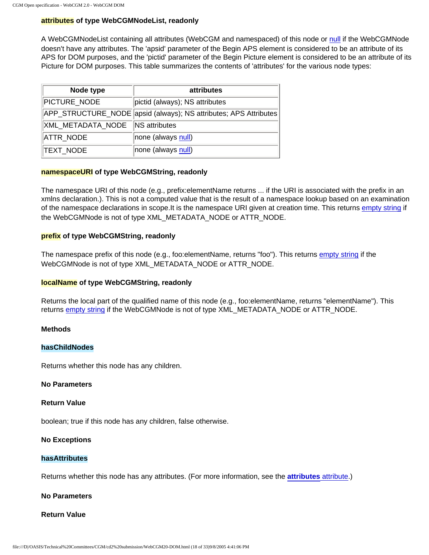#### **attributes of type WebCGMNodeList, readonly**

A WebCGMNodeList containing all attributes (WebCGM and namespaced) of this node or [null](#page-78-3) if the WebCGMNode doesn't have any attributes. The 'apsid' parameter of the Begin APS element is considered to be an attribute of its APS for DOM purposes, and the 'pictid' parameter of the Begin Picture element is considered to be an attribute of its Picture for DOM purposes. This table summarizes the contents of 'attributes' for the various node types:

| Node type                       | attributes                                                       |
|---------------------------------|------------------------------------------------------------------|
| PICTURE_NODE                    | pictid (always); NS attributes                                   |
|                                 | APP_STRUCTURE_NODE apsid (always); NS attributes; APS Attributes |
| XML_METADATA_NODE NS attributes |                                                                  |
| ATTR_NODE                       | none (always null)                                               |
| TEXT_NODE                       | none (always null)                                               |

#### **namespaceURI of type WebCGMString, readonly**

The namespace URI of this node (e.g., prefix:elementName returns ... if the URI is associated with the prefix in an xmlns declaration.). This is not a computed value that is the result of a namespace lookup based on an examination of the namespace declarations in scope.It is the namespace URI given at creation time. This returns [empty string](#page-79-1) if the WebCGMNode is not of type XML\_METADATA\_NODE or ATTR\_NODE.

#### **prefix of type WebCGMString, readonly**

The namespace prefix of this node (e.g., foo:elementName, returns "foo"). This returns [empty string](#page-79-1) if the WebCGMNode is not of type XML\_METADATA\_NODE or ATTR\_NODE.

#### **localName of type WebCGMString, readonly**

Returns the local part of the qualified name of this node (e.g., foo:elementName, returns "elementName"). This returns [empty string](#page-79-1) if the WebCGMNode is not of type XML\_METADATA\_NODE or ATTR\_NODE.

#### **Methods**

#### **hasChildNodes**

Returns whether this node has any children.

#### **No Parameters**

#### **Return Value**

boolean; true if this node has any children, false otherwise.

#### **No Exceptions**

#### **hasAttributes**

Returns whether this node has any attributes. (For more information, see the **[attributes](#page-88-0)** attribute.)

**No Parameters**

#### **Return Value**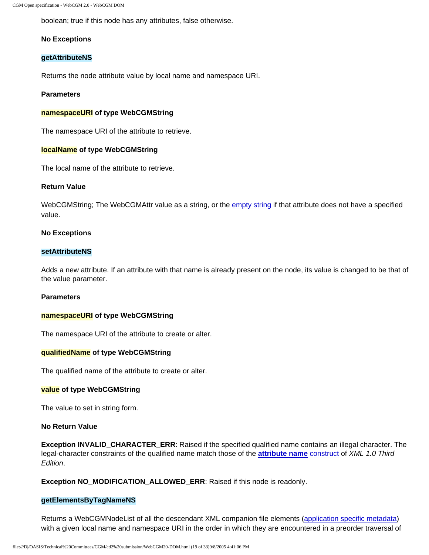boolean; true if this node has any attributes, false otherwise.

#### **No Exceptions**

#### **getAttributeNS**

Returns the node attribute value by local name and namespace URI.

#### **Parameters**

#### **namespaceURI of type WebCGMString**

The namespace URI of the attribute to retrieve.

#### **localName of type WebCGMString**

The local name of the attribute to retrieve.

#### **Return Value**

WebCGMString; The WebCGMAttr value as a string, or the [empty string](#page-79-1) if that attribute does not have a specified value.

#### **No Exceptions**

#### **setAttributeNS**

Adds a new attribute. If an attribute with that name is already present on the node, its value is changed to be that of the value parameter.

#### **Parameters**

#### **namespaceURI of type WebCGMString**

The namespace URI of the attribute to create or alter.

#### **qualifiedName of type WebCGMString**

The qualified name of the attribute to create or alter.

#### **value of type WebCGMString**

The value to set in string form.

#### **No Return Value**

**Exception INVALID\_CHARACTER\_ERR:** Raised if the specified qualified name contains an illegal character. The legal-character constraints of the qualified name match those of the **[attribute name](http://www.w3.org/TR/2004/REC-xml-20040204/#dt-attrname)** construct of XML 1.0 Third Edition.

**Exception NO\_MODIFICATION\_ALLOWED\_ERR**: Raised if this node is readonly.

#### **getElementsByTagNameNS**

Returns a WebCGMNodeList of all the descendant XML companion file elements [\(application specific metadata](#page-59-0)) with a given local name and namespace URI in the order in which they are encountered in a preorder traversal of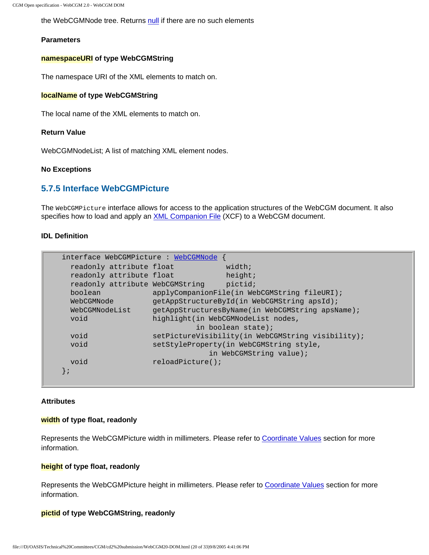the WebCGMNode tree. Returns [null](#page-78-3) if there are no such elements

#### **Parameters**

#### **namespaceURI of type WebCGMString**

The namespace URI of the XML elements to match on.

#### **localName of type WebCGMString**

The local name of the XML elements to match on.

#### **Return Value**

WebCGMNodeList; A list of matching XML element nodes.

#### **No Exceptions**

#### <span id="page-91-0"></span>**5.7.5 Interface WebCGMPicture**

The WebCGMPicture interface allows for access to the application structures of the WebCGM document. It also specifies how to load and apply an [XML Companion File](#page-57-0) (XCF) to a WebCGM document.

#### **IDL Definition**

| interface WebCGMPicture WebCGMNode |                     |                                                   |
|------------------------------------|---------------------|---------------------------------------------------|
| readonly attribute float           |                     | width;                                            |
| readonly attribute float           |                     | height;                                           |
| readonly attribute WebCGMString    |                     | pictid;                                           |
| boolean                            |                     | applyCompanionFile(in WebCGMString fileURI);      |
| WebCGMNode                         |                     | getAppStructureById(in WebCGMString apsId);       |
| WebCGMNodeList                     |                     | getAppStructuresByName(in WebCGMString apsName);  |
| void                               |                     | highlight(in WebCGMNodeList nodes,                |
|                                    |                     | in boolean state);                                |
| void                               |                     | setPictureVisibility(in WebCGMString visibility); |
| void                               |                     | setStyleProperty(in WebCGMString style,           |
|                                    |                     | in WebCGMString value);                           |
| void                               | $reloadPicture()$ ; |                                                   |
|                                    |                     |                                                   |
|                                    |                     |                                                   |

#### **Attributes**

#### **width of type float, readonly**

Represents the WebCGMPicture width in millimeters. Please refer to [Coordinate Values](#page-80-0) section for more information.

#### **height of type float, readonly**

Represents the WebCGMPicture height in millimeters. Please refer to [Coordinate Values](#page-80-0) section for more information.

#### **pictid of type WebCGMString, readonly**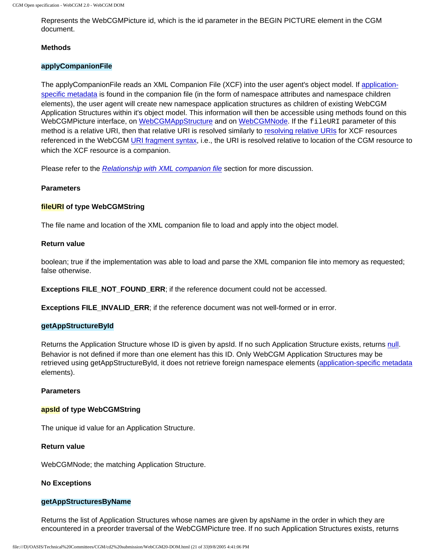Represents the WebCGMPicture id, which is the id parameter in the BEGIN PICTURE element in the CGM document.

#### **Methods**

#### **applyCompanionFile**

The applyCompanionFile reads an XML Companion File (XCF) into the user agent's object model. If [application](#page-59-0)[specific metadata](#page-59-0) is found in the companion file (in the form of namespace attributes and namespace children elements), the user agent will create new namespace application structures as children of existing WebCGM Application Structures within it's object model. This information will then be accessible using methods found on this WebCGMPicture interface, on [WebCGMAppStructure](#page-72-2) and on [WebCGMNode.](#page-72-2) If the fileURI parameter of this method is a relative URI, then that relative URI is resolved similarly to [resolving relative URIs](#page-29-0) for XCF resources referenced in the WebCGM [URI fragment syntax,](#page-26-0) i.e., the URI is resolved relative to location of the CGM resource to which the XCF resource is a companion.

Please refer to the [Relationship with XML companion file](#page-73-0) section for more discussion.

#### **Parameters**

#### **fileURI of type WebCGMString**

The file name and location of the XML companion file to load and apply into the object model.

#### **Return value**

boolean; true if the implementation was able to load and parse the XML companion file into memory as requested; false otherwise.

**Exceptions FILE\_NOT\_FOUND\_ERR**; if the reference document could not be accessed.

**Exceptions FILE\_INVALID\_ERR**; if the reference document was not well-formed or in error.

#### **getAppStructureById**

Returns the Application Structure whose ID is given by apsId. If no such Application Structure exists, returns [null](#page-78-3). Behavior is not defined if more than one element has this ID. Only WebCGM Application Structures may be retrieved using getAppStructureById, it does not retrieve foreign namespace elements ([application-specific metadata](#page-59-0) elements).

#### **Parameters**

#### **apsId of type WebCGMString**

The unique id value for an Application Structure.

#### **Return value**

WebCGMNode; the matching Application Structure.

#### **No Exceptions**

#### **getAppStructuresByName**

Returns the list of Application Structures whose names are given by apsName in the order in which they are encountered in a preorder traversal of the WebCGMPicture tree. If no such Application Structures exists, returns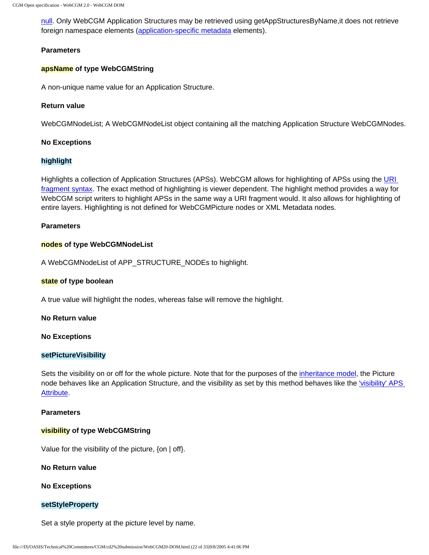[null.](#page-78-3) Only WebCGM Application Structures may be retrieved using getAppStructuresByName, it does not retrieve foreign namespace elements [\(application-specific metadata](#page-59-0) elements).

#### **Parameters**

#### **apsName of type WebCGMString**

A non-unique name value for an Application Structure.

#### **Return value**

WebCGMNodeList; A WebCGMNodeList object containing all the matching Application Structure WebCGMNodes.

#### **No Exceptions**

#### **highlight**

Highlights a collection of Application Structures (APSs). WebCGM allows for highlighting of APSs using the [URI](#page-26-0)  [fragment syntax](#page-26-0). The exact method of highlighting is viewer dependent. The highlight method provides a way for WebCGM script writers to highlight APSs in the same way a URI fragment would. It also allows for highlighting of entire layers. Highlighting is not defined for WebCGMPicture nodes or XML Metadata nodes.

#### **Parameters**

#### **nodes of type WebCGMNodeList**

A WebCGMNodeList of APP\_STRUCTURE\_NODEs to highlight.

#### **state of type boolean**

A true value will highlight the nodes, whereas false will remove the highlight.

**No Return value**

#### **No Exceptions**

#### **setPictureVisibility**

Sets the visibility on or off for the whole picture. Note that for the purposes of the [inheritance model,](#page-76-0) the Picture node behaves like an Application Structure, and the visibility as set by this method behaves like the ['visibility' APS](#page-96-1) [Attribute](#page-96-1).

#### **Parameters**

#### **visibility of type WebCGMString**

Value for the visibility of the picture, {on | off}.

**No Return value**

#### **No Exceptions**

#### **setStyleProperty**

Set a style property at the picture level by name.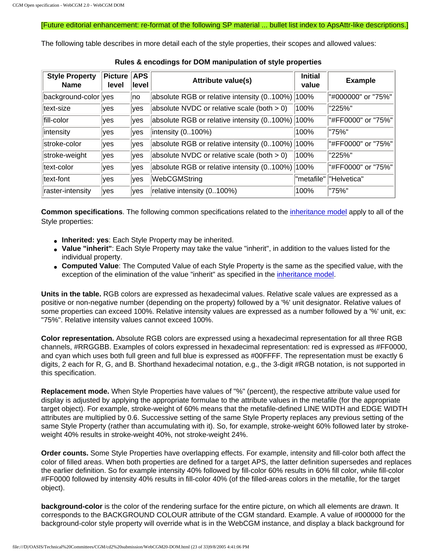#### [Future editorial enhancement: re-format of the following SP material ... bullet list index to ApsAttr-like descriptions.]

<span id="page-94-1"></span>The following table describes in more detail each of the style properties, their scopes and allowed values:

<span id="page-94-0"></span>

| <b>Style Property</b><br><b>Name</b> | <b>Picture</b><br>level | <b>APS</b><br>⊺level | <b>Attribute value(s)</b>                     | <b>Initial</b><br>value | <b>Example</b>      |
|--------------------------------------|-------------------------|----------------------|-----------------------------------------------|-------------------------|---------------------|
| background-color yes                 |                         | lno.                 | absolute RGB or relative intensity (0100%)    | 100%                    | "#000000" or "75%"  |
| ltext-size                           | lves                    | lves                 | absolute NVDC or relative scale (both $> 0$ ) | 100%                    | "225%"              |
| fill-color                           | lyes                    | <b>ves</b>           | absolute RGB or relative intensity (0100%)    | 100%                    | l"#FF0000" or "75%" |
| intensity                            | lves                    | <b>ves</b>           | intensity $(0.100\%)$                         | 100%                    | "75%"               |
| stroke-color                         | yes                     | $ {\rm ves}$         | absolute RGB or relative intensity (0100%)    | 100%                    | "#FF0000" or "75%"  |
| stroke-weight                        | lves                    | $ {\rm ves}$         | absolute NVDC or relative scale (both $> 0$ ) | 100%                    | "225%"              |
| text-color                           | lves                    | <b>ves</b>           | absolute RGB or relative intensity (0100%)    | 100%                    | l"#FF0000" or "75%" |
| ltext-font                           | lyes                    | $ {\rm ves}$         | WebCGMString                                  | "metafile"              | ' "Helvetica"       |
| raster-intensity                     | yes                     | <b>ves</b>           | relative intensity (0100%)                    | 100%                    | "75%"               |

**Rules & encodings for DOM manipulation of style properties**

**Common specifications**. The following common specifications related to the [inheritance model](#page-76-0) apply to all of the Style properties:

- **Inherited: yes:** Each Style Property may be inherited.
- **Value "inherit"**: Each Style Property may take the value "inherit", in addition to the values listed for the individual property.
- **Computed Value**: The Computed Value of each Style Property is the same as the specified value, with the exception of the elimination of the value "inherit" as specified in the [inheritance model.](#page-76-0)

**Units in the table.** RGB colors are expressed as hexadecimal values. Relative scale values are expressed as a positive or non-negative number (depending on the property) followed by a '%' unit designator. Relative values of some properties can exceed 100%. Relative intensity values are expressed as a number followed by a '%' unit, ex: "75%". Relative intensity values cannot exceed 100%.

**Color representation.** Absolute RGB colors are expressed using a hexadecimal representation for all three RGB channels, #RRGGBB. Examples of colors expressed in hexadecimal representation: red is expressed as #FF0000, and cyan which uses both full green and full blue is expressed as #00FFFF. The representation must be exactly 6 digits, 2 each for R, G, and B. Shorthand hexadecimal notation, e.g., the 3-digit #RGB notation, is not supported in this specification.

**Replacement mode.** When Style Properties have values of "%" (percent), the respective attribute value used for display is adjusted by applying the appropriate formulae to the attribute values in the metafile (for the appropriate target object). For example, stroke-weight of 60% means that the metafile-defined LINE WIDTH and EDGE WIDTH attributes are multiplied by 0.6. Successive setting of the same Style Property replaces any previous setting of the same Style Property (rather than accumulating with it). So, for example, stroke-weight 60% followed later by strokeweight 40% results in stroke-weight 40%, not stroke-weight 24%.

**Order counts.** Some Style Properties have overlapping effects. For example, intensity and fill-color both affect the color of filled areas. When both properties are defined for a target APS, the latter definition supersedes and replaces the earlier definition. So for example intensity 40% followed by fill-color 60% results in 60% fill color, while fill-color #FF0000 followed by intensity 40% results in fill-color 40% (of the filled-areas colors in the metafile, for the target object).

**background-color** is the color of the rendering surface for the entire picture, on which all elements are drawn. It corresponds to the BACKGROUND COLOUR attribute of the CGM standard. Example. A value of #000000 for the background-color style property will override what is in the WebCGM instance, and display a black background for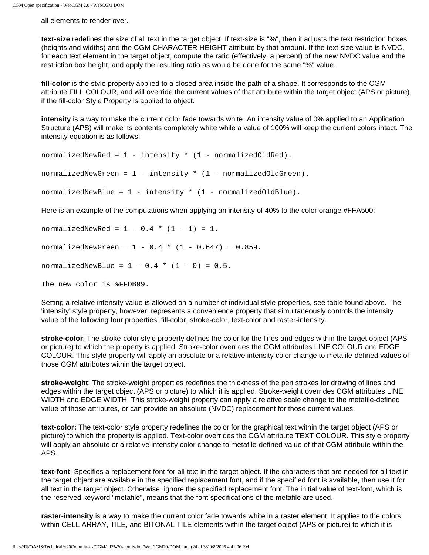all elements to render over.

**text-size** redefines the size of all text in the target object. If text-size is "%", then it adjusts the text restriction boxes (heights and widths) and the CGM CHARACTER HEIGHT attribute by that amount. If the text-size value is NVDC, for each text element in the target object, compute the ratio (effectively, a percent) of the new NVDC value and the restriction box height, and apply the resulting ratio as would be done for the same "%" value.

**fill-color** is the style property applied to a closed area inside the path of a shape. It corresponds to the CGM attribute FILL COLOUR, and will override the current values of that attribute within the target object (APS or picture), if the fill-color Style Property is applied to object.

**intensity** is a way to make the current color fade towards white. An intensity value of 0% applied to an Application Structure (APS) will make its contents completely white while a value of 100% will keep the current colors intact. The intensity equation is as follows:

```
normalizedNewRed = 1 - intensity * (1 - normalizedOldRed).
normalizedNewGreen = 1 - intensity * (1 - normalizedOldGreen).
normalizedNewBlue = 1 - intensity * (1 - normalizedOldBlue).
```
Here is an example of the computations when applying an intensity of 40% to the color orange #FFA500:

normalizedNewRed =  $1 - 0.4 * (1 - 1) = 1$ . normalizedNewGreen =  $1 - 0.4 * (1 - 0.647) = 0.859$ . normalizedNewBlue =  $1 - 0.4 * (1 - 0) = 0.5$ . The new color is %FFDB99.

Setting a relative intensity value is allowed on a number of individual style properties, see table found above. The 'intensity' style property, however, represents a convenience property that simultaneously controls the intensity value of the following four properties: fill-color, stroke-color, text-color and raster-intensity.

**stroke-color**: The stroke-color style property defines the color for the lines and edges within the target object (APS or picture) to which the property is applied. Stroke-color overrides the CGM attributes LINE COLOUR and EDGE COLOUR. This style property will apply an absolute or a relative intensity color change to metafile-defined values of those CGM attributes within the target object.

**stroke-weight**: The stroke-weight properties redefines the thickness of the pen strokes for drawing of lines and edges within the target object (APS or picture) to which it is applied. Stroke-weight overrides CGM attributes LINE WIDTH and EDGE WIDTH. This stroke-weight property can apply a relative scale change to the metafile-defined value of those attributes, or can provide an absolute (NVDC) replacement for those current values.

**text-color:** The text-color style property redefines the color for the graphical text within the target object (APS or picture) to which the property is applied. Text-color overrides the CGM attribute TEXT COLOUR. This style property will apply an absolute or a relative intensity color change to metafile-defined value of that CGM attribute within the APS.

**text-font**: Specifies a replacement font for all text in the target object. If the characters that are needed for all text in the target object are available in the specified replacement font, and if the specified font is available, then use it for all text in the target object. Otherwise, ignore the specified replacement font. The initial value of text-font, which is the reserved keyword "metafile", means that the font specifications of the metafile are used.

**raster-intensity** is a way to make the current color fade towards white in a raster element. It applies to the colors within CELL ARRAY, TILE, and BITONAL TILE elements within the target object (APS or picture) to which it is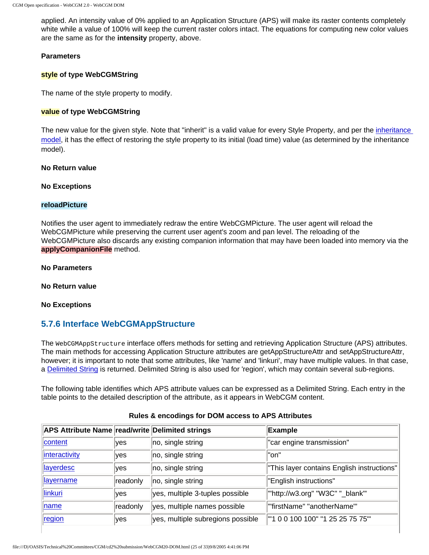applied. An intensity value of 0% applied to an Application Structure (APS) will make its raster contents completely white while a value of 100% will keep the current raster colors intact. The equations for computing new color values are the same as for the **intensity** property, above.

#### **Parameters**

#### **style of type WebCGMString**

The name of the style property to modify.

#### **value of type WebCGMString**

The new value for the given style. Note that "inherit" is a valid value for every Style Property, and per the [inheritance](#page-76-0)  [model,](#page-76-0) it has the effect of restoring the style property to its initial (load time) value (as determined by the inheritance model).

#### **No Return value**

#### **No Exceptions**

#### **reloadPicture**

Notifies the user agent to immediately redraw the entire WebCGMPicture. The user agent will reload the WebCGMPicture while preserving the current user agent's zoom and pan level. The reloading of the WebCGMPicture also discards any existing companion information that may have been loaded into memory via the **applyCompanionFile** method.

**No Parameters**

**No Return value**

**No Exceptions**

## <span id="page-96-0"></span>**5.7.6 Interface WebCGMAppStructure**

The WebCGMAppStructure interface offers methods for setting and retrieving Application Structure (APS) attributes. The main methods for accessing Application Structure attributes are getAppStructureAttr and setAppStructureAttr, however; it is important to note that some attributes, like 'name' and 'linkuri', may have multiple values. In that case, a [Delimited String](#page-78-1) is returned. Delimited String is also used for 'region', which may contain several sub-regions.

The following table identifies which APS attribute values can be expressed as a Delimited String. Each entry in the table points to the detailed description of the attribute, as it appears in WebCGM content.

<span id="page-96-1"></span>

| APS Attribute Name read/write Delimited strings |          |                                   | <b>Example</b>                             |
|-------------------------------------------------|----------|-----------------------------------|--------------------------------------------|
| content                                         | ves      | no, single string                 | "car engine transmission"                  |
| interactivity                                   | lves     | no, single string                 | "on"                                       |
| layerdesc                                       | lves     | no, single string                 | "This layer contains English instructions" |
| layername                                       | readonly | no, single string                 | "English instructions"                     |
| linkuri                                         | ves      | yes, multiple 3-tuples possible   | "http://w3.org" "W3C" "_blank"'            |
| name                                            | readonly | yes, multiple names possible      | "firstName" "anotherName"'                 |
| region                                          | ∣yes     | yes, multiple subregions possible | '"1 0 0 100 100" "1 25 25 75 75"'          |

#### **Rules & encodings for DOM access to APS Attributes**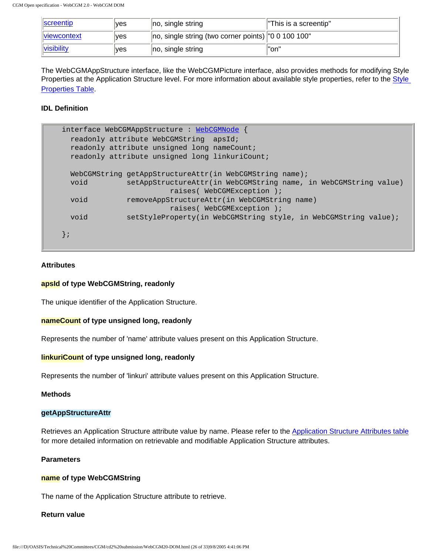| <b>Screentip</b>          | ves  | $\parallel$ no, single string                                       | This is a screentip" |
|---------------------------|------|---------------------------------------------------------------------|----------------------|
| <i><b>Niewcontext</b></i> | ves  | $\vert$ no, single string (two corner points) $\vert$ "0 0 100 100" |                      |
| visibility                | ∣ves | $\parallel$ no, single string                                       | l"on"                |

The WebCGMAppStructure interface, like the WebCGMPicture interface, also provides methods for modifying Style Properties at the Application Structure level. For more information about available style properties, refer to the Style [Properties Table](#page-94-1).

#### **IDL Definition**

```
interface WebCGMAppStructure : WebCGMNode {
  readonly attribute WebCGMString apsId;
  readonly attribute unsigned long nameCount;
  readonly attribute unsigned long linkuriCount;
 WebCGMString getAppStructureAttr(in WebCGMString name);
  void setAppStructureAttr(in WebCGMString name, in WebCGMString value)
                         raises( WebCGMException );
  void removeAppStructureAttr(in WebCGMString name)
                         raises( WebCGMException );
  void setStyleProperty(in WebCGMString style, in WebCGMString value);
};
```
#### **Attributes**

#### **apsId of type WebCGMString, readonly**

The unique identifier of the Application Structure.

#### **nameCount of type unsigned long, readonly**

Represents the number of 'name' attribute values present on this Application Structure.

#### **linkuriCount of type unsigned long, readonly**

Represents the number of 'linkuri' attribute values present on this Application Structure.

#### **Methods**

#### **getAppStructureAttr**

Retrieves an Application Structure attribute value by name. Please refer to the [Application Structure Attributes table](#page-96-1) for more detailed information on retrievable and modifiable Application Structure attributes.

#### **Parameters**

#### **name of type WebCGMString**

The name of the Application Structure attribute to retrieve.

#### **Return value**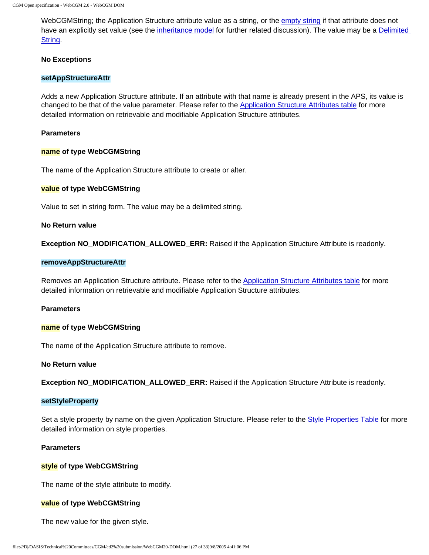WebCGMString; the Application Structure attribute value as a string, or the [empty string](#page-79-1) if that attribute does not have an explicitly set value (see the [inheritance model](#page-76-0) for further related discussion). The value may be a [Delimited](#page-78-1)  [String.](#page-78-1)

#### **No Exceptions**

#### **setAppStructureAttr**

Adds a new Application Structure attribute. If an attribute with that name is already present in the APS, its value is changed to be that of the value parameter. Please refer to the [Application Structure Attributes table](#page-96-1) for more detailed information on retrievable and modifiable Application Structure attributes.

#### **Parameters**

#### **name of type WebCGMString**

The name of the Application Structure attribute to create or alter.

#### **value of type WebCGMString**

Value to set in string form. The value may be a delimited string.

#### **No Return value**

**Exception NO\_MODIFICATION\_ALLOWED\_ERR:** Raised if the Application Structure Attribute is readonly.

#### **removeAppStructureAttr**

Removes an Application Structure attribute. Please refer to the [Application Structure Attributes table](#page-96-1) for more detailed information on retrievable and modifiable Application Structure attributes.

#### **Parameters**

#### **name of type WebCGMString**

The name of the Application Structure attribute to remove.

#### **No Return value**

**Exception NO\_MODIFICATION\_ALLOWED\_ERR:** Raised if the Application Structure Attribute is readonly.

#### **setStyleProperty**

Set a style property by name on the given Application Structure. Please refer to the [Style Properties Table](#page-94-0) for more detailed information on style properties.

#### **Parameters**

#### **style of type WebCGMString**

The name of the style attribute to modify.

#### **value of type WebCGMString**

The new value for the given style.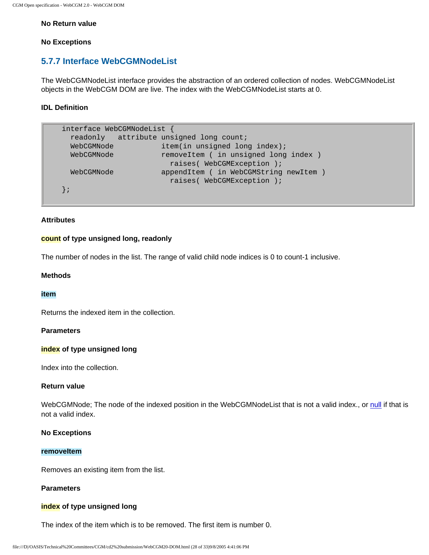#### **No Return value**

#### **No Exceptions**

## <span id="page-99-0"></span>**5.7.7 Interface WebCGMNodeList**

The WebCGMNodeList interface provides the abstraction of an ordered collection of nodes. WebCGMNodeList objects in the WebCGM DOM are live. The index with the WebCGMNodeList starts at 0.

#### **IDL Definition**

```
interface WebCGMNodeList {
  readonly attribute unsigned long count;
 WebCGMNode item(in unsigned long index);
 WebCGMNode removeItem ( in unsigned long index )
                      raises( WebCGMException );
  WebCGMNode appendItem ( in WebCGMString newItem )
                       raises( WebCGMException );
};
```
## **Attributes**

#### **count of type unsigned long, readonly**

The number of nodes in the list. The range of valid child node indices is 0 to count-1 inclusive.

#### **Methods**

#### **item**

Returns the indexed item in the collection.

#### **Parameters**

#### **index of type unsigned long**

Index into the collection.

#### **Return value**

WebCGMNode; The node of the indexed position in the WebCGMNodeList that is not a valid index., or [null](#page-78-3) if that is not a valid index.

#### **No Exceptions**

#### **removeItem**

Removes an existing item from the list.

#### **Parameters**

#### **index of type unsigned long**

The index of the item which is to be removed. The first item is number 0.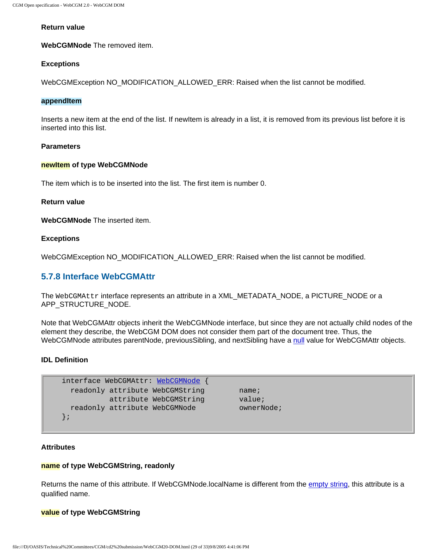#### **Return value**

**WebCGMNode** The removed item.

#### **Exceptions**

WebCGMException NO\_MODIFICATION\_ALLOWED\_ERR: Raised when the list cannot be modified.

#### **appendItem**

Inserts a new item at the end of the list. If newItem is already in a list, it is removed from its previous list before it is inserted into this list.

#### **Parameters**

#### **newItem of type WebCGMNode**

The item which is to be inserted into the list. The first item is number 0.

#### **Return value**

**WebCGMNode** The inserted item.

#### **Exceptions**

WebCGMException NO\_MODIFICATION\_ALLOWED\_ERR: Raised when the list cannot be modified.

#### <span id="page-100-0"></span>**5.7.8 Interface WebCGMAttr**

The WebCGMAttr interface represents an attribute in a XML\_METADATA\_NODE, a PICTURE\_NODE or a APP\_STRUCTURE\_NODE.

Note that WebCGMAttr objects inherit the WebCGMNode interface, but since they are not actually child nodes of the element they describe, the WebCGM DOM does not consider them part of the document tree. Thus, the WebCGMNode attributes parentNode, previousSibling, and nextSibling have a [null](#page-78-3) value for WebCGMAttr objects.

#### **IDL Definition**

```
interface WebCGMAttr: WebCGMNode {
 readonly attribute WebCGMString mame;
        attribute WebCGMString value;
 readonly attribute WebCGMNode ownerNode;
};
```
#### **Attributes**

#### **name of type WebCGMString, readonly**

Returns the name of this attribute. If WebCGMNode.localName is different from the [empty string,](#page-79-1) this attribute is a qualified name.

#### **value of type WebCGMString**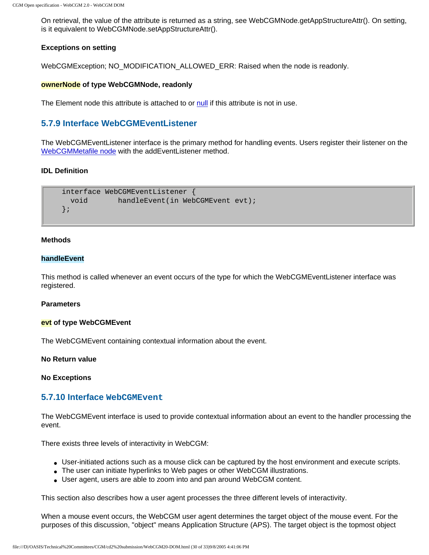On retrieval, the value of the attribute is returned as a string, see WebCGMNode.getAppStructureAttr(). On setting, is it equivalent to WebCGMNode.setAppStructureAttr().

#### **Exceptions on setting**

WebCGMException; NO\_MODIFICATION\_ALLOWED\_ERR: Raised when the node is readonly.

#### **ownerNode of type WebCGMNode, readonly**

The Element node this attribute is attached to or [null](#page-78-3) if this attribute is not in use.

## <span id="page-101-0"></span>**5.7.9 Interface WebCGMEventListener**

The WebCGMEventListener interface is the primary method for handling events. Users register their listener on the [WebCGMMetafile node](#page-84-0) with the addEventListener method.

#### **IDL Definition**

```
interface WebCGMEventListener {
 void handleEvent(in WebCGMEvent evt);
};
```
#### **Methods**

#### **handleEvent**

This method is called whenever an event occurs of the type for which the WebCGMEventListener interface was registered.

#### **Parameters**

#### **evt of type WebCGMEvent**

The WebCGMEvent containing contextual information about the event.

#### **No Return value**

#### **No Exceptions**

#### <span id="page-101-1"></span>**5.7.10 Interface WebCGMEvent**

The WebCGMEvent interface is used to provide contextual information about an event to the handler processing the event.

There exists three levels of interactivity in WebCGM:

- User-initiated actions such as a mouse click can be captured by the host environment and execute scripts.
- The user can initiate hyperlinks to Web pages or other WebCGM illustrations.
- User agent, users are able to zoom into and pan around WebCGM content.

This section also describes how a user agent processes the three different levels of interactivity.

When a mouse event occurs, the WebCGM user agent determines the target object of the mouse event. For the purposes of this discussion, "object" means Application Structure (APS). The target object is the topmost object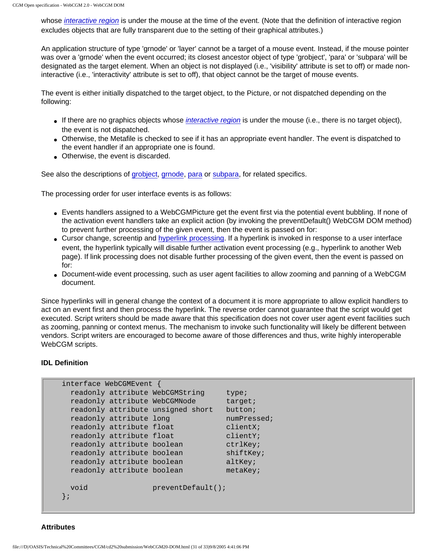whose *[interactive region](#page-223-0)* is under the mouse at the time of the event. (Note that the definition of interactive region excludes objects that are fully transparent due to the setting of their graphical attributes.)

An application structure of type 'grnode' or 'layer' cannot be a target of a mouse event. Instead, if the mouse pointer was over a 'grnode' when the event occurred; its closest ancestor object of type 'grobject', 'para' or 'subpara' will be designated as the target element. When an object is not displayed (i.e., 'visibility' attribute is set to off) or made noninteractive (i.e., 'interactivity' attribute is set to off), that object cannot be the target of mouse events.

The event is either initially dispatched to the target object, to the Picture, or not dispatched depending on the following:

- If there are no graphics objects whose *[interactive region](#page-223-0)* is under the mouse (i.e., there is no target object), the event is not dispatched.
- Otherwise, the Metafile is checked to see if it has an appropriate event handler. The event is dispatched to the event handler if an appropriate one is found.
- Otherwise, the event is discarded.

See also the descriptions of [grobject,](#page-42-0) [grnode,](#page-45-1) [para](#page-44-0) or [subpara,](#page-44-1) for related specifics.

The processing order for user interface events is as follows:

- Events handlers assigned to a WebCGMPicture get the event first via the potential event bubbling. If none of the activation event handlers take an explicit action (by invoking the preventDefault() WebCGM DOM method) to prevent further processing of the given event, then the event is passed on for:
- Cursor change, screentip and [hyperlink processing.](#page-47-0) If a hyperlink is invoked in response to a user interface event, the hyperlink typically will disable further activation event processing (e.g., hyperlink to another Web page). If link processing does not disable further processing of the given event, then the event is passed on for:
- Document-wide event processing, such as user agent facilities to allow zooming and panning of a WebCGM document.

Since hyperlinks will in general change the context of a document it is more appropriate to allow explicit handlers to act on an event first and then process the hyperlink. The reverse order cannot guarantee that the script would get executed. Script writers should be made aware that this specification does not cover user agent event facilities such as zooming, panning or context menus. The mechanism to invoke such functionality will likely be different between vendors. Script writers are encouraged to become aware of those differences and thus, write highly interoperable WebCGM scripts.

#### **IDL Definition**

| interface WebCGMEvent             |                      |             |
|-----------------------------------|----------------------|-------------|
| readonly attribute WebCGMString   |                      | type;       |
| readonly attribute WebCGMNode     |                      | target;     |
| readonly attribute unsigned short |                      | but ton:    |
| readonly attribute long           |                      | numPressed; |
| readonly attribute float          |                      | clientX;    |
| readonly attribute float          |                      | clientY;    |
| readonly attribute boolean        |                      | ctrlKey;    |
| readonly attribute boolean        |                      | shiftKey;   |
| readonly attribute boolean        |                      | altKey;     |
| readonly attribute boolean        |                      | $metakey$ ; |
|                                   |                      |             |
| void                              | $preventDefault()$ ; |             |
| $\{$ ;                            |                      |             |
|                                   |                      |             |

**Attributes**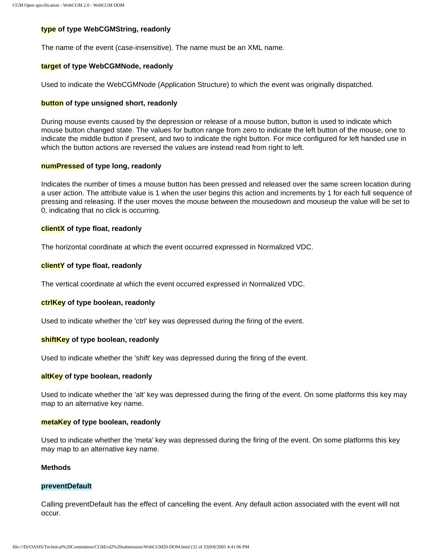#### **type of type WebCGMString, readonly**

The name of the event (case-insensitive). The name must be an XML name.

#### **target of type WebCGMNode, readonly**

Used to indicate the WebCGMNode (Application Structure) to which the event was originally dispatched.

#### **button of type unsigned short, readonly**

During mouse events caused by the depression or release of a mouse button, button is used to indicate which mouse button changed state. The values for button range from zero to indicate the left button of the mouse, one to indicate the middle button if present, and two to indicate the right button. For mice configured for left handed use in which the button actions are reversed the values are instead read from right to left.

#### **numPressed of type long, readonly**

Indicates the number of times a mouse button has been pressed and released over the same screen location during a user action. The attribute value is 1 when the user begins this action and increments by 1 for each full sequence of pressing and releasing. If the user moves the mouse between the mousedown and mouseup the value will be set to 0, indicating that no click is occurring.

#### **clientX of type float, readonly**

The horizontal coordinate at which the event occurred expressed in Normalized VDC.

#### **clientY of type float, readonly**

The vertical coordinate at which the event occurred expressed in Normalized VDC.

#### **ctrlKey of type boolean, readonly**

Used to indicate whether the 'ctrl' key was depressed during the firing of the event.

#### **shiftKey of type boolean, readonly**

Used to indicate whether the 'shift' key was depressed during the firing of the event.

#### **altKey of type boolean, readonly**

Used to indicate whether the 'alt' key was depressed during the firing of the event. On some platforms this key may map to an alternative key name.

#### **metaKey of type boolean, readonly**

Used to indicate whether the 'meta' key was depressed during the firing of the event. On some platforms this key may map to an alternative key name.

#### **Methods**

#### **preventDefault**

Calling preventDefault has the effect of cancelling the event. Any default action associated with the event will not occur.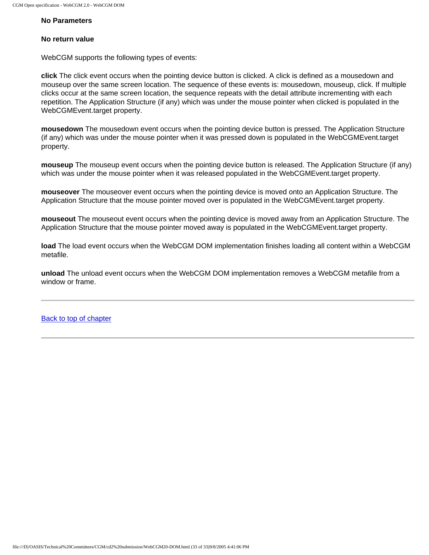#### **No Parameters**

#### **No return value**

WebCGM supports the following types of events:

**click** The click event occurs when the pointing device button is clicked. A click is defined as a mousedown and mouseup over the same screen location. The sequence of these events is: mousedown, mouseup, click. If multiple clicks occur at the same screen location, the sequence repeats with the detail attribute incrementing with each repetition. The Application Structure (if any) which was under the mouse pointer when clicked is populated in the WebCGMEvent.target property.

**mousedown** The mousedown event occurs when the pointing device button is pressed. The Application Structure (if any) which was under the mouse pointer when it was pressed down is populated in the WebCGMEvent.target property.

**mouseup** The mouseup event occurs when the pointing device button is released. The Application Structure (if any) which was under the mouse pointer when it was released populated in the WebCGMEvent.target property.

**mouseover** The mouseover event occurs when the pointing device is moved onto an Application Structure. The Application Structure that the mouse pointer moved over is populated in the WebCGMEvent.target property.

**mouseout** The mouseout event occurs when the pointing device is moved away from an Application Structure. The Application Structure that the mouse pointer moved away is populated in the WebCGMEvent.target property.

**load** The load event occurs when the WebCGM DOM implementation finishes loading all content within a WebCGM metafile.

**unload** The unload event occurs when the WebCGM DOM implementation removes a WebCGM metafile from a window or frame.

[Back to top of chapter](#page-72-3)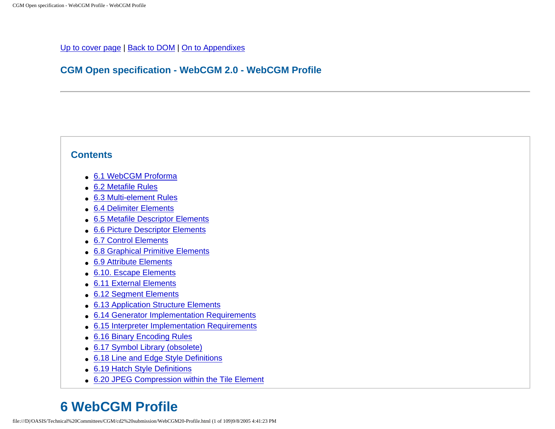## [Up to cover page](#page-0-1) | [Back to DOM](#page-72-4) | [On to Appendixes](#page-214-0)

## **CGM Open specification - WebCGM 2.0 - WebCGM Profile**

## <span id="page-105-0"></span>**Contents**

- [6.1 WebCGM Proforma](#page-106-0)
- [6.2 Metafile Rules](#page-106-1)
- [6.3 Multi-element Rules](#page-107-0)
- [6.4 Delimiter Elements](#page-112-0)
- [6.5 Metafile Descriptor Elements](#page-118-1)
- [6.6 Picture Descriptor Elements](#page-131-0)
- [6.7 Control Elements](#page-140-0)
- [6.8 Graphical Primitive Elements](#page-148-0)
- [6.9 Attribute Elements](#page-162-0)
- [6.10. Escape Elements](#page-188-0)
- [6.11 External Elements](#page-189-0)
- [6.12 Segment Elements](#page-190-0)
- [6.13 Application Structure Elements](#page-193-0)
- [6.14 Generator Implementation Requirements](#page-194-0)
- [6.15 Interpreter Implementation Requirements](#page-199-0)
- [6.16 Binary Encoding Rules](#page-208-0)
- [6.17 Symbol Library \(obsolete\)](#page-212-0)
- [6.18 Line and Edge Style Definitions](#page-212-1)
- [6.19 Hatch Style Definitions](#page-212-2)
- [6.20 JPEG Compression within the Tile Element](#page-212-3)

# **6 WebCGM Profile**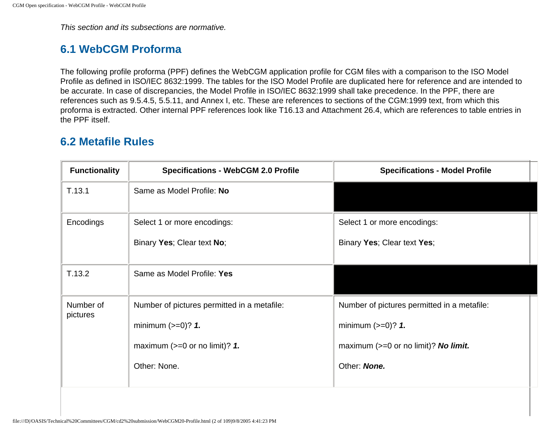This section and its subsections are normative.

# <span id="page-106-0"></span>**6.1 WebCGM Proforma**

The following profile proforma (PPF) defines the WebCGM application profile for CGM files with a comparison to the ISO Model Profile as defined in ISO/IEC 8632:1999. The tables for the ISO Model Profile are duplicated here for reference and are intended to be accurate. In case of discrepancies, the Model Profile in ISO/IEC 8632:1999 shall take precedence. In the PPF, there are references such as 9.5.4.5, 5.5.11, and Annex I, etc. These are references to sections of the CGM:1999 text, from which this proforma is extracted. Other internal PPF references look like T16.13 and Attachment 26.4, which are references to table entries in the PPF itself.

## <span id="page-106-1"></span>**6.2 Metafile Rules**

| <b>Functionality</b>  | <b>Specifications - WebCGM 2.0 Profile</b>  | <b>Specifications - Model Profile</b>       |
|-----------------------|---------------------------------------------|---------------------------------------------|
| T.13.1                | Same as Model Profile: No                   |                                             |
| Encodings             | Select 1 or more encodings:                 | Select 1 or more encodings:                 |
|                       | Binary Yes; Clear text No;                  | Binary Yes; Clear text Yes;                 |
| T.13.2                | Same as Model Profile: Yes                  |                                             |
| Number of<br>pictures | Number of pictures permitted in a metafile: | Number of pictures permitted in a metafile: |
|                       | minimum $(>=0)?$ 1.                         | minimum $(>=0)$ ? 1.                        |
|                       | maximum $(>=0$ or no limit)? 1.             | maximum $(>=0$ or no limit)? No limit.      |
|                       | Other: None.                                | Other: None.                                |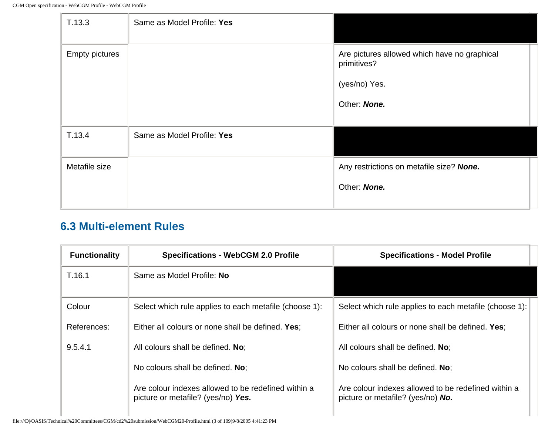| T.13.3                | Same as Model Profile: Yes |                                                             |
|-----------------------|----------------------------|-------------------------------------------------------------|
| <b>Empty pictures</b> |                            | Are pictures allowed which have no graphical<br>primitives? |
|                       |                            | (yes/no) Yes.                                               |
|                       |                            | Other: None.                                                |
|                       |                            |                                                             |
| T.13.4                | Same as Model Profile: Yes |                                                             |
| Metafile size         |                            | Any restrictions on metafile size? None.                    |
|                       |                            | Other: None.                                                |
|                       |                            |                                                             |

# <span id="page-107-0"></span>**6.3 Multi-element Rules**

| <b>Functionality</b> | <b>Specifications - WebCGM 2.0 Profile</b>                                                | <b>Specifications - Model Profile</b>                                                           |  |
|----------------------|-------------------------------------------------------------------------------------------|-------------------------------------------------------------------------------------------------|--|
| T.16.1               | Same as Model Profile: No                                                                 |                                                                                                 |  |
| Colour               | Select which rule applies to each metafile (choose 1):                                    | Select which rule applies to each metafile (choose 1):                                          |  |
| References:          | Either all colours or none shall be defined. Yes:                                         | Either all colours or none shall be defined. Yes:                                               |  |
| 9.5.4.1              | All colours shall be defined. No:                                                         | All colours shall be defined. No:                                                               |  |
|                      | No colours shall be defined. No:                                                          | No colours shall be defined. No:                                                                |  |
|                      | Are colour indexes allowed to be redefined within a<br>picture or metafile? (yes/no) Yes. | Are colour indexes allowed to be redefined within a<br>picture or metafile? (yes/no) <b>No.</b> |  |

file:///D|/OASIS/Technical%20Committees/CGM/cd2%20submission/WebCGM20-Profile.html (3 of 109)9/8/2005 4:41:23 PM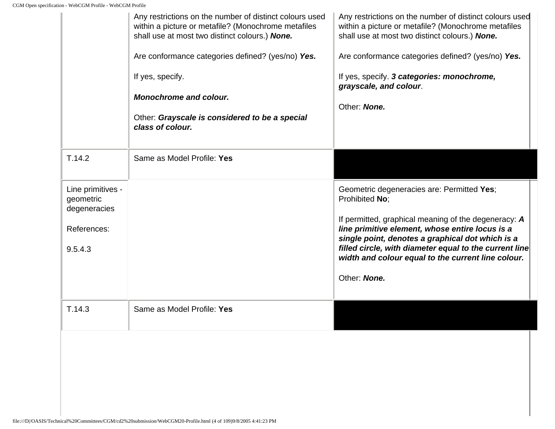|                                                                          | Any restrictions on the number of distinct colours used<br>within a picture or metafile? (Monochrome metafiles<br>shall use at most two distinct colours.) None.<br>Are conformance categories defined? (yes/no) Yes.<br>If yes, specify.<br><b>Monochrome and colour.</b><br>Other: Grayscale is considered to be a special<br>class of colour. | Any restrictions on the number of distinct colours used<br>within a picture or metafile? (Monochrome metafiles<br>shall use at most two distinct colours.) None.<br>Are conformance categories defined? (yes/no) Yes.<br>If yes, specify. 3 categories: monochrome,<br>grayscale, and colour.<br>Other: None.                                               |
|--------------------------------------------------------------------------|--------------------------------------------------------------------------------------------------------------------------------------------------------------------------------------------------------------------------------------------------------------------------------------------------------------------------------------------------|-------------------------------------------------------------------------------------------------------------------------------------------------------------------------------------------------------------------------------------------------------------------------------------------------------------------------------------------------------------|
| T.14.2                                                                   | Same as Model Profile: Yes                                                                                                                                                                                                                                                                                                                       |                                                                                                                                                                                                                                                                                                                                                             |
| Line primitives -<br>geometric<br>degeneracies<br>References:<br>9.5.4.3 |                                                                                                                                                                                                                                                                                                                                                  | Geometric degeneracies are: Permitted Yes;<br>Prohibited No:<br>If permitted, graphical meaning of the degeneracy: A<br>line primitive element, whose entire locus is a<br>single point, denotes a graphical dot which is a<br>filled circle, with diameter equal to the current line<br>width and colour equal to the current line colour.<br>Other: None. |
| T.14.3                                                                   | Same as Model Profile: Yes                                                                                                                                                                                                                                                                                                                       |                                                                                                                                                                                                                                                                                                                                                             |
|                                                                          |                                                                                                                                                                                                                                                                                                                                                  |                                                                                                                                                                                                                                                                                                                                                             |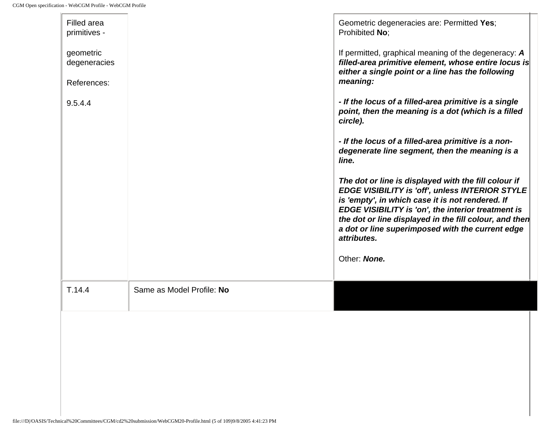| Filled area<br>primitives -              |                           | Geometric degeneracies are: Permitted Yes;<br>Prohibited No;                                                                                                                                                                                                                                                                                   |
|------------------------------------------|---------------------------|------------------------------------------------------------------------------------------------------------------------------------------------------------------------------------------------------------------------------------------------------------------------------------------------------------------------------------------------|
| geometric<br>degeneracies<br>References: |                           | If permitted, graphical meaning of the degeneracy: A<br>filled-area primitive element, whose entire locus is<br>either a single point or a line has the following<br>meaning:                                                                                                                                                                  |
| 9.5.4.4                                  |                           | - If the locus of a filled-area primitive is a single<br>point, then the meaning is a dot (which is a filled<br>circle).                                                                                                                                                                                                                       |
|                                          |                           | - If the locus of a filled-area primitive is a non-<br>degenerate line segment, then the meaning is a<br>line.                                                                                                                                                                                                                                 |
|                                          |                           | The dot or line is displayed with the fill colour if<br>EDGE VISIBILITY is 'off', unless INTERIOR STYLE<br>is 'empty', in which case it is not rendered. If<br>EDGE VISIBILITY is 'on', the interior treatment is<br>the dot or line displayed in the fill colour, and then<br>a dot or line superimposed with the current edge<br>attributes. |
|                                          |                           | Other: None.                                                                                                                                                                                                                                                                                                                                   |
| T.14.4                                   | Same as Model Profile: No |                                                                                                                                                                                                                                                                                                                                                |
|                                          |                           |                                                                                                                                                                                                                                                                                                                                                |
|                                          |                           |                                                                                                                                                                                                                                                                                                                                                |
|                                          |                           |                                                                                                                                                                                                                                                                                                                                                |
|                                          |                           |                                                                                                                                                                                                                                                                                                                                                |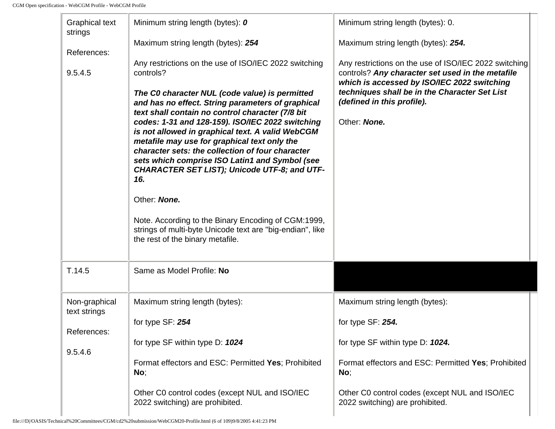<span id="page-110-0"></span>

| <b>Graphical text</b><br>strings<br>References:<br>9.5.4.5 | Minimum string length (bytes): 0<br>Maximum string length (bytes): 254<br>Any restrictions on the use of ISO/IEC 2022 switching<br>controls?<br>The C0 character NUL (code value) is permitted<br>and has no effect. String parameters of graphical<br>text shall contain no control character (7/8 bit<br>codes: 1-31 and 128-159). ISO/IEC 2022 switching<br>is not allowed in graphical text. A valid WebCGM<br>metafile may use for graphical text only the<br>character sets: the collection of four character<br>sets which comprise ISO Latin1 and Symbol (see<br>CHARACTER SET LIST); Unicode UTF-8; and UTF-<br>16.<br>Other: None.<br>Note. According to the Binary Encoding of CGM:1999,<br>strings of multi-byte Unicode text are "big-endian", like | Minimum string length (bytes): 0.<br>Maximum string length (bytes): 254.<br>Any restrictions on the use of ISO/IEC 2022 switching<br>controls? Any character set used in the metafile<br>which is accessed by ISO/IEC 2022 switching<br>techniques shall be in the Character Set List<br>(defined in this profile).<br>Other: None. |  |
|------------------------------------------------------------|------------------------------------------------------------------------------------------------------------------------------------------------------------------------------------------------------------------------------------------------------------------------------------------------------------------------------------------------------------------------------------------------------------------------------------------------------------------------------------------------------------------------------------------------------------------------------------------------------------------------------------------------------------------------------------------------------------------------------------------------------------------|-------------------------------------------------------------------------------------------------------------------------------------------------------------------------------------------------------------------------------------------------------------------------------------------------------------------------------------|--|
| T.14.5                                                     | Same as Model Profile: No                                                                                                                                                                                                                                                                                                                                                                                                                                                                                                                                                                                                                                                                                                                                        |                                                                                                                                                                                                                                                                                                                                     |  |
| Non-graphical<br>text strings<br>References:<br>9.5.4.6    | Maximum string length (bytes):<br>for type SF: 254<br>for type SF within type D: 1024<br>Format effectors and ESC: Permitted Yes; Prohibited<br>No;<br>Other C0 control codes (except NUL and ISO/IEC<br>2022 switching) are prohibited.                                                                                                                                                                                                                                                                                                                                                                                                                                                                                                                         | Maximum string length (bytes):<br>for type SF: 254.<br>for type SF within type D: 1024.<br>Format effectors and ESC: Permitted Yes; Prohibited<br>No;<br>Other C0 control codes (except NUL and ISO/IEC<br>2022 switching) are prohibited.                                                                                          |  |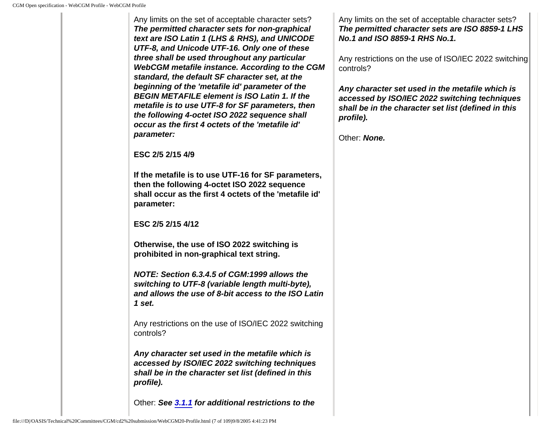Any limits on the set of acceptable character sets? **The permitted character sets for non-graphical text are ISO Latin 1 (LHS & RHS), and UNICODE UTF-8, and Unicode UTF-16. Only one of these three shall be used throughout any particular WebCGM metafile instance. According to the CGM standard, the default SF character set, at the beginning of the 'metafile id' parameter of the BEGIN METAFILE element is ISO Latin 1. If the metafile is to use UTF-8 for SF parameters, then the following 4-octet ISO 2022 sequence shall occur as the first 4 octets of the 'metafile id' parameter:**

**ESC 2/5 2/15 4/9**

**If the metafile is to use UTF-16 for SF parameters, then the following 4-octet ISO 2022 sequence shall occur as the first 4 octets of the 'metafile id' parameter:**

**ESC 2/5 2/15 4/12**

**Otherwise, the use of ISO 2022 switching is prohibited in non-graphical text string.**

**NOTE: Section 6.3.4.5 of CGM:1999 allows the switching to UTF-8 (variable length multi-byte), and allows the use of 8-bit access to the ISO Latin 1 set.**

Any restrictions on the use of ISO/IEC 2022 switching controls?

**Any character set used in the metafile which is accessed by ISO/IEC 2022 switching techniques shall be in the character set list (defined in this profile).**

Other: **See [3.1.1](#page-26-0) for additional restrictions to the** 

Any limits on the set of acceptable character sets? **The permitted character sets are ISO 8859-1 LHS No.1 and ISO 8859-1 RHS No.1.**

Any restrictions on the use of ISO/IEC 2022 switching controls?

**Any character set used in the metafile which is accessed by ISO/IEC 2022 switching techniques shall be in the character set list (defined in this profile).**

Other: **None.**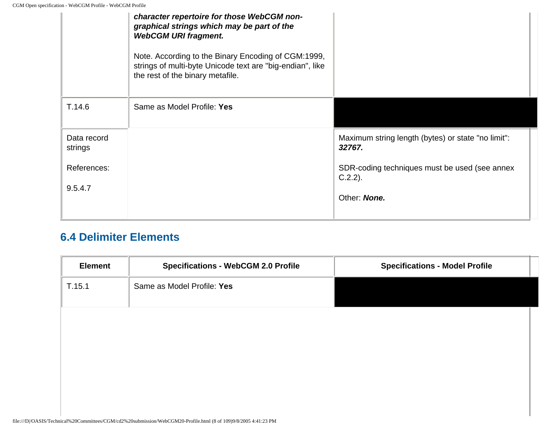|                        | character repertoire for those WebCGM non-<br>graphical strings which may be part of the<br><b>WebCGM URI fragment.</b><br>Note. According to the Binary Encoding of CGM:1999,<br>strings of multi-byte Unicode text are "big-endian", like<br>the rest of the binary metafile. |                                                              |
|------------------------|---------------------------------------------------------------------------------------------------------------------------------------------------------------------------------------------------------------------------------------------------------------------------------|--------------------------------------------------------------|
| T.14.6                 | Same as Model Profile: Yes                                                                                                                                                                                                                                                      |                                                              |
| Data record<br>strings |                                                                                                                                                                                                                                                                                 | Maximum string length (bytes) or state "no limit":<br>32767. |
| References:            |                                                                                                                                                                                                                                                                                 | SDR-coding techniques must be used (see annex<br>$C.2.2$ ).  |
| 9.5.4.7                |                                                                                                                                                                                                                                                                                 | Other: None.                                                 |

## **6.4 Delimiter Elements**

| <b>Element</b> | <b>Specifications - WebCGM 2.0 Profile</b> | <b>Specifications - Model Profile</b> |
|----------------|--------------------------------------------|---------------------------------------|
| T.15.1         | Same as Model Profile: Yes                 |                                       |
|                |                                            |                                       |
|                |                                            |                                       |
|                |                                            |                                       |
|                |                                            |                                       |
|                |                                            |                                       |
|                |                                            |                                       |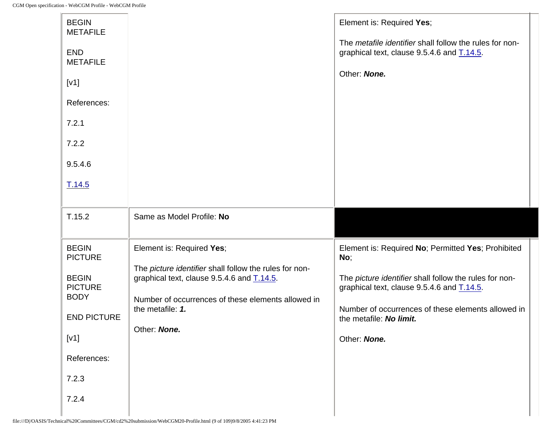| <b>BEGIN</b><br><b>METAFILE</b><br><b>END</b><br><b>METAFILE</b><br>[V1]<br>References:<br>7.2.1<br>7.2.2<br>9.5.4.6<br>T.14.5                 |                                                                                                                                                                                                                             | Element is: Required Yes;<br>The metafile identifier shall follow the rules for non-<br>graphical text, clause 9.5.4.6 and T.14.5.<br>Other: None.                                                                                                                 |
|------------------------------------------------------------------------------------------------------------------------------------------------|-----------------------------------------------------------------------------------------------------------------------------------------------------------------------------------------------------------------------------|--------------------------------------------------------------------------------------------------------------------------------------------------------------------------------------------------------------------------------------------------------------------|
| T.15.2                                                                                                                                         | Same as Model Profile: No                                                                                                                                                                                                   |                                                                                                                                                                                                                                                                    |
| <b>BEGIN</b><br><b>PICTURE</b><br><b>BEGIN</b><br><b>PICTURE</b><br><b>BODY</b><br><b>END PICTURE</b><br>[v1]<br>References:<br>7.2.3<br>7.2.4 | Element is: Required Yes;<br>The picture identifier shall follow the rules for non-<br>graphical text, clause 9.5.4.6 and T.14.5.<br>Number of occurrences of these elements allowed in<br>the metafile: 1.<br>Other: None. | Element is: Required No; Permitted Yes; Prohibited<br>No;<br>The picture identifier shall follow the rules for non-<br>graphical text, clause 9.5.4.6 and T.14.5.<br>Number of occurrences of these elements allowed in<br>the metafile: No limit.<br>Other: None. |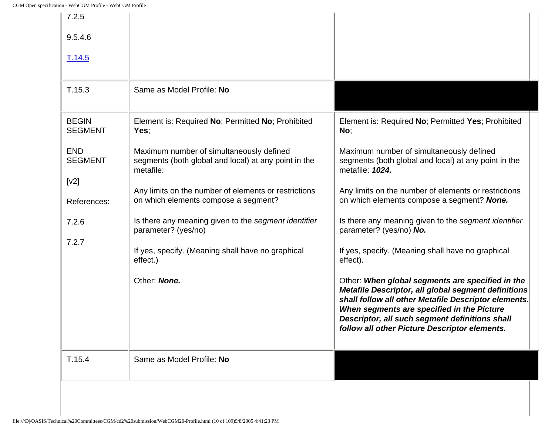| 7.2.5<br>9.5.4.6               |                                                                                                               |                                                                                                                                                                                                                                                                                                                  |
|--------------------------------|---------------------------------------------------------------------------------------------------------------|------------------------------------------------------------------------------------------------------------------------------------------------------------------------------------------------------------------------------------------------------------------------------------------------------------------|
| T.14.5                         |                                                                                                               |                                                                                                                                                                                                                                                                                                                  |
| T.15.3                         | Same as Model Profile: No                                                                                     |                                                                                                                                                                                                                                                                                                                  |
| <b>BEGIN</b><br><b>SEGMENT</b> | Element is: Required No; Permitted No; Prohibited<br>Yes;                                                     | Element is: Required No; Permitted Yes; Prohibited<br>No;                                                                                                                                                                                                                                                        |
| <b>END</b><br><b>SEGMENT</b>   | Maximum number of simultaneously defined<br>segments (both global and local) at any point in the<br>metafile: | Maximum number of simultaneously defined<br>segments (both global and local) at any point in the<br>metafile: 1024.                                                                                                                                                                                              |
| [v2]<br>References:            | Any limits on the number of elements or restrictions<br>on which elements compose a segment?                  | Any limits on the number of elements or restrictions<br>on which elements compose a segment? None.                                                                                                                                                                                                               |
| 7.2.6                          | Is there any meaning given to the segment identifier<br>parameter? (yes/no)                                   | Is there any meaning given to the segment identifier<br>parameter? (yes/no) No.                                                                                                                                                                                                                                  |
| 7.2.7                          | If yes, specify. (Meaning shall have no graphical<br>effect.)                                                 | If yes, specify. (Meaning shall have no graphical<br>effect).                                                                                                                                                                                                                                                    |
|                                | Other: None.                                                                                                  | Other: When global segments are specified in the<br>Metafile Descriptor, all global segment definitions<br>shall follow all other Metafile Descriptor elements.<br>When segments are specified in the Picture<br>Descriptor, all such segment definitions shall<br>follow all other Picture Descriptor elements. |
| T.15.4                         | Same as Model Profile: No                                                                                     |                                                                                                                                                                                                                                                                                                                  |
|                                |                                                                                                               |                                                                                                                                                                                                                                                                                                                  |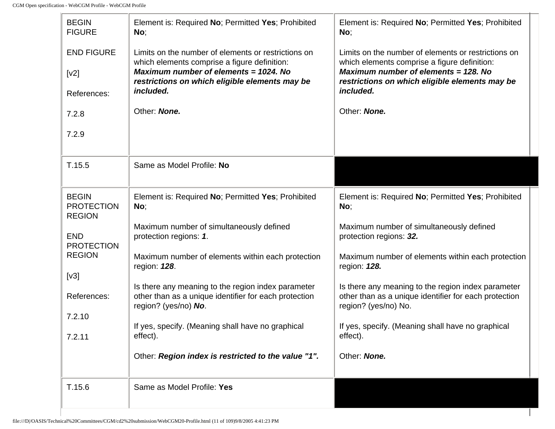-lo

| <b>BEGIN</b><br><b>FIGURE</b>                      | Element is: Required No; Permitted Yes; Prohibited<br>No;                                           | Element is: Required No; Permitted Yes; Prohibited<br>No;                                           |  |
|----------------------------------------------------|-----------------------------------------------------------------------------------------------------|-----------------------------------------------------------------------------------------------------|--|
| <b>END FIGURE</b>                                  | Limits on the number of elements or restrictions on<br>which elements comprise a figure definition: | Limits on the number of elements or restrictions on<br>which elements comprise a figure definition: |  |
| [v2]                                               | Maximum number of elements = 1024. No<br>restrictions on which eligible elements may be             | Maximum number of elements = 128. No<br>restrictions on which eligible elements may be              |  |
| References:                                        | included.                                                                                           | included.                                                                                           |  |
| 7.2.8                                              | Other: None.                                                                                        | Other: None.                                                                                        |  |
| 7.2.9                                              |                                                                                                     |                                                                                                     |  |
|                                                    |                                                                                                     |                                                                                                     |  |
| T.15.5                                             | Same as Model Profile: No                                                                           |                                                                                                     |  |
| <b>BEGIN</b><br><b>PROTECTION</b><br><b>REGION</b> | Element is: Required No; Permitted Yes; Prohibited<br>No;                                           | Element is: Required No; Permitted Yes; Prohibited<br>No;                                           |  |
| <b>END</b><br><b>PROTECTION</b>                    | Maximum number of simultaneously defined<br>protection regions: 1.                                  | Maximum number of simultaneously defined<br>protection regions: 32.                                 |  |
| <b>REGION</b>                                      | Maximum number of elements within each protection<br>region: 128.                                   | Maximum number of elements within each protection<br>region: 128.                                   |  |
| [v3]                                               | Is there any meaning to the region index parameter                                                  | Is there any meaning to the region index parameter                                                  |  |
| References:                                        | other than as a unique identifier for each protection<br>region? (yes/no) No.                       | other than as a unique identifier for each protection<br>region? (yes/no) No.                       |  |
| 7.2.10                                             | If yes, specify. (Meaning shall have no graphical                                                   | If yes, specify. (Meaning shall have no graphical                                                   |  |
| 7.2.11                                             | effect).                                                                                            | effect).                                                                                            |  |
|                                                    | Other: Region index is restricted to the value "1".                                                 | Other: None.                                                                                        |  |
|                                                    |                                                                                                     |                                                                                                     |  |
| T.15.6                                             | Same as Model Profile: Yes                                                                          |                                                                                                     |  |
|                                                    |                                                                                                     |                                                                                                     |  |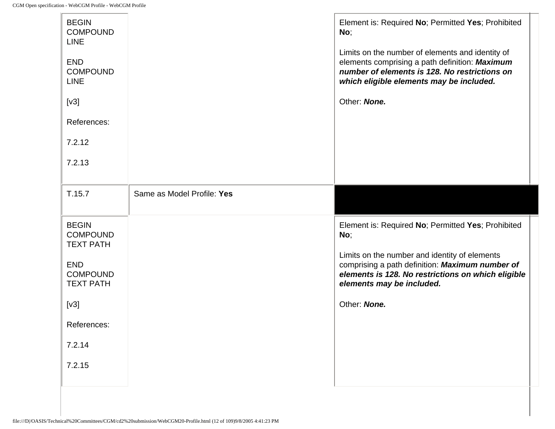| <b>BEGIN</b><br><b>COMPOUND</b><br><b>LINE</b><br><b>END</b><br><b>COMPOUND</b><br><b>LINE</b><br>[v3]<br>References:<br>7.2.12<br>7.2.13           |                            | Element is: Required No; Permitted Yes; Prohibited<br>No;<br>Limits on the number of elements and identity of<br>elements comprising a path definition: Maximum<br>number of elements is 128. No restrictions on<br>which eligible elements may be included.<br>Other: None. |  |
|-----------------------------------------------------------------------------------------------------------------------------------------------------|----------------------------|------------------------------------------------------------------------------------------------------------------------------------------------------------------------------------------------------------------------------------------------------------------------------|--|
| T.15.7                                                                                                                                              | Same as Model Profile: Yes |                                                                                                                                                                                                                                                                              |  |
| <b>BEGIN</b><br><b>COMPOUND</b><br><b>TEXT PATH</b><br><b>END</b><br><b>COMPOUND</b><br><b>TEXT PATH</b><br>[v3]<br>References:<br>7.2.14<br>7.2.15 |                            | Element is: Required No; Permitted Yes; Prohibited<br>No;<br>Limits on the number and identity of elements<br>comprising a path definition: Maximum number of<br>elements is 128. No restrictions on which eligible<br>elements may be included.<br>Other: None.             |  |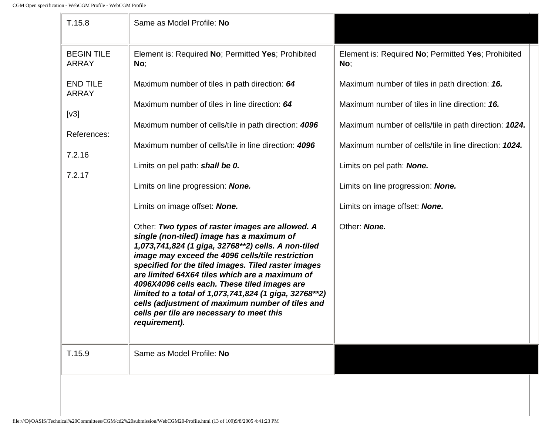| T.15.8                                                                     | Same as Model Profile: No                                                                                                                                                                                                                                                                                                                                                                                                                                                                                                                                                                                                                                                                                                                                     |                                                                                                                                                                                                                                                                                                                                       |  |
|----------------------------------------------------------------------------|---------------------------------------------------------------------------------------------------------------------------------------------------------------------------------------------------------------------------------------------------------------------------------------------------------------------------------------------------------------------------------------------------------------------------------------------------------------------------------------------------------------------------------------------------------------------------------------------------------------------------------------------------------------------------------------------------------------------------------------------------------------|---------------------------------------------------------------------------------------------------------------------------------------------------------------------------------------------------------------------------------------------------------------------------------------------------------------------------------------|--|
| <b>BEGIN TILE</b><br><b>ARRAY</b>                                          | Element is: Required No; Permitted Yes; Prohibited<br>No;                                                                                                                                                                                                                                                                                                                                                                                                                                                                                                                                                                                                                                                                                                     | Element is: Required No; Permitted Yes; Prohibited<br>No;                                                                                                                                                                                                                                                                             |  |
| <b>END TILE</b><br><b>ARRAY</b><br>[v3]<br>References:<br>7.2.16<br>7.2.17 | Maximum number of tiles in path direction: 64<br>Maximum number of tiles in line direction: 64<br>Maximum number of cells/tile in path direction: 4096<br>Maximum number of cells/tile in line direction: 4096<br>Limits on pel path: shall be 0.<br>Limits on line progression: None.<br>Limits on image offset: <b>None.</b><br>Other: Two types of raster images are allowed. A<br>single (non-tiled) image has a maximum of<br>1,073,741,824 (1 giga, 32768**2) cells. A non-tiled<br>image may exceed the 4096 cells/tile restriction<br>specified for the tiled images. Tiled raster images<br>are limited 64X64 tiles which are a maximum of<br>4096X4096 cells each. These tiled images are<br>limited to a total of 1,073,741,824 (1 giga, 32768**2) | Maximum number of tiles in path direction: 16.<br>Maximum number of tiles in line direction: 16.<br>Maximum number of cells/tile in path direction: 1024.<br>Maximum number of cells/tile in line direction: 1024.<br>Limits on pel path: None.<br>Limits on line progression: None.<br>Limits on image offset: None.<br>Other: None. |  |
| T.15.9                                                                     | cells (adjustment of maximum number of tiles and<br>cells per tile are necessary to meet this<br>requirement).<br>Same as Model Profile: No                                                                                                                                                                                                                                                                                                                                                                                                                                                                                                                                                                                                                   |                                                                                                                                                                                                                                                                                                                                       |  |
|                                                                            |                                                                                                                                                                                                                                                                                                                                                                                                                                                                                                                                                                                                                                                                                                                                                               |                                                                                                                                                                                                                                                                                                                                       |  |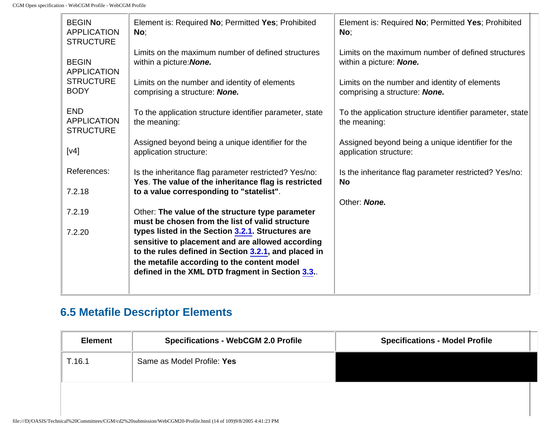| <b>BEGIN</b><br><b>APPLICATION</b><br><b>STRUCTURE</b> | Element is: Required No; Permitted Yes; Prohibited<br>No;                                                                                                     | Element is: Required No; Permitted Yes; Prohibited<br>No;                      |
|--------------------------------------------------------|---------------------------------------------------------------------------------------------------------------------------------------------------------------|--------------------------------------------------------------------------------|
| <b>BEGIN</b><br><b>APPLICATION</b>                     | Limits on the maximum number of defined structures<br>within a picture: None.                                                                                 | Limits on the maximum number of defined structures<br>within a picture: None.  |
| <b>STRUCTURE</b><br><b>BODY</b>                        | Limits on the number and identity of elements<br>comprising a structure: <b>None.</b>                                                                         | Limits on the number and identity of elements<br>comprising a structure: None. |
| <b>END</b><br><b>APPLICATION</b><br><b>STRUCTURE</b>   | To the application structure identifier parameter, state<br>the meaning:                                                                                      | To the application structure identifier parameter, state<br>the meaning:       |
| [v4]                                                   | Assigned beyond being a unique identifier for the<br>application structure:                                                                                   | Assigned beyond being a unique identifier for the<br>application structure:    |
| References:<br>7.2.18                                  | Is the inheritance flag parameter restricted? Yes/no:<br>Yes. The value of the inheritance flag is restricted<br>to a value corresponding to "statelist".     | Is the inheritance flag parameter restricted? Yes/no:<br><b>No</b>             |
|                                                        |                                                                                                                                                               | Other: None.                                                                   |
| 7.2.19                                                 | Other: The value of the structure type parameter<br>must be chosen from the list of valid structure                                                           |                                                                                |
| 7.2.20                                                 | types listed in the Section 3.2.1. Structures are<br>sensitive to placement and are allowed according<br>to the rules defined in Section 3.2.1, and placed in |                                                                                |
|                                                        | the metafile according to the content model<br>defined in the XML DTD fragment in Section 3.3.                                                                |                                                                                |
|                                                        |                                                                                                                                                               |                                                                                |

## **6.5 Metafile Descriptor Elements**

| <b>Element</b> | <b>Specifications - WebCGM 2.0 Profile</b> | <b>Specifications - Model Profile</b> |
|----------------|--------------------------------------------|---------------------------------------|
| T.16.1         | Same as Model Profile: Yes                 |                                       |
|                |                                            |                                       |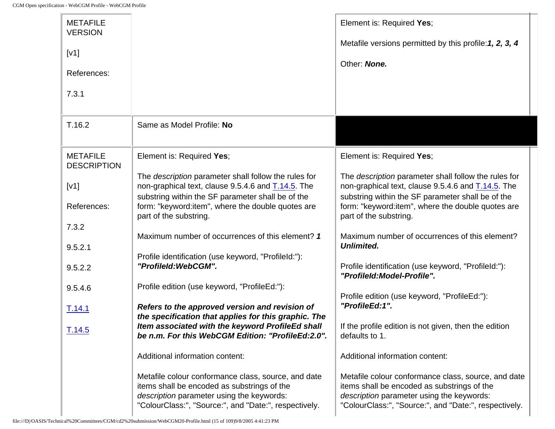J.

| <b>METAFILE</b><br><b>VERSION</b><br>[V1]<br>References:<br>7.3.1 |                                                                                                                                                                                                          | Element is: Required Yes;<br>Metafile versions permitted by this profile: 1, 2, 3, 4<br>Other: None.                                                                                                     |
|-------------------------------------------------------------------|----------------------------------------------------------------------------------------------------------------------------------------------------------------------------------------------------------|----------------------------------------------------------------------------------------------------------------------------------------------------------------------------------------------------------|
| T.16.2                                                            | Same as Model Profile: No                                                                                                                                                                                |                                                                                                                                                                                                          |
| <b>METAFILE</b><br><b>DESCRIPTION</b>                             | Element is: Required Yes;                                                                                                                                                                                | Element is: Required Yes;                                                                                                                                                                                |
| [V1]                                                              | The description parameter shall follow the rules for<br>non-graphical text, clause 9.5.4.6 and T.14.5. The<br>substring within the SF parameter shall be of the                                          | The description parameter shall follow the rules for<br>non-graphical text, clause 9.5.4.6 and T.14.5. The<br>substring within the SF parameter shall be of the                                          |
| References:                                                       | form: "keyword:item", where the double quotes are<br>part of the substring.                                                                                                                              | form: "keyword: item", where the double quotes are<br>part of the substring.                                                                                                                             |
| 7.3.2                                                             | Maximum number of occurrences of this element? 1                                                                                                                                                         | Maximum number of occurrences of this element?                                                                                                                                                           |
| 9.5.2.1                                                           | Profile identification (use keyword, "ProfileId:"):                                                                                                                                                      | <b>Unlimited.</b>                                                                                                                                                                                        |
| 9.5.2.2                                                           | "ProfileId:WebCGM".                                                                                                                                                                                      | Profile identification (use keyword, "ProfileId:"):<br>"ProfileId:Model-Profile".                                                                                                                        |
| 9.5.4.6                                                           | Profile edition (use keyword, "ProfileEd:"):                                                                                                                                                             | Profile edition (use keyword, "ProfileEd:"):                                                                                                                                                             |
| T.14.1                                                            | Refers to the approved version and revision of<br>the specification that applies for this graphic. The                                                                                                   | "ProfileEd:1".                                                                                                                                                                                           |
| T.14.5                                                            | Item associated with the keyword ProfileEd shall<br>be n.m. For this WebCGM Edition: "ProfileEd:2.0".                                                                                                    | If the profile edition is not given, then the edition<br>defaults to 1.                                                                                                                                  |
|                                                                   | Additional information content:                                                                                                                                                                          | Additional information content:                                                                                                                                                                          |
|                                                                   | Metafile colour conformance class, source, and date<br>items shall be encoded as substrings of the<br>description parameter using the keywords:<br>"ColourClass:", "Source:", and "Date:", respectively. | Metafile colour conformance class, source, and date<br>items shall be encoded as substrings of the<br>description parameter using the keywords:<br>"ColourClass:", "Source:", and "Date:", respectively. |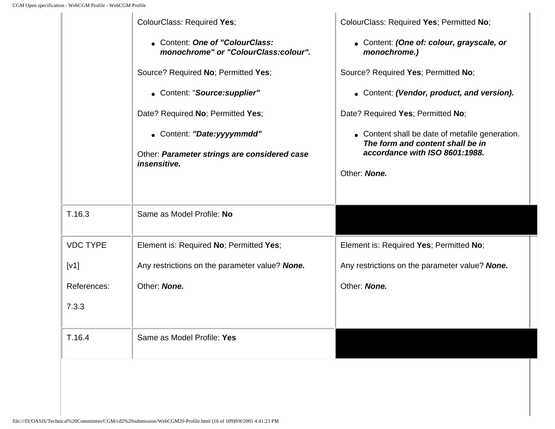|                 | ColourClass: Required Yes;                                              | ColourClass: Required Yes; Permitted No;                                            |
|-----------------|-------------------------------------------------------------------------|-------------------------------------------------------------------------------------|
|                 | • Content: One of "ColourClass:<br>monochrome" or "ColourClass:colour". | • Content: (One of: colour, grayscale, or<br>monochrome.)                           |
|                 | Source? Required No; Permitted Yes;                                     | Source? Required Yes; Permitted No;                                                 |
|                 | • Content: "Source: supplier"                                           | • Content: (Vendor, product, and version).                                          |
|                 | Date? Required No; Permitted Yes;                                       | Date? Required Yes; Permitted No;                                                   |
|                 | • Content: "Date:yyyymmdd"                                              | • Content shall be date of metafile generation.<br>The form and content shall be in |
|                 | Other: Parameter strings are considered case<br>insensitive.            | accordance with ISO 8601:1988.                                                      |
|                 |                                                                         | Other: None.                                                                        |
|                 |                                                                         |                                                                                     |
| T.16.3          | Same as Model Profile: No                                               |                                                                                     |
| <b>VDC TYPE</b> | Element is: Required No; Permitted Yes;                                 | Element is: Required Yes; Permitted No;                                             |
| [V1]            | Any restrictions on the parameter value? None.                          | Any restrictions on the parameter value? None.                                      |
| References:     | Other: None.                                                            | Other: None.                                                                        |
| 7.3.3           |                                                                         |                                                                                     |
|                 |                                                                         |                                                                                     |
| T.16.4          | Same as Model Profile: Yes                                              |                                                                                     |
|                 |                                                                         |                                                                                     |
|                 |                                                                         |                                                                                     |
|                 |                                                                         |                                                                                     |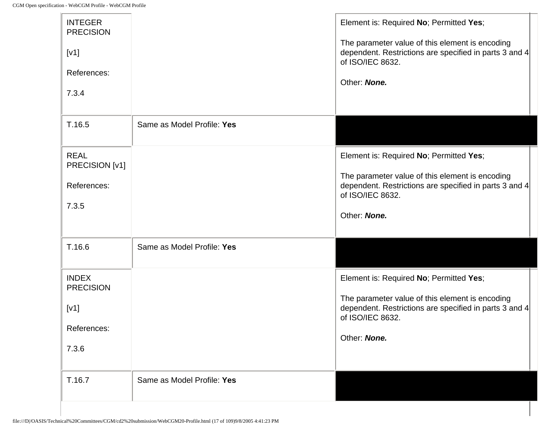| <b>INTEGER</b><br><b>PRECISION</b><br>[V1]<br>References:<br>7.3.4 |                            | Element is: Required No; Permitted Yes;<br>The parameter value of this element is encoding<br>dependent. Restrictions are specified in parts 3 and 4<br>of ISO/IEC 8632.<br>Other: None. |
|--------------------------------------------------------------------|----------------------------|------------------------------------------------------------------------------------------------------------------------------------------------------------------------------------------|
| T.16.5                                                             | Same as Model Profile: Yes |                                                                                                                                                                                          |
| <b>REAL</b><br>PRECISION [v1]<br>References:<br>7.3.5              |                            | Element is: Required No; Permitted Yes;<br>The parameter value of this element is encoding<br>dependent. Restrictions are specified in parts 3 and 4<br>of ISO/IEC 8632.<br>Other: None. |
| T.16.6                                                             | Same as Model Profile: Yes |                                                                                                                                                                                          |
| <b>INDEX</b><br><b>PRECISION</b>                                   |                            | Element is: Required No; Permitted Yes;<br>The parameter value of this element is encoding                                                                                               |
| [V1]<br>References:                                                |                            | dependent. Restrictions are specified in parts 3 and 4<br>of ISO/IEC 8632.                                                                                                               |
| 7.3.6                                                              |                            | Other: None.                                                                                                                                                                             |
| T.16.7                                                             | Same as Model Profile: Yes |                                                                                                                                                                                          |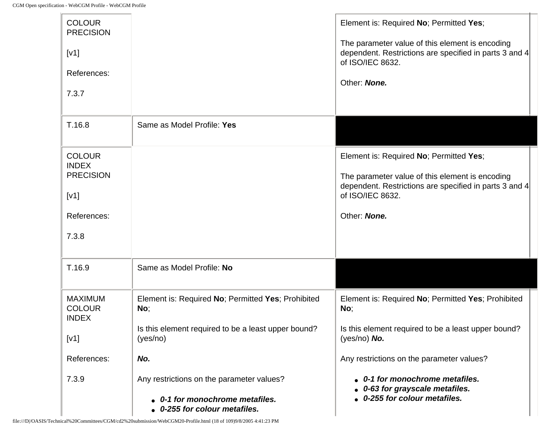$\mathbb{R}$ 

| <b>COLOUR</b><br><b>PRECISION</b><br>[V1]<br>References:<br>7.3.7                 |                                                                                                                              | Element is: Required No; Permitted Yes;<br>The parameter value of this element is encoding<br>dependent. Restrictions are specified in parts 3 and 4<br>of ISO/IEC 8632.<br>Other: None. |
|-----------------------------------------------------------------------------------|------------------------------------------------------------------------------------------------------------------------------|------------------------------------------------------------------------------------------------------------------------------------------------------------------------------------------|
| T.16.8                                                                            | Same as Model Profile: Yes                                                                                                   |                                                                                                                                                                                          |
| <b>COLOUR</b><br><b>INDEX</b><br><b>PRECISION</b><br>[V1]<br>References:<br>7.3.8 |                                                                                                                              | Element is: Required No; Permitted Yes;<br>The parameter value of this element is encoding<br>dependent. Restrictions are specified in parts 3 and 4<br>of ISO/IEC 8632.<br>Other: None. |
| T.16.9                                                                            | Same as Model Profile: No                                                                                                    |                                                                                                                                                                                          |
| <b>MAXIMUM</b><br><b>COLOUR</b><br><b>INDEX</b><br>[V1]                           | Element is: Required No; Permitted Yes; Prohibited<br>No;<br>Is this element required to be a least upper bound?<br>(yes/no) | Element is: Required No; Permitted Yes; Prohibited<br>No;<br>Is this element required to be a least upper bound?<br>(yes/no) $No.$                                                       |
| References:                                                                       | No.                                                                                                                          | Any restrictions on the parameter values?                                                                                                                                                |
| 7.3.9                                                                             | Any restrictions on the parameter values?<br>0-1 for monochrome metafiles.<br>0-255 for colour metafiles.                    | • 0-1 for monochrome metafiles.<br>0-63 for grayscale metafiles.<br>0-255 for colour metafiles.                                                                                          |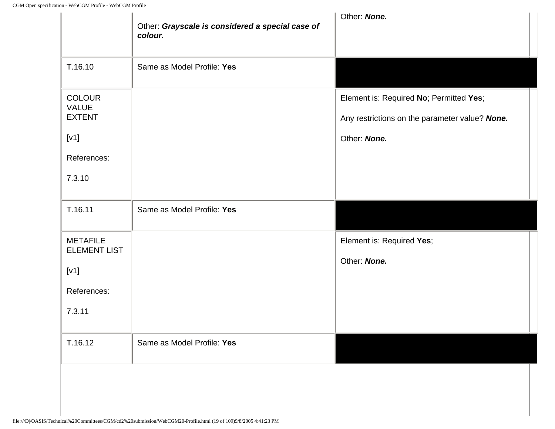|                                                | Other: Grayscale is considered a special case of<br>colour. | Other: None.                                                                              |
|------------------------------------------------|-------------------------------------------------------------|-------------------------------------------------------------------------------------------|
| T.16.10                                        | Same as Model Profile: Yes                                  |                                                                                           |
| <b>COLOUR</b><br>VALUE<br><b>EXTENT</b>        |                                                             | Element is: Required No; Permitted Yes;<br>Any restrictions on the parameter value? None. |
| [V1]                                           |                                                             | Other: None.                                                                              |
| References:<br>7.3.10                          |                                                             |                                                                                           |
| T.16.11                                        | Same as Model Profile: Yes                                  |                                                                                           |
| <b>METAFILE</b><br><b>ELEMENT LIST</b><br>[V1] |                                                             | Element is: Required Yes;<br>Other: None.                                                 |
| References:                                    |                                                             |                                                                                           |
| 7.3.11                                         |                                                             |                                                                                           |
| T.16.12                                        | Same as Model Profile: Yes                                  |                                                                                           |
|                                                |                                                             |                                                                                           |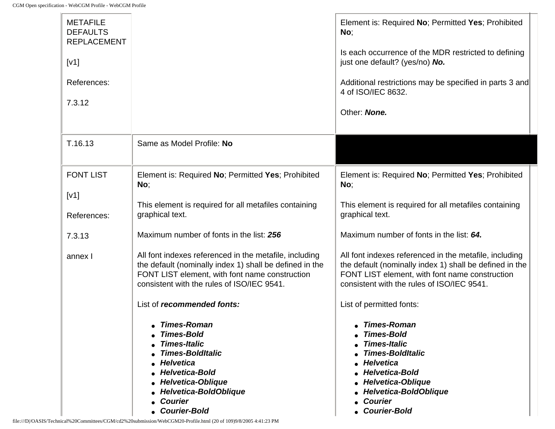$\mathbf{r}$ 

| <b>METAFILE</b><br><b>DEFAULTS</b><br><b>REPLACEMENT</b> |                                                                                                                                                                                                                                                                                                                                       | Element is: Required No; Permitted Yes; Prohibited<br>No;                                                                                                                                                                |
|----------------------------------------------------------|---------------------------------------------------------------------------------------------------------------------------------------------------------------------------------------------------------------------------------------------------------------------------------------------------------------------------------------|--------------------------------------------------------------------------------------------------------------------------------------------------------------------------------------------------------------------------|
| [V1]                                                     |                                                                                                                                                                                                                                                                                                                                       | Is each occurrence of the MDR restricted to defining<br>just one default? (yes/no) No.                                                                                                                                   |
| References:                                              |                                                                                                                                                                                                                                                                                                                                       | Additional restrictions may be specified in parts 3 and<br>4 of ISO/IEC 8632.                                                                                                                                            |
| 7.3.12                                                   |                                                                                                                                                                                                                                                                                                                                       | Other: None.                                                                                                                                                                                                             |
| T.16.13                                                  | Same as Model Profile: No                                                                                                                                                                                                                                                                                                             |                                                                                                                                                                                                                          |
| <b>FONT LIST</b>                                         | Element is: Required No; Permitted Yes; Prohibited<br>No;                                                                                                                                                                                                                                                                             | Element is: Required No; Permitted Yes; Prohibited<br>No;                                                                                                                                                                |
| [V1]<br>References:                                      | This element is required for all metafiles containing<br>graphical text.                                                                                                                                                                                                                                                              | This element is required for all metafiles containing<br>graphical text.                                                                                                                                                 |
| 7.3.13                                                   | Maximum number of fonts in the list: 256                                                                                                                                                                                                                                                                                              | Maximum number of fonts in the list: 64.                                                                                                                                                                                 |
| annex I                                                  | All font indexes referenced in the metafile, including<br>the default (nominally index 1) shall be defined in the<br>FONT LIST element, with font name construction<br>consistent with the rules of ISO/IEC 9541.                                                                                                                     | All font indexes referenced in the metafile, including<br>the default (nominally index 1) shall be defined in the<br>FONT LIST element, with font name construction<br>consistent with the rules of ISO/IEC 9541.        |
|                                                          | List of <i>recommended</i> fonts:                                                                                                                                                                                                                                                                                                     | List of permitted fonts:                                                                                                                                                                                                 |
|                                                          | • Times-Roman<br><b>Times-Bold</b><br><b>Times-Italic</b><br><b>Times-BoldItalic</b><br>Helvetica<br><b>Helvetica-Bold</b><br>• Helvetica-Oblique<br>• Helvetica-BoldOblique<br>• Courier<br><b>Courier-Bold</b><br>file:///D /OASIS/Technical%20Committees/CGM/cd2%20submission/WebCGM20-Profile.html (20 of 109)9/8/2005 4:41:23 PM | • Times-Roman<br><b>Times-Bold</b><br><b>Times-Italic</b><br><b>Times-BoldItalic</b><br>Helvetica<br><b>Helvetica-Bold</b><br><b>Helvetica-Oblique</b><br>Helvetica-BoldOblique<br><b>Courier</b><br><b>Courier-Bold</b> |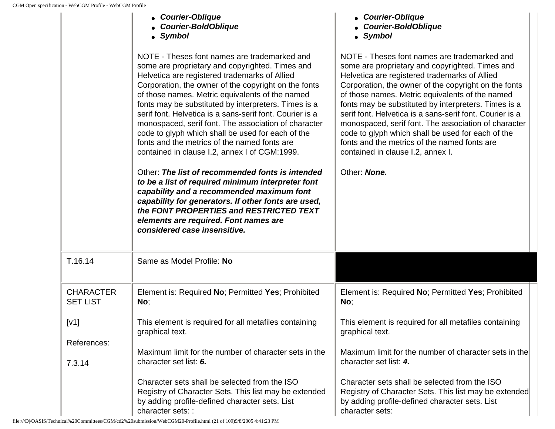|                                     | • Courier-Oblique<br><b>Courier-BoldOblique</b><br>• Symbol                                                                                                                                                                                                                                                                                                                                                                                                                                                                                                                                                                                                                                                                                                                                                                                                                                                                    | • Courier-Oblique<br><b>Courier-BoldOblique</b><br>• Symbol                                                                                                                                                                                                                                                                                                                                                                                                                                                                                                                                       |
|-------------------------------------|--------------------------------------------------------------------------------------------------------------------------------------------------------------------------------------------------------------------------------------------------------------------------------------------------------------------------------------------------------------------------------------------------------------------------------------------------------------------------------------------------------------------------------------------------------------------------------------------------------------------------------------------------------------------------------------------------------------------------------------------------------------------------------------------------------------------------------------------------------------------------------------------------------------------------------|---------------------------------------------------------------------------------------------------------------------------------------------------------------------------------------------------------------------------------------------------------------------------------------------------------------------------------------------------------------------------------------------------------------------------------------------------------------------------------------------------------------------------------------------------------------------------------------------------|
|                                     | NOTE - Theses font names are trademarked and<br>some are proprietary and copyrighted. Times and<br>Helvetica are registered trademarks of Allied<br>Corporation, the owner of the copyright on the fonts<br>of those names. Metric equivalents of the named<br>fonts may be substituted by interpreters. Times is a<br>serif font. Helvetica is a sans-serif font. Courier is a<br>monospaced, serif font. The association of character<br>code to glyph which shall be used for each of the<br>fonts and the metrics of the named fonts are<br>contained in clause I.2, annex I of CGM:1999.<br>Other: The list of recommended fonts is intended<br>to be a list of required minimum interpreter font<br>capability and a recommended maximum font<br>capability for generators. If other fonts are used,<br>the FONT PROPERTIES and RESTRICTED TEXT<br>elements are required. Font names are<br>considered case insensitive. | NOTE - Theses font names are trademarked and<br>some are proprietary and copyrighted. Times and<br>Helvetica are registered trademarks of Allied<br>Corporation, the owner of the copyright on the fonts<br>of those names. Metric equivalents of the named<br>fonts may be substituted by interpreters. Times is a<br>serif font. Helvetica is a sans-serif font. Courier is a<br>monospaced, serif font. The association of character<br>code to glyph which shall be used for each of the<br>fonts and the metrics of the named fonts are<br>contained in clause I.2, annex I.<br>Other: None. |
|                                     |                                                                                                                                                                                                                                                                                                                                                                                                                                                                                                                                                                                                                                                                                                                                                                                                                                                                                                                                |                                                                                                                                                                                                                                                                                                                                                                                                                                                                                                                                                                                                   |
| T.16.14                             | Same as Model Profile: No                                                                                                                                                                                                                                                                                                                                                                                                                                                                                                                                                                                                                                                                                                                                                                                                                                                                                                      |                                                                                                                                                                                                                                                                                                                                                                                                                                                                                                                                                                                                   |
| <b>CHARACTER</b><br><b>SET LIST</b> | Element is: Required No; Permitted Yes; Prohibited<br>No;                                                                                                                                                                                                                                                                                                                                                                                                                                                                                                                                                                                                                                                                                                                                                                                                                                                                      | Element is: Required No; Permitted Yes; Prohibited<br>No;                                                                                                                                                                                                                                                                                                                                                                                                                                                                                                                                         |
| [v1]                                | This element is required for all metafiles containing<br>graphical text.                                                                                                                                                                                                                                                                                                                                                                                                                                                                                                                                                                                                                                                                                                                                                                                                                                                       | This element is required for all metafiles containing<br>graphical text.                                                                                                                                                                                                                                                                                                                                                                                                                                                                                                                          |
| References:<br>7.3.14               | Maximum limit for the number of character sets in the<br>character set list: 6.                                                                                                                                                                                                                                                                                                                                                                                                                                                                                                                                                                                                                                                                                                                                                                                                                                                | Maximum limit for the number of character sets in the<br>character set list: 4.                                                                                                                                                                                                                                                                                                                                                                                                                                                                                                                   |
|                                     | Character sets shall be selected from the ISO<br>Registry of Character Sets. This list may be extended<br>by adding profile-defined character sets. List<br>character sets: :                                                                                                                                                                                                                                                                                                                                                                                                                                                                                                                                                                                                                                                                                                                                                  | Character sets shall be selected from the ISO<br>Registry of Character Sets. This list may be extended<br>by adding profile-defined character sets. List<br>character sets:                                                                                                                                                                                                                                                                                                                                                                                                                       |

file:///D|/OASIS/Technical%20Committees/CGM/cd2%20submission/WebCGM20-Profile.html (21 of 109)9/8/2005 4:41:23 PM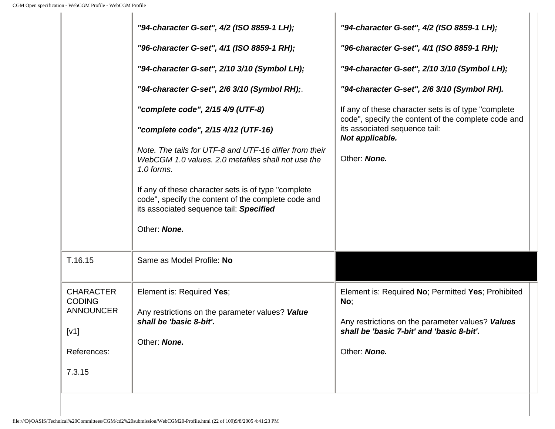|                                                       | "94-character G-set", 4/2 (ISO 8859-1 LH);                                                                                                             | "94-character G-set", 4/2 (ISO 8859-1 LH);                                                                  |
|-------------------------------------------------------|--------------------------------------------------------------------------------------------------------------------------------------------------------|-------------------------------------------------------------------------------------------------------------|
|                                                       | "96-character G-set", 4/1 (ISO 8859-1 RH);                                                                                                             | "96-character G-set", 4/1 (ISO 8859-1 RH);                                                                  |
|                                                       | "94-character G-set", 2/10 3/10 (Symbol LH);                                                                                                           | "94-character G-set", 2/10 3/10 (Symbol LH);                                                                |
|                                                       | "94-character G-set", 2/6 3/10 (Symbol RH);                                                                                                            | "94-character G-set", 2/6 3/10 (Symbol RH).                                                                 |
|                                                       | "complete code", 2/15 4/9 (UTF-8)                                                                                                                      | If any of these character sets is of type "complete"<br>code", specify the content of the complete code and |
|                                                       | "complete code", 2/15 4/12 (UTF-16)                                                                                                                    | its associated sequence tail:<br>Not applicable.                                                            |
|                                                       | Note. The tails for UTF-8 and UTF-16 differ from their<br>WebCGM 1.0 values. 2.0 metafiles shall not use the<br>1.0 forms.                             | Other: None.                                                                                                |
|                                                       | If any of these character sets is of type "complete"<br>code", specify the content of the complete code and<br>its associated sequence tail: Specified |                                                                                                             |
|                                                       | Other: None.                                                                                                                                           |                                                                                                             |
| T.16.15                                               | Same as Model Profile: No                                                                                                                              |                                                                                                             |
| <b>CHARACTER</b><br><b>CODING</b><br><b>ANNOUNCER</b> | Element is: Required Yes;<br>Any restrictions on the parameter values? Value                                                                           | Element is: Required No; Permitted Yes; Prohibited<br>No;                                                   |
| [V1]                                                  | shall be 'basic 8-bit'.                                                                                                                                | Any restrictions on the parameter values? Values<br>shall be 'basic 7-bit' and 'basic 8-bit'.               |
| References:                                           | Other: None.                                                                                                                                           | Other: None.                                                                                                |
| 7.3.15                                                |                                                                                                                                                        |                                                                                                             |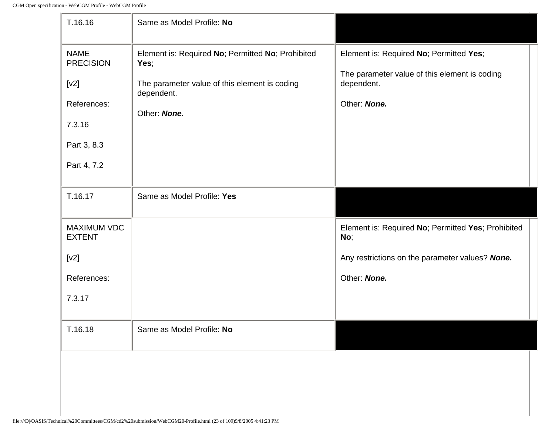| T.16.16                                                                                        | Same as Model Profile: No                                                                                                                |                                                                                                                        |
|------------------------------------------------------------------------------------------------|------------------------------------------------------------------------------------------------------------------------------------------|------------------------------------------------------------------------------------------------------------------------|
| <b>NAME</b><br><b>PRECISION</b><br>[v2]<br>References:<br>7.3.16<br>Part 3, 8.3<br>Part 4, 7.2 | Element is: Required No; Permitted No; Prohibited<br>Yes;<br>The parameter value of this element is coding<br>dependent.<br>Other: None. | Element is: Required No; Permitted Yes;<br>The parameter value of this element is coding<br>dependent.<br>Other: None. |
| T.16.17                                                                                        | Same as Model Profile: Yes                                                                                                               |                                                                                                                        |
| <b>MAXIMUM VDC</b><br><b>EXTENT</b>                                                            |                                                                                                                                          | Element is: Required No; Permitted Yes; Prohibited<br>No;                                                              |
| [v2]                                                                                           |                                                                                                                                          | Any restrictions on the parameter values? None.                                                                        |
| References:                                                                                    |                                                                                                                                          | Other: None.                                                                                                           |
| 7.3.17                                                                                         |                                                                                                                                          |                                                                                                                        |
| T.16.18                                                                                        | Same as Model Profile: No                                                                                                                |                                                                                                                        |
|                                                                                                |                                                                                                                                          |                                                                                                                        |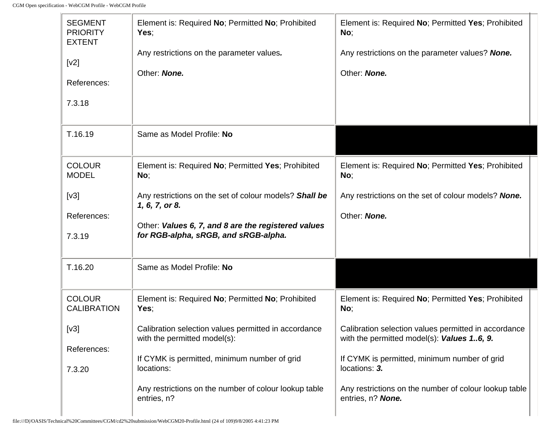$\Gamma$ 

| <b>SEGMENT</b><br><b>PRIORITY</b><br><b>EXTENT</b> | Element is: Required No; Permitted No; Prohibited<br>Yes;                                   | Element is: Required No; Permitted Yes; Prohibited<br>No;                                          |
|----------------------------------------------------|---------------------------------------------------------------------------------------------|----------------------------------------------------------------------------------------------------|
| [v2]                                               | Any restrictions on the parameter values.                                                   | Any restrictions on the parameter values? None.                                                    |
| References:                                        | Other: None.                                                                                | Other: None.                                                                                       |
| 7.3.18                                             |                                                                                             |                                                                                                    |
| T.16.19                                            | Same as Model Profile: No                                                                   |                                                                                                    |
| <b>COLOUR</b><br><b>MODEL</b>                      | Element is: Required No; Permitted Yes; Prohibited<br>No;                                   | Element is: Required No; Permitted Yes; Prohibited<br>No;                                          |
| [v3]                                               | Any restrictions on the set of colour models? Shall be<br>1, 6, 7, or 8.                    | Any restrictions on the set of colour models? None.                                                |
| References:                                        |                                                                                             | Other: None.                                                                                       |
| 7.3.19                                             | Other: Values 6, 7, and 8 are the registered values<br>for RGB-alpha, sRGB, and sRGB-alpha. |                                                                                                    |
| T.16.20                                            | Same as Model Profile: No                                                                   |                                                                                                    |
| <b>COLOUR</b><br><b>CALIBRATION</b>                | Element is: Required No; Permitted No; Prohibited<br>Yes;                                   | Element is: Required No; Permitted Yes; Prohibited<br>No;                                          |
| [v3]                                               | Calibration selection values permitted in accordance<br>with the permitted model(s):        | Calibration selection values permitted in accordance<br>with the permitted model(s): Values 16, 9. |
| References:                                        | If CYMK is permitted, minimum number of grid                                                | If CYMK is permitted, minimum number of grid                                                       |
| 7.3.20                                             | locations:                                                                                  | locations: 3.                                                                                      |
|                                                    | Any restrictions on the number of colour lookup table<br>entries, n?                        | Any restrictions on the number of colour lookup table<br>entries, n? None.                         |

÷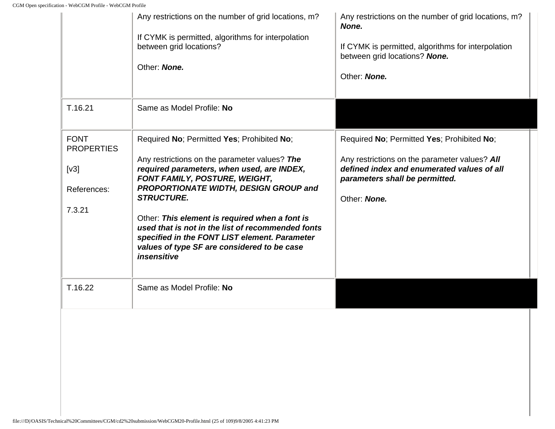|                                                                   | Any restrictions on the number of grid locations, m?<br>If CYMK is permitted, algorithms for interpolation<br>between grid locations?<br>Other: None.                                                                                                                                                                                                                                                                                                          | Any restrictions on the number of grid locations, m?<br>None.<br>If CYMK is permitted, algorithms for interpolation<br>between grid locations? None.<br>Other: None.                        |
|-------------------------------------------------------------------|----------------------------------------------------------------------------------------------------------------------------------------------------------------------------------------------------------------------------------------------------------------------------------------------------------------------------------------------------------------------------------------------------------------------------------------------------------------|---------------------------------------------------------------------------------------------------------------------------------------------------------------------------------------------|
| T.16.21                                                           | Same as Model Profile: No                                                                                                                                                                                                                                                                                                                                                                                                                                      |                                                                                                                                                                                             |
| <b>FONT</b><br><b>PROPERTIES</b><br>[v3]<br>References:<br>7.3.21 | Required No; Permitted Yes; Prohibited No;<br>Any restrictions on the parameter values? The<br>required parameters, when used, are INDEX,<br>FONT FAMILY, POSTURE, WEIGHT,<br>PROPORTIONATE WIDTH, DESIGN GROUP and<br><b>STRUCTURE.</b><br>Other: This element is required when a font is<br>used that is not in the list of recommended fonts<br>specified in the FONT LIST element. Parameter<br>values of type SF are considered to be case<br>insensitive | Required No; Permitted Yes; Prohibited No;<br>Any restrictions on the parameter values? All<br>defined index and enumerated values of all<br>parameters shall be permitted.<br>Other: None. |
| T.16.22                                                           | Same as Model Profile: No                                                                                                                                                                                                                                                                                                                                                                                                                                      |                                                                                                                                                                                             |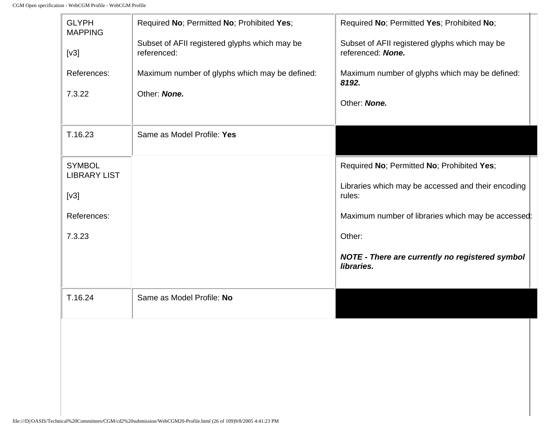| <b>GLYPH</b><br><b>MAPPING</b>       | Required No; Permitted No; Prohibited Yes;                   | Required No; Permitted Yes; Prohibited No;                         |  |
|--------------------------------------|--------------------------------------------------------------|--------------------------------------------------------------------|--|
| [v3]                                 | Subset of AFII registered glyphs which may be<br>referenced: | Subset of AFII registered glyphs which may be<br>referenced: None. |  |
| References:                          | Maximum number of glyphs which may be defined:               | Maximum number of glyphs which may be defined:<br>8192.            |  |
| 7.3.22                               | Other: None.                                                 | Other: None.                                                       |  |
| T.16.23                              | Same as Model Profile: Yes                                   |                                                                    |  |
| <b>SYMBOL</b><br><b>LIBRARY LIST</b> |                                                              | Required No; Permitted No; Prohibited Yes;                         |  |
| [v3]                                 |                                                              | Libraries which may be accessed and their encoding<br>rules:       |  |
| References:                          |                                                              | Maximum number of libraries which may be accessed:                 |  |
| 7.3.23                               |                                                              | Other:                                                             |  |
|                                      |                                                              | NOTE - There are currently no registered symbol<br>libraries.      |  |
| T.16.24                              | Same as Model Profile: No                                    |                                                                    |  |
|                                      |                                                              |                                                                    |  |
|                                      |                                                              |                                                                    |  |
|                                      |                                                              |                                                                    |  |
|                                      |                                                              |                                                                    |  |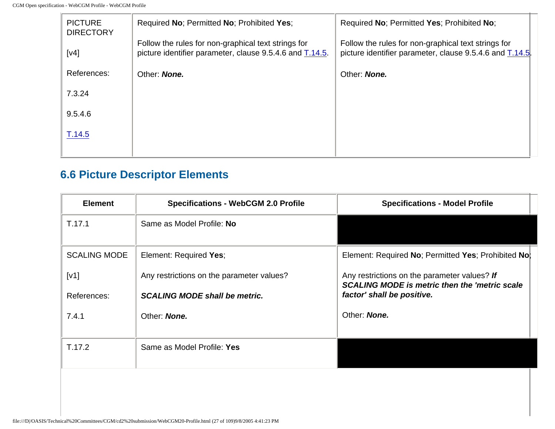| <b>PICTURE</b><br><b>DIRECTORY</b> | Required No; Permitted No; Prohibited Yes;                                                                      | Required No; Permitted Yes; Prohibited No;                                                                     |
|------------------------------------|-----------------------------------------------------------------------------------------------------------------|----------------------------------------------------------------------------------------------------------------|
| [v4]                               | Follow the rules for non-graphical text strings for<br>picture identifier parameter, clause 9.5.4.6 and T.14.5. | Follow the rules for non-graphical text strings for<br>picture identifier parameter, clause 9.5.4.6 and T.14.5 |
| References:                        | Other: None.                                                                                                    | Other: None.                                                                                                   |
| 7.3.24                             |                                                                                                                 |                                                                                                                |
| 9.5.4.6                            |                                                                                                                 |                                                                                                                |
| T.14.5                             |                                                                                                                 |                                                                                                                |
|                                    |                                                                                                                 |                                                                                                                |

## **6.6 Picture Descriptor Elements**

| <b>Element</b>      | <b>Specifications - WebCGM 2.0 Profile</b> | <b>Specifications - Model Profile</b>                                                                |
|---------------------|--------------------------------------------|------------------------------------------------------------------------------------------------------|
| T.17.1              | Same as Model Profile: No                  |                                                                                                      |
| <b>SCALING MODE</b> | Element: Required Yes;                     | Element: Required No; Permitted Yes; Prohibited No;                                                  |
| [v1]                | Any restrictions on the parameter values?  | Any restrictions on the parameter values? If<br><b>SCALING MODE is metric then the 'metric scale</b> |
| References:         | <b>SCALING MODE shall be metric.</b>       | factor' shall be positive.                                                                           |
| 7.4.1               | Other: None.                               | Other: None.                                                                                         |
| T.17.2              | Same as Model Profile: Yes                 |                                                                                                      |
|                     |                                            |                                                                                                      |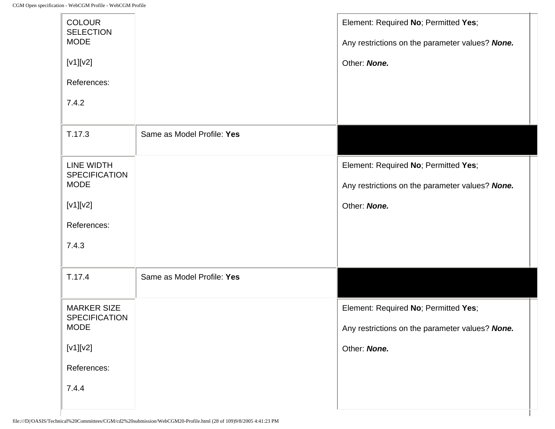| <b>COLOUR</b><br><b>SELECTION</b><br><b>MODE</b><br>$[V1][V2]$<br>References: |                            | Element: Required No; Permitted Yes;<br>Any restrictions on the parameter values? None.<br>Other: None. |
|-------------------------------------------------------------------------------|----------------------------|---------------------------------------------------------------------------------------------------------|
| 7.4.2                                                                         |                            |                                                                                                         |
| T.17.3                                                                        | Same as Model Profile: Yes |                                                                                                         |
| LINE WIDTH<br><b>SPECIFICATION</b><br><b>MODE</b>                             |                            | Element: Required No; Permitted Yes;<br>Any restrictions on the parameter values? None.                 |
| $[V1][V2]$                                                                    |                            | Other: None.                                                                                            |
| References:                                                                   |                            |                                                                                                         |
| 7.4.3                                                                         |                            |                                                                                                         |
| T.17.4                                                                        | Same as Model Profile: Yes |                                                                                                         |
| <b>MARKER SIZE</b><br><b>SPECIFICATION</b>                                    |                            | Element: Required No; Permitted Yes;                                                                    |
| <b>MODE</b>                                                                   |                            | Any restrictions on the parameter values? None.                                                         |
| $[V1][V2]$                                                                    |                            | Other: None.                                                                                            |
| References:                                                                   |                            |                                                                                                         |
| 7.4.4                                                                         |                            |                                                                                                         |

I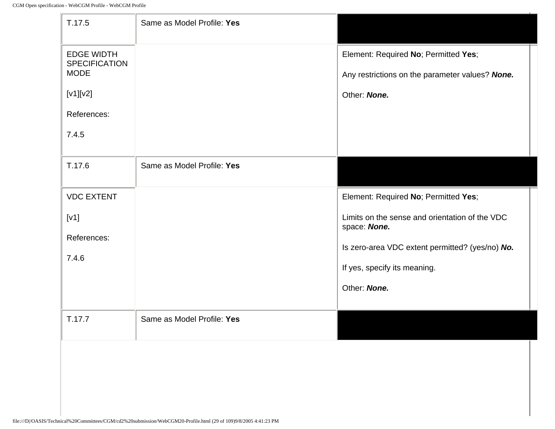$\mathbb{F}$ 

| T.17.5                                                                                                   | Same as Model Profile: Yes |                                                                                                         |
|----------------------------------------------------------------------------------------------------------|----------------------------|---------------------------------------------------------------------------------------------------------|
| <b>EDGE WIDTH</b><br><b>SPECIFICATION</b><br><b>MODE</b><br>$[V1][V2]$<br>References:<br>7.4.5<br>T.17.6 | Same as Model Profile: Yes | Element: Required No; Permitted Yes;<br>Any restrictions on the parameter values? None.<br>Other: None. |
|                                                                                                          |                            |                                                                                                         |
| <b>VDC EXTENT</b>                                                                                        |                            | Element: Required No; Permitted Yes;                                                                    |
| [V1]                                                                                                     |                            | Limits on the sense and orientation of the VDC<br>space: None.                                          |
| References:                                                                                              |                            | Is zero-area VDC extent permitted? (yes/no) No.                                                         |
| 7.4.6                                                                                                    |                            | If yes, specify its meaning.                                                                            |
|                                                                                                          |                            | Other: None.                                                                                            |
| T.17.7                                                                                                   | Same as Model Profile: Yes |                                                                                                         |
|                                                                                                          |                            |                                                                                                         |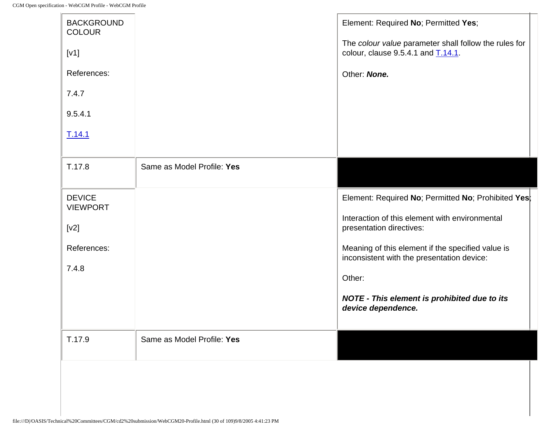| <b>BACKGROUND</b>                |                            | Element: Required No; Permitted Yes;                                                            |
|----------------------------------|----------------------------|-------------------------------------------------------------------------------------------------|
| <b>COLOUR</b>                    |                            | The colour value parameter shall follow the rules for                                           |
| [V1]                             |                            | colour, clause $9.5.4.1$ and $\overline{1.14.1}$ .                                              |
| References:                      |                            | Other: None.                                                                                    |
| 7.4.7                            |                            |                                                                                                 |
| 9.5.4.1                          |                            |                                                                                                 |
| T.14.1                           |                            |                                                                                                 |
|                                  |                            |                                                                                                 |
| T.17.8                           | Same as Model Profile: Yes |                                                                                                 |
| <b>DEVICE</b><br><b>VIEWPORT</b> |                            | Element: Required No; Permitted No; Prohibited Yes;                                             |
| [v2]                             |                            | Interaction of this element with environmental<br>presentation directives:                      |
|                                  |                            |                                                                                                 |
| References:                      |                            | Meaning of this element if the specified value is<br>inconsistent with the presentation device: |
| 7.4.8                            |                            | Other:                                                                                          |
|                                  |                            | NOTE - This element is prohibited due to its<br>device dependence.                              |
|                                  |                            |                                                                                                 |
| T.17.9                           | Same as Model Profile: Yes |                                                                                                 |
|                                  |                            |                                                                                                 |
|                                  |                            |                                                                                                 |
|                                  |                            |                                                                                                 |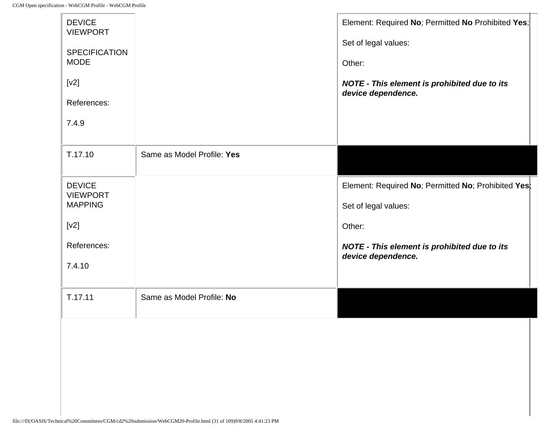| <b>DEVICE</b><br><b>VIEWPORT</b><br><b>SPECIFICATION</b><br><b>MODE</b><br>$[v2]$<br>References:<br>7.4.9 |                            | Element: Required No; Permitted No Prohibited Yes;<br>Set of legal values:<br>Other:<br>NOTE - This element is prohibited due to its<br>device dependence.         |
|-----------------------------------------------------------------------------------------------------------|----------------------------|--------------------------------------------------------------------------------------------------------------------------------------------------------------------|
| T.17.10                                                                                                   | Same as Model Profile: Yes |                                                                                                                                                                    |
| <b>DEVICE</b><br><b>VIEWPORT</b><br><b>MAPPING</b><br>[v2]<br>References:<br>7.4.10                       |                            | Element: Required No; Permitted No; Prohibited Yes;<br>Set of legal values:<br>Other:<br><b>NOTE - This element is prohibited due to its</b><br>device dependence. |
| T.17.11                                                                                                   | Same as Model Profile: No  |                                                                                                                                                                    |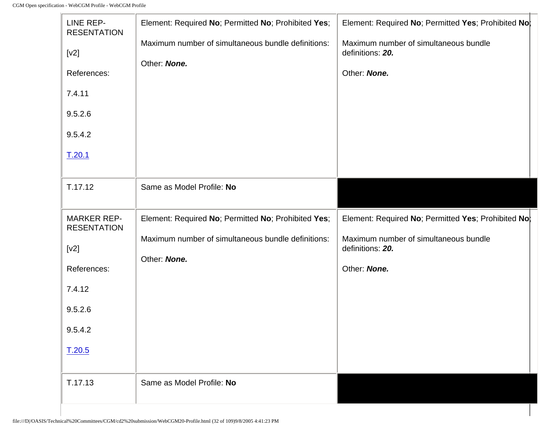| LINE REP-<br><b>RESENTATION</b><br>[v2]<br>References:<br>7.4.11<br>9.5.2.6<br>9.5.4.2<br>T.20.1          | Element: Required No; Permitted No; Prohibited Yes;<br>Maximum number of simultaneous bundle definitions:<br>Other: None. | Element: Required No; Permitted Yes; Prohibited No;<br>Maximum number of simultaneous bundle<br>definitions: 20.<br>Other: None. |
|-----------------------------------------------------------------------------------------------------------|---------------------------------------------------------------------------------------------------------------------------|----------------------------------------------------------------------------------------------------------------------------------|
| T.17.12                                                                                                   | Same as Model Profile: No                                                                                                 |                                                                                                                                  |
| <b>MARKER REP-</b><br><b>RESENTATION</b><br>[v2]<br>References:<br>7.4.12<br>9.5.2.6<br>9.5.4.2<br>T.20.5 | Element: Required No; Permitted No; Prohibited Yes;<br>Maximum number of simultaneous bundle definitions:<br>Other: None. | Element: Required No; Permitted Yes; Prohibited No;<br>Maximum number of simultaneous bundle<br>definitions: 20.<br>Other: None. |
| T.17.13                                                                                                   | Same as Model Profile: No                                                                                                 |                                                                                                                                  |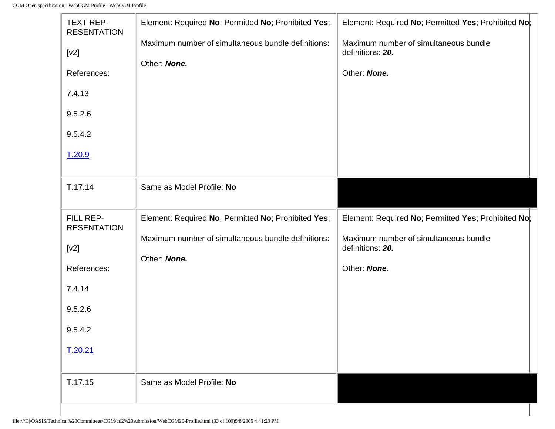-lo

| <b>TEXT REP-</b><br><b>RESENTATION</b><br>[v2]<br>References:<br>7.4.13<br>9.5.2.6<br>9.5.4.2<br>T.20.9 | Element: Required No; Permitted No; Prohibited Yes;<br>Maximum number of simultaneous bundle definitions:<br>Other: None. | Element: Required No; Permitted Yes; Prohibited No;<br>Maximum number of simultaneous bundle<br>definitions: 20.<br>Other: None. |
|---------------------------------------------------------------------------------------------------------|---------------------------------------------------------------------------------------------------------------------------|----------------------------------------------------------------------------------------------------------------------------------|
| T.17.14                                                                                                 | Same as Model Profile: No                                                                                                 |                                                                                                                                  |
| FILL REP-<br><b>RESENTATION</b><br>[v2]<br>References:<br>7.4.14<br>9.5.2.6<br>9.5.4.2<br>T.20.21       | Element: Required No; Permitted No; Prohibited Yes;<br>Maximum number of simultaneous bundle definitions:<br>Other: None. | Element: Required No; Permitted Yes; Prohibited No;<br>Maximum number of simultaneous bundle<br>definitions: 20.<br>Other: None. |
| T.17.15                                                                                                 | Same as Model Profile: No                                                                                                 |                                                                                                                                  |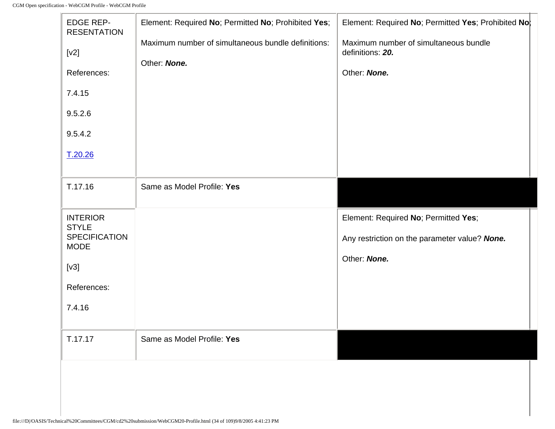$\mathbb{F}$ 

| <b>EDGE REP-</b><br><b>RESENTATION</b><br>[v2]<br>References:<br>7.4.15<br>9.5.2.6<br>9.5.4.2           | Element: Required No; Permitted No; Prohibited Yes;<br>Maximum number of simultaneous bundle definitions:<br>Other: None. | Element: Required No; Permitted Yes; Prohibited No;<br>Maximum number of simultaneous bundle<br>definitions: 20.<br>Other: None. |
|---------------------------------------------------------------------------------------------------------|---------------------------------------------------------------------------------------------------------------------------|----------------------------------------------------------------------------------------------------------------------------------|
| T.20.26                                                                                                 |                                                                                                                           |                                                                                                                                  |
| T.17.16                                                                                                 | Same as Model Profile: Yes                                                                                                |                                                                                                                                  |
| <b>INTERIOR</b><br><b>STYLE</b><br><b>SPECIFICATION</b><br><b>MODE</b><br>[v3]<br>References:<br>7.4.16 |                                                                                                                           | Element: Required No; Permitted Yes;<br>Any restriction on the parameter value? None.<br>Other: None.                            |
| T.17.17                                                                                                 | Same as Model Profile: Yes                                                                                                |                                                                                                                                  |
|                                                                                                         |                                                                                                                           |                                                                                                                                  |

t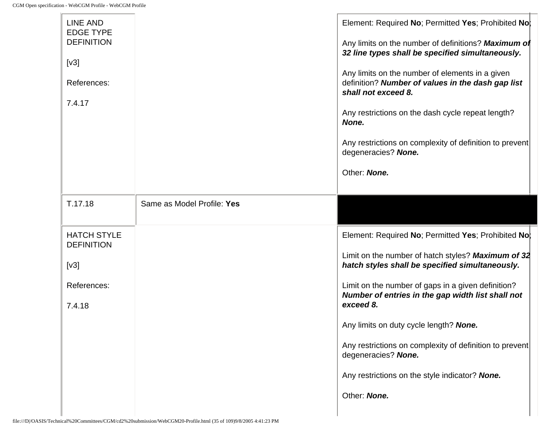| <b>LINE AND</b><br><b>EDGE TYPE</b><br><b>DEFINITION</b><br>[v3]<br>References:<br>7.4.17 |                            | Element: Required No; Permitted Yes; Prohibited No;<br>Any limits on the number of definitions? Maximum of<br>32 line types shall be specified simultaneously.<br>Any limits on the number of elements in a given<br>definition? Number of values in the dash gap list<br>shall not exceed 8.<br>Any restrictions on the dash cycle repeat length?<br>None.<br>Any restrictions on complexity of definition to prevent<br>degeneracies? None.<br>Other: None. |
|-------------------------------------------------------------------------------------------|----------------------------|---------------------------------------------------------------------------------------------------------------------------------------------------------------------------------------------------------------------------------------------------------------------------------------------------------------------------------------------------------------------------------------------------------------------------------------------------------------|
| T.17.18                                                                                   | Same as Model Profile: Yes |                                                                                                                                                                                                                                                                                                                                                                                                                                                               |
| <b>HATCH STYLE</b><br><b>DEFINITION</b>                                                   |                            | Element: Required No; Permitted Yes; Prohibited No;                                                                                                                                                                                                                                                                                                                                                                                                           |
| [v3]                                                                                      |                            | Limit on the number of hatch styles? Maximum of 32<br>hatch styles shall be specified simultaneously.                                                                                                                                                                                                                                                                                                                                                         |
| References:<br>7.4.18                                                                     |                            | Limit on the number of gaps in a given definition?<br>Number of entries in the gap width list shall not<br>exceed 8.                                                                                                                                                                                                                                                                                                                                          |
|                                                                                           |                            | Any limits on duty cycle length? None.                                                                                                                                                                                                                                                                                                                                                                                                                        |
|                                                                                           |                            | Any restrictions on complexity of definition to prevent<br>degeneracies? None.                                                                                                                                                                                                                                                                                                                                                                                |
|                                                                                           |                            | Any restrictions on the style indicator? None.                                                                                                                                                                                                                                                                                                                                                                                                                |
|                                                                                           |                            | Other: None.                                                                                                                                                                                                                                                                                                                                                                                                                                                  |
|                                                                                           |                            |                                                                                                                                                                                                                                                                                                                                                                                                                                                               |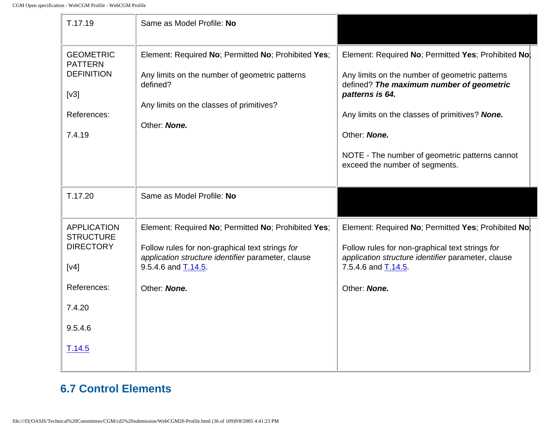| T.17.19                                                                                                          | Same as Model Profile: No                                                                                                                                                                           |                                                                                                                                                                                                                                                                                                                            |
|------------------------------------------------------------------------------------------------------------------|-----------------------------------------------------------------------------------------------------------------------------------------------------------------------------------------------------|----------------------------------------------------------------------------------------------------------------------------------------------------------------------------------------------------------------------------------------------------------------------------------------------------------------------------|
| <b>GEOMETRIC</b><br><b>PATTERN</b><br><b>DEFINITION</b><br>[v3]<br>References:<br>7.4.19                         | Element: Required No; Permitted No; Prohibited Yes;<br>Any limits on the number of geometric patterns<br>defined?<br>Any limits on the classes of primitives?<br>Other: None.                       | Element: Required No; Permitted Yes; Prohibited No;<br>Any limits on the number of geometric patterns<br>defined? The maximum number of geometric<br>patterns is 64.<br>Any limits on the classes of primitives? None.<br>Other: None.<br>NOTE - The number of geometric patterns cannot<br>exceed the number of segments. |
| T.17.20                                                                                                          | Same as Model Profile: No                                                                                                                                                                           |                                                                                                                                                                                                                                                                                                                            |
| <b>APPLICATION</b><br><b>STRUCTURE</b><br><b>DIRECTORY</b><br>[v4]<br>References:<br>7.4.20<br>9.5.4.6<br>T.14.5 | Element: Required No; Permitted No; Prohibited Yes;<br>Follow rules for non-graphical text strings for<br>application structure identifier parameter, clause<br>9.5.4.6 and T.14.5.<br>Other: None. | Element: Required No; Permitted Yes; Prohibited No;<br>Follow rules for non-graphical text strings for<br>application structure identifier parameter, clause<br>7.5.4.6 and T.14.5.<br>Other: None.                                                                                                                        |

## **6.7 Control Elements**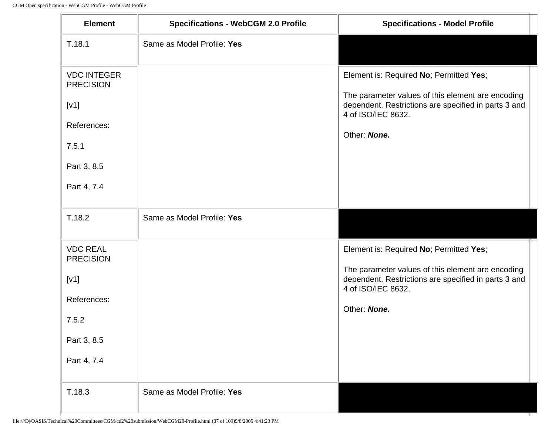| <b>Element</b>                                                                                       | <b>Specifications - WebCGM 2.0 Profile</b> | <b>Specifications - Model Profile</b>                                                                                                                                                      |
|------------------------------------------------------------------------------------------------------|--------------------------------------------|--------------------------------------------------------------------------------------------------------------------------------------------------------------------------------------------|
| T.18.1                                                                                               | Same as Model Profile: Yes                 |                                                                                                                                                                                            |
| <b>VDC INTEGER</b><br><b>PRECISION</b><br>[V1]<br>References:<br>7.5.1<br>Part 3, 8.5<br>Part 4, 7.4 |                                            | Element is: Required No; Permitted Yes;<br>The parameter values of this element are encoding<br>dependent. Restrictions are specified in parts 3 and<br>4 of ISO/IEC 8632.<br>Other: None. |
| T.18.2                                                                                               | Same as Model Profile: Yes                 |                                                                                                                                                                                            |
| <b>VDC REAL</b><br><b>PRECISION</b><br>[V1]<br>References:<br>7.5.2<br>Part 3, 8.5<br>Part 4, 7.4    |                                            | Element is: Required No; Permitted Yes;<br>The parameter values of this element are encoding<br>dependent. Restrictions are specified in parts 3 and<br>4 of ISO/IEC 8632.<br>Other: None. |
| T.18.3                                                                                               | Same as Model Profile: Yes                 |                                                                                                                                                                                            |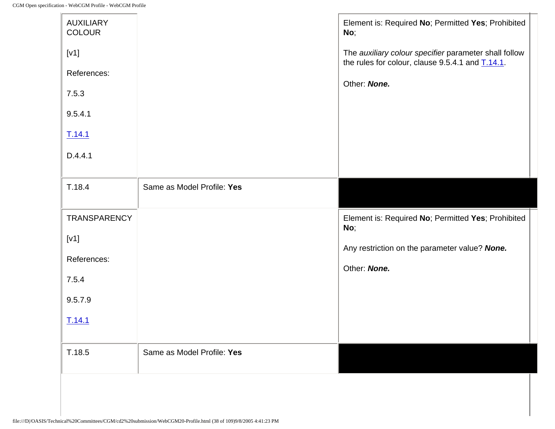$\mathbf{r}$ 

| <b>AUXILIARY</b><br><b>COLOUR</b> |                            | Element is: Required No; Permitted Yes; Prohibited<br>No;                                                                |
|-----------------------------------|----------------------------|--------------------------------------------------------------------------------------------------------------------------|
| [V1]                              |                            | The auxiliary colour specifier parameter shall follow<br>the rules for colour, clause 9.5.4.1 and $\underline{T.14.1}$ . |
| References:                       |                            | Other: None.                                                                                                             |
| 7.5.3                             |                            |                                                                                                                          |
| 9.5.4.1                           |                            |                                                                                                                          |
| T.14.1                            |                            |                                                                                                                          |
| D.4.4.1                           |                            |                                                                                                                          |
| T.18.4                            | Same as Model Profile: Yes |                                                                                                                          |
|                                   |                            |                                                                                                                          |
| TRANSPARENCY                      |                            | Element is: Required No; Permitted Yes; Prohibited                                                                       |
| [V1]                              |                            | No;                                                                                                                      |
| References:                       |                            | Any restriction on the parameter value? None.<br>Other: None.                                                            |
| 7.5.4                             |                            |                                                                                                                          |
| 9.5.7.9                           |                            |                                                                                                                          |
| T.14.1                            |                            |                                                                                                                          |
| T.18.5                            | Same as Model Profile: Yes |                                                                                                                          |
|                                   |                            |                                                                                                                          |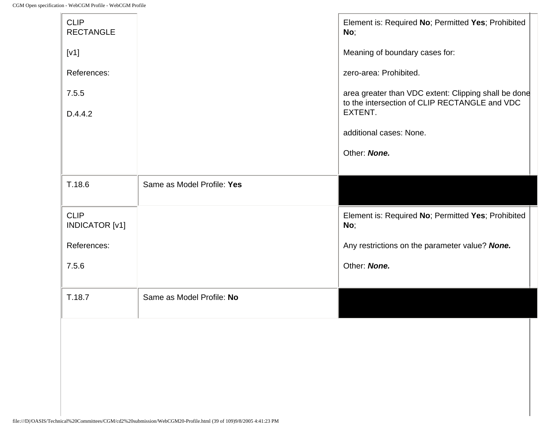| <b>CLIP</b><br><b>RECTANGLE</b>      |                            | Element is: Required No; Permitted Yes; Prohibited<br>No;                                                        |
|--------------------------------------|----------------------------|------------------------------------------------------------------------------------------------------------------|
| [v1]                                 |                            | Meaning of boundary cases for:                                                                                   |
| References:                          |                            | zero-area: Prohibited.                                                                                           |
| 7.5.5                                |                            | area greater than VDC extent: Clipping shall be done<br>to the intersection of CLIP RECTANGLE and VDC<br>EXTENT. |
| D.4.4.2                              |                            | additional cases: None.                                                                                          |
|                                      |                            | Other: None.                                                                                                     |
| T.18.6                               | Same as Model Profile: Yes |                                                                                                                  |
|                                      |                            |                                                                                                                  |
| <b>CLIP</b><br><b>INDICATOR</b> [v1] |                            | Element is: Required No; Permitted Yes; Prohibited<br>No;                                                        |
| References:                          |                            | Any restrictions on the parameter value? None.                                                                   |
| 7.5.6                                |                            | Other: None.                                                                                                     |
| T.18.7                               | Same as Model Profile: No  |                                                                                                                  |
|                                      |                            |                                                                                                                  |
|                                      |                            |                                                                                                                  |
|                                      |                            |                                                                                                                  |
|                                      |                            |                                                                                                                  |
|                                      |                            |                                                                                                                  |
|                                      |                            |                                                                                                                  |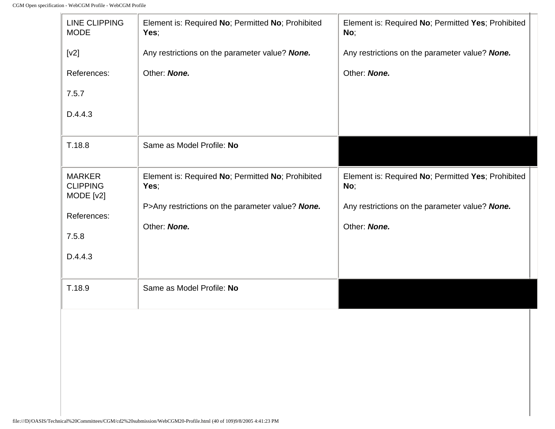lr.

| <b>LINE CLIPPING</b><br><b>MODE</b>                 | Element is: Required No; Permitted No; Prohibited<br>Yes; | Element is: Required No; Permitted Yes; Prohibited<br>No; |
|-----------------------------------------------------|-----------------------------------------------------------|-----------------------------------------------------------|
| [v2]                                                | Any restrictions on the parameter value? None.            | Any restrictions on the parameter value? None.            |
| References:                                         | Other: None.                                              | Other: None.                                              |
| 7.5.7                                               |                                                           |                                                           |
| D.4.4.3                                             |                                                           |                                                           |
| T.18.8                                              | Same as Model Profile: No                                 |                                                           |
| <b>MARKER</b><br><b>CLIPPING</b><br>$MODE$ [ $v2$ ] | Element is: Required No; Permitted No; Prohibited<br>Yes; | Element is: Required No; Permitted Yes; Prohibited<br>No; |
| References:                                         | P>Any restrictions on the parameter value? None.          | Any restrictions on the parameter value? None.            |
| 7.5.8                                               | Other: None.                                              | Other: None.                                              |
| D.4.4.3                                             |                                                           |                                                           |
| T.18.9                                              | Same as Model Profile: No                                 |                                                           |
|                                                     |                                                           |                                                           |
|                                                     |                                                           |                                                           |
|                                                     |                                                           |                                                           |
|                                                     |                                                           |                                                           |
|                                                     |                                                           |                                                           |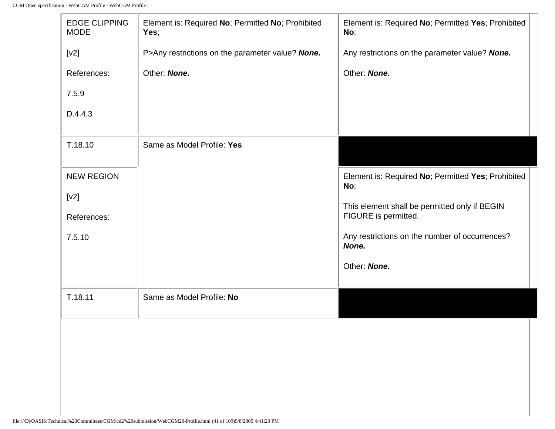-lo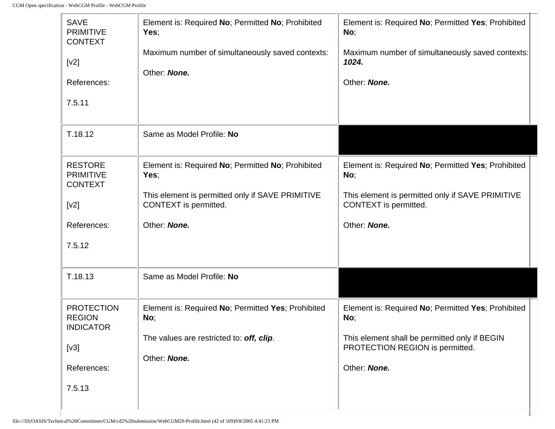| <b>SAVE</b><br><b>PRIMITIVE</b><br><b>CONTEXT</b>      | Element is: Required No; Permitted No; Prohibited<br>Yes:                 | Element is: Required No; Permitted Yes; Prohibited<br>No;                        |
|--------------------------------------------------------|---------------------------------------------------------------------------|----------------------------------------------------------------------------------|
| [v2]<br>References:                                    | Maximum number of simultaneously saved contexts:<br>Other: None.          | Maximum number of simultaneously saved contexts:<br>1024.<br>Other: None.        |
| 7.5.11                                                 |                                                                           |                                                                                  |
| T.18.12                                                | Same as Model Profile: No                                                 |                                                                                  |
| <b>RESTORE</b><br><b>PRIMITIVE</b><br><b>CONTEXT</b>   | Element is: Required No; Permitted No; Prohibited<br>Yes;                 | Element is: Required No; Permitted Yes; Prohibited<br>No;                        |
| [v2]                                                   | This element is permitted only if SAVE PRIMITIVE<br>CONTEXT is permitted. | This element is permitted only if SAVE PRIMITIVE<br>CONTEXT is permitted.        |
| References:                                            | Other: None.                                                              | Other: None.                                                                     |
| 7.5.12                                                 |                                                                           |                                                                                  |
| T.18.13                                                | Same as Model Profile: No                                                 |                                                                                  |
| <b>PROTECTION</b><br><b>REGION</b><br><b>INDICATOR</b> | Element is: Required No; Permitted Yes; Prohibited<br>No;                 | Element is: Required No; Permitted Yes; Prohibited<br>No;                        |
| [v3]                                                   | The values are restricted to: off, clip.                                  | This element shall be permitted only if BEGIN<br>PROTECTION REGION is permitted. |
|                                                        | Other: None.                                                              |                                                                                  |
| References:                                            |                                                                           | Other: None.                                                                     |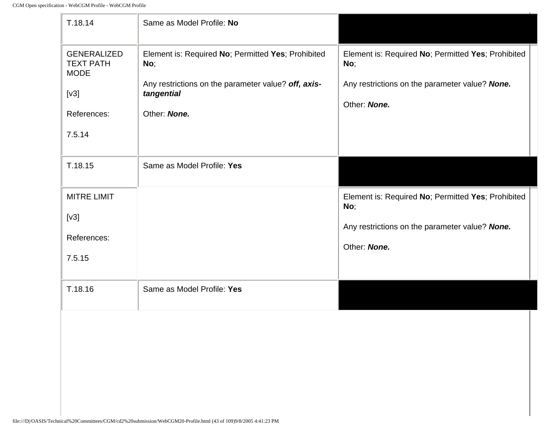| T.18.14                                        | Same as Model Profile: No                                         |                                                           |
|------------------------------------------------|-------------------------------------------------------------------|-----------------------------------------------------------|
| GENERALIZED<br><b>TEXT PATH</b><br><b>MODE</b> | Element is: Required No; Permitted Yes; Prohibited<br>No;         | Element is: Required No; Permitted Yes; Prohibited<br>No; |
| [v3]                                           | Any restrictions on the parameter value? off, axis-<br>tangential | Any restrictions on the parameter value? None.            |
| References:                                    | Other: None.                                                      | Other: None.                                              |
| 7.5.14                                         |                                                                   |                                                           |
| T.18.15                                        | Same as Model Profile: Yes                                        |                                                           |
| <b>MITRE LIMIT</b>                             |                                                                   | Element is: Required No; Permitted Yes; Prohibited<br>No; |
| [v3]                                           |                                                                   | Any restrictions on the parameter value? None.            |
| References:                                    |                                                                   | Other: None.                                              |
| 7.5.15                                         |                                                                   |                                                           |
| T.18.16                                        | Same as Model Profile: Yes                                        |                                                           |
|                                                |                                                                   |                                                           |
|                                                |                                                                   |                                                           |
|                                                |                                                                   |                                                           |
|                                                |                                                                   |                                                           |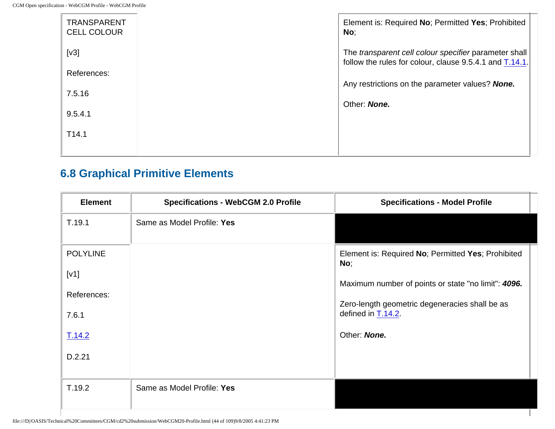| <b>TRANSPARENT</b><br><b>CELL COLOUR</b> | Element is: Required No; Permitted Yes; Prohibited<br>No;                                                           |
|------------------------------------------|---------------------------------------------------------------------------------------------------------------------|
| [v3]                                     | The transparent cell colour specifier parameter shall<br>follow the rules for colour, clause 9.5.4.1 and $T.14.1$ . |
| References:                              |                                                                                                                     |
| 7.5.16                                   | Any restrictions on the parameter values? None.                                                                     |
|                                          | Other: None.                                                                                                        |
| 9.5.4.1                                  |                                                                                                                     |
|                                          |                                                                                                                     |
| T <sub>14.1</sub>                        |                                                                                                                     |
|                                          |                                                                                                                     |

## **6.8 Graphical Primitive Elements**

| <b>Element</b>  | <b>Specifications - WebCGM 2.0 Profile</b> | <b>Specifications - Model Profile</b>                     |
|-----------------|--------------------------------------------|-----------------------------------------------------------|
| T.19.1          | Same as Model Profile: Yes                 |                                                           |
| <b>POLYLINE</b> |                                            | Element is: Required No; Permitted Yes; Prohibited<br>No; |
| [V1]            |                                            | Maximum number of points or state "no limit": 4096.       |
| References:     |                                            | Zero-length geometric degeneracies shall be as            |
| 7.6.1           |                                            | defined in T.14.2.                                        |
| T.14.2          |                                            | Other: None.                                              |
| D.2.21          |                                            |                                                           |
|                 |                                            |                                                           |
| T.19.2          | Same as Model Profile: Yes                 |                                                           |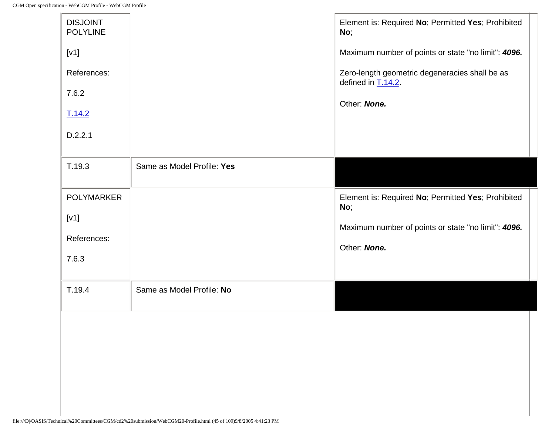| <b>DISJOINT</b><br><b>POLYLINE</b> |                            | Element is: Required No; Permitted Yes; Prohibited<br>No;               |
|------------------------------------|----------------------------|-------------------------------------------------------------------------|
| [V1]                               |                            | Maximum number of points or state "no limit": 4096.                     |
| References:                        |                            | Zero-length geometric degeneracies shall be as<br>defined in $T.14.2$ . |
| 7.6.2                              |                            | Other: None.                                                            |
| T.14.2                             |                            |                                                                         |
| D.2.2.1                            |                            |                                                                         |
| T.19.3                             | Same as Model Profile: Yes |                                                                         |
|                                    |                            |                                                                         |
| <b>POLYMARKER</b>                  |                            | Element is: Required No; Permitted Yes; Prohibited<br>No;               |
| [v1]                               |                            | Maximum number of points or state "no limit": 4096.                     |
| References:                        |                            | Other: None.                                                            |
| 7.6.3                              |                            |                                                                         |
| T.19.4                             | Same as Model Profile: No  |                                                                         |
|                                    |                            |                                                                         |
|                                    |                            |                                                                         |
|                                    |                            |                                                                         |
|                                    |                            |                                                                         |
|                                    |                            |                                                                         |
|                                    |                            |                                                                         |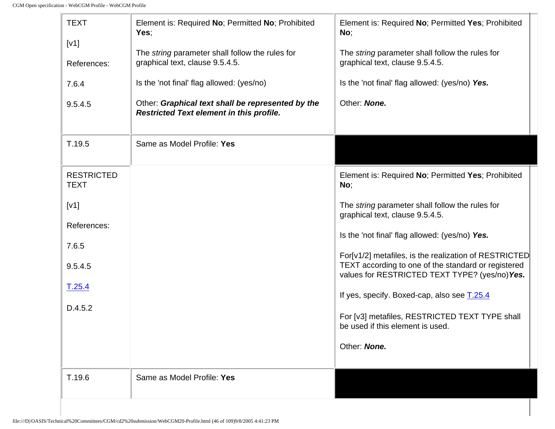-le

| <b>TEXT</b><br>[V1]<br>References:<br>7.6.4<br>9.5.4.5 | Element is: Required No; Permitted No; Prohibited<br>Yes;<br>The string parameter shall follow the rules for<br>graphical text, clause 9.5.4.5.<br>Is the 'not final' flag allowed: (yes/no)<br>Other: Graphical text shall be represented by the<br><b>Restricted Text element in this profile.</b> | Element is: Required No; Permitted Yes; Prohibited<br>No;<br>The string parameter shall follow the rules for<br>graphical text, clause 9.5.4.5.<br>Is the 'not final' flag allowed: (yes/no) Yes.<br>Other: None. |
|--------------------------------------------------------|------------------------------------------------------------------------------------------------------------------------------------------------------------------------------------------------------------------------------------------------------------------------------------------------------|-------------------------------------------------------------------------------------------------------------------------------------------------------------------------------------------------------------------|
| T.19.5                                                 | Same as Model Profile: Yes                                                                                                                                                                                                                                                                           |                                                                                                                                                                                                                   |
| <b>RESTRICTED</b><br><b>TEXT</b>                       |                                                                                                                                                                                                                                                                                                      | Element is: Required No; Permitted Yes; Prohibited<br>No;                                                                                                                                                         |
| [V1]                                                   |                                                                                                                                                                                                                                                                                                      | The string parameter shall follow the rules for<br>graphical text, clause 9.5.4.5.                                                                                                                                |
| References:<br>7.6.5                                   |                                                                                                                                                                                                                                                                                                      | Is the 'not final' flag allowed: (yes/no) Yes.                                                                                                                                                                    |
| 9.5.4.5                                                |                                                                                                                                                                                                                                                                                                      | For[v1/2] metafiles, is the realization of RESTRICTED<br>TEXT according to one of the standard or registered<br>values for RESTRICTED TEXT TYPE? (yes/no) Yes.                                                    |
| T.25.4                                                 |                                                                                                                                                                                                                                                                                                      | If yes, specify. Boxed-cap, also see T.25.4                                                                                                                                                                       |
| D.4.5.2                                                |                                                                                                                                                                                                                                                                                                      | For [v3] metafiles, RESTRICTED TEXT TYPE shall<br>be used if this element is used.                                                                                                                                |
|                                                        |                                                                                                                                                                                                                                                                                                      | Other: None.                                                                                                                                                                                                      |
| T.19.6                                                 | Same as Model Profile: Yes                                                                                                                                                                                                                                                                           |                                                                                                                                                                                                                   |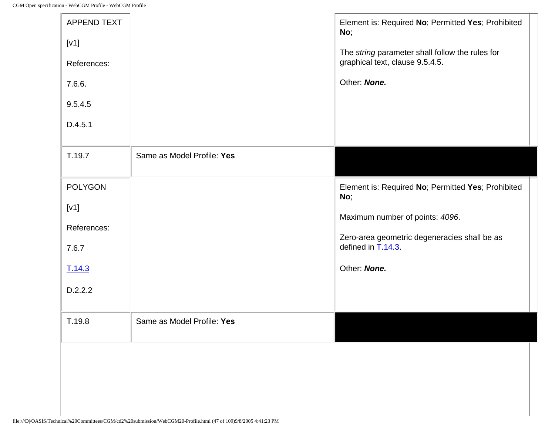-le

| <b>APPEND TEXT</b><br>[V1]<br>References:<br>7.6.6.<br>9.5.4.5<br>D.4.5.1 |                            | Element is: Required No; Permitted Yes; Prohibited<br>No;<br>The string parameter shall follow the rules for<br>graphical text, clause 9.5.4.5.<br>Other: None.                       |
|---------------------------------------------------------------------------|----------------------------|---------------------------------------------------------------------------------------------------------------------------------------------------------------------------------------|
| T.19.7                                                                    | Same as Model Profile: Yes |                                                                                                                                                                                       |
| <b>POLYGON</b><br>[V1]<br>References:<br>7.6.7<br>T.14.3<br>D.2.2.2       |                            | Element is: Required No; Permitted Yes; Prohibited<br>No;<br>Maximum number of points: 4096.<br>Zero-area geometric degeneracies shall be as<br>defined in $T.14.3$ .<br>Other: None. |
| T.19.8                                                                    | Same as Model Profile: Yes |                                                                                                                                                                                       |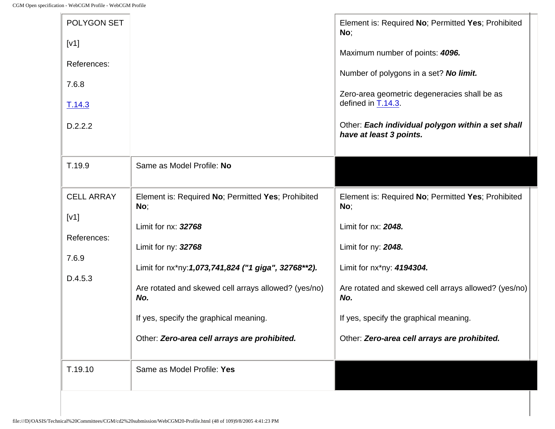1r

| POLYGON SET<br>[V1]<br>References:<br>7.6.8<br>T.14.3<br>D.2.2.2 |                                                                                                                                                                                                                                                                                                                          | Element is: Required No; Permitted Yes; Prohibited<br>No;<br>Maximum number of points: 4096.<br>Number of polygons in a set? No limit.<br>Zero-area geometric degeneracies shall be as<br>defined in T.14.3.<br>Other: Each individual polygon within a set shall<br>have at least 3 points.  |
|------------------------------------------------------------------|--------------------------------------------------------------------------------------------------------------------------------------------------------------------------------------------------------------------------------------------------------------------------------------------------------------------------|-----------------------------------------------------------------------------------------------------------------------------------------------------------------------------------------------------------------------------------------------------------------------------------------------|
| T.19.9                                                           | Same as Model Profile: No                                                                                                                                                                                                                                                                                                |                                                                                                                                                                                                                                                                                               |
| <b>CELL ARRAY</b><br>[V1]<br>References:<br>7.6.9<br>D.4.5.3     | Element is: Required No; Permitted Yes; Prohibited<br>No;<br>Limit for nx: 32768<br>Limit for ny: 32768<br>Limit for nx*ny: 1,073,741,824 ("1 giga", 32768**2).<br>Are rotated and skewed cell arrays allowed? (yes/no)<br>No.<br>If yes, specify the graphical meaning.<br>Other: Zero-area cell arrays are prohibited. | Element is: Required No; Permitted Yes; Prohibited<br>No;<br>Limit for nx: 2048.<br>Limit for ny: 2048.<br>Limit for nx*ny: 4194304.<br>Are rotated and skewed cell arrays allowed? (yes/no)<br>No.<br>If yes, specify the graphical meaning.<br>Other: Zero-area cell arrays are prohibited. |
| T.19.10                                                          | Same as Model Profile: Yes                                                                                                                                                                                                                                                                                               |                                                                                                                                                                                                                                                                                               |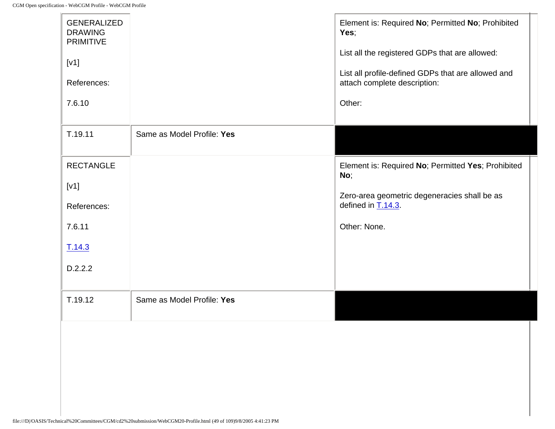$\mathbf{r}$ 

| <b>GENERALIZED</b><br><b>DRAWING</b><br><b>PRIMITIVE</b><br>[V1]<br>References: |                            | Element is: Required No; Permitted No; Prohibited<br>Yes;<br>List all the registered GDPs that are allowed:<br>List all profile-defined GDPs that are allowed and<br>attach complete description: |
|---------------------------------------------------------------------------------|----------------------------|---------------------------------------------------------------------------------------------------------------------------------------------------------------------------------------------------|
| 7.6.10                                                                          |                            | Other:                                                                                                                                                                                            |
| T.19.11                                                                         | Same as Model Profile: Yes |                                                                                                                                                                                                   |
| <b>RECTANGLE</b>                                                                |                            | Element is: Required No; Permitted Yes; Prohibited<br>No;                                                                                                                                         |
| [V1]                                                                            |                            | Zero-area geometric degeneracies shall be as                                                                                                                                                      |
| References:                                                                     |                            | defined in $T.14.3$                                                                                                                                                                               |
| 7.6.11                                                                          |                            | Other: None.                                                                                                                                                                                      |
| T.14.3                                                                          |                            |                                                                                                                                                                                                   |
| D.2.2.2                                                                         |                            |                                                                                                                                                                                                   |
| T.19.12                                                                         | Same as Model Profile: Yes |                                                                                                                                                                                                   |
|                                                                                 |                            |                                                                                                                                                                                                   |
|                                                                                 |                            |                                                                                                                                                                                                   |
|                                                                                 |                            |                                                                                                                                                                                                   |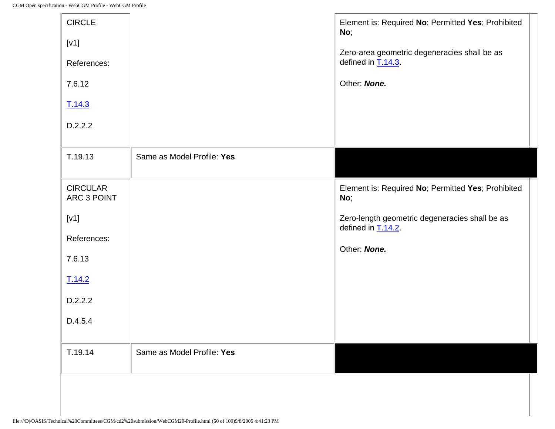| <b>CIRCLE</b><br>[v1]<br>References:<br>7.6.12<br>T.14.3 |                            | Element is: Required No; Permitted Yes; Prohibited<br>No;<br>Zero-area geometric degeneracies shall be as<br>defined in $T.14.3$ .<br>Other: None. |
|----------------------------------------------------------|----------------------------|----------------------------------------------------------------------------------------------------------------------------------------------------|
| D.2.2.2                                                  |                            |                                                                                                                                                    |
| T.19.13                                                  | Same as Model Profile: Yes |                                                                                                                                                    |
| <b>CIRCULAR</b><br>ARC 3 POINT                           |                            | Element is: Required No; Permitted Yes; Prohibited<br>No;                                                                                          |
| [v1]<br>References:                                      |                            | Zero-length geometric degeneracies shall be as<br>defined in T.14.2.                                                                               |
| 7.6.13                                                   |                            | Other: None.                                                                                                                                       |
| T.14.2                                                   |                            |                                                                                                                                                    |
| D.2.2.2                                                  |                            |                                                                                                                                                    |
| D.4.5.4                                                  |                            |                                                                                                                                                    |
| T.19.14                                                  | Same as Model Profile: Yes |                                                                                                                                                    |
|                                                          |                            |                                                                                                                                                    |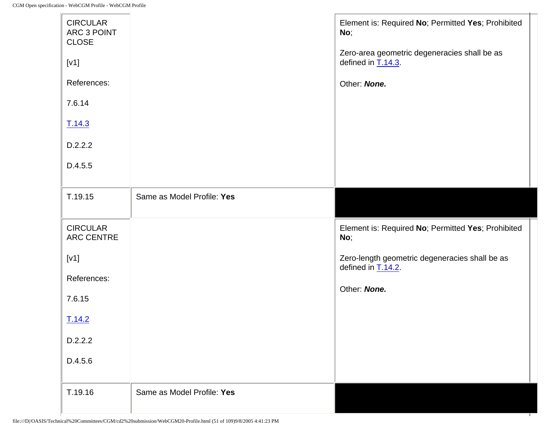| <b>CIRCULAR</b><br>ARC 3 POINT<br><b>CLOSE</b> |                            | Element is: Required No; Permitted Yes; Prohibited<br>No;             |
|------------------------------------------------|----------------------------|-----------------------------------------------------------------------|
| [V1]                                           |                            | Zero-area geometric degeneracies shall be as<br>defined in $T.14.3$ . |
| References:                                    |                            | Other: None.                                                          |
| 7.6.14                                         |                            |                                                                       |
| T.14.3                                         |                            |                                                                       |
| D.2.2.2                                        |                            |                                                                       |
| D.4.5.5                                        |                            |                                                                       |
| T.19.15                                        | Same as Model Profile: Yes |                                                                       |
|                                                |                            |                                                                       |
| <b>CIRCULAR</b><br>ARC CENTRE                  |                            | Element is: Required No; Permitted Yes; Prohibited<br>No;             |
| [v1]                                           |                            | Zero-length geometric degeneracies shall be as                        |
| References:                                    |                            | defined in $T.14.2$ .                                                 |
| 7.6.15                                         |                            | Other: None.                                                          |
| T.14.2                                         |                            |                                                                       |
| D.2.2.2                                        |                            |                                                                       |
| D.4.5.6                                        |                            |                                                                       |

т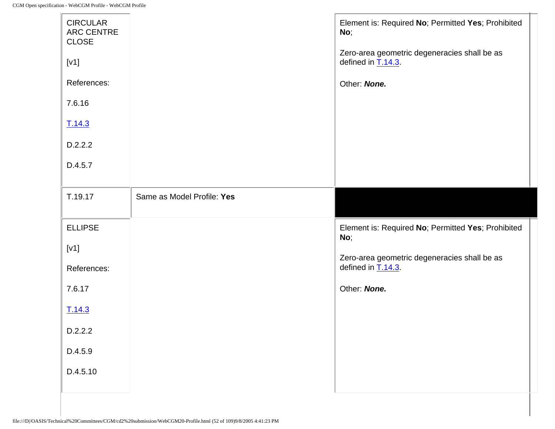| <b>CIRCULAR</b><br>ARC CENTRE<br><b>CLOSE</b> |                            | Element is: Required No; Permitted Yes; Prohibited<br>No;             |
|-----------------------------------------------|----------------------------|-----------------------------------------------------------------------|
| [V1]                                          |                            | Zero-area geometric degeneracies shall be as<br>defined in $T.14.3$ . |
| References:                                   |                            | Other: None.                                                          |
| 7.6.16                                        |                            |                                                                       |
| T.14.3                                        |                            |                                                                       |
| D.2.2.2                                       |                            |                                                                       |
| D.4.5.7                                       |                            |                                                                       |
|                                               |                            |                                                                       |
| T.19.17                                       | Same as Model Profile: Yes |                                                                       |
| <b>ELLIPSE</b>                                |                            | Element is: Required No; Permitted Yes; Prohibited<br>No;             |
| [V1]                                          |                            | Zero-area geometric degeneracies shall be as                          |
| References:                                   |                            | defined in $T.14.3$ .                                                 |
| 7.6.17                                        |                            | Other: None.                                                          |
| T.14.3                                        |                            |                                                                       |
|                                               |                            |                                                                       |
| D.2.2.2                                       |                            |                                                                       |
| D.4.5.9                                       |                            |                                                                       |
| D.4.5.10                                      |                            |                                                                       |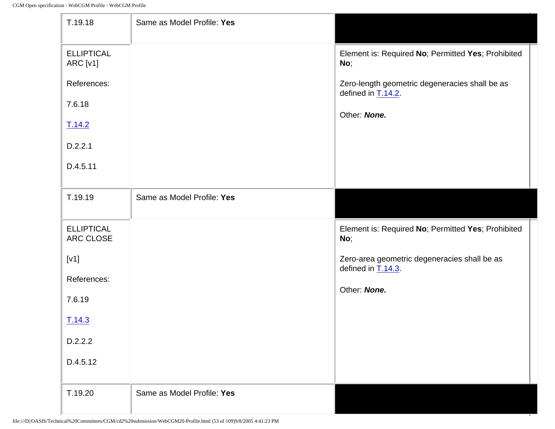| T.19.18                        | Same as Model Profile: Yes |                                                                         |
|--------------------------------|----------------------------|-------------------------------------------------------------------------|
| <b>ELLIPTICAL</b><br>ARC [v1]  |                            | Element is: Required No; Permitted Yes; Prohibited<br>No;               |
| References:                    |                            | Zero-length geometric degeneracies shall be as<br>defined in $T.14.2$ . |
| 7.6.18                         |                            | Other: None.                                                            |
| T.14.2                         |                            |                                                                         |
| D.2.2.1                        |                            |                                                                         |
| D.4.5.11                       |                            |                                                                         |
| T.19.19                        | Same as Model Profile: Yes |                                                                         |
|                                |                            |                                                                         |
| <b>ELLIPTICAL</b><br>ARC CLOSE |                            | Element is: Required No; Permitted Yes; Prohibited<br>No;               |
| [v1]                           |                            | Zero-area geometric degeneracies shall be as                            |
| References:                    |                            | defined in $T.14.3$ .                                                   |
| 7.6.19                         |                            | Other: None.                                                            |
| T.14.3                         |                            |                                                                         |
| D.2.2.2                        |                            |                                                                         |
| D.4.5.12                       |                            |                                                                         |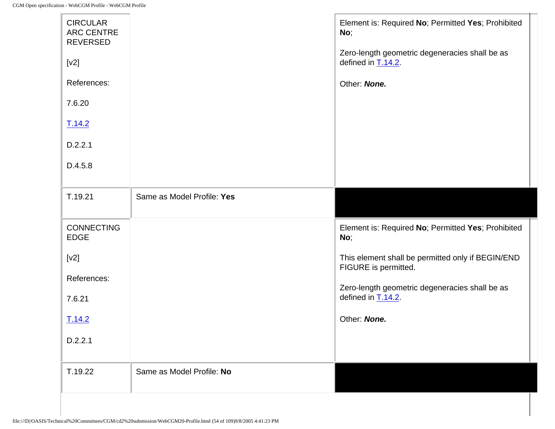| T.19.22                                                 | Same as Model Profile: No  |                                                                           |
|---------------------------------------------------------|----------------------------|---------------------------------------------------------------------------|
| D.2.2.1                                                 |                            |                                                                           |
| T.14.2                                                  |                            | Other: None.                                                              |
| 7.6.21                                                  |                            | defined in T.14.2.                                                        |
| References:                                             |                            | Zero-length geometric degeneracies shall be as                            |
| [v2]                                                    |                            | This element shall be permitted only if BEGIN/END<br>FIGURE is permitted. |
| <b>CONNECTING</b><br><b>EDGE</b>                        |                            | Element is: Required No; Permitted Yes; Prohibited<br>No;                 |
| T.19.21                                                 | Same as Model Profile: Yes |                                                                           |
| D.4.5.8                                                 |                            |                                                                           |
| D.2.2.1                                                 |                            |                                                                           |
| T.14.2                                                  |                            |                                                                           |
| 7.6.20                                                  |                            |                                                                           |
| References:                                             |                            | Other: None.                                                              |
| $[v2]$                                                  |                            | Zero-length geometric degeneracies shall be as<br>defined in T.14.2.      |
| <b>CIRCULAR</b><br><b>ARC CENTRE</b><br><b>REVERSED</b> |                            | Element is: Required No; Permitted Yes; Prohibited<br>No;                 |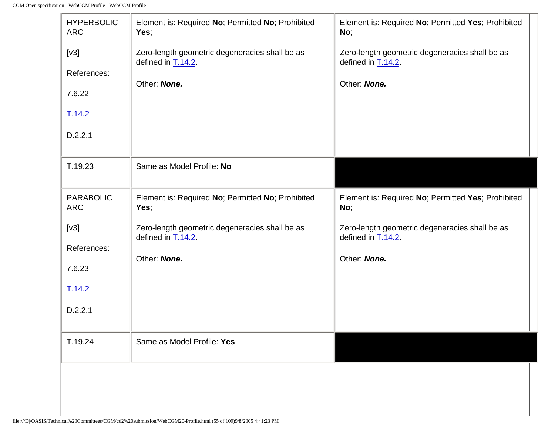$\mathbb{F}$ 

| <b>HYPERBOLIC</b><br><b>ARC</b> | Element is: Required No; Permitted No; Prohibited<br>Yes;                                  | Element is: Required No; Permitted Yes; Prohibited<br>No;               |
|---------------------------------|--------------------------------------------------------------------------------------------|-------------------------------------------------------------------------|
| [v3]                            | Zero-length geometric degeneracies shall be as<br>defined in $\underline{\text{T.14.2}}$ . | Zero-length geometric degeneracies shall be as<br>defined in $T.14.2$ . |
| References:                     | Other: None.                                                                               | Other: None.                                                            |
| 7.6.22                          |                                                                                            |                                                                         |
| T.14.2                          |                                                                                            |                                                                         |
| D.2.2.1                         |                                                                                            |                                                                         |
| T.19.23                         | Same as Model Profile: No                                                                  |                                                                         |
| <b>PARABOLIC</b><br><b>ARC</b>  | Element is: Required No; Permitted No; Prohibited<br>Yes;                                  | Element is: Required No; Permitted Yes; Prohibited<br>No;               |
| [v3]                            | Zero-length geometric degeneracies shall be as<br>defined in $T.14.2$ .                    | Zero-length geometric degeneracies shall be as<br>defined in $T.14.2$ . |
| References:                     | Other: None.                                                                               | Other: None.                                                            |
| 7.6.23                          |                                                                                            |                                                                         |
| T.14.2                          |                                                                                            |                                                                         |
| D.2.2.1                         |                                                                                            |                                                                         |
| T.19.24                         | Same as Model Profile: Yes                                                                 |                                                                         |
|                                 |                                                                                            |                                                                         |

 $\overline{\phantom{0}}$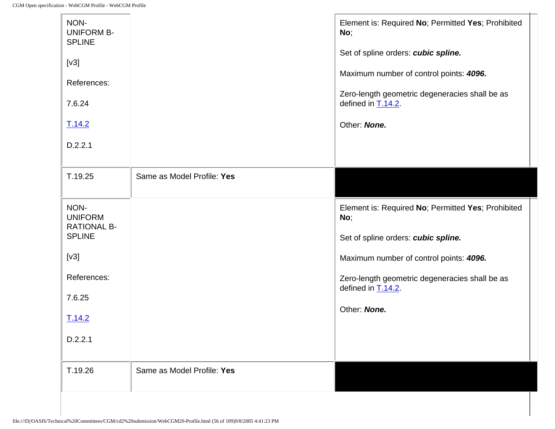| NON-<br><b>UNIFORM B-</b><br><b>SPLINE</b>   |                            | Element is: Required No; Permitted Yes; Prohibited<br>No;                      |
|----------------------------------------------|----------------------------|--------------------------------------------------------------------------------|
| [v3]                                         |                            | Set of spline orders: cubic spline.<br>Maximum number of control points: 4096. |
| References:                                  |                            |                                                                                |
| 7.6.24                                       |                            | Zero-length geometric degeneracies shall be as<br>defined in $T.14.2$ .        |
| T.14.2                                       |                            | Other: None.                                                                   |
| D.2.2.1                                      |                            |                                                                                |
| T.19.25                                      | Same as Model Profile: Yes |                                                                                |
| NON-<br><b>UNIFORM</b><br><b>RATIONAL B-</b> |                            | Element is: Required No; Permitted Yes; Prohibited<br>No;                      |
| <b>SPLINE</b>                                |                            | Set of spline orders: cubic spline.                                            |
| [v3]                                         |                            | Maximum number of control points: 4096.                                        |
| References:                                  |                            | Zero-length geometric degeneracies shall be as<br>defined in T.14.2.           |
| 7.6.25                                       |                            | Other: None.                                                                   |
| T.14.2                                       |                            |                                                                                |
| D.2.2.1                                      |                            |                                                                                |
| T.19.26                                      | Same as Model Profile: Yes |                                                                                |
|                                              |                            |                                                                                |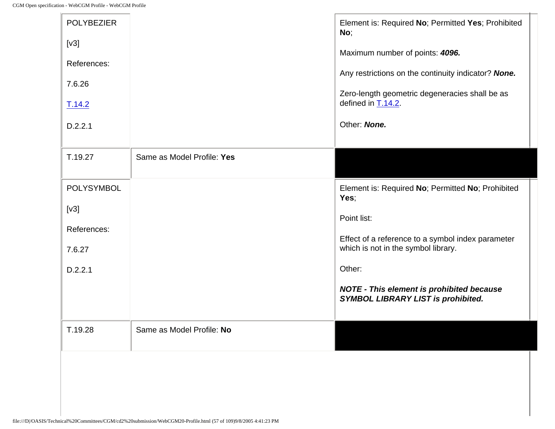| <b>POLYBEZIER</b><br>[v3]<br>References:<br>7.6.26<br>T.14.2<br>D.2.2.1 |                            | Element is: Required No; Permitted Yes; Prohibited<br>No;<br>Maximum number of points: 4096.<br>Any restrictions on the continuity indicator? None.<br>Zero-length geometric degeneracies shall be as<br>defined in $T.14.2$ .<br>Other: None.                                  |
|-------------------------------------------------------------------------|----------------------------|---------------------------------------------------------------------------------------------------------------------------------------------------------------------------------------------------------------------------------------------------------------------------------|
| T.19.27                                                                 | Same as Model Profile: Yes |                                                                                                                                                                                                                                                                                 |
| POLYSYMBOL<br>[v3]<br>References:<br>7.6.27<br>D.2.2.1                  |                            | Element is: Required No; Permitted No; Prohibited<br>Yes;<br>Point list:<br>Effect of a reference to a symbol index parameter<br>which is not in the symbol library.<br>Other:<br><b>NOTE - This element is prohibited because</b><br><b>SYMBOL LIBRARY LIST is prohibited.</b> |
| T.19.28                                                                 | Same as Model Profile: No  |                                                                                                                                                                                                                                                                                 |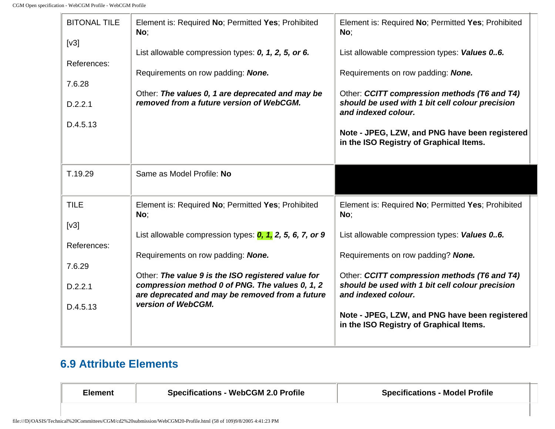| <b>BITONAL TILE</b><br>[v3]<br>References:<br>7.6.28<br>D.2.2.1<br>D.4.5.13 | Element is: Required No; Permitted Yes; Prohibited<br>No;<br>List allowable compression types: 0, 1, 2, 5, or 6.<br>Requirements on row padding: None.<br>Other: The values 0, 1 are deprecated and may be<br>removed from a future version of WebCGM. | Element is: Required No; Permitted Yes; Prohibited<br>No;<br>List allowable compression types: Values 06.<br>Requirements on row padding: None.<br>Other: CCITT compression methods (T6 and T4)<br>should be used with 1 bit cell colour precision<br>and indexed colour. |
|-----------------------------------------------------------------------------|--------------------------------------------------------------------------------------------------------------------------------------------------------------------------------------------------------------------------------------------------------|---------------------------------------------------------------------------------------------------------------------------------------------------------------------------------------------------------------------------------------------------------------------------|
|                                                                             |                                                                                                                                                                                                                                                        | Note - JPEG, LZW, and PNG have been registered<br>in the ISO Registry of Graphical Items.                                                                                                                                                                                 |
| T.19.29                                                                     | Same as Model Profile: No                                                                                                                                                                                                                              |                                                                                                                                                                                                                                                                           |
| <b>TILE</b><br>[v3]                                                         | Element is: Required No; Permitted Yes; Prohibited<br>No;                                                                                                                                                                                              | Element is: Required No; Permitted Yes; Prohibited<br>No;                                                                                                                                                                                                                 |
|                                                                             | List allowable compression types: $0, 1, 2, 5, 6, 7,$ or 9                                                                                                                                                                                             | List allowable compression types: Values 06.                                                                                                                                                                                                                              |
| References:                                                                 | Requirements on row padding: None.                                                                                                                                                                                                                     | Requirements on row padding? None.                                                                                                                                                                                                                                        |
| 7.6.29                                                                      | Other: The value 9 is the ISO registered value for                                                                                                                                                                                                     | Other: CCITT compression methods (T6 and T4)                                                                                                                                                                                                                              |
| D.2.2.1                                                                     | compression method 0 of PNG. The values 0, 1, 2<br>are deprecated and may be removed from a future                                                                                                                                                     | should be used with 1 bit cell colour precision<br>and indexed colour.                                                                                                                                                                                                    |
| D.4.5.13                                                                    | version of WebCGM.                                                                                                                                                                                                                                     | Note - JPEG, LZW, and PNG have been registered<br>in the ISO Registry of Graphical Items.                                                                                                                                                                                 |

## **6.9 Attribute Elements**

| <b>Element</b> | <b>Specifications - WebCGM 2.0 Profile</b> | <b>Specifications - Model Profile</b> |
|----------------|--------------------------------------------|---------------------------------------|
|                |                                            |                                       |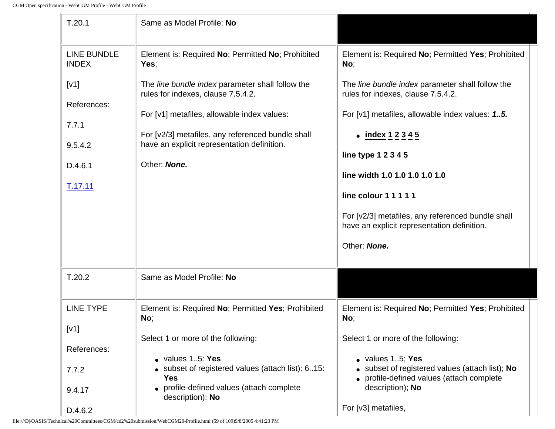| T.20.1                                                        | Same as Model Profile: No                                                                                                                                                                                                                                 |                                                                                                                                                                                                                                                |
|---------------------------------------------------------------|-----------------------------------------------------------------------------------------------------------------------------------------------------------------------------------------------------------------------------------------------------------|------------------------------------------------------------------------------------------------------------------------------------------------------------------------------------------------------------------------------------------------|
| <b>LINE BUNDLE</b><br><b>INDEX</b>                            | Element is: Required No; Permitted No; Prohibited<br>Yes:                                                                                                                                                                                                 | Element is: Required No; Permitted Yes; Prohibited<br>No;                                                                                                                                                                                      |
| [V1]<br>References:<br>7.7.1<br>9.5.4.2<br>D.4.6.1<br>T.17.11 | The line bundle index parameter shall follow the<br>rules for indexes, clause 7.5.4.2.<br>For [v1] metafiles, allowable index values:<br>For [v2/3] metafiles, any referenced bundle shall<br>have an explicit representation definition.<br>Other: None. | The line bundle index parameter shall follow the<br>rules for indexes, clause 7.5.4.2.<br>For [v1] metafiles, allowable index values: 15.<br>• $index 12345$<br>line type 1 2 3 4 5<br>line width 1.0 1.0 1.0 1.0 1.0<br>line colour 1 1 1 1 1 |
| T.20.2                                                        | Same as Model Profile: No                                                                                                                                                                                                                                 | For [v2/3] metafiles, any referenced bundle shall<br>have an explicit representation definition.<br>Other: None.                                                                                                                               |
|                                                               |                                                                                                                                                                                                                                                           |                                                                                                                                                                                                                                                |
| <b>LINE TYPE</b><br>[V1]                                      | Element is: Required No; Permitted Yes; Prohibited<br>No;<br>Select 1 or more of the following:                                                                                                                                                           | Element is: Required No; Permitted Yes; Prohibited<br>No;<br>Select 1 or more of the following:                                                                                                                                                |
| References:<br>7.7.2<br>9.4.17<br>D.4.6.2                     | $\bullet$ values 15: Yes<br>• subset of registered values (attach list): 615:<br><b>Yes</b><br>• profile-defined values (attach complete<br>description): No                                                                                              | · values 15; Yes<br>• subset of registered values (attach list); No<br>• profile-defined values (attach complete<br>description); No<br>For [v3] metafiles,                                                                                    |

 $\mathcal{L}$ 

file:///D|/OASIS/Technical%20Committees/CGM/cd2%20submission/WebCGM20-Profile.html (59 of 109)9/8/2005 4:41:23 PM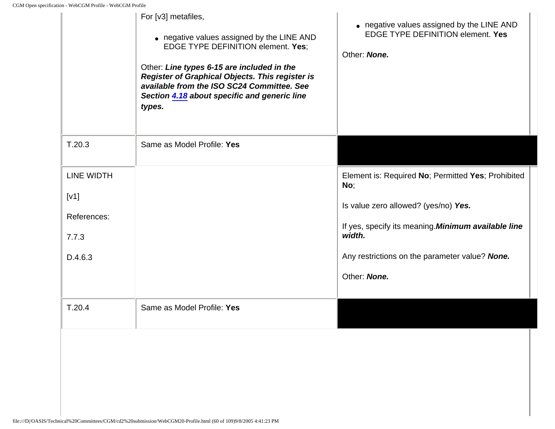|                                                              | For [v3] metafiles,<br>• negative values assigned by the LINE AND<br><b>EDGE TYPE DEFINITION element. Yes:</b><br>Other: Line types 6-15 are included in the<br><b>Register of Graphical Objects. This register is</b><br>available from the ISO SC24 Committee. See<br>Section 4.18 about specific and generic line<br>types. | • negative values assigned by the LINE AND<br><b>EDGE TYPE DEFINITION element. Yes</b><br>Other: None.                                                                                                                               |
|--------------------------------------------------------------|--------------------------------------------------------------------------------------------------------------------------------------------------------------------------------------------------------------------------------------------------------------------------------------------------------------------------------|--------------------------------------------------------------------------------------------------------------------------------------------------------------------------------------------------------------------------------------|
| T.20.3                                                       | Same as Model Profile: Yes                                                                                                                                                                                                                                                                                                     |                                                                                                                                                                                                                                      |
| <b>LINE WIDTH</b><br>[V1]<br>References:<br>7.7.3<br>D.4.6.3 |                                                                                                                                                                                                                                                                                                                                | Element is: Required No; Permitted Yes; Prohibited<br>No;<br>Is value zero allowed? (yes/no) Yes.<br>If yes, specify its meaning. Minimum available line<br>width.<br>Any restrictions on the parameter value? None.<br>Other: None. |
| T.20.4                                                       | Same as Model Profile: Yes                                                                                                                                                                                                                                                                                                     |                                                                                                                                                                                                                                      |
|                                                              |                                                                                                                                                                                                                                                                                                                                |                                                                                                                                                                                                                                      |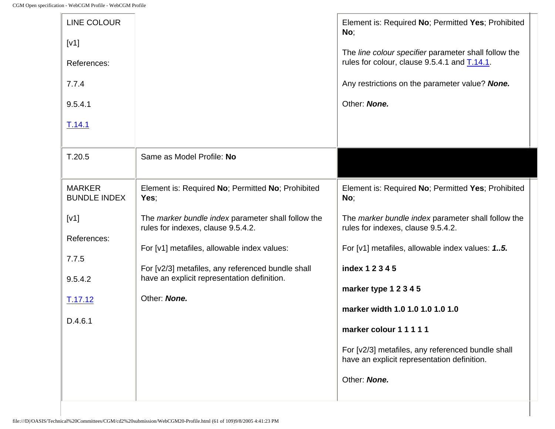| <b>LINE COLOUR</b><br>[V1]<br>References:<br>7.7.4<br>9.5.4.1<br>T.14.1 |                                                                                                  | Element is: Required No; Permitted Yes; Prohibited<br>No;<br>The line colour specifier parameter shall follow the<br>rules for colour, clause 9.5.4.1 and T.14.1.<br>Any restrictions on the parameter value? None.<br>Other: None. |
|-------------------------------------------------------------------------|--------------------------------------------------------------------------------------------------|-------------------------------------------------------------------------------------------------------------------------------------------------------------------------------------------------------------------------------------|
| T.20.5                                                                  | Same as Model Profile: No                                                                        |                                                                                                                                                                                                                                     |
| <b>MARKER</b><br><b>BUNDLE INDEX</b>                                    | Element is: Required No; Permitted No; Prohibited<br>Yes;                                        | Element is: Required No; Permitted Yes; Prohibited<br>No;                                                                                                                                                                           |
| [V1]<br>References:                                                     | The marker bundle index parameter shall follow the<br>rules for indexes, clause 9.5.4.2.         | The marker bundle index parameter shall follow the<br>rules for indexes, clause 9.5.4.2.                                                                                                                                            |
| 7.7.5                                                                   | For [v1] metafiles, allowable index values:                                                      | For [v1] metafiles, allowable index values: 1.5.                                                                                                                                                                                    |
| 9.5.4.2                                                                 | For [v2/3] metafiles, any referenced bundle shall<br>have an explicit representation definition. | index 1 2 3 4 5                                                                                                                                                                                                                     |
| T.17.12                                                                 | Other: None.                                                                                     | marker type 1 2 3 4 5                                                                                                                                                                                                               |
|                                                                         |                                                                                                  | marker width 1.0 1.0 1.0 1.0 1.0                                                                                                                                                                                                    |
| D.4.6.1                                                                 |                                                                                                  | marker colour 1 1 1 1 1                                                                                                                                                                                                             |
|                                                                         |                                                                                                  | For [v2/3] metafiles, any referenced bundle shall<br>have an explicit representation definition.                                                                                                                                    |
|                                                                         |                                                                                                  | Other: None.                                                                                                                                                                                                                        |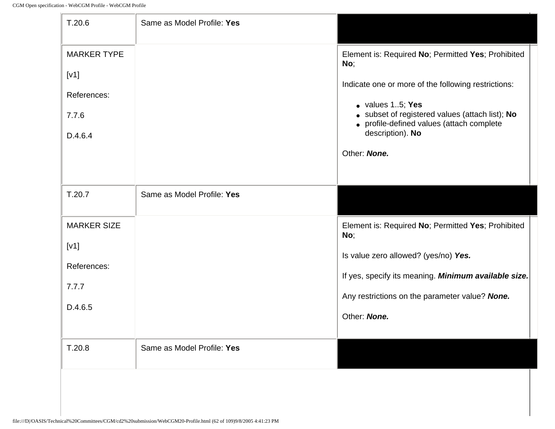$\mathbb{F}$ 

| T.20.6                                                        | Same as Model Profile: Yes |                                                                                                                                                                                                                                                                                  |
|---------------------------------------------------------------|----------------------------|----------------------------------------------------------------------------------------------------------------------------------------------------------------------------------------------------------------------------------------------------------------------------------|
| <b>MARKER TYPE</b><br>[V1]<br>References:<br>7.7.6<br>D.4.6.4 |                            | Element is: Required No; Permitted Yes; Prohibited<br>No;<br>Indicate one or more of the following restrictions:<br>$\bullet$ values 15; Yes<br>• subset of registered values (attach list); No<br>• profile-defined values (attach complete<br>description). No<br>Other: None. |
| T.20.7                                                        | Same as Model Profile: Yes |                                                                                                                                                                                                                                                                                  |
| <b>MARKER SIZE</b><br>[V1]<br>References:<br>7.7.7<br>D.4.6.5 |                            | Element is: Required No; Permitted Yes; Prohibited<br>No;<br>Is value zero allowed? (yes/no) Yes.<br>If yes, specify its meaning. Minimum available size.<br>Any restrictions on the parameter value? None.<br>Other: None.                                                      |
| T.20.8                                                        | Same as Model Profile: Yes |                                                                                                                                                                                                                                                                                  |
|                                                               |                            |                                                                                                                                                                                                                                                                                  |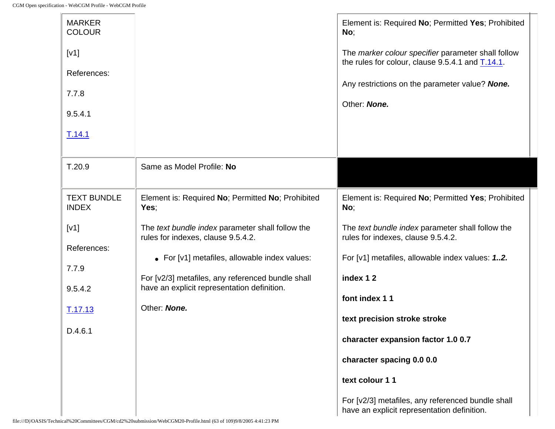-le

| <b>MARKER</b><br><b>COLOUR</b>     |                                                                                                  | Element is: Required No; Permitted Yes; Prohibited<br>No;                                              |
|------------------------------------|--------------------------------------------------------------------------------------------------|--------------------------------------------------------------------------------------------------------|
| [V1]                               |                                                                                                  | The marker colour specifier parameter shall follow<br>the rules for colour, clause 9.5.4.1 and T.14.1. |
| References:                        |                                                                                                  |                                                                                                        |
| 7.7.8                              |                                                                                                  | Any restrictions on the parameter value? None.<br>Other: None.                                         |
| 9.5.4.1                            |                                                                                                  |                                                                                                        |
| T.14.1                             |                                                                                                  |                                                                                                        |
| T.20.9                             | Same as Model Profile: No                                                                        |                                                                                                        |
| <b>TEXT BUNDLE</b><br><b>INDEX</b> | Element is: Required No; Permitted No; Prohibited<br>Yes;                                        | Element is: Required No; Permitted Yes; Prohibited<br>No;                                              |
| [V1]                               | The text bundle index parameter shall follow the<br>rules for indexes, clause 9.5.4.2.           | The text bundle index parameter shall follow the<br>rules for indexes, clause 9.5.4.2.                 |
| References:                        | • For [v1] metafiles, allowable index values:                                                    | For [v1] metafiles, allowable index values: 12.                                                        |
| 7.7.9                              |                                                                                                  |                                                                                                        |
| 9.5.4.2                            | For [v2/3] metafiles, any referenced bundle shall<br>have an explicit representation definition. | index 12                                                                                               |
|                                    | Other: None.                                                                                     | font index 11                                                                                          |
| T.17.13                            |                                                                                                  | text precision stroke stroke                                                                           |
| D.4.6.1                            |                                                                                                  | character expansion factor 1.0 0.7                                                                     |
|                                    |                                                                                                  | character spacing 0.0 0.0                                                                              |
|                                    |                                                                                                  | text colour 11                                                                                         |
|                                    |                                                                                                  | For [v2/3] metafiles, any referenced bundle shall<br>have an explicit representation definition.       |

ц.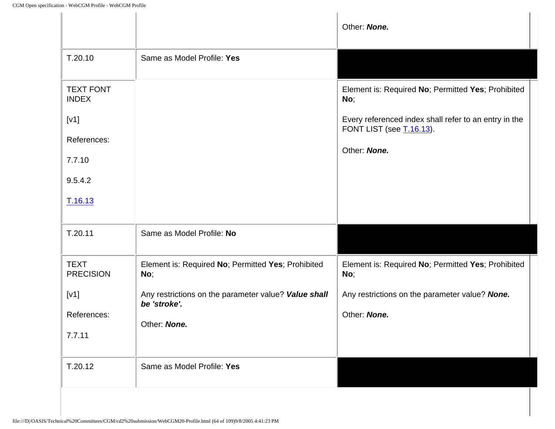|                                                           | Other: None.                                                                      |
|-----------------------------------------------------------|-----------------------------------------------------------------------------------|
| Same as Model Profile: Yes                                |                                                                                   |
|                                                           | Element is: Required No; Permitted Yes; Prohibited<br>No;                         |
|                                                           | Every referenced index shall refer to an entry in the<br>FONT LIST (see T.16.13). |
|                                                           |                                                                                   |
|                                                           | Other: None.                                                                      |
|                                                           |                                                                                   |
|                                                           |                                                                                   |
| Same as Model Profile: No                                 |                                                                                   |
| Element is: Required No; Permitted Yes; Prohibited<br>No; | Element is: Required No; Permitted Yes; Prohibited<br>No;                         |
| Any restrictions on the parameter value? Value shall      | Any restrictions on the parameter value? None.                                    |
|                                                           | Other: None.                                                                      |
|                                                           |                                                                                   |
| Same as Model Profile: Yes                                |                                                                                   |
|                                                           | be 'stroke'.<br>Other: None.                                                      |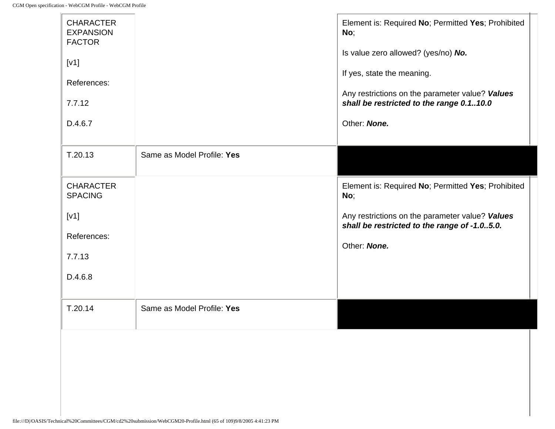|                            | No;<br>Is value zero allowed? (yes/no) No.<br>If yes, state the meaning.<br>Any restrictions on the parameter value? Values<br>shall be restricted to the range 0.110.0<br>Other: None. |
|----------------------------|-----------------------------------------------------------------------------------------------------------------------------------------------------------------------------------------|
| Same as Model Profile: Yes |                                                                                                                                                                                         |
|                            | Element is: Required No; Permitted Yes; Prohibited<br>No;                                                                                                                               |
|                            | Any restrictions on the parameter value? Values<br>shall be restricted to the range of -1.05.0.                                                                                         |
|                            | Other: None.                                                                                                                                                                            |
|                            |                                                                                                                                                                                         |
|                            |                                                                                                                                                                                         |
| Same as Model Profile: Yes |                                                                                                                                                                                         |
|                            |                                                                                                                                                                                         |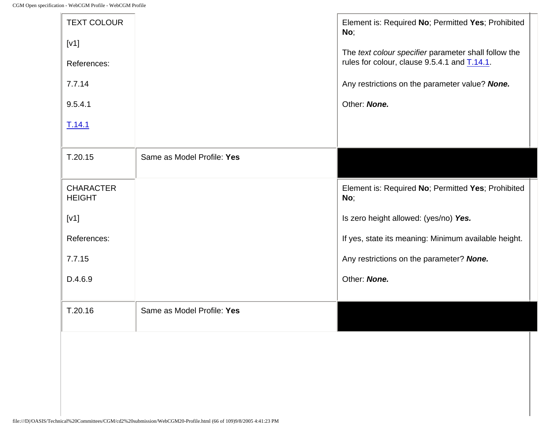- Le

| <b>TEXT COLOUR</b>                |                            | Element is: Required No; Permitted Yes; Prohibited<br>No; |
|-----------------------------------|----------------------------|-----------------------------------------------------------|
| [V1]                              |                            | The text colour specifier parameter shall follow the      |
| References:                       |                            | rules for colour, clause 9.5.4.1 and T.14.1.              |
| 7.7.14                            |                            | Any restrictions on the parameter value? None.            |
| 9.5.4.1                           |                            | Other: None.                                              |
| T.14.1                            |                            |                                                           |
| T.20.15                           | Same as Model Profile: Yes |                                                           |
|                                   |                            |                                                           |
| <b>CHARACTER</b><br><b>HEIGHT</b> |                            | Element is: Required No; Permitted Yes; Prohibited<br>No; |
| [V1]                              |                            | Is zero height allowed: (yes/no) Yes.                     |
| References:                       |                            | If yes, state its meaning: Minimum available height.      |
| 7.7.15                            |                            | Any restrictions on the parameter? None.                  |
| D.4.6.9                           |                            | Other: None.                                              |
| T.20.16                           | Same as Model Profile: Yes |                                                           |
|                                   |                            |                                                           |
|                                   |                            |                                                           |
|                                   |                            |                                                           |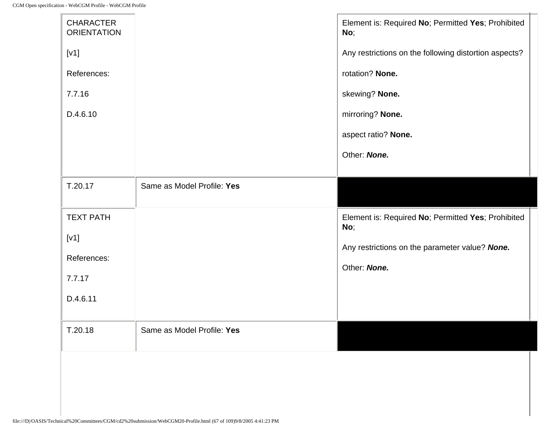| <b>CHARACTER</b><br><b>ORIENTATION</b> |                            | Element is: Required No; Permitted Yes; Prohibited<br>No; |
|----------------------------------------|----------------------------|-----------------------------------------------------------|
| [V1]                                   |                            | Any restrictions on the following distortion aspects?     |
| References:                            |                            | rotation? None.                                           |
| 7.7.16                                 |                            | skewing? None.                                            |
| D.4.6.10                               |                            | mirroring? None.                                          |
|                                        |                            | aspect ratio? None.                                       |
|                                        |                            | Other: None.                                              |
|                                        |                            |                                                           |
| T.20.17                                | Same as Model Profile: Yes |                                                           |
| <b>TEXT PATH</b>                       |                            | Element is: Required No; Permitted Yes; Prohibited<br>No; |
| [V1]                                   |                            | Any restrictions on the parameter value? None.            |
| References:                            |                            | Other: None.                                              |
| 7.7.17                                 |                            |                                                           |
| D.4.6.11                               |                            |                                                           |
| T.20.18                                | Same as Model Profile: Yes |                                                           |
|                                        |                            |                                                           |
|                                        |                            |                                                           |
|                                        |                            |                                                           |
|                                        |                            |                                                           |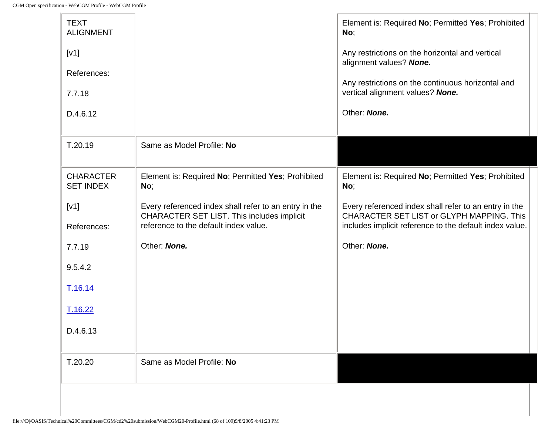J)

| <b>TEXT</b><br><b>ALIGNMENT</b><br>[V1]<br>References:<br>7.7.18<br>D.4.6.12 |                                                                                                                                              | Element is: Required No; Permitted Yes; Prohibited<br>No;<br>Any restrictions on the horizontal and vertical<br>alignment values? None.<br>Any restrictions on the continuous horizontal and<br>vertical alignment values? None.<br>Other: None. |
|------------------------------------------------------------------------------|----------------------------------------------------------------------------------------------------------------------------------------------|--------------------------------------------------------------------------------------------------------------------------------------------------------------------------------------------------------------------------------------------------|
| T.20.19                                                                      | Same as Model Profile: No                                                                                                                    |                                                                                                                                                                                                                                                  |
| <b>CHARACTER</b><br><b>SET INDEX</b>                                         | Element is: Required No; Permitted Yes; Prohibited<br>No;                                                                                    | Element is: Required No; Permitted Yes; Prohibited<br>No;                                                                                                                                                                                        |
| [V1]<br>References:                                                          | Every referenced index shall refer to an entry in the<br>CHARACTER SET LIST. This includes implicit<br>reference to the default index value. | Every referenced index shall refer to an entry in the<br>CHARACTER SET LIST or GLYPH MAPPING. This<br>includes implicit reference to the default index value.                                                                                    |
| 7.7.19                                                                       | Other: None.                                                                                                                                 | Other: None.                                                                                                                                                                                                                                     |
| 9.5.4.2                                                                      |                                                                                                                                              |                                                                                                                                                                                                                                                  |
| T.16.14                                                                      |                                                                                                                                              |                                                                                                                                                                                                                                                  |
| T.16.22                                                                      |                                                                                                                                              |                                                                                                                                                                                                                                                  |
| D.4.6.13                                                                     |                                                                                                                                              |                                                                                                                                                                                                                                                  |
| T.20.20                                                                      | Same as Model Profile: No                                                                                                                    |                                                                                                                                                                                                                                                  |
|                                                                              |                                                                                                                                              |                                                                                                                                                                                                                                                  |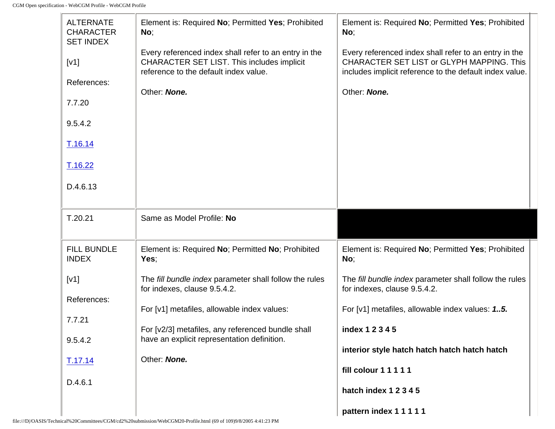| <b>ALTERNATE</b><br><b>CHARACTER</b><br><b>SET INDEX</b> | Element is: Required No; Permitted Yes; Prohibited<br>No;                                                                                           | Element is: Required No; Permitted Yes; Prohibited<br>No;                                                                                                     |  |
|----------------------------------------------------------|-----------------------------------------------------------------------------------------------------------------------------------------------------|---------------------------------------------------------------------------------------------------------------------------------------------------------------|--|
| [V1]                                                     | Every referenced index shall refer to an entry in the<br><b>CHARACTER SET LIST. This includes implicit</b><br>reference to the default index value. | Every referenced index shall refer to an entry in the<br>CHARACTER SET LIST or GLYPH MAPPING. This<br>includes implicit reference to the default index value. |  |
| References:                                              | Other: None.                                                                                                                                        | Other: None.                                                                                                                                                  |  |
| 7.7.20                                                   |                                                                                                                                                     |                                                                                                                                                               |  |
| 9.5.4.2                                                  |                                                                                                                                                     |                                                                                                                                                               |  |
| T.16.14                                                  |                                                                                                                                                     |                                                                                                                                                               |  |
| T.16.22                                                  |                                                                                                                                                     |                                                                                                                                                               |  |
| D.4.6.13                                                 |                                                                                                                                                     |                                                                                                                                                               |  |
| T.20.21                                                  | Same as Model Profile: No                                                                                                                           |                                                                                                                                                               |  |
| <b>FILL BUNDLE</b><br><b>INDEX</b>                       | Element is: Required No; Permitted No; Prohibited<br>Yes;                                                                                           | Element is: Required No; Permitted Yes; Prohibited<br>No;                                                                                                     |  |
| [V1]                                                     | The fill bundle index parameter shall follow the rules<br>for indexes, clause 9.5.4.2.                                                              | The fill bundle index parameter shall follow the rules<br>for indexes, clause 9.5.4.2.                                                                        |  |
| References:                                              | For [v1] metafiles, allowable index values:                                                                                                         | For [v1] metafiles, allowable index values: 15.                                                                                                               |  |
| 7.7.21                                                   |                                                                                                                                                     |                                                                                                                                                               |  |
| 9.5.4.2                                                  | For [v2/3] metafiles, any referenced bundle shall<br>have an explicit representation definition.                                                    | index 1 2 3 4 5                                                                                                                                               |  |
| <u>T.17.14</u>                                           | Other: None.                                                                                                                                        | interior style hatch hatch hatch hatch hatch                                                                                                                  |  |
| D.4.6.1                                                  |                                                                                                                                                     | fill colour 1 1 1 1 1                                                                                                                                         |  |
|                                                          |                                                                                                                                                     | hatch index 1 2 3 4 5                                                                                                                                         |  |
|                                                          |                                                                                                                                                     | pattern index 1 1 1 1 1                                                                                                                                       |  |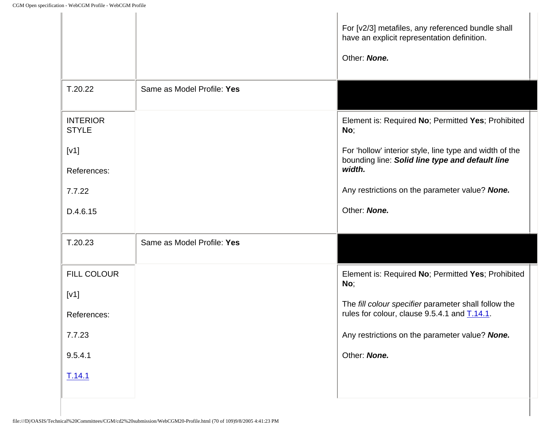|                                 |                            | For [v2/3] metafiles, any referenced bundle shall<br>have an explicit representation definition.<br>Other: None.     |
|---------------------------------|----------------------------|----------------------------------------------------------------------------------------------------------------------|
| T.20.22                         | Same as Model Profile: Yes |                                                                                                                      |
| <b>INTERIOR</b><br><b>STYLE</b> |                            | Element is: Required No; Permitted Yes; Prohibited<br>No;                                                            |
| [V1]<br>References:             |                            | For 'hollow' interior style, line type and width of the<br>bounding line: Solid line type and default line<br>width. |
| 7.7.22                          |                            | Any restrictions on the parameter value? None.                                                                       |
| D.4.6.15                        |                            | Other: None.                                                                                                         |
| T.20.23                         | Same as Model Profile: Yes |                                                                                                                      |
| <b>FILL COLOUR</b>              |                            | Element is: Required No; Permitted Yes; Prohibited<br>No;                                                            |
| [V1]<br>References:             |                            | The fill colour specifier parameter shall follow the<br>rules for colour, clause 9.5.4.1 and T.14.1.                 |
| 7.7.23                          |                            | Any restrictions on the parameter value? None.                                                                       |
| 9.5.4.1                         |                            | Other: None.                                                                                                         |
| T.14.1                          |                            |                                                                                                                      |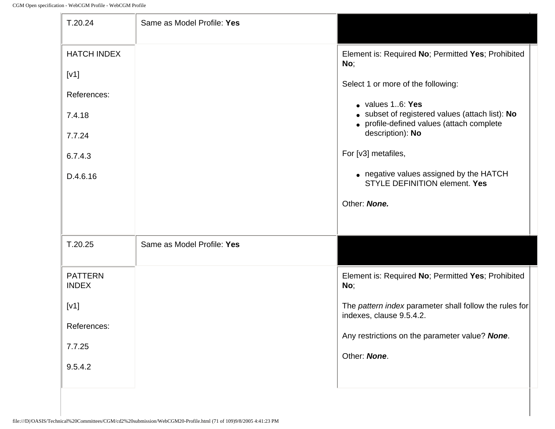| T.20.24                                                                              | Same as Model Profile: Yes |                                                                                                                                                                                                                                                                                                                                                                   |
|--------------------------------------------------------------------------------------|----------------------------|-------------------------------------------------------------------------------------------------------------------------------------------------------------------------------------------------------------------------------------------------------------------------------------------------------------------------------------------------------------------|
| <b>HATCH INDEX</b><br>[V1]<br>References:<br>7.4.18<br>7.7.24<br>6.7.4.3<br>D.4.6.16 |                            | Element is: Required No; Permitted Yes; Prohibited<br>No;<br>Select 1 or more of the following:<br>• values 16: Yes<br>• subset of registered values (attach list): No<br>• profile-defined values (attach complete<br>description): No<br>For [v3] metafiles,<br>• negative values assigned by the HATCH<br><b>STYLE DEFINITION element. Yes</b><br>Other: None. |
| T.20.25                                                                              | Same as Model Profile: Yes |                                                                                                                                                                                                                                                                                                                                                                   |
| <b>PATTERN</b><br><b>INDEX</b><br>[V1]<br>References:<br>7.7.25<br>9.5.4.2           |                            | Element is: Required No; Permitted Yes; Prohibited<br>No;<br>The pattern index parameter shall follow the rules for<br>indexes, clause 9.5.4.2.<br>Any restrictions on the parameter value? None.<br>Other: None.                                                                                                                                                 |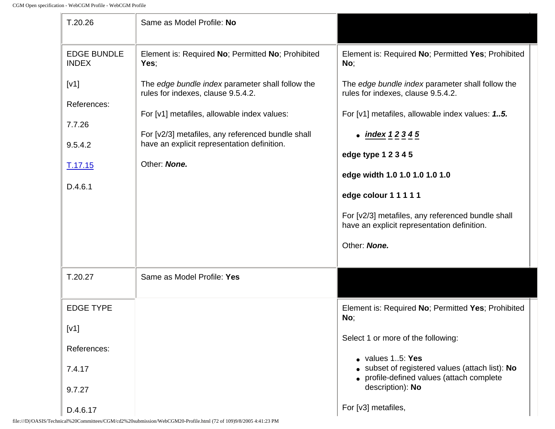| T.20.26                                                                 | Same as Model Profile: No                                                                                                                                                                                                                                 |                                                                                                                                                                                                                                                              |
|-------------------------------------------------------------------------|-----------------------------------------------------------------------------------------------------------------------------------------------------------------------------------------------------------------------------------------------------------|--------------------------------------------------------------------------------------------------------------------------------------------------------------------------------------------------------------------------------------------------------------|
| <b>EDGE BUNDLE</b><br><b>INDEX</b>                                      | Element is: Required No; Permitted No; Prohibited<br>Yes:                                                                                                                                                                                                 | Element is: Required No; Permitted Yes; Prohibited<br>No;                                                                                                                                                                                                    |
| [V1]<br>References:<br>7.7.26<br>9.5.4.2<br>T.17.15                     | The edge bundle index parameter shall follow the<br>rules for indexes, clause 9.5.4.2.<br>For [v1] metafiles, allowable index values:<br>For [v2/3] metafiles, any referenced bundle shall<br>have an explicit representation definition.<br>Other: None. | The edge bundle index parameter shall follow the<br>rules for indexes, clause 9.5.4.2.<br>For [v1] metafiles, allowable index values: 1.5.<br>• index $12345$<br>edge type 1 2 3 4 5<br>edge width 1.0 1.0 1.0 1.0 1.0                                       |
| D.4.6.1                                                                 |                                                                                                                                                                                                                                                           | edge colour 1 1 1 1 1<br>For [v2/3] metafiles, any referenced bundle shall<br>have an explicit representation definition.<br>Other: None.                                                                                                                    |
| T.20.27                                                                 | Same as Model Profile: Yes                                                                                                                                                                                                                                |                                                                                                                                                                                                                                                              |
| <b>EDGE TYPE</b><br>[V1]<br>References:<br>7.4.17<br>9.7.27<br>D.4.6.17 |                                                                                                                                                                                                                                                           | Element is: Required No; Permitted Yes; Prohibited<br>No;<br>Select 1 or more of the following:<br>• values 15: Yes<br>• subset of registered values (attach list): No<br>profile-defined values (attach complete<br>description): No<br>For [v3] metafiles, |

file:///D|/OASIS/Technical%20Committees/CGM/cd2%20submission/WebCGM20-Profile.html (72 of 109)9/8/2005 4:41:23 PM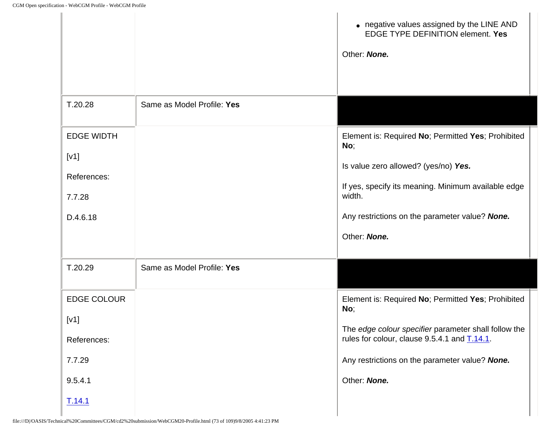|                                                                          |                            | • negative values assigned by the LINE AND<br>EDGE TYPE DEFINITION element. Yes<br>Other: None.                                                                                                                                      |
|--------------------------------------------------------------------------|----------------------------|--------------------------------------------------------------------------------------------------------------------------------------------------------------------------------------------------------------------------------------|
| T.20.28                                                                  | Same as Model Profile: Yes |                                                                                                                                                                                                                                      |
| <b>EDGE WIDTH</b><br>[V1]<br>References:<br>7.7.28<br>D.4.6.18           |                            | Element is: Required No; Permitted Yes; Prohibited<br>No;<br>Is value zero allowed? (yes/no) Yes.<br>If yes, specify its meaning. Minimum available edge<br>width.<br>Any restrictions on the parameter value? None.<br>Other: None. |
| T.20.29                                                                  | Same as Model Profile: Yes |                                                                                                                                                                                                                                      |
| <b>EDGE COLOUR</b><br>[v1]<br>References:<br>7.7.29<br>9.5.4.1<br>T.14.1 |                            | Element is: Required No; Permitted Yes; Prohibited<br>No;<br>The edge colour specifier parameter shall follow the<br>rules for colour, clause 9.5.4.1 and T.14.1.<br>Any restrictions on the parameter value? None.<br>Other: None.  |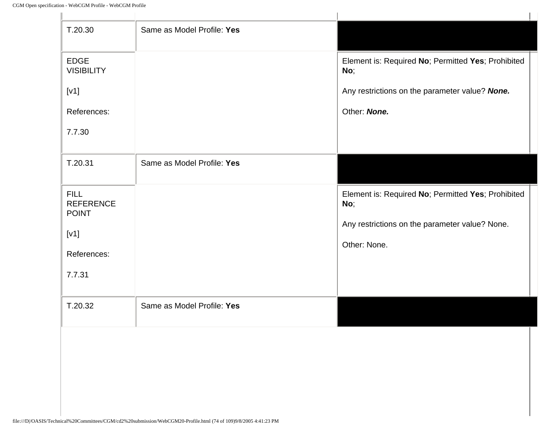| <b>EDGE</b><br><b>VISIBILITY</b><br>No;<br>[V1]<br>Other: None.<br>References:<br>7.7.30<br>T.20.31<br>Same as Model Profile: Yes<br><b>FILL</b><br><b>REFERENCE</b><br>No;<br><b>POINT</b><br>[V1]<br>Other: None.<br>References: | T.20.30 | Same as Model Profile: Yes |                                                    |
|------------------------------------------------------------------------------------------------------------------------------------------------------------------------------------------------------------------------------------|---------|----------------------------|----------------------------------------------------|
|                                                                                                                                                                                                                                    |         |                            | Element is: Required No; Permitted Yes; Prohibited |
|                                                                                                                                                                                                                                    |         |                            | Any restrictions on the parameter value? None.     |
|                                                                                                                                                                                                                                    |         |                            |                                                    |
|                                                                                                                                                                                                                                    |         |                            |                                                    |
|                                                                                                                                                                                                                                    |         |                            |                                                    |
|                                                                                                                                                                                                                                    |         |                            | Element is: Required No; Permitted Yes; Prohibited |
|                                                                                                                                                                                                                                    |         |                            | Any restrictions on the parameter value? None.     |
|                                                                                                                                                                                                                                    |         |                            |                                                    |
| 7.7.31                                                                                                                                                                                                                             |         |                            |                                                    |
| Same as Model Profile: Yes<br>T.20.32                                                                                                                                                                                              |         |                            |                                                    |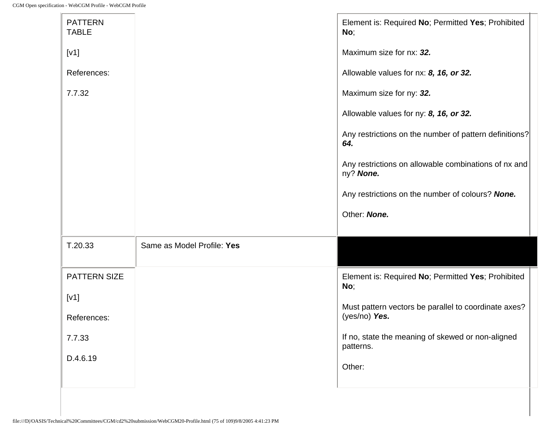| <b>PATTERN</b><br><b>TABLE</b> |                            | Element is: Required No; Permitted Yes; Prohibited<br>No;             |
|--------------------------------|----------------------------|-----------------------------------------------------------------------|
| [V1]                           |                            | Maximum size for nx: 32.                                              |
| References:                    |                            | Allowable values for nx: 8, 16, or 32.                                |
| 7.7.32                         |                            | Maximum size for ny: 32.                                              |
|                                |                            | Allowable values for ny: 8, 16, or 32.                                |
|                                |                            | Any restrictions on the number of pattern definitions?<br>64.         |
|                                |                            | Any restrictions on allowable combinations of nx and<br>ny? None.     |
|                                |                            | Any restrictions on the number of colours? None.                      |
|                                |                            | Other: None.                                                          |
| T.20.33                        | Same as Model Profile: Yes |                                                                       |
| <b>PATTERN SIZE</b>            |                            | Element is: Required No; Permitted Yes; Prohibited<br>No;             |
| [V1]                           |                            |                                                                       |
| References:                    |                            | Must pattern vectors be parallel to coordinate axes?<br>(yes/no) Yes. |
| 7.7.33                         |                            | If no, state the meaning of skewed or non-aligned<br>patterns.        |
| D.4.6.19                       |                            | Other:                                                                |
|                                |                            |                                                                       |

×.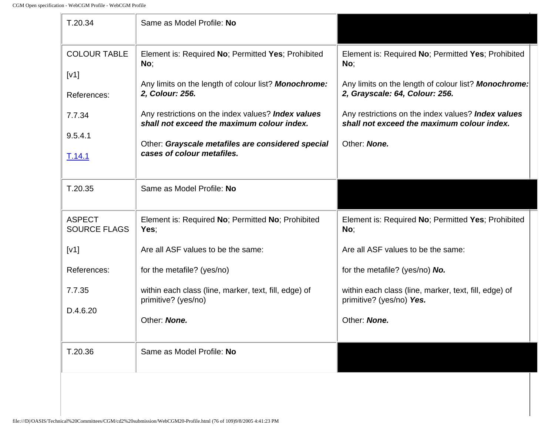| T.20.34                                                                   | Same as Model Profile: No                                                                                                                                                                                                                                                                                                   |                                                                                                                                                                                                                                                                         |
|---------------------------------------------------------------------------|-----------------------------------------------------------------------------------------------------------------------------------------------------------------------------------------------------------------------------------------------------------------------------------------------------------------------------|-------------------------------------------------------------------------------------------------------------------------------------------------------------------------------------------------------------------------------------------------------------------------|
| <b>COLOUR TABLE</b><br>[V1]<br>References:<br>7.7.34<br>9.5.4.1<br>T.14.1 | Element is: Required No; Permitted Yes; Prohibited<br>No;<br>Any limits on the length of colour list? Monochrome:<br>2, Colour: 256.<br>Any restrictions on the index values? Index values<br>shall not exceed the maximum colour index.<br>Other: Grayscale metafiles are considered special<br>cases of colour metafiles. | Element is: Required No; Permitted Yes; Prohibited<br>No;<br>Any limits on the length of colour list? Monochrome:<br>2, Grayscale: 64, Colour: 256.<br>Any restrictions on the index values? Index values<br>shall not exceed the maximum colour index.<br>Other: None. |
| T.20.35<br><b>ASPECT</b>                                                  | Same as Model Profile: No<br>Element is: Required No; Permitted No; Prohibited                                                                                                                                                                                                                                              | Element is: Required No; Permitted Yes; Prohibited                                                                                                                                                                                                                      |
| <b>SOURCE FLAGS</b><br>[V1]<br>References:                                | Yes;<br>Are all ASF values to be the same:<br>for the metafile? (yes/no)                                                                                                                                                                                                                                                    | No;<br>Are all ASF values to be the same:<br>for the metafile? (yes/no) No.                                                                                                                                                                                             |
| 7.7.35<br>D.4.6.20                                                        | within each class (line, marker, text, fill, edge) of<br>primitive? (yes/no)<br>Other: None.                                                                                                                                                                                                                                | within each class (line, marker, text, fill, edge) of<br>primitive? (yes/no) Yes.<br>Other: None.                                                                                                                                                                       |
| T.20.36                                                                   | Same as Model Profile: No                                                                                                                                                                                                                                                                                                   |                                                                                                                                                                                                                                                                         |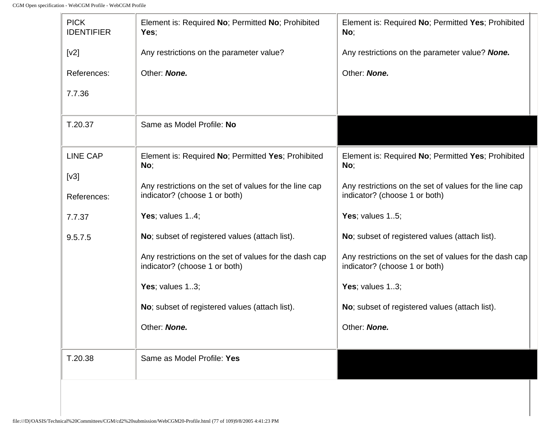$\mathbf{r}$ 

<span id="page-181-1"></span><span id="page-181-0"></span>

| <b>PICK</b><br><b>IDENTIFIER</b> | Element is: Required No; Permitted No; Prohibited<br>Yes;                               | Element is: Required No; Permitted Yes; Prohibited<br>No;                               |
|----------------------------------|-----------------------------------------------------------------------------------------|-----------------------------------------------------------------------------------------|
| [v2]                             | Any restrictions on the parameter value?                                                | Any restrictions on the parameter value? None.                                          |
| References:                      | Other: None.                                                                            | Other: None.                                                                            |
| 7.7.36                           |                                                                                         |                                                                                         |
| T.20.37                          | Same as Model Profile: No                                                               |                                                                                         |
| <b>LINE CAP</b>                  | Element is: Required No; Permitted Yes; Prohibited<br>No;                               | Element is: Required No; Permitted Yes; Prohibited<br>No;                               |
| [v3]<br>References:              | Any restrictions on the set of values for the line cap<br>indicator? (choose 1 or both) | Any restrictions on the set of values for the line cap<br>indicator? (choose 1 or both) |
| 7.7.37                           | Yes; values $14$ ;                                                                      | Yes; values $15$ ;                                                                      |
| 9.5.7.5                          | No; subset of registered values (attach list).                                          | No; subset of registered values (attach list).                                          |
|                                  | Any restrictions on the set of values for the dash cap<br>indicator? (choose 1 or both) | Any restrictions on the set of values for the dash cap<br>indicator? (choose 1 or both) |
|                                  | Yes; values $13$ ;                                                                      | Yes; values $13$ ;                                                                      |
|                                  | No; subset of registered values (attach list).                                          | No; subset of registered values (attach list).                                          |
|                                  | Other: None.                                                                            | Other: <b>None.</b>                                                                     |
| T.20.38                          | Same as Model Profile: Yes                                                              |                                                                                         |
|                                  |                                                                                         |                                                                                         |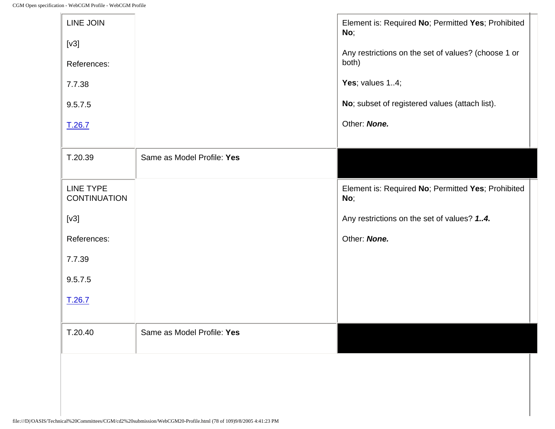<span id="page-182-0"></span>

| LINE JOIN<br>[v3]<br>References:<br>7.7.38<br>9.5.7.5<br>T.26.7 |                            | Element is: Required No; Permitted Yes; Prohibited<br>No;<br>Any restrictions on the set of values? (choose 1 or<br>both)<br>Yes; values 14;<br>No; subset of registered values (attach list).<br>Other: None. |
|-----------------------------------------------------------------|----------------------------|----------------------------------------------------------------------------------------------------------------------------------------------------------------------------------------------------------------|
| T.20.39                                                         | Same as Model Profile: Yes |                                                                                                                                                                                                                |
| <b>LINE TYPE</b><br><b>CONTINUATION</b>                         |                            | Element is: Required No; Permitted Yes; Prohibited<br>No;                                                                                                                                                      |
| [v3]                                                            |                            | Any restrictions on the set of values? 14.                                                                                                                                                                     |
| References:                                                     |                            | Other: None.                                                                                                                                                                                                   |
| 7.7.39                                                          |                            |                                                                                                                                                                                                                |
| 9.5.7.5                                                         |                            |                                                                                                                                                                                                                |
| T.26.7                                                          |                            |                                                                                                                                                                                                                |
| T.20.40                                                         | Same as Model Profile: Yes |                                                                                                                                                                                                                |
|                                                                 |                            |                                                                                                                                                                                                                |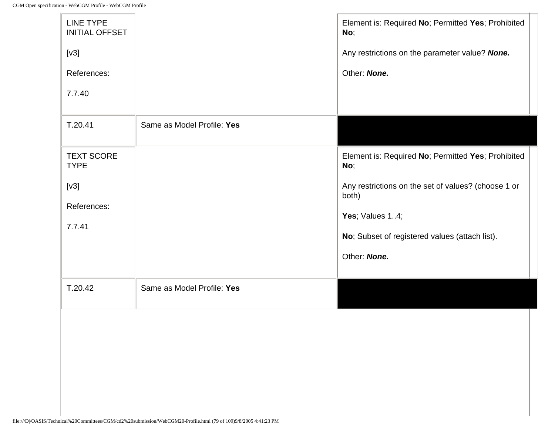<span id="page-183-0"></span>

| LINE TYPE<br><b>INITIAL OFFSET</b> |                            | Element is: Required No; Permitted Yes; Prohibited<br>No;    |
|------------------------------------|----------------------------|--------------------------------------------------------------|
| [v3]                               |                            | Any restrictions on the parameter value? None.               |
| References:                        |                            | Other: None.                                                 |
| 7.7.40                             |                            |                                                              |
| T.20.41                            | Same as Model Profile: Yes |                                                              |
| <b>TEXT SCORE</b><br><b>TYPE</b>   |                            | Element is: Required No; Permitted Yes; Prohibited<br>No;    |
| [v3]                               |                            | Any restrictions on the set of values? (choose 1 or<br>both) |
| References:                        |                            | Yes; Values 14;                                              |
| 7.7.41                             |                            | No; Subset of registered values (attach list).               |
|                                    |                            | Other: None.                                                 |
| T.20.42                            | Same as Model Profile: Yes |                                                              |
|                                    |                            |                                                              |
|                                    |                            |                                                              |
|                                    |                            |                                                              |
|                                    |                            |                                                              |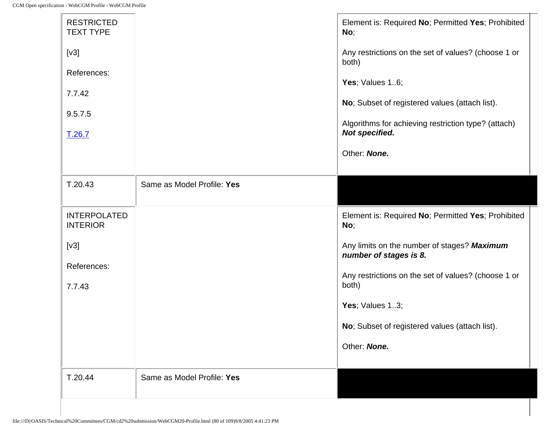<span id="page-184-0"></span>

| <b>RESTRICTED</b><br><b>TEXT TYPE</b><br>[V3]<br>References:<br>7.7.42<br>9.5.7.5<br>T.26.7 |                            | Element is: Required No; Permitted Yes; Prohibited<br>No;<br>Any restrictions on the set of values? (choose 1 or<br>both)<br>Yes; Values 16;<br>No; Subset of registered values (attach list).<br>Algorithms for achieving restriction type? (attach)<br>Not specified.<br>Other: None. |
|---------------------------------------------------------------------------------------------|----------------------------|-----------------------------------------------------------------------------------------------------------------------------------------------------------------------------------------------------------------------------------------------------------------------------------------|
| T.20.43                                                                                     | Same as Model Profile: Yes |                                                                                                                                                                                                                                                                                         |
| <b>INTERPOLATED</b><br><b>INTERIOR</b>                                                      |                            | Element is: Required No; Permitted Yes; Prohibited<br>No;                                                                                                                                                                                                                               |
| [v3]                                                                                        |                            | Any limits on the number of stages? Maximum<br>number of stages is 8.                                                                                                                                                                                                                   |
| References:<br>7.7.43                                                                       |                            | Any restrictions on the set of values? (choose 1 or<br>both)                                                                                                                                                                                                                            |
|                                                                                             |                            | Yes; Values 13;                                                                                                                                                                                                                                                                         |
|                                                                                             |                            | No; Subset of registered values (attach list).                                                                                                                                                                                                                                          |
|                                                                                             |                            | Other: None.                                                                                                                                                                                                                                                                            |
| T.20.44                                                                                     | Same as Model Profile: Yes |                                                                                                                                                                                                                                                                                         |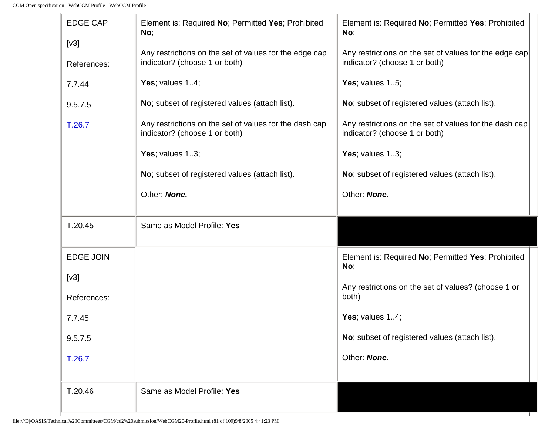<span id="page-185-1"></span><span id="page-185-0"></span>

| <b>EDGE CAP</b><br>[v3] | Element is: Required No; Permitted Yes; Prohibited<br>No;                               | Element is: Required No; Permitted Yes; Prohibited<br>No;                               |
|-------------------------|-----------------------------------------------------------------------------------------|-----------------------------------------------------------------------------------------|
| References:             | Any restrictions on the set of values for the edge cap<br>indicator? (choose 1 or both) | Any restrictions on the set of values for the edge cap<br>indicator? (choose 1 or both) |
| 7.7.44                  | Yes; values $14$ ;                                                                      | Yes; values $15$ ;                                                                      |
| 9.5.7.5                 | No; subset of registered values (attach list).                                          | No; subset of registered values (attach list).                                          |
| T.26.7                  | Any restrictions on the set of values for the dash cap<br>indicator? (choose 1 or both) | Any restrictions on the set of values for the dash cap<br>indicator? (choose 1 or both) |
|                         | Yes; values $13$ ;                                                                      | Yes; values 13;                                                                         |
|                         | No; subset of registered values (attach list).                                          | No; subset of registered values (attach list).                                          |
|                         | Other: None.                                                                            | Other: None.                                                                            |
|                         |                                                                                         |                                                                                         |
|                         |                                                                                         |                                                                                         |
| T.20.45                 | Same as Model Profile: Yes                                                              |                                                                                         |
| <b>EDGE JOIN</b>        |                                                                                         | Element is: Required No; Permitted Yes; Prohibited<br>No;                               |
| [v3]                    |                                                                                         |                                                                                         |
| References:             |                                                                                         | Any restrictions on the set of values? (choose 1 or<br>both)                            |
| 7.7.45                  |                                                                                         | Yes; values $14$ ;                                                                      |
| 9.5.7.5                 |                                                                                         | No; subset of registered values (attach list).                                          |
| T.26.7                  |                                                                                         | Other: None.                                                                            |
|                         |                                                                                         |                                                                                         |
| T.20.46                 | Same as Model Profile: Yes                                                              |                                                                                         |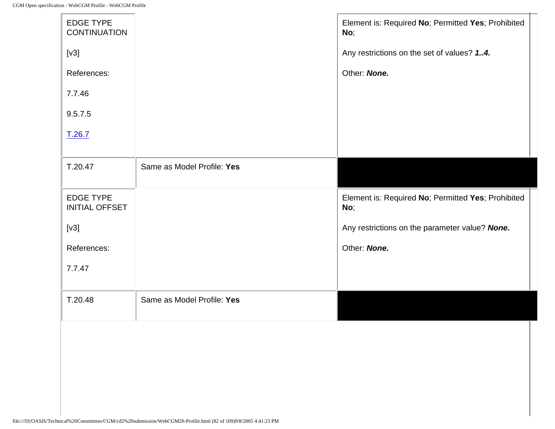| <b>EDGE TYPE</b><br><b>CONTINUATION</b>   |                            | Element is: Required No; Permitted Yes; Prohibited<br>No; |
|-------------------------------------------|----------------------------|-----------------------------------------------------------|
| [v3]                                      |                            | Any restrictions on the set of values? 14.                |
| References:                               |                            | Other: None.                                              |
| 7.7.46                                    |                            |                                                           |
| 9.5.7.5                                   |                            |                                                           |
| T.26.7                                    |                            |                                                           |
|                                           |                            |                                                           |
| T.20.47                                   | Same as Model Profile: Yes |                                                           |
| <b>EDGE TYPE</b><br><b>INITIAL OFFSET</b> |                            | Element is: Required No; Permitted Yes; Prohibited<br>No; |
| [v3]                                      |                            | Any restrictions on the parameter value? None.            |
| References:                               |                            | Other: None.                                              |
| 7.7.47                                    |                            |                                                           |
|                                           |                            |                                                           |
| T.20.48                                   | Same as Model Profile: Yes |                                                           |
|                                           |                            |                                                           |
|                                           |                            |                                                           |
|                                           |                            |                                                           |
|                                           |                            |                                                           |
|                                           |                            |                                                           |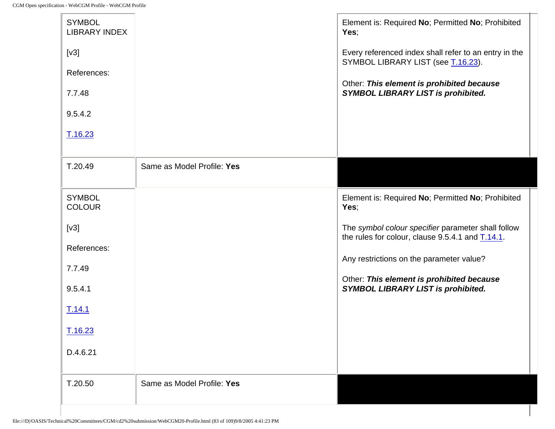| <b>SYMBOL</b><br><b>LIBRARY INDEX</b> |                            | Element is: Required No; Permitted No; Prohibited<br>Yes;                                                             |
|---------------------------------------|----------------------------|-----------------------------------------------------------------------------------------------------------------------|
| [v3]                                  |                            | Every referenced index shall refer to an entry in the<br>SYMBOL LIBRARY LIST (see T.16.23).                           |
| References:                           |                            | Other: This element is prohibited because                                                                             |
| 7.7.48                                |                            | <b>SYMBOL LIBRARY LIST is prohibited.</b>                                                                             |
| 9.5.4.2                               |                            |                                                                                                                       |
| T.16.23                               |                            |                                                                                                                       |
| T.20.49                               | Same as Model Profile: Yes |                                                                                                                       |
|                                       |                            |                                                                                                                       |
| <b>SYMBOL</b><br><b>COLOUR</b>        |                            | Element is: Required No; Permitted No; Prohibited<br>Yes;                                                             |
| [v3]<br>References:                   |                            | The symbol colour specifier parameter shall follow<br>the rules for colour, clause 9.5.4.1 and $\underline{T.14.1}$ . |
| 7.7.49                                |                            | Any restrictions on the parameter value?                                                                              |
| 9.5.4.1                               |                            | Other: This element is prohibited because<br><b>SYMBOL LIBRARY LIST is prohibited.</b>                                |
| T.14.1                                |                            |                                                                                                                       |
| T.16.23                               |                            |                                                                                                                       |
| D.4.6.21                              |                            |                                                                                                                       |
| T.20.50                               | Same as Model Profile: Yes |                                                                                                                       |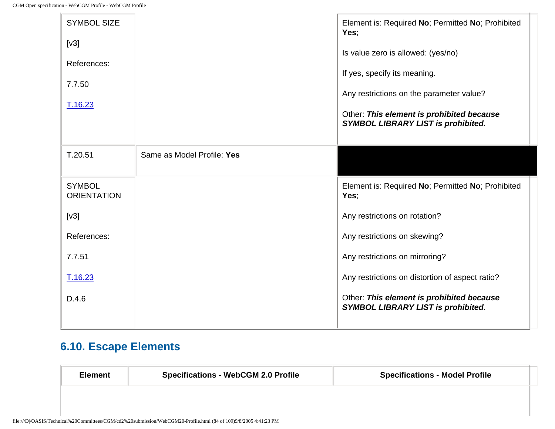| <b>SYMBOL SIZE</b><br>[v3]<br>References:<br>7.7.50 |                            | Element is: Required No; Permitted No; Prohibited<br>Yes;<br>Is value zero is allowed: (yes/no)<br>If yes, specify its meaning.    |
|-----------------------------------------------------|----------------------------|------------------------------------------------------------------------------------------------------------------------------------|
| T.16.23                                             |                            | Any restrictions on the parameter value?<br>Other: This element is prohibited because<br><b>SYMBOL LIBRARY LIST is prohibited.</b> |
| T.20.51                                             | Same as Model Profile: Yes |                                                                                                                                    |
| <b>SYMBOL</b><br><b>ORIENTATION</b>                 |                            | Element is: Required No; Permitted No; Prohibited<br>Yes;                                                                          |
|                                                     |                            |                                                                                                                                    |
| [v3]                                                |                            | Any restrictions on rotation?                                                                                                      |
| References:                                         |                            | Any restrictions on skewing?                                                                                                       |
| 7.7.51                                              |                            | Any restrictions on mirroring?                                                                                                     |
| T.16.23                                             |                            | Any restrictions on distortion of aspect ratio?                                                                                    |

## **6.10. Escape Elements**

| <b>Element</b> | <b>Specifications - WebCGM 2.0 Profile</b> | <b>Specifications - Model Profile</b> |
|----------------|--------------------------------------------|---------------------------------------|
|                |                                            |                                       |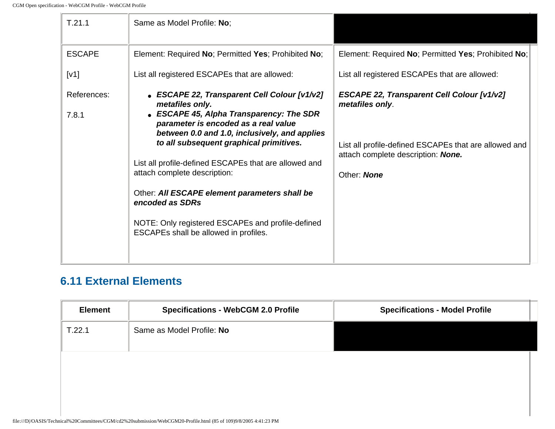| T.21.1               | Same as Model Profile: No;                                                                                                                                                                                                                                                                                                                                                                                                                                                                                 |                                                                                                                                                                                    |
|----------------------|------------------------------------------------------------------------------------------------------------------------------------------------------------------------------------------------------------------------------------------------------------------------------------------------------------------------------------------------------------------------------------------------------------------------------------------------------------------------------------------------------------|------------------------------------------------------------------------------------------------------------------------------------------------------------------------------------|
| <b>ESCAPE</b>        | Element: Required No; Permitted Yes; Prohibited No;                                                                                                                                                                                                                                                                                                                                                                                                                                                        | Element: Required No; Permitted Yes; Prohibited No;                                                                                                                                |
| [V1]                 | List all registered ESCAPEs that are allowed:                                                                                                                                                                                                                                                                                                                                                                                                                                                              | List all registered ESCAPEs that are allowed:                                                                                                                                      |
| References:<br>7.8.1 | • ESCAPE 22, Transparent Cell Colour [v1/v2]<br>metafiles only.<br>• ESCAPE 45, Alpha Transparency: The SDR<br>parameter is encoded as a real value<br>between 0.0 and 1.0, inclusively, and applies<br>to all subsequent graphical primitives.<br>List all profile-defined ESCAPEs that are allowed and<br>attach complete description:<br>Other: All ESCAPE element parameters shall be<br>encoded as SDRs<br>NOTE: Only registered ESCAPEs and profile-defined<br>ESCAPEs shall be allowed in profiles. | <b>ESCAPE 22, Transparent Cell Colour [v1/v2]</b><br>metafiles only.<br>List all profile-defined ESCAPEs that are allowed and<br>attach complete description: None.<br>Other: None |

#### **6.11 External Elements**

| <b>Element</b> | <b>Specifications - WebCGM 2.0 Profile</b> | <b>Specifications - Model Profile</b> |
|----------------|--------------------------------------------|---------------------------------------|
| T.22.1         | Same as Model Profile: No                  |                                       |
|                |                                            |                                       |
|                |                                            |                                       |
|                |                                            |                                       |
|                |                                            |                                       |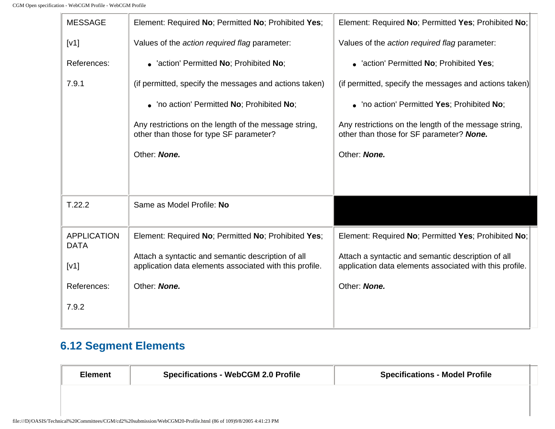| <b>MESSAGE</b>                    | Element: Required No; Permitted No; Prohibited Yes;                                                           | Element: Required No; Permitted Yes; Prohibited No;                                                           |
|-----------------------------------|---------------------------------------------------------------------------------------------------------------|---------------------------------------------------------------------------------------------------------------|
| [V1]                              | Values of the action required flag parameter:                                                                 | Values of the action required flag parameter:                                                                 |
| References:                       | • 'action' Permitted No; Prohibited No;                                                                       | • 'action' Permitted No; Prohibited Yes;                                                                      |
| 7.9.1                             | (if permitted, specify the messages and actions taken)                                                        | (if permitted, specify the messages and actions taken)                                                        |
|                                   | • 'no action' Permitted No; Prohibited No;                                                                    | • 'no action' Permitted Yes; Prohibited No;                                                                   |
|                                   | Any restrictions on the length of the message string,<br>other than those for type SF parameter?              | Any restrictions on the length of the message string,<br>other than those for SF parameter? None.             |
|                                   | Other: None.                                                                                                  | Other: None.                                                                                                  |
|                                   |                                                                                                               |                                                                                                               |
| T.22.2                            | Same as Model Profile: No                                                                                     |                                                                                                               |
| <b>APPLICATION</b><br><b>DATA</b> | Element: Required No; Permitted No; Prohibited Yes;                                                           | Element: Required No; Permitted Yes; Prohibited No;                                                           |
| [V1]                              | Attach a syntactic and semantic description of all<br>application data elements associated with this profile. | Attach a syntactic and semantic description of all<br>application data elements associated with this profile. |
| References:                       | Other: None.                                                                                                  | Other: None.                                                                                                  |
| 7.9.2                             |                                                                                                               |                                                                                                               |
|                                   |                                                                                                               |                                                                                                               |

### **6.12 Segment Elements**

| <b>Element</b> | <b>Specifications - WebCGM 2.0 Profile</b> | <b>Specifications - Model Profile</b> |
|----------------|--------------------------------------------|---------------------------------------|
|                |                                            |                                       |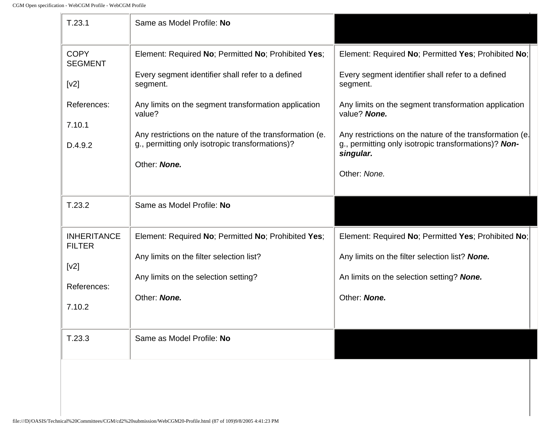-le

| T.23.1                              | Same as Model Profile: No                                                                                   |                                                                                                                  |
|-------------------------------------|-------------------------------------------------------------------------------------------------------------|------------------------------------------------------------------------------------------------------------------|
| <b>COPY</b><br><b>SEGMENT</b>       | Element: Required No; Permitted No; Prohibited Yes;                                                         | Element: Required No; Permitted Yes; Prohibited No;                                                              |
| [v2]                                | Every segment identifier shall refer to a defined<br>segment.                                               | Every segment identifier shall refer to a defined<br>segment.                                                    |
| References:                         | Any limits on the segment transformation application<br>value?                                              | Any limits on the segment transformation application<br>value? None.                                             |
| 7.10.1<br>D.4.9.2                   | Any restrictions on the nature of the transformation (e.<br>g., permitting only isotropic transformations)? | Any restrictions on the nature of the transformation (e.<br>g., permitting only isotropic transformations)? Non- |
|                                     | Other: None.                                                                                                | singular.                                                                                                        |
|                                     |                                                                                                             | Other: None.                                                                                                     |
| T.23.2                              | Same as Model Profile: No                                                                                   |                                                                                                                  |
| <b>INHERITANCE</b><br><b>FILTER</b> | Element: Required No; Permitted No; Prohibited Yes;                                                         | Element: Required No; Permitted Yes; Prohibited No;                                                              |
| [v2]                                | Any limits on the filter selection list?                                                                    | Any limits on the filter selection list? None.                                                                   |
| References:                         | Any limits on the selection setting?                                                                        | An limits on the selection setting? None.                                                                        |
| 7.10.2                              | Other: None.                                                                                                | Other: None.                                                                                                     |
| T.23.3                              | Same as Model Profile: No                                                                                   |                                                                                                                  |
|                                     |                                                                                                             |                                                                                                                  |
|                                     |                                                                                                             |                                                                                                                  |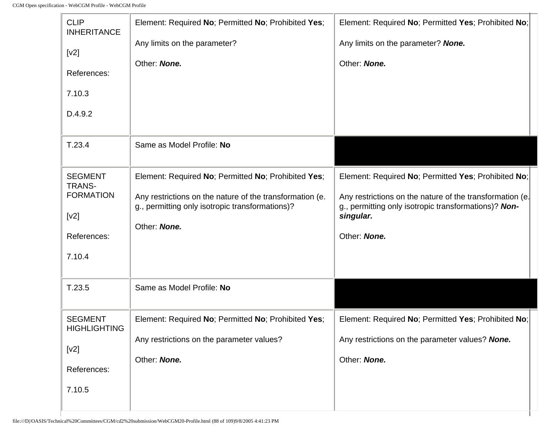-lo

| <b>CLIP</b><br><b>INHERITANCE</b><br>[v2]<br>References:<br>7.10.3<br>D.4.9.2        | Element: Required No; Permitted No; Prohibited Yes;<br>Any limits on the parameter?<br>Other: None.                                                                                | Element: Required No; Permitted Yes; Prohibited No;<br>Any limits on the parameter? None.<br>Other: None.                                                                                            |
|--------------------------------------------------------------------------------------|------------------------------------------------------------------------------------------------------------------------------------------------------------------------------------|------------------------------------------------------------------------------------------------------------------------------------------------------------------------------------------------------|
| T.23.4                                                                               | Same as Model Profile: No                                                                                                                                                          |                                                                                                                                                                                                      |
| <b>SEGMENT</b><br><b>TRANS-</b><br><b>FORMATION</b><br>[v2]<br>References:<br>7.10.4 | Element: Required No; Permitted No; Prohibited Yes;<br>Any restrictions on the nature of the transformation (e.<br>g., permitting only isotropic transformations)?<br>Other: None. | Element: Required No; Permitted Yes; Prohibited No;<br>Any restrictions on the nature of the transformation (e.<br>g., permitting only isotropic transformations)? Non-<br>singular.<br>Other: None. |
| T.23.5                                                                               | Same as Model Profile: No                                                                                                                                                          |                                                                                                                                                                                                      |
| <b>SEGMENT</b><br><b>HIGHLIGHTING</b><br>[v2]<br>References:<br>7.10.5               | Element: Required No; Permitted No; Prohibited Yes;<br>Any restrictions on the parameter values?<br>Other: None.                                                                   | Element: Required No; Permitted Yes; Prohibited No;<br>Any restrictions on the parameter values? None.<br>Other: None.                                                                               |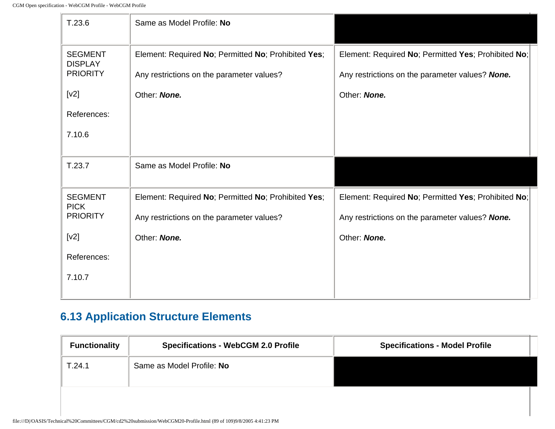| T.23.6                                              | Same as Model Profile: No                                                                        |                                                                                                        |  |
|-----------------------------------------------------|--------------------------------------------------------------------------------------------------|--------------------------------------------------------------------------------------------------------|--|
| <b>SEGMENT</b><br><b>DISPLAY</b><br><b>PRIORITY</b> | Element: Required No; Permitted No; Prohibited Yes;<br>Any restrictions on the parameter values? | Element: Required No; Permitted Yes; Prohibited No;<br>Any restrictions on the parameter values? None. |  |
| [v2]                                                | Other: None.                                                                                     | Other: None.                                                                                           |  |
| References:                                         |                                                                                                  |                                                                                                        |  |
| 7.10.6                                              |                                                                                                  |                                                                                                        |  |
| T.23.7                                              | Same as Model Profile: No                                                                        |                                                                                                        |  |
| <b>SEGMENT</b><br><b>PICK</b>                       | Element: Required No; Permitted No; Prohibited Yes;                                              | Element: Required No; Permitted Yes; Prohibited No;                                                    |  |
| <b>PRIORITY</b>                                     | Any restrictions on the parameter values?                                                        | Any restrictions on the parameter values? None.                                                        |  |
| [v2]                                                | Other: None.                                                                                     | Other: None.                                                                                           |  |
| References:                                         |                                                                                                  |                                                                                                        |  |
| 7.10.7                                              |                                                                                                  |                                                                                                        |  |
|                                                     |                                                                                                  |                                                                                                        |  |

# **6.13 Application Structure Elements**

| <b>Functionality</b> | <b>Specifications - WebCGM 2.0 Profile</b> | <b>Specifications - Model Profile</b> |
|----------------------|--------------------------------------------|---------------------------------------|
| T.24.1               | Same as Model Profile: No                  |                                       |
|                      |                                            |                                       |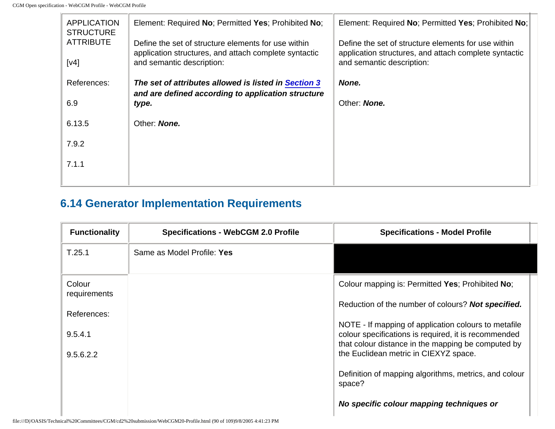| <b>APPLICATION</b><br><b>STRUCTURE</b> | Element: Required No; Permitted Yes; Prohibited No;                                                          | Element: Required No; Permitted Yes; Prohibited No;                                                          |
|----------------------------------------|--------------------------------------------------------------------------------------------------------------|--------------------------------------------------------------------------------------------------------------|
| <b>ATTRIBUTE</b>                       | Define the set of structure elements for use within<br>application structures, and attach complete syntactic | Define the set of structure elements for use within<br>application structures, and attach complete syntactic |
| [v4]                                   | and semantic description:                                                                                    | and semantic description:                                                                                    |
| References:                            | The set of attributes allowed is listed in Section 3<br>and are defined according to application structure   | None.                                                                                                        |
| 6.9                                    | type.                                                                                                        | Other: <b>None.</b>                                                                                          |
| 6.13.5                                 | Other: None.                                                                                                 |                                                                                                              |
| 7.9.2                                  |                                                                                                              |                                                                                                              |
| 7.1.1                                  |                                                                                                              |                                                                                                              |
|                                        |                                                                                                              |                                                                                                              |

## **6.14 Generator Implementation Requirements**

| <b>Functionality</b>   | <b>Specifications - WebCGM 2.0 Profile</b> | <b>Specifications - Model Profile</b>                                                                                                                              |
|------------------------|--------------------------------------------|--------------------------------------------------------------------------------------------------------------------------------------------------------------------|
| T.25.1                 | Same as Model Profile: Yes                 |                                                                                                                                                                    |
| Colour<br>requirements |                                            | Colour mapping is: Permitted Yes; Prohibited No;                                                                                                                   |
| References:            |                                            | Reduction of the number of colours? Not specified.                                                                                                                 |
| 9.5.4.1                |                                            | NOTE - If mapping of application colours to metafile<br>colour specifications is required, it is recommended<br>that colour distance in the mapping be computed by |
| 9.5.6.2.2              |                                            | the Euclidean metric in CIEXYZ space.                                                                                                                              |
|                        |                                            | Definition of mapping algorithms, metrics, and colour<br>space?                                                                                                    |
|                        |                                            | No specific colour mapping techniques or                                                                                                                           |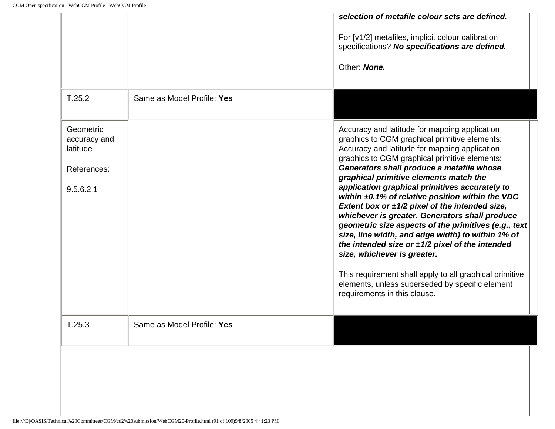|                                                                   |                            | selection of metafile colour sets are defined.<br>For [v1/2] metafiles, implicit colour calibration                                                                                                                                                                                                                                                                                                                                                                                                                                                                                                                                                                                                                                                                                                                                                            |
|-------------------------------------------------------------------|----------------------------|----------------------------------------------------------------------------------------------------------------------------------------------------------------------------------------------------------------------------------------------------------------------------------------------------------------------------------------------------------------------------------------------------------------------------------------------------------------------------------------------------------------------------------------------------------------------------------------------------------------------------------------------------------------------------------------------------------------------------------------------------------------------------------------------------------------------------------------------------------------|
|                                                                   |                            | specifications? No specifications are defined.                                                                                                                                                                                                                                                                                                                                                                                                                                                                                                                                                                                                                                                                                                                                                                                                                 |
|                                                                   |                            | Other: None.                                                                                                                                                                                                                                                                                                                                                                                                                                                                                                                                                                                                                                                                                                                                                                                                                                                   |
| T.25.2                                                            | Same as Model Profile: Yes |                                                                                                                                                                                                                                                                                                                                                                                                                                                                                                                                                                                                                                                                                                                                                                                                                                                                |
| Geometric<br>accuracy and<br>latitude<br>References:<br>9.5.6.2.1 |                            | Accuracy and latitude for mapping application<br>graphics to CGM graphical primitive elements:<br>Accuracy and latitude for mapping application<br>graphics to CGM graphical primitive elements:<br>Generators shall produce a metafile whose<br>graphical primitive elements match the<br>application graphical primitives accurately to<br>within $\pm 0.1\%$ of relative position within the VDC<br>Extent box or $\pm 1/2$ pixel of the intended size,<br>whichever is greater. Generators shall produce<br>geometric size aspects of the primitives (e.g., text<br>size, line width, and edge width) to within 1% of<br>the intended size or $\pm 1/2$ pixel of the intended<br>size, whichever is greater.<br>This requirement shall apply to all graphical primitive<br>elements, unless superseded by specific element<br>requirements in this clause. |
| T.25.3                                                            | Same as Model Profile: Yes |                                                                                                                                                                                                                                                                                                                                                                                                                                                                                                                                                                                                                                                                                                                                                                                                                                                                |
|                                                                   |                            |                                                                                                                                                                                                                                                                                                                                                                                                                                                                                                                                                                                                                                                                                                                                                                                                                                                                |
|                                                                   |                            |                                                                                                                                                                                                                                                                                                                                                                                                                                                                                                                                                                                                                                                                                                                                                                                                                                                                |
|                                                                   |                            |                                                                                                                                                                                                                                                                                                                                                                                                                                                                                                                                                                                                                                                                                                                                                                                                                                                                |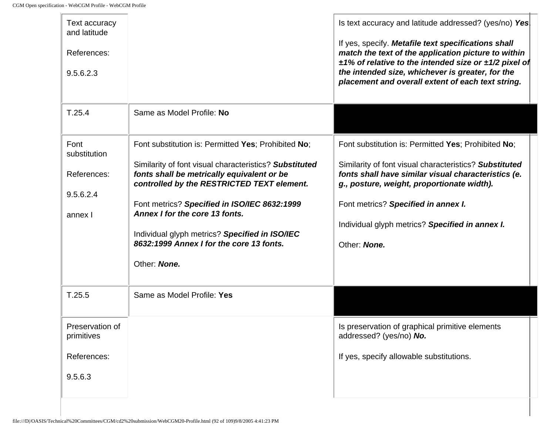$\mathbb{I}_\ell$ 

| Text accuracy<br>and latitude<br>References:<br>9.5.6.2.3   |                                                                                                                                                                                                                                                                                                                                                                                                           | Is text accuracy and latitude addressed? (yes/no) Yes<br>If yes, specify. Metafile text specifications shall<br>match the text of the application picture to within<br>$\pm$ 1% of relative to the intended size or $\pm$ 1/2 pixel of<br>the intended size, whichever is greater, for the<br>placement and overall extent of each text string. |
|-------------------------------------------------------------|-----------------------------------------------------------------------------------------------------------------------------------------------------------------------------------------------------------------------------------------------------------------------------------------------------------------------------------------------------------------------------------------------------------|-------------------------------------------------------------------------------------------------------------------------------------------------------------------------------------------------------------------------------------------------------------------------------------------------------------------------------------------------|
| T.25.4                                                      | Same as Model Profile: No                                                                                                                                                                                                                                                                                                                                                                                 |                                                                                                                                                                                                                                                                                                                                                 |
| Font<br>substitution<br>References:<br>9.5.6.2.4<br>annex I | Font substitution is: Permitted Yes; Prohibited No;<br>Similarity of font visual characteristics? Substituted<br>fonts shall be metrically equivalent or be<br>controlled by the RESTRICTED TEXT element.<br>Font metrics? Specified in ISO/IEC 8632:1999<br>Annex I for the core 13 fonts.<br>Individual glyph metrics? Specified in ISO/IEC<br>8632:1999 Annex I for the core 13 fonts.<br>Other: None. | Font substitution is: Permitted Yes; Prohibited No;<br>Similarity of font visual characteristics? Substituted<br>fonts shall have similar visual characteristics (e.<br>g., posture, weight, proportionate width).<br>Font metrics? Specified in annex I.<br>Individual glyph metrics? Specified in annex I.<br>Other: None.                    |
| T.25.5                                                      | Same as Model Profile: Yes                                                                                                                                                                                                                                                                                                                                                                                |                                                                                                                                                                                                                                                                                                                                                 |
| Preservation of<br>primitives<br>References:<br>9.5.6.3     |                                                                                                                                                                                                                                                                                                                                                                                                           | Is preservation of graphical primitive elements<br>addressed? (yes/no) No.<br>If yes, specify allowable substitutions.                                                                                                                                                                                                                          |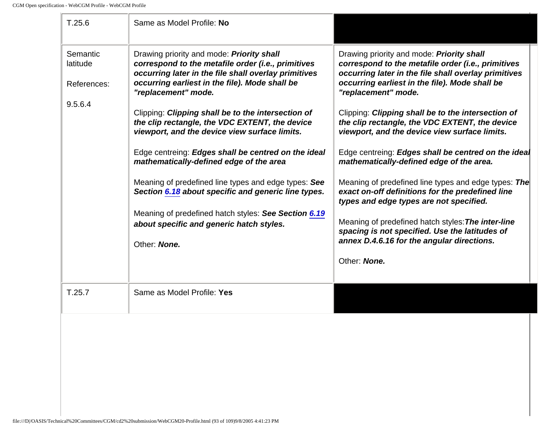| T.25.6                                         | Same as Model Profile: No                                                                                                                                                                                                                                                                                                                |                                                                                                                                                                                                                                                                                                                                                 |
|------------------------------------------------|------------------------------------------------------------------------------------------------------------------------------------------------------------------------------------------------------------------------------------------------------------------------------------------------------------------------------------------|-------------------------------------------------------------------------------------------------------------------------------------------------------------------------------------------------------------------------------------------------------------------------------------------------------------------------------------------------|
| Semantic<br>latitude<br>References:<br>9.5.6.4 | Drawing priority and mode: Priority shall<br>correspond to the metafile order (i.e., primitives<br>occurring later in the file shall overlay primitives<br>occurring earliest in the file). Mode shall be<br>"replacement" mode.<br>Clipping: Clipping shall be to the intersection of<br>the clip rectangle, the VDC EXTENT, the device | Drawing priority and mode: <b>Priority shall</b><br>correspond to the metafile order (i.e., primitives<br>occurring later in the file shall overlay primitives<br>occurring earliest in the file). Mode shall be<br>"replacement" mode.<br>Clipping: Clipping shall be to the intersection of<br>the clip rectangle, the VDC EXTENT, the device |
|                                                | viewport, and the device view surface limits.<br>Edge centreing: Edges shall be centred on the ideal<br>mathematically-defined edge of the area<br>Meaning of predefined line types and edge types: See<br>Section 6.18 about specific and generic line types.                                                                           | viewport, and the device view surface limits.<br>Edge centreing: Edges shall be centred on the ideal<br>mathematically-defined edge of the area.<br>Meaning of predefined line types and edge types: The<br>exact on-off definitions for the predefined line<br>types and edge types are not specified.                                         |
|                                                | Meaning of predefined hatch styles: See Section 6.19<br>about specific and generic hatch styles.<br>Other: None.                                                                                                                                                                                                                         | Meaning of predefined hatch styles: The inter-line<br>spacing is not specified. Use the latitudes of<br>annex D.4.6.16 for the angular directions.<br>Other: None.                                                                                                                                                                              |
| T.25.7                                         | Same as Model Profile: Yes                                                                                                                                                                                                                                                                                                               |                                                                                                                                                                                                                                                                                                                                                 |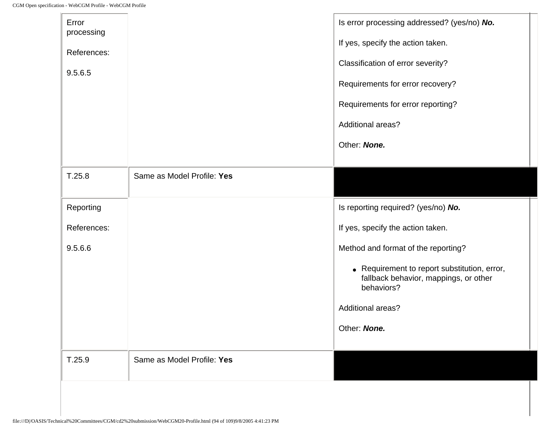| Error<br>processing |                            | Is error processing addressed? (yes/no) No.                                                         |
|---------------------|----------------------------|-----------------------------------------------------------------------------------------------------|
| References:         |                            | If yes, specify the action taken.                                                                   |
| 9.5.6.5             |                            | Classification of error severity?                                                                   |
|                     |                            | Requirements for error recovery?                                                                    |
|                     |                            | Requirements for error reporting?                                                                   |
|                     |                            | <b>Additional areas?</b>                                                                            |
|                     |                            | Other: None.                                                                                        |
|                     |                            |                                                                                                     |
| T.25.8              | Same as Model Profile: Yes |                                                                                                     |
| Reporting           |                            | Is reporting required? (yes/no) No.                                                                 |
| References:         |                            | If yes, specify the action taken.                                                                   |
| 9.5.6.6             |                            | Method and format of the reporting?                                                                 |
|                     |                            | • Requirement to report substitution, error,<br>fallback behavior, mappings, or other<br>behaviors? |
|                     |                            | Additional areas?                                                                                   |
|                     |                            | Other: None.                                                                                        |
|                     |                            |                                                                                                     |
| T.25.9              | Same as Model Profile: Yes |                                                                                                     |
|                     |                            |                                                                                                     |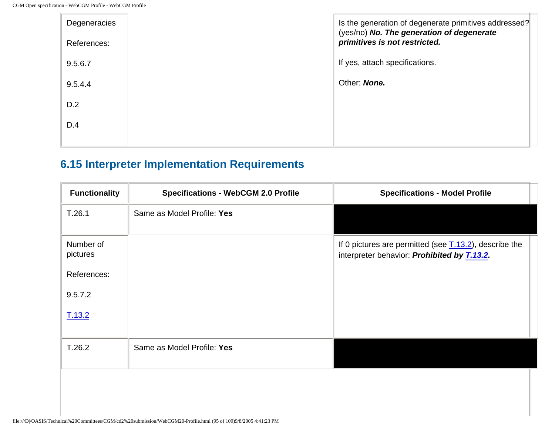| Degeneracies<br>References: | Is the generation of degenerate primitives addressed?<br>(yes/no) No. The generation of degenerate<br>primitives is not restricted. |
|-----------------------------|-------------------------------------------------------------------------------------------------------------------------------------|
| 9.5.6.7                     | If yes, attach specifications.                                                                                                      |
| 9.5.4.4                     | Other: None.                                                                                                                        |
| D.2                         |                                                                                                                                     |
| D.4                         |                                                                                                                                     |
|                             |                                                                                                                                     |

## **6.15 Interpreter Implementation Requirements**

| <b>Functionality</b>  | <b>Specifications - WebCGM 2.0 Profile</b> | <b>Specifications - Model Profile</b>                                                                                |
|-----------------------|--------------------------------------------|----------------------------------------------------------------------------------------------------------------------|
| T.26.1                | Same as Model Profile: Yes                 |                                                                                                                      |
| Number of<br>pictures |                                            | If 0 pictures are permitted (see $\underline{T.13.2}$ ), describe the<br>interpreter behavior: Prohibited by T.13.2. |
| References:           |                                            |                                                                                                                      |
| 9.5.7.2               |                                            |                                                                                                                      |
| T.13.2                |                                            |                                                                                                                      |
| T.26.2                | Same as Model Profile: Yes                 |                                                                                                                      |
|                       |                                            |                                                                                                                      |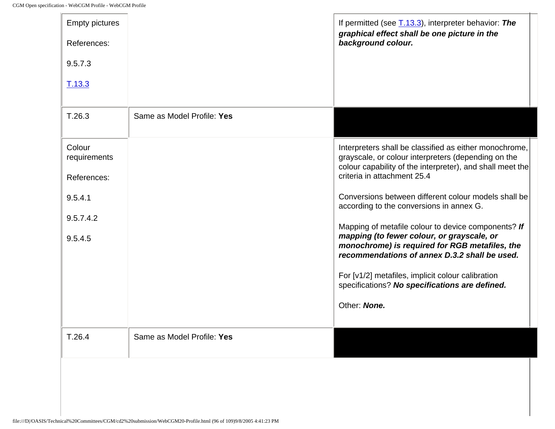In

| <b>Empty pictures</b><br>References:<br>9.5.7.3 |                            | If permitted (see $\underline{T.13.3}$ ), interpreter behavior: The<br>graphical effect shall be one picture in the<br>background colour.                                  |
|-------------------------------------------------|----------------------------|----------------------------------------------------------------------------------------------------------------------------------------------------------------------------|
| T.13.3                                          |                            |                                                                                                                                                                            |
| T.26.3                                          | Same as Model Profile: Yes |                                                                                                                                                                            |
| Colour<br>requirements                          |                            | Interpreters shall be classified as either monochrome,<br>grayscale, or colour interpreters (depending on the<br>colour capability of the interpreter), and shall meet the |
| References:                                     |                            | criteria in attachment 25.4                                                                                                                                                |
| 9.5.4.1                                         |                            | Conversions between different colour models shall be<br>according to the conversions in annex G.                                                                           |
| 9.5.7.4.2                                       |                            | Mapping of metafile colour to device components? If                                                                                                                        |
| 9.5.4.5                                         |                            | mapping (to fewer colour, or grayscale, or<br>monochrome) is required for RGB metafiles, the<br>recommendations of annex D.3.2 shall be used.                              |
|                                                 |                            | For [v1/2] metafiles, implicit colour calibration<br>specifications? No specifications are defined.                                                                        |
|                                                 |                            | Other: None.                                                                                                                                                               |
| T.26.4                                          | Same as Model Profile: Yes |                                                                                                                                                                            |
|                                                 |                            |                                                                                                                                                                            |
|                                                 |                            |                                                                                                                                                                            |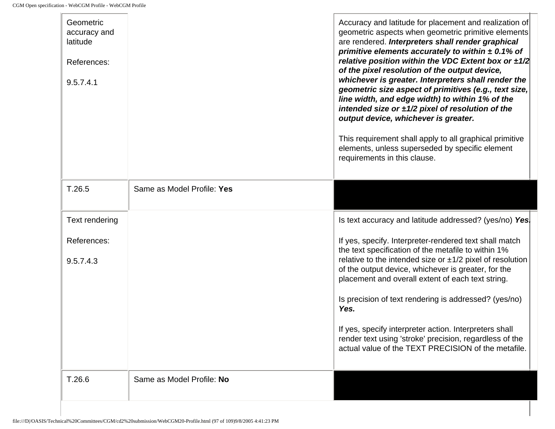| Geometric<br>accuracy and<br>latitude<br>References:<br>9.5.7.4.1<br>T.26.5 | Same as Model Profile: Yes | Accuracy and latitude for placement and realization of<br>geometric aspects when geometric primitive elements<br>are rendered. Interpreters shall render graphical<br>primitive elements accurately to within $\pm$ 0.1% of<br>relative position within the VDC Extent box or $\pm 1/2$<br>of the pixel resolution of the output device,<br>whichever is greater. Interpreters shall render the<br>geometric size aspect of primitives (e.g., text size,<br>line width, and edge width) to within 1% of the<br>intended size or $\pm 1/2$ pixel of resolution of the<br>output device, whichever is greater.<br>This requirement shall apply to all graphical primitive<br>elements, unless superseded by specific element<br>requirements in this clause. |
|-----------------------------------------------------------------------------|----------------------------|------------------------------------------------------------------------------------------------------------------------------------------------------------------------------------------------------------------------------------------------------------------------------------------------------------------------------------------------------------------------------------------------------------------------------------------------------------------------------------------------------------------------------------------------------------------------------------------------------------------------------------------------------------------------------------------------------------------------------------------------------------|
|                                                                             |                            |                                                                                                                                                                                                                                                                                                                                                                                                                                                                                                                                                                                                                                                                                                                                                            |
| Text rendering                                                              |                            | Is text accuracy and latitude addressed? (yes/no) Yes.                                                                                                                                                                                                                                                                                                                                                                                                                                                                                                                                                                                                                                                                                                     |
| References:<br>9.5.7.4.3                                                    |                            | If yes, specify. Interpreter-rendered text shall match<br>the text specification of the metafile to within 1%<br>relative to the intended size or $\pm 1/2$ pixel of resolution<br>of the output device, whichever is greater, for the<br>placement and overall extent of each text string.<br>Is precision of text rendering is addressed? (yes/no)<br>Yes.<br>If yes, specify interpreter action. Interpreters shall<br>render text using 'stroke' precision, regardless of the<br>actual value of the TEXT PRECISION of the metafile.                                                                                                                                                                                                                   |
| T.26.6                                                                      | Same as Model Profile: No  |                                                                                                                                                                                                                                                                                                                                                                                                                                                                                                                                                                                                                                                                                                                                                            |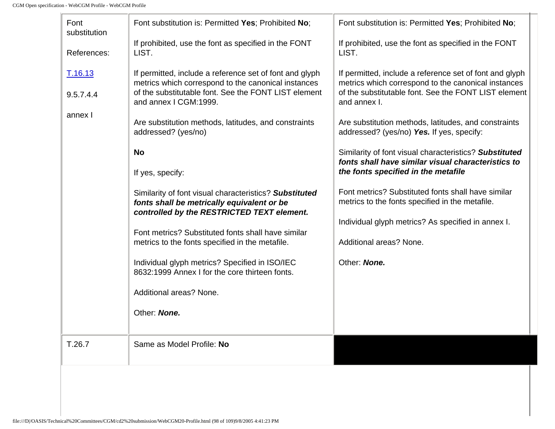-le

<span id="page-202-0"></span>

| Font<br>substitution | Font substitution is: Permitted Yes; Prohibited No;                                                                                                                                             | Font substitution is: Permitted Yes; Prohibited No;                                                                                                                                    |
|----------------------|-------------------------------------------------------------------------------------------------------------------------------------------------------------------------------------------------|----------------------------------------------------------------------------------------------------------------------------------------------------------------------------------------|
| References:          | If prohibited, use the font as specified in the FONT<br>LIST.                                                                                                                                   | If prohibited, use the font as specified in the FONT<br>LIST.                                                                                                                          |
| T.16.13<br>9.5.7.4.4 | If permitted, include a reference set of font and glyph<br>metrics which correspond to the canonical instances<br>of the substitutable font. See the FONT LIST element<br>and annex I CGM:1999. | If permitted, include a reference set of font and glyph<br>metrics which correspond to the canonical instances<br>of the substitutable font. See the FONT LIST element<br>and annex I. |
| annex I              | Are substitution methods, latitudes, and constraints<br>addressed? (yes/no)                                                                                                                     | Are substitution methods, latitudes, and constraints<br>addressed? (yes/no) Yes. If yes, specify:                                                                                      |
|                      | <b>No</b><br>If yes, specify:                                                                                                                                                                   | Similarity of font visual characteristics? Substituted<br>fonts shall have similar visual characteristics to<br>the fonts specified in the metafile                                    |
|                      | Similarity of font visual characteristics? Substituted<br>fonts shall be metrically equivalent or be<br>controlled by the RESTRICTED TEXT element.                                              | Font metrics? Substituted fonts shall have similar<br>metrics to the fonts specified in the metafile.                                                                                  |
|                      | Font metrics? Substituted fonts shall have similar<br>metrics to the fonts specified in the metafile.                                                                                           | Individual glyph metrics? As specified in annex I.<br>Additional areas? None.                                                                                                          |
|                      | Individual glyph metrics? Specified in ISO/IEC<br>8632:1999 Annex I for the core thirteen fonts.                                                                                                | Other: None.                                                                                                                                                                           |
|                      | Additional areas? None.                                                                                                                                                                         |                                                                                                                                                                                        |
|                      | Other: None.                                                                                                                                                                                    |                                                                                                                                                                                        |
| T.26.7               | Same as Model Profile: No                                                                                                                                                                       |                                                                                                                                                                                        |
|                      |                                                                                                                                                                                                 |                                                                                                                                                                                        |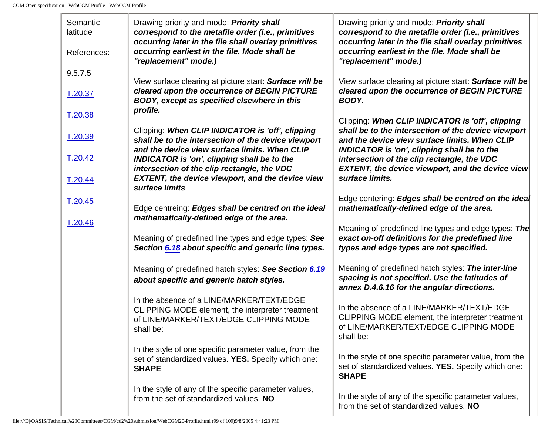-ln

| Semantic<br>latitude<br>References:      | Drawing priority and mode: Priority shall<br>correspond to the metafile order (i.e., primitives<br>occurring later in the file shall overlay primitives<br>occurring earliest in the file. Mode shall be<br>"replacement" mode.)                                                                                                           | Drawing priority and mode: <b>Priority shall</b><br>correspond to the metafile order (i.e., primitives<br>occurring later in the file shall overlay primitives<br>occurring earliest in the file. Mode shall be<br>"replacement" mode.)                                                                                                     |
|------------------------------------------|--------------------------------------------------------------------------------------------------------------------------------------------------------------------------------------------------------------------------------------------------------------------------------------------------------------------------------------------|---------------------------------------------------------------------------------------------------------------------------------------------------------------------------------------------------------------------------------------------------------------------------------------------------------------------------------------------|
| 9.5.7.5<br>T.20.37                       | View surface clearing at picture start: Surface will be<br>cleared upon the occurrence of BEGIN PICTURE<br>BODY, except as specified elsewhere in this<br>profile.                                                                                                                                                                         | View surface clearing at picture start: Surface will be<br>cleared upon the occurrence of BEGIN PICTURE<br>BODY.                                                                                                                                                                                                                            |
| T.20.38<br>T.20.39<br>T.20.42<br>T.20.44 | Clipping: When CLIP INDICATOR is 'off', clipping<br>shall be to the intersection of the device viewport<br>and the device view surface limits. When CLIP<br><b>INDICATOR is 'on', clipping shall be to the</b><br>intersection of the clip rectangle, the VDC<br><b>EXTENT, the device viewport, and the device view</b><br>surface limits | Clipping: When CLIP INDICATOR is 'off', clipping<br>shall be to the intersection of the device viewport<br>and the device view surface limits. When CLIP<br><b>INDICATOR is 'on', clipping shall be to the</b><br>intersection of the clip rectangle, the VDC<br><b>EXTENT, the device viewport, and the device view</b><br>surface limits. |
| T.20.45                                  | Edge centreing: Edges shall be centred on the ideal<br>mathematically-defined edge of the area.                                                                                                                                                                                                                                            | Edge centering: Edges shall be centred on the ideal<br>mathematically-defined edge of the area.                                                                                                                                                                                                                                             |
| T.20.46                                  | Meaning of predefined line types and edge types: See<br>Section 6.18 about specific and generic line types.                                                                                                                                                                                                                                | Meaning of predefined line types and edge types: The<br>exact on-off definitions for the predefined line<br>types and edge types are not specified.                                                                                                                                                                                         |
|                                          | Meaning of predefined hatch styles: See Section 6.19<br>about specific and generic hatch styles.                                                                                                                                                                                                                                           | Meaning of predefined hatch styles: The inter-line<br>spacing is not specified. Use the latitudes of<br>annex D.4.6.16 for the angular directions.                                                                                                                                                                                          |
|                                          | In the absence of a LINE/MARKER/TEXT/EDGE<br>CLIPPING MODE element, the interpreter treatment<br>of LINE/MARKER/TEXT/EDGE CLIPPING MODE<br>shall be:                                                                                                                                                                                       | In the absence of a LINE/MARKER/TEXT/EDGE<br>CLIPPING MODE element, the interpreter treatment<br>of LINE/MARKER/TEXT/EDGE CLIPPING MODE<br>shall be:                                                                                                                                                                                        |
|                                          | In the style of one specific parameter value, from the<br>set of standardized values. YES. Specify which one:<br><b>SHAPE</b>                                                                                                                                                                                                              | In the style of one specific parameter value, from the<br>set of standardized values. YES. Specify which one:<br><b>SHAPE</b>                                                                                                                                                                                                               |
|                                          | In the style of any of the specific parameter values,<br>from the set of standardized values. NO                                                                                                                                                                                                                                           | In the style of any of the specific parameter values,<br>from the set of standardized values. NO                                                                                                                                                                                                                                            |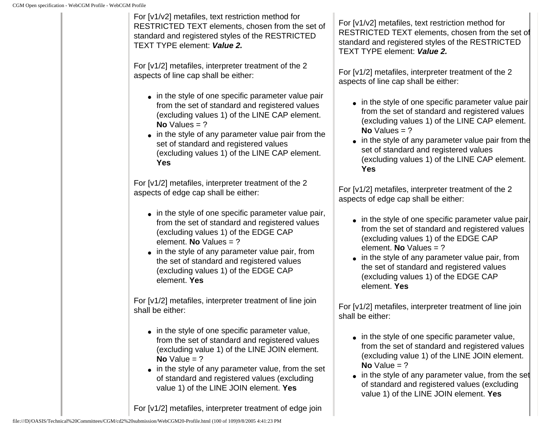For [v1/v2] metafiles, text restriction method for RESTRICTED TEXT elements, chosen from the set of standard and registered styles of the RESTRICTED TEXT TYPE element: **Value 2.**

For [v1/2] metafiles, interpreter treatment of the 2 aspects of line cap shall be either:

- in the style of one specific parameter value pair from the set of standard and registered values (excluding values 1) of the LINE CAP element. **No** Values = ?
- in the style of any parameter value pair from the set of standard and registered values (excluding values 1) of the LINE CAP element. **Yes**

For [v1/2] metafiles, interpreter treatment of the 2 aspects of edge cap shall be either:

- in the style of one specific parameter value pair, from the set of standard and registered values (excluding values 1) of the EDGE CAP element. **No** Values = ?
- $\bullet$  in the style of any parameter value pair, from the set of standard and registered values (excluding values 1) of the EDGE CAP element. **Yes**

For [v1/2] metafiles, interpreter treatment of line join shall be either:

- in the style of one specific parameter value, from the set of standard and registered values (excluding value 1) of the LINE JOIN element. **No** Value  $= ?$
- in the style of any parameter value, from the set of standard and registered values (excluding value 1) of the LINE JOIN element. **Yes**

For [v1/2] metafiles, interpreter treatment of edge join

For [v1/v2] metafiles, text restriction method for RESTRICTED TEXT elements, chosen from the set of standard and registered styles of the RESTRICTED TEXT TYPE element: **Value 2.**

For [v1/2] metafiles, interpreter treatment of the 2 aspects of line cap shall be either:

- in the style of one specific parameter value pair from the set of standard and registered values (excluding values 1) of the LINE CAP element. **No** Values = ?
- in the style of any parameter value pair from the set of standard and registered values (excluding values 1) of the LINE CAP element. **Yes**

For [v1/2] metafiles, interpreter treatment of the 2 aspects of edge cap shall be either:

- in the style of one specific parameter value pair, from the set of standard and registered values (excluding values 1) of the EDGE CAP element. **No** Values = ?
- $\bullet$  in the style of any parameter value pair, from the set of standard and registered values (excluding values 1) of the EDGE CAP element. **Yes**

For [v1/2] metafiles, interpreter treatment of line join shall be either:

- in the style of one specific parameter value, from the set of standard and registered values (excluding value 1) of the LINE JOIN element.  $No Value = ?$
- $\bullet$  in the style of any parameter value, from the set of standard and registered values (excluding value 1) of the LINE JOIN element. **Yes**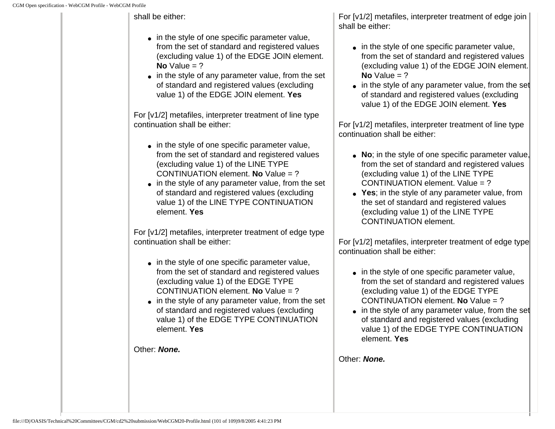#### shall be either:

- in the style of one specific parameter value, from the set of standard and registered values (excluding value 1) of the EDGE JOIN element.  $No Value = ?$
- in the style of any parameter value, from the set of standard and registered values (excluding value 1) of the EDGE JOIN element. **Yes**

For [v1/2] metafiles, interpreter treatment of line type continuation shall be either:

- in the style of one specific parameter value, from the set of standard and registered values (excluding value 1) of the LINE TYPE CONTINUATION element. **No** Value = ?
- in the style of any parameter value, from the set of standard and registered values (excluding value 1) of the LINE TYPE CONTINUATION element. **Yes**

For [v1/2] metafiles, interpreter treatment of edge type continuation shall be either:

- in the style of one specific parameter value, from the set of standard and registered values (excluding value 1) of the EDGE TYPE CONTINUATION element. **No** Value = ?
- in the style of any parameter value, from the set of standard and registered values (excluding value 1) of the EDGE TYPE CONTINUATION element. **Yes**

Other: **None.**

For [v1/2] metafiles, interpreter treatment of edge join shall be either:

- in the style of one specific parameter value, from the set of standard and registered values (excluding value 1) of the EDGE JOIN element.  $No Value = ?$
- $\bullet$  in the style of any parameter value, from the set of standard and registered values (excluding value 1) of the EDGE JOIN element. **Yes**

For [v1/2] metafiles, interpreter treatment of line type continuation shall be either:

- No; in the style of one specific parameter value, from the set of standard and registered values (excluding value 1) of the LINE TYPE CONTINUATION element. Value = ?
- Yes; in the style of any parameter value, from the set of standard and registered values (excluding value 1) of the LINE TYPE CONTINUATION element.

For [v1/2] metafiles, interpreter treatment of edge type continuation shall be either:

- in the style of one specific parameter value, from the set of standard and registered values (excluding value 1) of the EDGE TYPE CONTINUATION element. **No** Value = ?
- $\bullet$  in the style of any parameter value, from the set of standard and registered values (excluding value 1) of the EDGE TYPE CONTINUATION element. **Yes**

Other: **None.**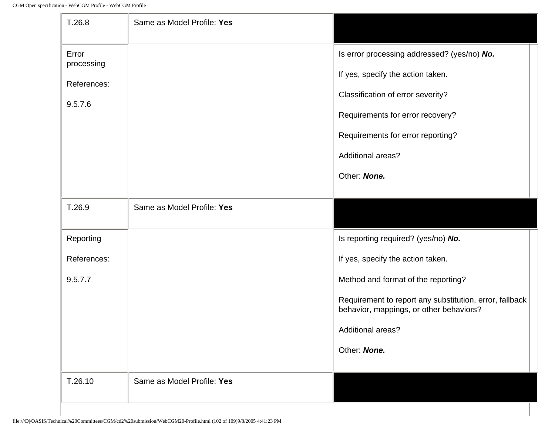-In

| T.26.8                                        | Same as Model Profile: Yes |                                                                                                                                                                                                                     |
|-----------------------------------------------|----------------------------|---------------------------------------------------------------------------------------------------------------------------------------------------------------------------------------------------------------------|
| Error<br>processing<br>References:<br>9.5.7.6 |                            | Is error processing addressed? (yes/no) No.<br>If yes, specify the action taken.<br>Classification of error severity?<br>Requirements for error recovery?<br>Requirements for error reporting?<br>Additional areas? |
|                                               |                            | Other: None.                                                                                                                                                                                                        |
| T.26.9                                        | Same as Model Profile: Yes |                                                                                                                                                                                                                     |
| Reporting                                     |                            | Is reporting required? (yes/no) No.                                                                                                                                                                                 |
| References:                                   |                            | If yes, specify the action taken.                                                                                                                                                                                   |
| 9.5.7.7                                       |                            | Method and format of the reporting?                                                                                                                                                                                 |
|                                               |                            | Requirement to report any substitution, error, fallback<br>behavior, mappings, or other behaviors?                                                                                                                  |
|                                               |                            | <b>Additional areas?</b>                                                                                                                                                                                            |
|                                               |                            | Other: None.                                                                                                                                                                                                        |
| T.26.10                                       | Same as Model Profile: Yes |                                                                                                                                                                                                                     |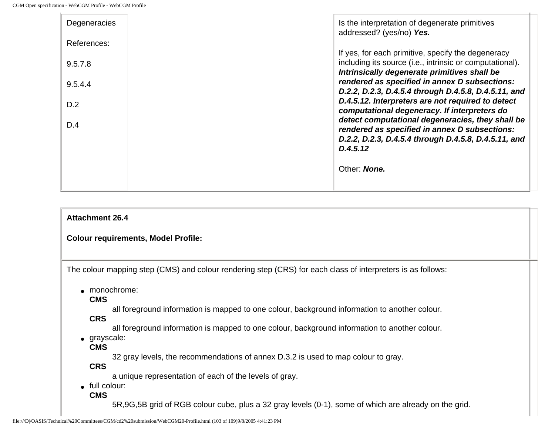| Degeneracies<br>References: | Is the interpretation of degenerate primitives<br>addressed? (yes/no) Yes.                                                                                     |
|-----------------------------|----------------------------------------------------------------------------------------------------------------------------------------------------------------|
| 9.5.7.8                     | If yes, for each primitive, specify the degeneracy<br>including its source (i.e., intrinsic or computational).<br>Intrinsically degenerate primitives shall be |
| 9.5.4.4                     | rendered as specified in annex D subsections:<br>D.2.2, D.2.3, D.4.5.4 through D.4.5.8, D.4.5.11, and<br>D.4.5.12. Interpreters are not required to detect     |
| D.2<br>D.4                  | computational degeneracy. If interpreters do<br>detect computational degeneracies, they shall be                                                               |
|                             | rendered as specified in annex D subsections:<br>D.2.2, D.2.3, D.4.5.4 through D.4.5.8, D.4.5.11, and<br>D.4.5.12                                              |
|                             | Other: <b>None.</b>                                                                                                                                            |

```
Attachment 26.4
```
#### **Colour requirements, Model Profile:**

The colour mapping step (CMS) and colour rendering step (CRS) for each class of interpreters is as follows:

• monochrome:

**CMS**

all foreground information is mapped to one colour, background information to another colour.

**CRS**

all foreground information is mapped to one colour, background information to another colour.

● grayscale:

**CMS**

32 gray levels, the recommendations of annex D.3.2 is used to map colour to gray.

**CRS**

a unique representation of each of the levels of gray.

- full colour:
	- **CMS**

5R,9G,5B grid of RGB colour cube, plus a 32 gray levels (0-1), some of which are already on the grid.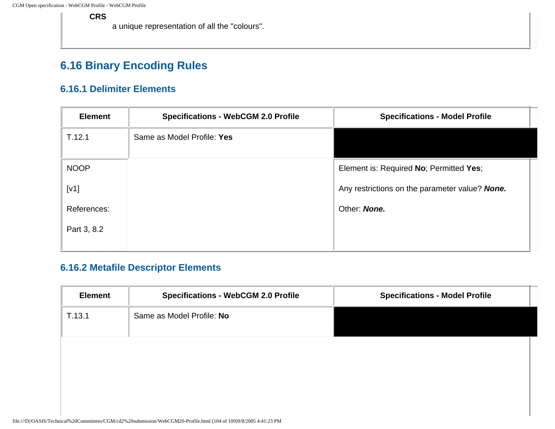#### **CRS**

a unique representation of all the "colours".

### **6.16 Binary Encoding Rules**

#### **6.16.1 Delimiter Elements**

| <b>Element</b> | <b>Specifications - WebCGM 2.0 Profile</b> | <b>Specifications - Model Profile</b>          |
|----------------|--------------------------------------------|------------------------------------------------|
| T.12.1         | Same as Model Profile: Yes                 |                                                |
| <b>NOOP</b>    |                                            | Element is: Required No; Permitted Yes;        |
| [V1]           |                                            | Any restrictions on the parameter value? None. |
| References:    |                                            | Other: None.                                   |
| Part 3, 8.2    |                                            |                                                |
|                |                                            |                                                |

#### **6.16.2 Metafile Descriptor Elements**

| <b>Element</b> | <b>Specifications - WebCGM 2.0 Profile</b> | <b>Specifications - Model Profile</b> |
|----------------|--------------------------------------------|---------------------------------------|
| T.13.1         | Same as Model Profile: No                  |                                       |
|                |                                            |                                       |
|                |                                            |                                       |
|                |                                            |                                       |
|                |                                            |                                       |
|                |                                            |                                       |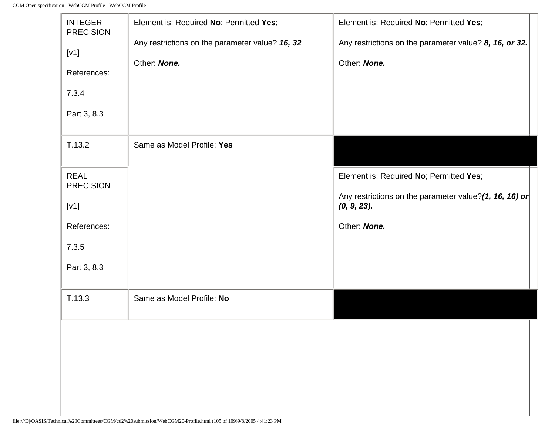-le

| <b>INTEGER</b><br><b>PRECISION</b><br>[v1]<br>References:<br>7.3.4<br>Part 3, 8.3        | Element is: Required No; Permitted Yes;<br>Any restrictions on the parameter value? 16, 32<br>Other: None. | Element is: Required No; Permitted Yes;<br>Any restrictions on the parameter value? 8, 16, or 32.<br>Other: None.                |
|------------------------------------------------------------------------------------------|------------------------------------------------------------------------------------------------------------|----------------------------------------------------------------------------------------------------------------------------------|
| T.13.2                                                                                   | Same as Model Profile: Yes                                                                                 |                                                                                                                                  |
| <b>REAL</b><br><b>PRECISION</b><br>[V1]<br>References:<br>7.3.5<br>Part 3, 8.3<br>T.13.3 | Same as Model Profile: No                                                                                  | Element is: Required No; Permitted Yes;<br>Any restrictions on the parameter value?(1, 16, 16) or<br>(0, 9, 23).<br>Other: None. |
|                                                                                          |                                                                                                            |                                                                                                                                  |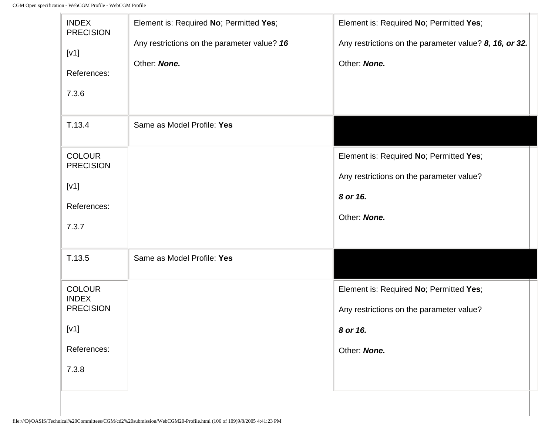$\mathbb{F}$ 

| <b>INDEX</b><br><b>PRECISION</b><br>[V1]<br>References: | Element is: Required No; Permitted Yes;<br>Any restrictions on the parameter value? 16<br>Other: None. | Element is: Required No; Permitted Yes;<br>Any restrictions on the parameter value? 8, 16, or 32.<br>Other: None. |
|---------------------------------------------------------|--------------------------------------------------------------------------------------------------------|-------------------------------------------------------------------------------------------------------------------|
| 7.3.6                                                   |                                                                                                        |                                                                                                                   |
| T.13.4                                                  | Same as Model Profile: Yes                                                                             |                                                                                                                   |
| <b>COLOUR</b><br><b>PRECISION</b>                       |                                                                                                        | Element is: Required No; Permitted Yes;                                                                           |
| [V1]                                                    |                                                                                                        | Any restrictions on the parameter value?                                                                          |
| References:                                             |                                                                                                        | 8 or 16.                                                                                                          |
| 7.3.7                                                   |                                                                                                        | Other: None.                                                                                                      |
| T.13.5                                                  | Same as Model Profile: Yes                                                                             |                                                                                                                   |
| <b>COLOUR</b>                                           |                                                                                                        | Element is: Required No; Permitted Yes;                                                                           |
| <b>INDEX</b><br><b>PRECISION</b>                        |                                                                                                        | Any restrictions on the parameter value?                                                                          |
| [V1]                                                    |                                                                                                        | 8 or 16.                                                                                                          |
| References:                                             |                                                                                                        | Other: None.                                                                                                      |
| 7.3.8                                                   |                                                                                                        |                                                                                                                   |

÷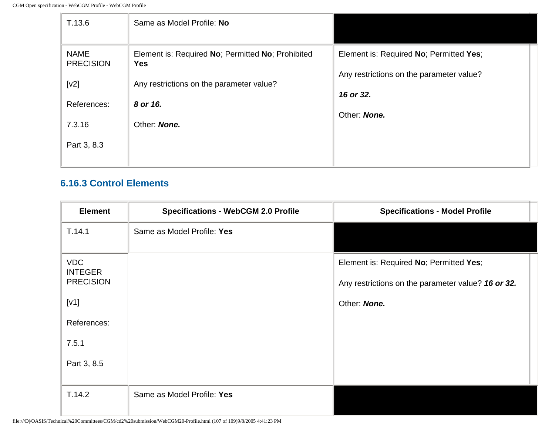| T.13.6                          | Same as Model Profile: No                                       |                                                       |
|---------------------------------|-----------------------------------------------------------------|-------------------------------------------------------|
| <b>NAME</b><br><b>PRECISION</b> | Element is: Required No; Permitted No; Prohibited<br><b>Yes</b> | Element is: Required No; Permitted Yes;               |
| [v2]                            | Any restrictions on the parameter value?                        | Any restrictions on the parameter value?<br>16 or 32. |
| References:                     | 8 or 16.                                                        | Other: None.                                          |
| 7.3.16                          | Other: None.                                                    |                                                       |
| Part 3, 8.3                     |                                                                 |                                                       |
|                                 |                                                                 |                                                       |

#### **6.16.3 Control Elements**

| <b>Element</b>               | <b>Specifications - WebCGM 2.0 Profile</b> | <b>Specifications - Model Profile</b>              |
|------------------------------|--------------------------------------------|----------------------------------------------------|
| T.14.1                       | Same as Model Profile: Yes                 |                                                    |
| <b>VDC</b><br><b>INTEGER</b> |                                            | Element is: Required No; Permitted Yes;            |
| <b>PRECISION</b>             |                                            | Any restrictions on the parameter value? 16 or 32. |
| [V1]                         |                                            | Other: None.                                       |
| References:                  |                                            |                                                    |
| 7.5.1                        |                                            |                                                    |
| Part 3, 8.5                  |                                            |                                                    |
|                              |                                            |                                                    |
| T.14.2                       | Same as Model Profile: Yes                 |                                                    |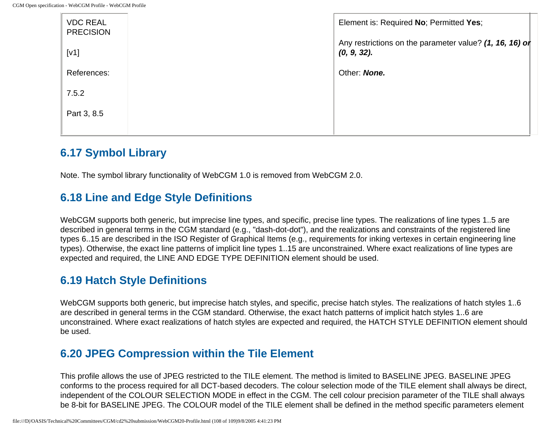| <b>VDC REAL</b><br><b>PRECISION</b> | Element is: Required No; Permitted Yes;                                   |
|-------------------------------------|---------------------------------------------------------------------------|
| [V1]                                | Any restrictions on the parameter value? (1, 16, 16) or<br>$(0, 9, 32)$ . |
| References:                         | Other: <b>None.</b>                                                       |
| 7.5.2                               |                                                                           |
| Part 3, 8.5                         |                                                                           |
|                                     |                                                                           |

#### **6.17 Symbol Library**

Note. The symbol library functionality of WebCGM 1.0 is removed from WebCGM 2.0.

#### <span id="page-212-0"></span>**6.18 Line and Edge Style Definitions**

WebCGM supports both generic, but imprecise line types, and specific, precise line types. The realizations of line types 1..5 are described in general terms in the CGM standard (e.g., "dash-dot-dot"), and the realizations and constraints of the registered line types 6..15 are described in the ISO Register of Graphical Items (e.g., requirements for inking vertexes in certain engineering line types). Otherwise, the exact line patterns of implicit line types 1..15 are unconstrained. Where exact realizations of line types are expected and required, the LINE AND EDGE TYPE DEFINITION element should be used.

#### <span id="page-212-1"></span>**6.19 Hatch Style Definitions**

WebCGM supports both generic, but imprecise hatch styles, and specific, precise hatch styles. The realizations of hatch styles 1..6 are described in general terms in the CGM standard. Otherwise, the exact hatch patterns of implicit hatch styles 1..6 are unconstrained. Where exact realizations of hatch styles are expected and required, the HATCH STYLE DEFINITION element should be used.

#### **6.20 JPEG Compression within the Tile Element**

This profile allows the use of JPEG restricted to the TILE element. The method is limited to BASELINE JPEG. BASELINE JPEG conforms to the process required for all DCT-based decoders. The colour selection mode of the TILE element shall always be direct, independent of the COLOUR SELECTION MODE in effect in the CGM. The cell colour precision parameter of the TILE shall always be 8-bit for BASELINE JPEG. The COLOUR model of the TILE element shall be defined in the method specific parameters element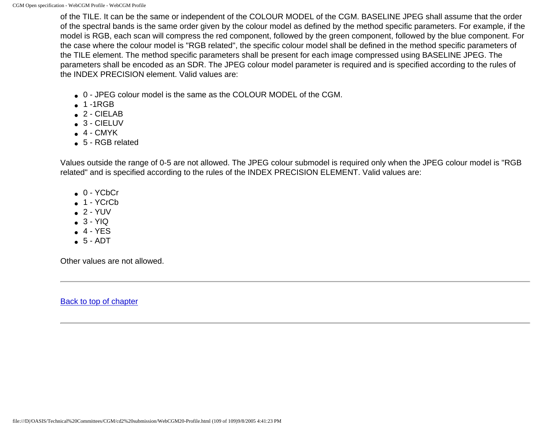of the TILE. It can be the same or independent of the COLOUR MODEL of the CGM. BASELINE JPEG shall assume that the order of the spectral bands is the same order given by the colour model as defined by the method specific parameters. For example, if the model is RGB, each scan will compress the red component, followed by the green component, followed by the blue component. For the case where the colour model is "RGB related", the specific colour model shall be defined in the method specific parameters of the TILE element. The method specific parameters shall be present for each image compressed using BASELINE JPEG. The parameters shall be encoded as an SDR. The JPEG colour model parameter is required and is specified according to the rules of the INDEX PRECISION element. Valid values are:

- 0 JPEG colour model is the same as the COLOUR MODEL of the CGM.
- $\bullet$  1 -1RGB
- $\bullet$  2 CIELAB
- $\bullet$  3 CIELUV
- $-4 CMYK$
- 5 RGB related

Values outside the range of 0-5 are not allowed. The JPEG colour submodel is required only when the JPEG colour model is "RGB related" and is specified according to the rules of the INDEX PRECISION ELEMENT. Valid values are:

- $\bullet$  0 YCbCr
- $\bullet$  1 YCrCb
- $\bullet$  2 YUV
- $-3 YIQ$
- $-4 YES$
- $-5 ADT$

Other values are not allowed.

[Back to top of chapter](#page-105-0)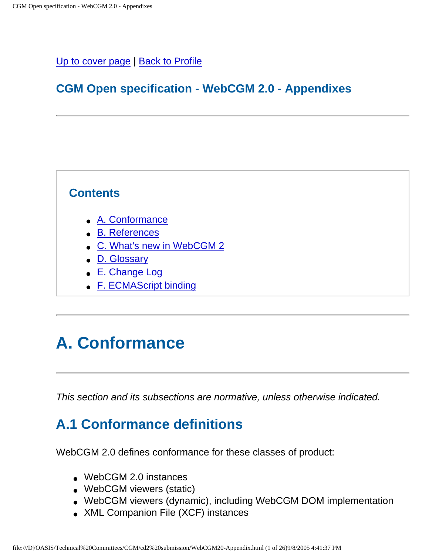#### [Up to cover page](#page-0-0) | [Back to Profile](#page-105-1)

## **CGM Open specification - WebCGM 2.0 - Appendixes**

#### **Contents**

- [A. Conformance](#page-214-0)
- [B. References](#page-219-0)
- [C. What's new in WebCGM 2](#page-222-0)
- [D. Glossary](#page-223-0)
- [E. Change Log](#page-226-0)
- [F. ECMAScript binding](#page-232-0)

# <span id="page-214-0"></span>**A. Conformance**

This section and its subsections are normative, unless otherwise indicated.

# **A.1 Conformance definitions**

WebCGM 2.0 defines conformance for these classes of product:

- WebCGM 2.0 instances
- WebCGM viewers (static)
- WebCGM viewers (dynamic), including WebCGM DOM implementation
- XML Companion File (XCF) instances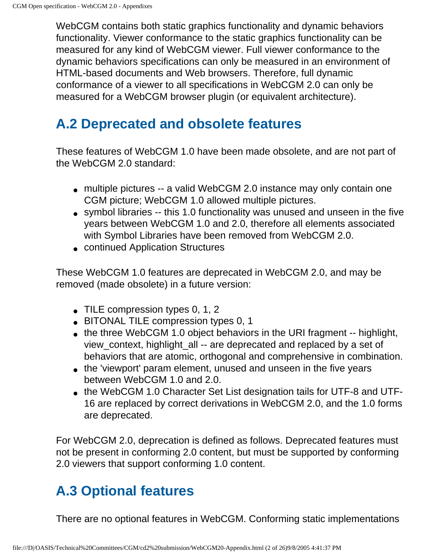WebCGM contains both static graphics functionality and dynamic behaviors functionality. Viewer conformance to the static graphics functionality can be measured for any kind of WebCGM viewer. Full viewer conformance to the dynamic behaviors specifications can only be measured in an environment of HTML-based documents and Web browsers. Therefore, full dynamic conformance of a viewer to all specifications in WebCGM 2.0 can only be measured for a WebCGM browser plugin (or equivalent architecture).

# **A.2 Deprecated and obsolete features**

These features of WebCGM 1.0 have been made obsolete, and are not part of the WebCGM 2.0 standard:

- multiple pictures -- a valid WebCGM 2.0 instance may only contain one CGM picture; WebCGM 1.0 allowed multiple pictures.
- symbol libraries -- this 1.0 functionality was unused and unseen in the five years between WebCGM 1.0 and 2.0, therefore all elements associated with Symbol Libraries have been removed from WebCGM 2.0.
- continued Application Structures

These WebCGM 1.0 features are deprecated in WebCGM 2.0, and may be removed (made obsolete) in a future version:

- $\bullet$  TILE compression types 0, 1, 2
- BITONAL TILE compression types 0, 1
- the three WebCGM 1.0 object behaviors in the URI fragment -- highlight, view\_context, highlight\_all -- are deprecated and replaced by a set of behaviors that are atomic, orthogonal and comprehensive in combination.
- the 'viewport' param element, unused and unseen in the five years between WebCGM 1.0 and 2.0.
- the WebCGM 1.0 Character Set List designation tails for UTF-8 and UTF-16 are replaced by correct derivations in WebCGM 2.0, and the 1.0 forms are deprecated.

For WebCGM 2.0, deprecation is defined as follows. Deprecated features must not be present in conforming 2.0 content, but must be supported by conforming 2.0 viewers that support conforming 1.0 content.

# **A.3 Optional features**

There are no optional features in WebCGM. Conforming static implementations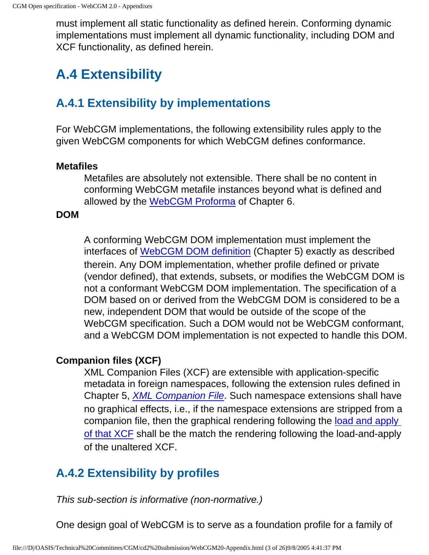must implement all static functionality as defined herein. Conforming dynamic implementations must implement all dynamic functionality, including DOM and XCF functionality, as defined herein.

## **A.4 Extensibility**

### **A.4.1 Extensibility by implementations**

For WebCGM implementations, the following extensibility rules apply to the given WebCGM components for which WebCGM defines conformance.

### **Metafiles**

Metafiles are absolutely not extensible. There shall be no content in conforming WebCGM metafile instances beyond what is defined and allowed by the [WebCGM Proforma](#page-105-0) of Chapter 6.

### **DOM**

A conforming WebCGM DOM implementation must implement the interfaces of [WebCGM DOM definition](#page-72-0) (Chapter 5) exactly as described therein. Any DOM implementation, whether profile defined or private (vendor defined), that extends, subsets, or modifies the WebCGM DOM is not a conformant WebCGM DOM implementation. The specification of a DOM based on or derived from the WebCGM DOM is considered to be a new, independent DOM that would be outside of the scope of the WebCGM specification. Such a DOM would not be WebCGM conformant, and a WebCGM DOM implementation is not expected to handle this DOM.

### <span id="page-216-0"></span>**Companion files (XCF)**

XML Companion Files (XCF) are extensible with application-specific metadata in foreign namespaces, following the extension rules defined in Chapter 5, [XML Companion File](#page-57-0). Such namespace extensions shall have no graphical effects, i.e., if the namespace extensions are stripped from a companion file, then the graphical rendering following the [load and apply](#page-91-0) [of that XCF](#page-91-0) shall be the match the rendering following the load-and-apply of the unaltered XCF.

### **A.4.2 Extensibility by profiles**

This sub-section is informative (non-normative.)

One design goal of WebCGM is to serve as a foundation profile for a family of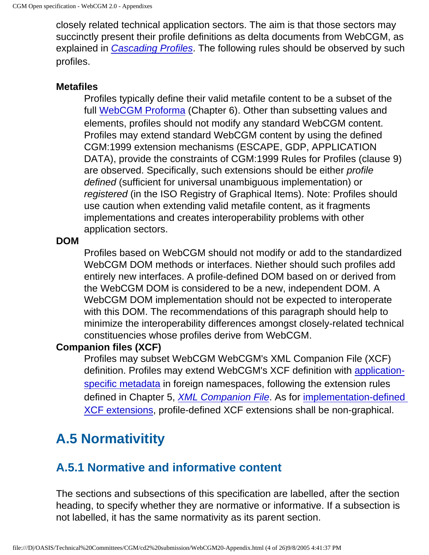closely related technical application sectors. The aim is that those sectors may succinctly present their profile definitions as delta documents from WebCGM, as explained in *[Cascading Profiles](http://www.cgmopen.org/technical/cascading-profiles.html)*. The following rules should be observed by such profiles.

### **Metafiles**

Profiles typically define their valid metafile content to be a subset of the full [WebCGM Proforma](#page-105-0) (Chapter 6). Other than subsetting values and elements, profiles should not modify any standard WebCGM content. Profiles may extend standard WebCGM content by using the defined CGM:1999 extension mechanisms (ESCAPE, GDP, APPLICATION DATA), provide the constraints of CGM:1999 Rules for Profiles (clause 9) are observed. Specifically, such extensions should be either profile defined (sufficient for universal unambiguous implementation) or registered (in the ISO Registry of Graphical Items). Note: Profiles should use caution when extending valid metafile content, as it fragments implementations and creates interoperability problems with other application sectors.

### **DOM**

Profiles based on WebCGM should not modify or add to the standardized WebCGM DOM methods or interfaces. Niether should such profiles add entirely new interfaces. A profile-defined DOM based on or derived from the WebCGM DOM is considered to be a new, independent DOM. A WebCGM DOM implementation should not be expected to interoperate with this DOM. The recommendations of this paragraph should help to minimize the interoperability differences amongst closely-related technical constituencies whose profiles derive from WebCGM.

### **Companion files (XCF)**

Profiles may subset WebCGM WebCGM's XML Companion File (XCF) definition. Profiles may extend WebCGM's XCF definition with [application](#page-59-0)[specific metadata](#page-59-0) in foreign namespaces, following the extension rules defined in Chapter 5, [XML Companion File](#page-57-0). As for [implementation-defined](#page-216-0) [XCF extensions,](#page-216-0) profile-defined XCF extensions shall be non-graphical.

## **A.5 Normativitity**

### **A.5.1 Normative and informative content**

The sections and subsections of this specification are labelled, after the section heading, to specify whether they are normative or informative. If a subsection is not labelled, it has the same normativity as its parent section.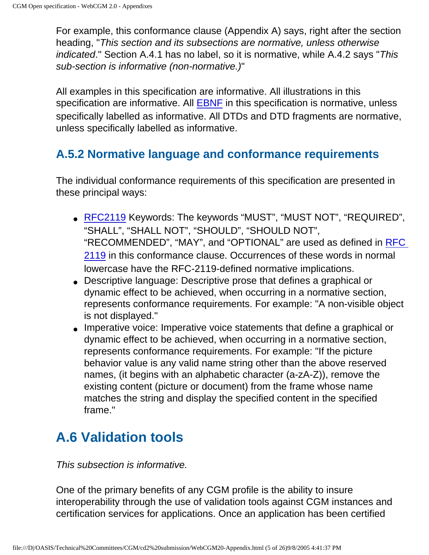For example, this conformance clause (Appendix A) says, right after the section heading, "This section and its subsections are normative, unless otherwise indicated." Section A.4.1 has no label, so it is normative, while A.4.2 says "This sub-section is informative (non-normative.)"

All examples in this specification are informative. All illustrations in this specification are informative. All [EBNF](#page-224-0) in this specification is normative, unless specifically labelled as informative. All DTDs and DTD fragments are normative, unless specifically labelled as informative.

### **A.5.2 Normative language and conformance requirements**

The individual conformance requirements of this specification are presented in these principal ways:

- [RFC2119](#page-220-0) Keywords: The keywords "MUST", "MUST NOT", "REQUIRED", "SHALL", "SHALL NOT", "SHOULD", "SHOULD NOT", "RECOMMENDED", "MAY", and "OPTIONAL" are used as defined in [RFC](#page-220-0)  [2119](#page-220-0) in this conformance clause. Occurrences of these words in normal lowercase have the RFC-2119-defined normative implications.
- Descriptive language: Descriptive prose that defines a graphical or dynamic effect to be achieved, when occurring in a normative section, represents conformance requirements. For example: "A non-visible object is not displayed."
- Imperative voice: Imperative voice statements that define a graphical or dynamic effect to be achieved, when occurring in a normative section, represents conformance requirements. For example: "If the picture behavior value is any valid name string other than the above reserved names, (it begins with an alphabetic character (a-zA-Z)), remove the existing content (picture or document) from the frame whose name matches the string and display the specified content in the specified frame."

## **A.6 Validation tools**

### This subsection is informative.

One of the primary benefits of any CGM profile is the ability to insure interoperability through the use of validation tools against CGM instances and certification services for applications. Once an application has been certified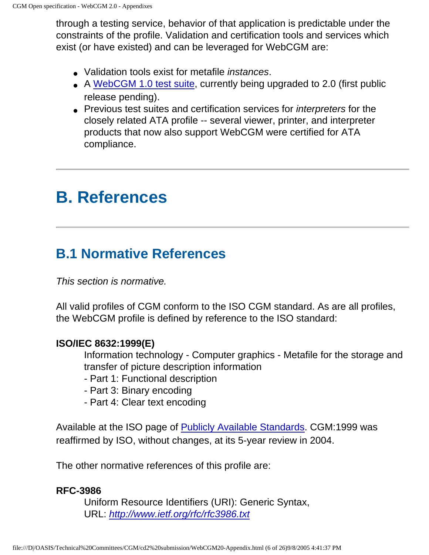through a testing service, behavior of that application is predictable under the constraints of the profile. Validation and certification tools and services which exist (or have existed) and can be leveraged for WebCGM are:

- Validation tools exist for metafile *instances*.
- A [WebCGM 1.0 test suite,](http://www.cgmopen.org/technical/) currently being upgraded to 2.0 (first public release pending).
- Previous test suites and certification services for *interpreters* for the closely related ATA profile -- several viewer, printer, and interpreter products that now also support WebCGM were certified for ATA compliance.

# **B. References**

## **B.1 Normative References**

This section is normative.

All valid profiles of CGM conform to the ISO CGM standard. As are all profiles, the WebCGM profile is defined by reference to the ISO standard:

### **ISO/IEC 8632:1999(E)**

Information technology - Computer graphics - Metafile for the storage and transfer of picture description information

- Part 1: Functional description
- Part 3: Binary encoding
- Part 4: Clear text encoding

Available at the ISO page of [Publicly Available Standards.](http://isotc.iso.ch/livelink/livelink/fetch/2000/2489/Ittf_Home/PubliclyAvailableStandards.htm) CGM:1999 was reaffirmed by ISO, without changes, at its 5-year review in 2004.

The other normative references of this profile are:

### **RFC-3986**

Uniform Resource Identifiers (URI): Generic Syntax, URL: [http://www.ietf.org/rfc/rfc3986.txt](http://www.ietf.org/rfc/rfc2396.txt)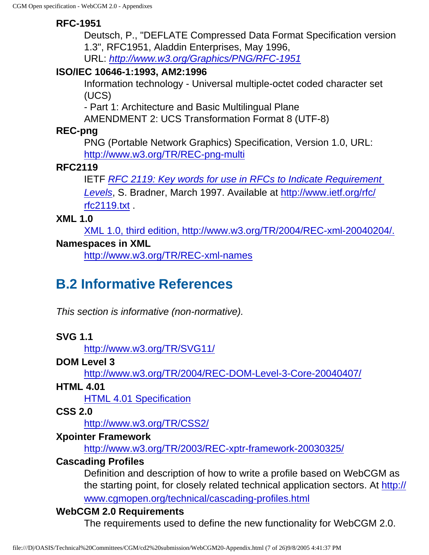### **RFC-1951**

Deutsch, P., "DEFLATE Compressed Data Format Specification version 1.3", RFC1951, Aladdin Enterprises, May 1996, URL: <http://www.w3.org/Graphics/PNG/RFC-1951>

### **ISO/IEC 10646-1:1993, AM2:1996**

Information technology - Universal multiple-octet coded character set (UCS)

- Part 1: Architecture and Basic Multilingual Plane

AMENDMENT 2: UCS Transformation Format 8 (UTF-8)

### **REC-png**

PNG (Portable Network Graphics) Specification, Version 1.0, URL: <http://www.w3.org/TR/REC-png-multi>

### <span id="page-220-0"></span>**RFC2119**

IETF RFC 2119: Key words for use in RFCs to Indicate Requirement

[Levels](http://www.ietf.org/rfc/rfc2119.txt), S. Bradner, March 1997. Available at [http://www.ietf.org/rfc/](http://www.ietf.org/rfc/rfc2119.txt) [rfc2119.txt](http://www.ietf.org/rfc/rfc2119.txt) .

### **XML 1.0**

[XML 1.0, third edition, http://www.w3.org/TR/2004/REC-xml-20040204/.](http://www.w3.org/TR/2004/REC-xml-20040204/)

### **Namespaces in XML**

<http://www.w3.org/TR/REC-xml-names>

## **B.2 Informative References**

This section is informative (non-normative).

### **SVG 1.1**

<http://www.w3.org/TR/SVG11/>

### **DOM Level 3**

<http://www.w3.org/TR/2004/REC-DOM-Level-3-Core-20040407/>

**HTML 4.01**

[HTML 4.01 Specification](http://www.w3.org/TR/html401/)

### **CSS 2.0**

<http://www.w3.org/TR/CSS2/>

### **Xpointer Framework**

<http://www.w3.org/TR/2003/REC-xptr-framework-20030325/>

### **Cascading Profiles**

Definition and description of how to write a profile based on WebCGM as the starting point, for closely related technical application sectors. At [http://](http://www.cgmopen.org/technical/cascading-profiles.html) [www.cgmopen.org/technical/cascading-profiles.html](http://www.cgmopen.org/technical/cascading-profiles.html)

### **WebCGM 2.0 Requirements**

The requirements used to define the new functionality for WebCGM 2.0.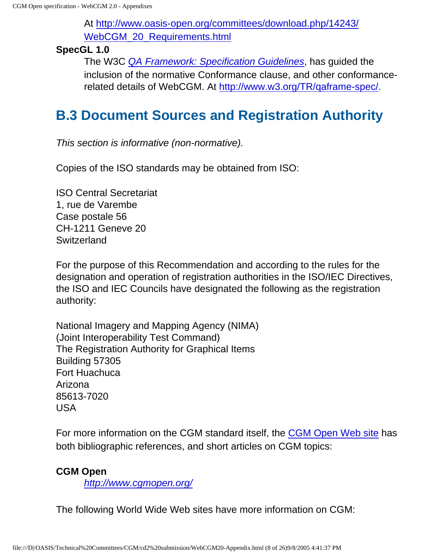At [http://www.oasis-open.org/committees/download.php/14243/](http://www.oasis-open.org/committees/download.php/14243/WebCGM_20_Requirements.html) [WebCGM\\_20\\_Requirements.html](http://www.oasis-open.org/committees/download.php/14243/WebCGM_20_Requirements.html)

### **SpecGL 1.0**

The W3C [QA Framework: Specification Guidelines](http://www.w3.org/TR/qaframe-spec/), has guided the inclusion of the normative Conformance clause, and other conformancerelated details of WebCGM. At <http://www.w3.org/TR/qaframe-spec/>.

## **B.3 Document Sources and Registration Authority**

This section is informative (non-normative).

Copies of the ISO standards may be obtained from ISO:

ISO Central Secretariat 1, rue de Varembe Case postale 56 CH-1211 Geneve 20 **Switzerland** 

For the purpose of this Recommendation and according to the rules for the designation and operation of registration authorities in the ISO/IEC Directives, the ISO and IEC Councils have designated the following as the registration authority:

National Imagery and Mapping Agency (NIMA) (Joint Interoperability Test Command) The Registration Authority for Graphical Items Building 57305 Fort Huachuca Arizona 85613-7020 USA

For more information on the CGM standard itself, the [CGM Open Web site](http://www.cgmopen.org/) has both bibliographic references, and short articles on CGM topics:

### **CGM Open**

<http://www.cgmopen.org/>

The following World Wide Web sites have more information on CGM: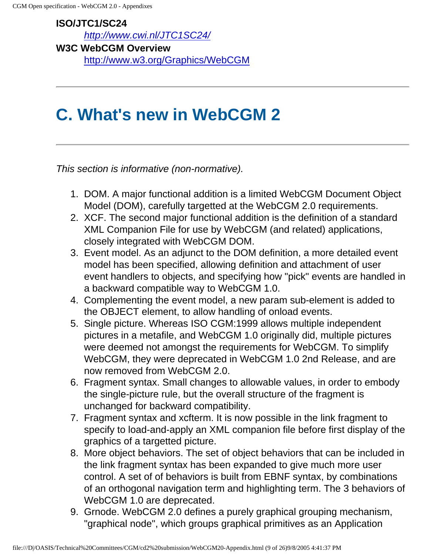### **ISO/JTC1/SC24** <http://www.cwi.nl/JTC1SC24/>

**W3C WebCGM Overview** <http://www.w3.org/Graphics/WebCGM>

## **C. What's new in WebCGM 2**

This section is informative (non-normative).

- 1. DOM. A major functional addition is a limited WebCGM Document Object Model (DOM), carefully targetted at the WebCGM 2.0 requirements.
- 2. XCF. The second major functional addition is the definition of a standard XML Companion File for use by WebCGM (and related) applications, closely integrated with WebCGM DOM.
- 3. Event model. As an adjunct to the DOM definition, a more detailed event model has been specified, allowing definition and attachment of user event handlers to objects, and specifying how "pick" events are handled in a backward compatible way to WebCGM 1.0.
- 4. Complementing the event model, a new param sub-element is added to the OBJECT element, to allow handling of onload events.
- 5. Single picture. Whereas ISO CGM:1999 allows multiple independent pictures in a metafile, and WebCGM 1.0 originally did, multiple pictures were deemed not amongst the requirements for WebCGM. To simplify WebCGM, they were deprecated in WebCGM 1.0 2nd Release, and are now removed from WebCGM 2.0.
- 6. Fragment syntax. Small changes to allowable values, in order to embody the single-picture rule, but the overall structure of the fragment is unchanged for backward compatibility.
- 7. Fragment syntax and xcfterm. It is now possible in the link fragment to specify to load-and-apply an XML companion file before first display of the graphics of a targetted picture.
- 8. More object behaviors. The set of object behaviors that can be included in the link fragment syntax has been expanded to give much more user control. A set of of behaviors is built from EBNF syntax, by combinations of an orthogonal navigation term and highlighting term. The 3 behaviors of WebCGM 1.0 are deprecated.
- 9. Grnode. WebCGM 2.0 defines a purely graphical grouping mechanism, "graphical node", which groups graphical primitives as an Application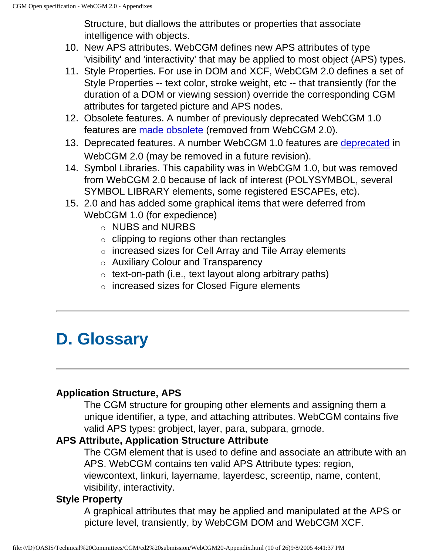Structure, but diallows the attributes or properties that associate intelligence with objects.

- 10. New APS attributes. WebCGM defines new APS attributes of type 'visibility' and 'interactivity' that may be applied to most object (APS) types.
- 11. Style Properties. For use in DOM and XCF, WebCGM 2.0 defines a set of Style Properties -- text color, stroke weight, etc -- that transiently (for the duration of a DOM or viewing session) override the corresponding CGM attributes for targeted picture and APS nodes.
- 12. Obsolete features. A number of previously deprecated WebCGM 1.0 features are [made obsolete](#page-215-0) (removed from WebCGM 2.0).
- 13. Deprecated features. A number WebCGM 1.0 features are [deprecated](#page-215-1) in WebCGM 2.0 (may be removed in a future revision).
- 14. Symbol Libraries. This capability was in WebCGM 1.0, but was removed from WebCGM 2.0 because of lack of interest (POLYSYMBOL, several SYMBOL LIBRARY elements, some registered ESCAPEs, etc).
- 15. 2.0 and has added some graphical items that were deferred from WebCGM 1.0 (for expedience)
	- ❍ NUBS and NURBS
	- $\circ$  clipping to regions other than rectangles
	- ❍ increased sizes for Cell Array and Tile Array elements
	- ❍ Auxiliary Colour and Transparency
	- $\circ$  text-on-path (i.e., text layout along arbitrary paths)
	- ❍ increased sizes for Closed Figure elements

# **D. Glossary**

### **Application Structure, APS**

The CGM structure for grouping other elements and assigning them a unique identifier, a type, and attaching attributes. WebCGM contains five valid APS types: grobject, layer, para, subpara, grnode.

### **APS Attribute, Application Structure Attribute**

The CGM element that is used to define and associate an attribute with an APS. WebCGM contains ten valid APS Attribute types: region,

viewcontext, linkuri, layername, layerdesc, screentip, name, content, visibility, interactivity.

### **Style Property**

A graphical attributes that may be applied and manipulated at the APS or picture level, transiently, by WebCGM DOM and WebCGM XCF.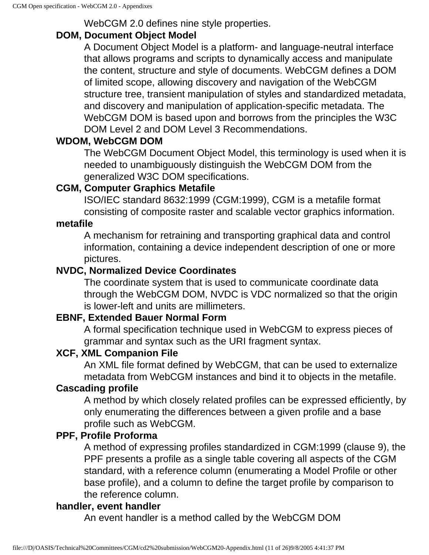WebCGM 2.0 defines nine style properties.

### **DOM, Document Object Model**

A Document Object Model is a platform- and language-neutral interface that allows programs and scripts to dynamically access and manipulate the content, structure and style of documents. WebCGM defines a DOM of limited scope, allowing discovery and navigation of the WebCGM structure tree, transient manipulation of styles and standardized metadata, and discovery and manipulation of application-specific metadata. The WebCGM DOM is based upon and borrows from the principles the W3C DOM Level 2 and DOM Level 3 Recommendations.

### **WDOM, WebCGM DOM**

The WebCGM Document Object Model, this terminology is used when it is needed to unambiguously distinguish the WebCGM DOM from the generalized W3C DOM specifications.

### **CGM, Computer Graphics Metafile**

ISO/IEC standard 8632:1999 (CGM:1999), CGM is a metafile format consisting of composite raster and scalable vector graphics information.

### **metafile**

A mechanism for retraining and transporting graphical data and control information, containing a device independent description of one or more pictures.

### **NVDC, Normalized Device Coordinates**

The coordinate system that is used to communicate coordinate data through the WebCGM DOM, NVDC is VDC normalized so that the origin is lower-left and units are millimeters.

### <span id="page-224-0"></span>**EBNF, Extended Bauer Normal Form**

A formal specification technique used in WebCGM to express pieces of grammar and syntax such as the URI fragment syntax.

### **XCF, XML Companion File**

An XML file format defined by WebCGM, that can be used to externalize metadata from WebCGM instances and bind it to objects in the metafile.

### **Cascading profile**

A method by which closely related profiles can be expressed efficiently, by only enumerating the differences between a given profile and a base profile such as WebCGM.

### **PPF, Profile Proforma**

A method of expressing profiles standardized in CGM:1999 (clause 9), the PPF presents a profile as a single table covering all aspects of the CGM standard, with a reference column (enumerating a Model Profile or other base profile), and a column to define the target profile by comparison to the reference column.

### **handler, event handler**

An event handler is a method called by the WebCGM DOM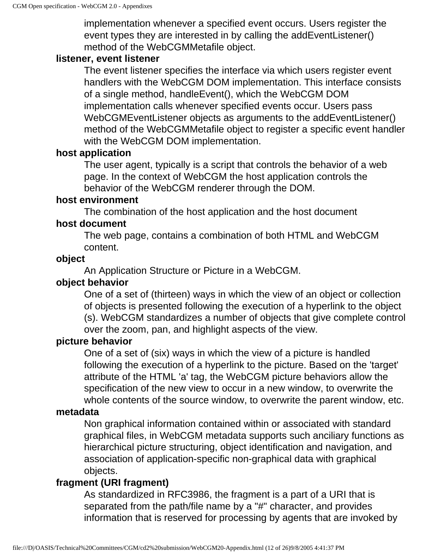implementation whenever a specified event occurs. Users register the event types they are interested in by calling the addEventListener() method of the WebCGMMetafile object.

### **listener, event listener**

The event listener specifies the interface via which users register event handlers with the WebCGM DOM implementation. This interface consists of a single method, handleEvent(), which the WebCGM DOM implementation calls whenever specified events occur. Users pass WebCGMEventListener objects as arguments to the addEventListener() method of the WebCGMMetafile object to register a specific event handler with the WebCGM DOM implementation.

### **host application**

The user agent, typically is a script that controls the behavior of a web page. In the context of WebCGM the host application controls the behavior of the WebCGM renderer through the DOM.

### **host environment**

The combination of the host application and the host document

### **host document**

The web page, contains a combination of both HTML and WebCGM content.

### **object**

An Application Structure or Picture in a WebCGM.

### **object behavior**

One of a set of (thirteen) ways in which the view of an object or collection of objects is presented following the execution of a hyperlink to the object (s). WebCGM standardizes a number of objects that give complete control over the zoom, pan, and highlight aspects of the view.

### **picture behavior**

One of a set of (six) ways in which the view of a picture is handled following the execution of a hyperlink to the picture. Based on the 'target' attribute of the HTML 'a' tag, the WebCGM picture behaviors allow the specification of the new view to occur in a new window, to overwrite the whole contents of the source window, to overwrite the parent window, etc.

### **metadata**

Non graphical information contained within or associated with standard graphical files, in WebCGM metadata supports such anciliary functions as hierarchical picture structuring, object identification and navigation, and association of application-specific non-graphical data with graphical objects.

### **fragment (URI fragment)**

As standardized in RFC3986, the fragment is a part of a URI that is separated from the path/file name by a "#" character, and provides information that is reserved for processing by agents that are invoked by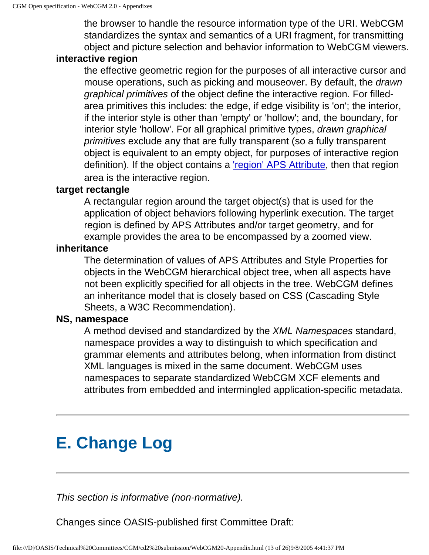the browser to handle the resource information type of the URI. WebCGM standardizes the syntax and semantics of a URI fragment, for transmitting object and picture selection and behavior information to WebCGM viewers.

### **interactive region**

the effective geometric region for the purposes of all interactive cursor and mouse operations, such as picking and mouseover. By default, the drawn graphical primitives of the object define the interactive region. For filledarea primitives this includes: the edge, if edge visibility is 'on'; the interior, if the interior style is other than 'empty' or 'hollow'; and, the boundary, for interior style 'hollow'. For all graphical primitive types, drawn graphical primitives exclude any that are fully transparent (so a fully transparent object is equivalent to an empty object, for purposes of interactive region definition). If the object contains a ['region' APS Attribute,](#page-45-0) then that region area is the interactive region.

### **target rectangle**

A rectangular region around the target object(s) that is used for the application of object behaviors following hyperlink execution. The target region is defined by APS Attributes and/or target geometry, and for example provides the area to be encompassed by a zoomed view.

### **inheritance**

The determination of values of APS Attributes and Style Properties for objects in the WebCGM hierarchical object tree, when all aspects have not been explicitly specified for all objects in the tree. WebCGM defines an inheritance model that is closely based on CSS (Cascading Style Sheets, a W3C Recommendation).

### **NS, namespace**

A method devised and standardized by the XML Namespaces standard, namespace provides a way to distinguish to which specification and grammar elements and attributes belong, when information from distinct XML languages is mixed in the same document. WebCGM uses namespaces to separate standardized WebCGM XCF elements and attributes from embedded and intermingled application-specific metadata.

# **E. Change Log**

This section is informative (non-normative).

Changes since OASIS-published first Committee Draft: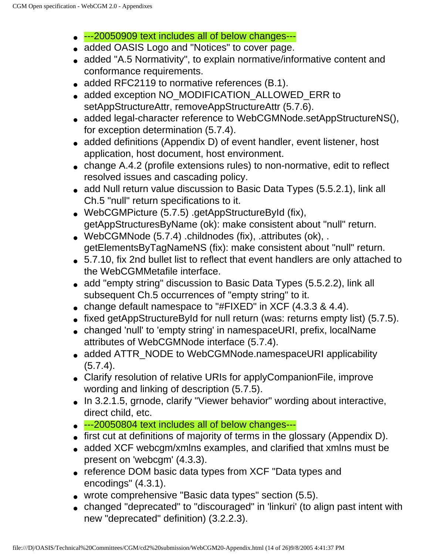- --20050909 text includes all of below changes---
- added OASIS Logo and "Notices" to cover page.
- added "A.5 Normativity", to explain normative/informative content and conformance requirements.
- added RFC2119 to normative references (B.1).
- added exception NO\_MODIFICATION\_ALLOWED\_ERR to setAppStructureAttr, removeAppStructureAttr (5.7.6).
- added legal-character reference to WebCGMNode.setAppStructureNS(), for exception determination (5.7.4).
- added definitions (Appendix D) of event handler, event listener, host application, host document, host environment.
- change A.4.2 (profile extensions rules) to non-normative, edit to reflect resolved issues and cascading policy.
- add Null return value discussion to Basic Data Types (5.5.2.1), link all Ch.5 "null" return specifications to it.
- WebCGMPicture (5.7.5) .getAppStructureById (fix), getAppStructuresByName (ok): make consistent about "null" return.
- WebCGMNode (5.7.4) .childnodes (fix), .attributes (ok), . getElementsByTagNameNS (fix): make consistent about "null" return.
- 5.7.10, fix 2nd bullet list to reflect that event handlers are only attached to the WebCGMMetafile interface.
- add "empty string" discussion to Basic Data Types (5.5.2.2), link all subsequent Ch.5 occurrences of "empty string" to it.
- change default namespace to "#FIXED" in XCF  $(4.3.3 \& 4.4)$ .
- fixed getAppStructureById for null return (was: returns empty list) (5.7.5).
- changed 'null' to 'empty string' in namespaceURI, prefix, localName attributes of WebCGMNode interface (5.7.4).
- added ATTR\_NODE to WebCGMNode.namespaceURI applicability  $(5.7.4)$ .
- Clarify resolution of relative URIs for applyCompanionFile, improve wording and linking of description (5.7.5).
- In 3.2.1.5, grnode, clarify "Viewer behavior" wording about interactive, direct child, etc.
- ---20050804 text includes all of below changes---
- first cut at definitions of majority of terms in the glossary (Appendix D).
- added XCF webcgm/xmlns examples, and clarified that xmlns must be present on 'webcgm' (4.3.3).
- reference DOM basic data types from XCF "Data types and encodings" (4.3.1).
- wrote comprehensive "Basic data types" section (5.5).
- changed "deprecated" to "discouraged" in 'linkuri' (to align past intent with new "deprecated" definition) (3.2.2.3).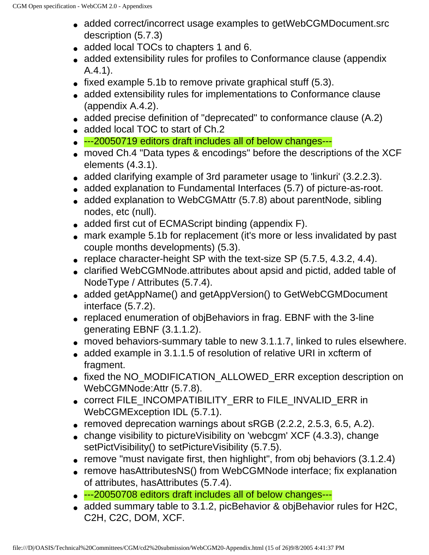- added correct/incorrect usage examples to getWebCGMDocument.src description (5.7.3)
- added local TOCs to chapters 1 and 6.
- added extensibility rules for profiles to Conformance clause (appendix A.4.1).
- fixed example 5.1b to remove private graphical stuff  $(5.3)$ .
- added extensibility rules for implementations to Conformance clause (appendix A.4.2).
- added precise definition of "deprecated" to conformance clause (A.2)
- added local TOC to start of Ch.2
- ---20050719 editors draft includes all of below changes---
- moved Ch.4 "Data types & encodings" before the descriptions of the XCF elements (4.3.1).
- added clarifying example of 3rd parameter usage to 'linkuri' (3.2.2.3).
- added explanation to Fundamental Interfaces (5.7) of picture-as-root.
- added explanation to WebCGMAttr (5.7.8) about parentNode, sibling nodes, etc (null).
- added first cut of ECMAScript binding (appendix F).
- mark example 5.1b for replacement (it's more or less invalidated by past couple months developments) (5.3).
- replace character-height SP with the text-size SP  $(5.7.5, 4.3.2, 4.4)$ .
- clarified WebCGMNode.attributes about apsid and pictid, added table of NodeType / Attributes (5.7.4).
- added getAppName() and getAppVersion() to GetWebCGMDocument interface (5.7.2).
- replaced enumeration of objBehaviors in frag. EBNF with the 3-line generating EBNF (3.1.1.2).
- moved behaviors-summary table to new 3.1.1.7, linked to rules elsewhere.
- added example in 3.1.1.5 of resolution of relative URI in xcfterm of fragment.
- fixed the NO\_MODIFICATION\_ALLOWED\_ERR exception description on WebCGMNode:Attr (5.7.8).
- correct FILE\_INCOMPATIBILITY\_ERR to FILE\_INVALID\_ERR in WebCGMException IDL (5.7.1).
- $\bullet$  removed deprecation warnings about sRGB (2.2.2, 2.5.3, 6.5, A.2).
- change visibility to picture Visibility on 'webcgm'  $XCF$  (4.3.3), change setPictVisibility() to setPictureVisibility (5.7.5).
- $\bullet$  remove "must navigate first, then highlight", from obj behaviors (3.1.2.4)
- remove hasAttributesNS() from WebCGMNode interface; fix explanation of attributes, hasAttributes (5.7.4).
- ---20050708 editors draft includes all of below changes---
- added summary table to 3.1.2, picBehavior & objBehavior rules for H2C, C2H, C2C, DOM, XCF.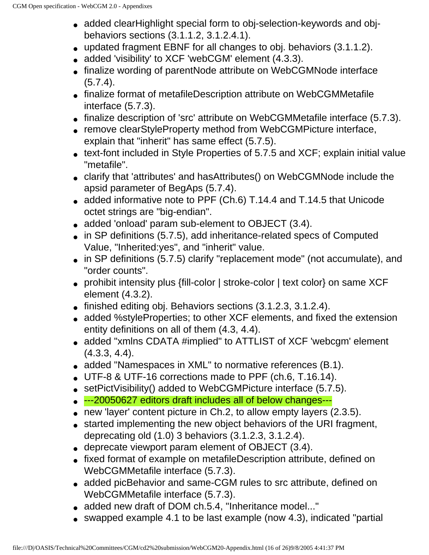- added clearHighlight special form to obj-selection-keywords and objbehaviors sections (3.1.1.2, 3.1.2.4.1).
- updated fragment EBNF for all changes to obj. behaviors (3.1.1.2).
- added 'visibility' to XCF 'webCGM' element (4.3.3).
- finalize wording of parentNode attribute on WebCGMNode interface (5.7.4).
- finalize format of metafileDescription attribute on WebCGMMetafile interface (5.7.3).
- finalize description of 'src' attribute on WebCGMMetafile interface (5.7.3).
- remove clearStyleProperty method from WebCGMPicture interface, explain that "inherit" has same effect (5.7.5).
- text-font included in Style Properties of 5.7.5 and XCF; explain initial value "metafile".
- clarify that 'attributes' and hasAttributes() on WebCGMNode include the apsid parameter of BegAps (5.7.4).
- added informative note to PPF (Ch.6) T.14.4 and T.14.5 that Unicode octet strings are "big-endian".
- added 'onload' param sub-element to OBJECT (3.4).
- in SP definitions (5.7.5), add inheritance-related specs of Computed Value, "Inherited:yes", and "inherit" value.
- in SP definitions (5.7.5) clarify "replacement mode" (not accumulate), and "order counts".
- prohibit intensity plus {fill-color | stroke-color | text color} on same XCF element (4.3.2).
- $\bullet$  finished editing obj. Behaviors sections  $(3.1.2.3, 3.1.2.4)$ .
- added %styleProperties; to other XCF elements, and fixed the extension entity definitions on all of them (4.3, 4.4).
- added "xmlns CDATA #implied" to ATTLIST of XCF 'webcgm' element (4.3.3, 4.4).
- added "Namespaces in XML" to normative references (B.1).
- UTF-8 & UTF-16 corrections made to PPF (ch.6, T.16.14).
- setPictVisibility() added to WebCGMPicture interface (5.7.5).
- ---20050627 editors draft includes all of below changes---
- $\bullet$  new 'layer' content picture in Ch.2, to allow empty layers (2.3.5).
- started implementing the new object behaviors of the URI fragment, deprecating old (1.0) 3 behaviors (3.1.2.3, 3.1.2.4).
- deprecate viewport param element of OBJECT (3.4).
- fixed format of example on metafileDescription attribute, defined on WebCGMMetafile interface (5.7.3).
- added picBehavior and same-CGM rules to src attribute, defined on WebCGMMetafile interface (5.7.3).
- added new draft of DOM ch.5.4, "Inheritance model..."
- swapped example 4.1 to be last example (now 4.3), indicated "partial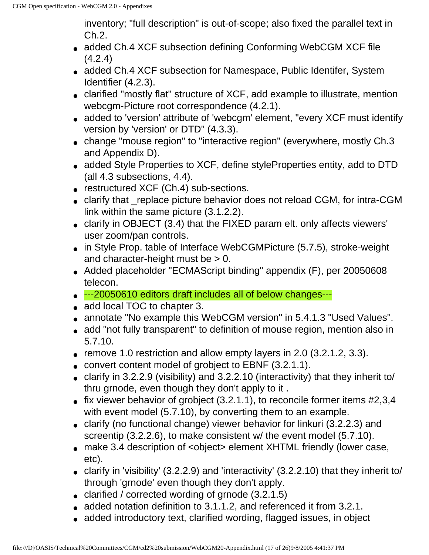inventory; "full description" is out-of-scope; also fixed the parallel text in Ch.2.

- added Ch.4 XCF subsection defining Conforming WebCGM XCF file (4.2.4)
- added Ch.4 XCF subsection for Namespace, Public Identifer, System Identifier (4.2.3).
- clarified "mostly flat" structure of XCF, add example to illustrate, mention webcgm-Picture root correspondence (4.2.1).
- added to 'version' attribute of 'webcgm' element, "every XCF must identify version by 'version' or DTD" (4.3.3).
- change "mouse region" to "interactive region" (everywhere, mostly Ch.3 and Appendix D).
- added Style Properties to XCF, define styleProperties entity, add to DTD (all 4.3 subsections, 4.4).
- restructured XCF (Ch.4) sub-sections.
- clarify that replace picture behavior does not reload CGM, for intra-CGM link within the same picture (3.1.2.2).
- clarify in OBJECT (3.4) that the FIXED param elt. only affects viewers' user zoom/pan controls.
- in Style Prop. table of Interface WebCGMPicture (5.7.5), stroke-weight and character-height must be  $> 0$ .
- Added placeholder "ECMAScript binding" appendix (F), per 20050608 telecon.
- ---20050610 editors draft includes all of below changes---
- add local TOC to chapter 3.
- annotate "No example this WebCGM version" in 5.4.1.3 "Used Values".
- add "not fully transparent" to definition of mouse region, mention also in 5.7.10.
- $\bullet$  remove 1.0 restriction and allow empty layers in 2.0 (3.2.1.2, 3.3).
- convert content model of grobject to EBNF (3.2.1.1).
- clarify in 3.2.2.9 (visibility) and 3.2.2.10 (interactivity) that they inherit to/ thru grnode, even though they don't apply to it .
- $\bullet$  fix viewer behavior of grobject (3.2.1.1), to reconcile former items #2,3,4 with event model (5.7.10), by converting them to an example.
- clarify (no functional change) viewer behavior for linkuri (3.2.2.3) and screentip (3.2.2.6), to make consistent w/ the event model (5.7.10).
- make 3.4 description of <object> element XHTML friendly (lower case, etc).
- clarify in 'visibility' (3.2.2.9) and 'interactivity' (3.2.2.10) that they inherit to/ through 'grnode' even though they don't apply.
- clarified / corrected wording of grnode  $(3.2.1.5)$
- added notation definition to 3.1.1.2, and referenced it from 3.2.1.
- added introductory text, clarified wording, flagged issues, in object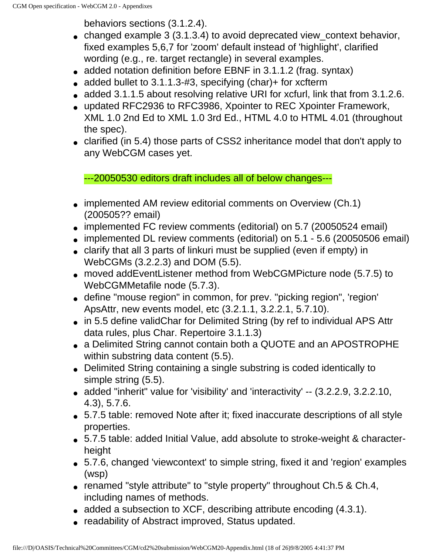behaviors sections (3.1.2.4).

- changed example 3 (3.1.3.4) to avoid deprecated view\_context behavior, fixed examples 5,6,7 for 'zoom' default instead of 'highlight', clarified wording (e.g., re. target rectangle) in several examples.
- added notation definition before EBNF in 3.1.1.2 (frag. syntax)
- added bullet to  $3.1.1.3-#3$ , specifying (char)+ for xcfterm
- added 3.1.1.5 about resolving relative URI for xcfurl, link that from 3.1.2.6.
- updated RFC2936 to RFC3986, Xpointer to REC Xpointer Framework, XML 1.0 2nd Ed to XML 1.0 3rd Ed., HTML 4.0 to HTML 4.01 (throughout the spec).
- clarified (in 5.4) those parts of CSS2 inheritance model that don't apply to any WebCGM cases yet.

---20050530 editors draft includes all of below changes---

- implemented AM review editorial comments on Overview (Ch.1) (200505?? email)
- implemented FC review comments (editorial) on 5.7 (20050524 email)
- implemented DL review comments (editorial) on 5.1 5.6 (20050506 email)
- clarify that all 3 parts of linkuri must be supplied (even if empty) in WebCGMs (3.2.2.3) and DOM (5.5).
- moved addEventListener method from WebCGMPicture node (5.7.5) to WebCGMMetafile node (5.7.3).
- define "mouse region" in common, for prev. "picking region", 'region' ApsAttr, new events model, etc (3.2.1.1, 3.2.2.1, 5.7.10).
- in 5.5 define validChar for Delimited String (by ref to individual APS Attr data rules, plus Char. Repertoire 3.1.1.3)
- a Delimited String cannot contain both a QUOTE and an APOSTROPHE within substring data content (5.5).
- Delimited String containing a single substring is coded identically to simple string (5.5).
- added "inherit" value for 'visibility' and 'interactivity' -- (3.2.2.9, 3.2.2.10, 4.3), 5.7.6.
- 5.7.5 table: removed Note after it; fixed inaccurate descriptions of all style properties.
- 5.7.5 table: added Initial Value, add absolute to stroke-weight & characterheight
- 5.7.6, changed 'viewcontext' to simple string, fixed it and 'region' examples (wsp)
- renamed "style attribute" to "style property" throughout Ch.5 & Ch.4, including names of methods.
- $\bullet$  added a subsection to XCF, describing attribute encoding (4.3.1).
- readability of Abstract improved, Status updated.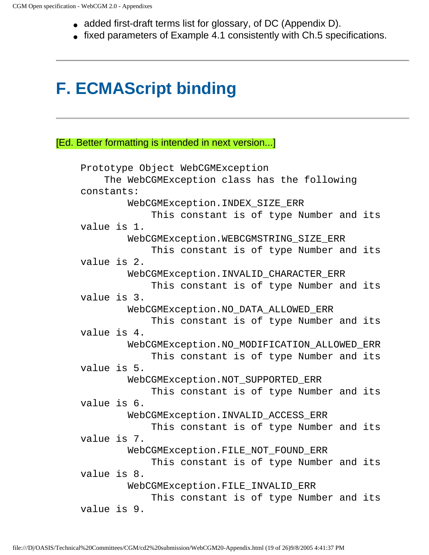- added first-draft terms list for glossary, of DC (Appendix D).
- fixed parameters of Example 4.1 consistently with Ch.5 specifications.

# **F. ECMAScript binding**

[Ed. Better formatting is intended in next version...]

```
Prototype Object WebCGMException
     The WebCGMException class has the following 
constants:
         WebCGMException.INDEX_SIZE_ERR
             This constant is of type Number and its 
value is 1.
         WebCGMException.WEBCGMSTRING_SIZE_ERR
             This constant is of type Number and its 
value is 2.
         WebCGMException.INVALID_CHARACTER_ERR
             This constant is of type Number and its 
value is 3.
         WebCGMException.NO_DATA_ALLOWED_ERR
             This constant is of type Number and its 
value is 4.
         WebCGMException.NO_MODIFICATION_ALLOWED_ERR
             This constant is of type Number and its 
value is 5.
         WebCGMException.NOT_SUPPORTED_ERR
             This constant is of type Number and its 
value is 6.
         WebCGMException.INVALID_ACCESS_ERR
             This constant is of type Number and its 
value is 7.
         WebCGMException.FILE_NOT_FOUND_ERR
             This constant is of type Number and its 
value is 8.
         WebCGMException.FILE_INVALID_ERR
             This constant is of type Number and its 
value is 9.
```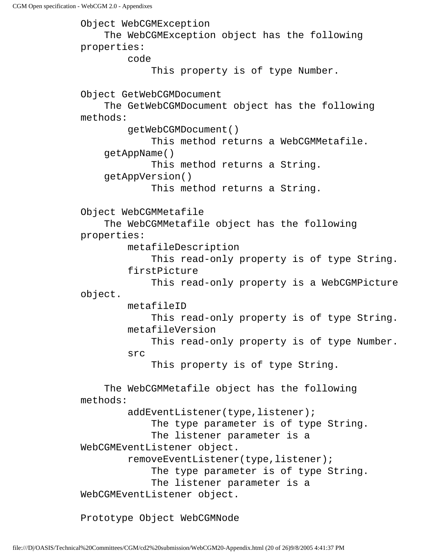CGM Open specification - WebCGM 2.0 - Appendixes

Object WebCGMException The WebCGMException object has the following properties: code This property is of type Number. Object GetWebCGMDocument The GetWebCGMDocument object has the following methods: getWebCGMDocument() This method returns a WebCGMMetafile. getAppName() This method returns a String. getAppVersion() This method returns a String. Object WebCGMMetafile The WebCGMMetafile object has the following properties: metafileDescription This read-only property is of type String. firstPicture This read-only property is a WebCGMPicture object. metafileID This read-only property is of type String. metafileVersion This read-only property is of type Number. src This property is of type String. The WebCGMMetafile object has the following methods: addEventListener(type,listener); The type parameter is of type String. The listener parameter is a WebCGMEventListener object. removeEventListener(type,listener); The type parameter is of type String. The listener parameter is a WebCGMEventListener object.

Prototype Object WebCGMNode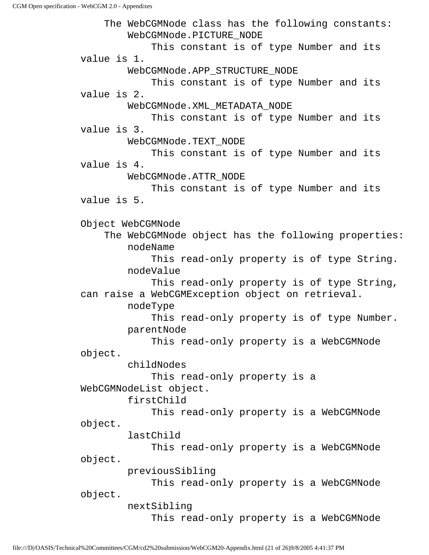The WebCGMNode class has the following constants: WebCGMNode.PICTURE\_NODE This constant is of type Number and its value is 1. WebCGMNode.APP\_STRUCTURE\_NODE This constant is of type Number and its value is 2. WebCGMNode.XML\_METADATA\_NODE This constant is of type Number and its value is 3. WebCGMNode.TEXT\_NODE This constant is of type Number and its value is 4. WebCGMNode.ATTR\_NODE This constant is of type Number and its value is 5. Object WebCGMNode The WebCGMNode object has the following properties: nodeName This read-only property is of type String. nodeValue This read-only property is of type String, can raise a WebCGMException object on retrieval. nodeType This read-only property is of type Number. parentNode This read-only property is a WebCGMNode object. childNodes This read-only property is a WebCGMNodeList object. firstChild This read-only property is a WebCGMNode object. lastChild This read-only property is a WebCGMNode object. previousSibling This read-only property is a WebCGMNode object. nextSibling This read-only property is a WebCGMNode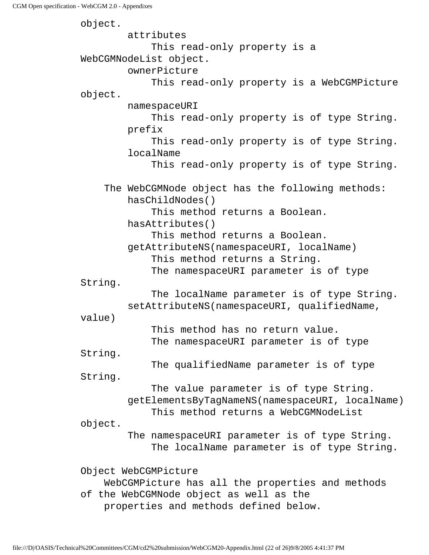object. attributes This read-only property is a WebCGMNodeList object. ownerPicture This read-only property is a WebCGMPicture object. namespaceURI This read-only property is of type String. prefix This read-only property is of type String. localName This read-only property is of type String. The WebCGMNode object has the following methods: hasChildNodes() This method returns a Boolean. hasAttributes() This method returns a Boolean. getAttributeNS(namespaceURI, localName) This method returns a String. The namespaceURI parameter is of type String. The localName parameter is of type String. setAttributeNS(namespaceURI, qualifiedName, value) This method has no return value. The namespaceURI parameter is of type String. The qualifiedName parameter is of type String. The value parameter is of type String. getElementsByTagNameNS(namespaceURI, localName) This method returns a WebCGMNodeList object. The namespaceURI parameter is of type String. The localName parameter is of type String. Object WebCGMPicture WebCGMPicture has all the properties and methods of the WebCGMNode object as well as the properties and methods defined below.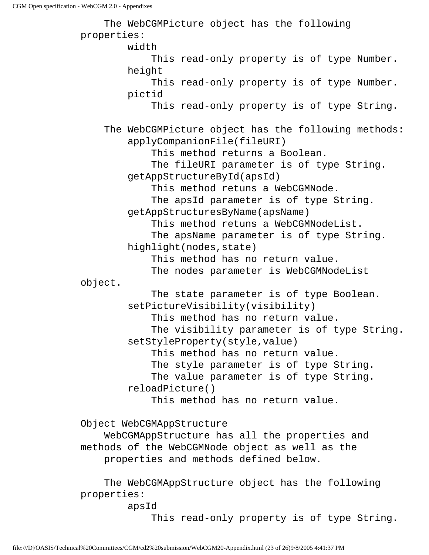The WebCGMPicture object has the following properties: width This read-only property is of type Number. height This read-only property is of type Number. pictid This read-only property is of type String. The WebCGMPicture object has the following methods: applyCompanionFile(fileURI) This method returns a Boolean. The fileURI parameter is of type String. getAppStructureById(apsId) This method retuns a WebCGMNode. The apsId parameter is of type String. getAppStructuresByName(apsName) This method retuns a WebCGMNodeList. The apsName parameter is of type String. highlight(nodes,state) This method has no return value. The nodes parameter is WebCGMNodeList object. The state parameter is of type Boolean. setPictureVisibility(visibility) This method has no return value. The visibility parameter is of type String. setStyleProperty(style,value) This method has no return value. The style parameter is of type String. The value parameter is of type String. reloadPicture() This method has no return value. Object WebCGMAppStructure WebCGMAppStructure has all the properties and methods of the WebCGMNode object as well as the properties and methods defined below.

 The WebCGMAppStructure object has the following properties:

apsId

This read-only property is of type String.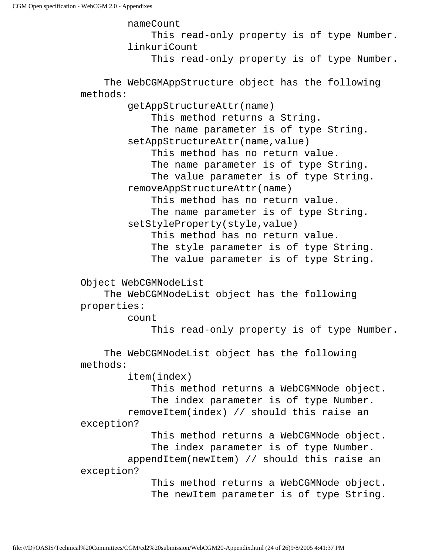nameCount This read-only property is of type Number. linkuriCount This read-only property is of type Number. The WebCGMAppStructure object has the following methods: getAppStructureAttr(name) This method returns a String. The name parameter is of type String. setAppStructureAttr(name, value) This method has no return value. The name parameter is of type String. The value parameter is of type String. removeAppStructureAttr(name) This method has no return value. The name parameter is of type String. setStyleProperty(style,value) This method has no return value. The style parameter is of type String. The value parameter is of type String. Object WebCGMNodeList The WebCGMNodeList object has the following properties: count This read-only property is of type Number. The WebCGMNodeList object has the following methods: item(index) This method returns a WebCGMNode object. The index parameter is of type Number. removeItem(index) // should this raise an exception? This method returns a WebCGMNode object. The index parameter is of type Number. appendItem(newItem) // should this raise an exception? This method returns a WebCGMNode object. The newItem parameter is of type String.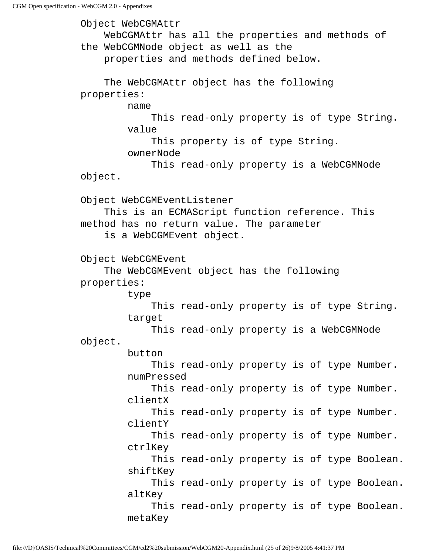Object WebCGMAttr WebCGMAttr has all the properties and methods of the WebCGMNode object as well as the properties and methods defined below. The WebCGMAttr object has the following properties: name This read-only property is of type String. value This property is of type String. ownerNode This read-only property is a WebCGMNode object. Object WebCGMEventListener This is an ECMAScript function reference. This method has no return value. The parameter is a WebCGMEvent object. Object WebCGMEvent The WebCGMEvent object has the following properties: type This read-only property is of type String. target This read-only property is a WebCGMNode object. button This read-only property is of type Number. numPressed This read-only property is of type Number. clientX This read-only property is of type Number. clientY This read-only property is of type Number. ctrlKey This read-only property is of type Boolean. shiftKey This read-only property is of type Boolean. altKey This read-only property is of type Boolean. metaKey